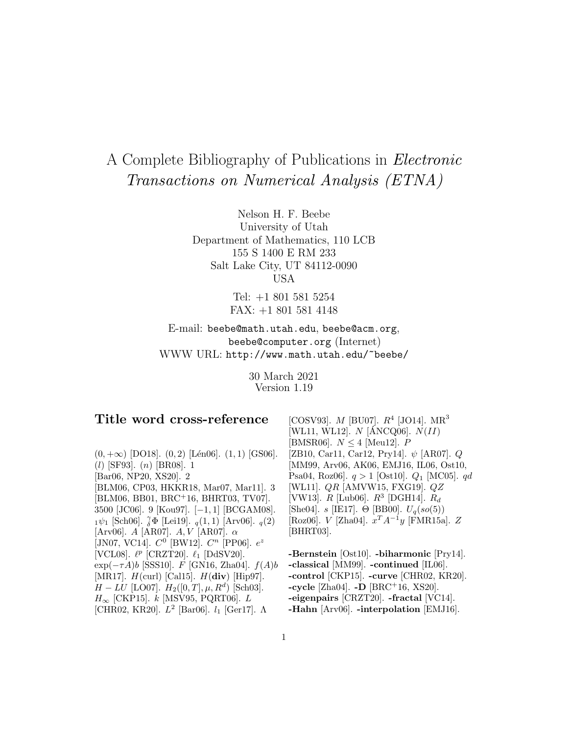# A Complete Bibliography of Publications in Electronic Transactions on Numerical Analysis (ETNA)

Nelson H. F. Beebe University of Utah Department of Mathematics, 110 LCB 155 S 1400 E RM 233 Salt Lake City, UT 84112-0090 USA

> Tel: +1 801 581 5254 FAX: +1 801 581 4148

E-mail: beebe@math.utah.edu, beebe@acm.org, beebe@computer.org (Internet) WWW URL: http://www.math.utah.edu/~beebe/

> 30 March 2021 Version 1.19

# **Title word cross-reference**

 $(0, +\infty)$  [DO18].  $(0, 2)$  [Lén06].  $(1, 1)$  [GS06]. (l) [SF93]. (n) [BR08]. 1 [Bar06, NP20, XS20]. 2 [BLM06, CP03, HKKR18, Mar07, Mar11]. 3 [BLM06, BB01, BRC<sup>+</sup>16, BHRT03, TV07]. 3500 [JC06]. 9 [Kou97]. [−1, 1] [BCGAM08].  $_1\psi_1$  [Sch06].  $_{\delta}^{\gamma}\Phi$  [Lei19].  $_q(1,1)$  [Arv06].  $_q(2)$ [Arv06].  $A$  [AR07].  $A, V$  [AR07].  $\alpha$ [JN07, VC14].  $C^0$  [BW12].  $C^n$  [PP06].  $e^z$ [VCL08].  $\ell^p$  [CRZT20].  $\ell_1$  [DdSV20].  $\exp(-\tau A)b$  [SSS10]. F [GN16, Zha04].  $f(A)b$ [MR17]. H(curl) [Cal15]. H(**div**) [Hip97].  $H - LU$  [LO07].  $H_2([0, T], \mu, R^d)$  [Sch03].  $H_{\infty}$  [CKP15]. k [MSV95, PQRT06]. L [CHR02, KR20].  $L^2$  [Bar06].  $l_1$  [Ger17].  $\Lambda$ 

[COSV93].  $M$  [BU07].  $R^4$  [JO14].  $MR^3$ [WL11, WL12].  $N$  [ANCQ06].  $N(II)$ [BMSR06].  $N \leq 4$  [Meu12]. P [ZB10, Car11, Car12, Pry14]. ψ [AR07]. Q [MM99, Arv06, AK06, EMJ16, IL06, Ost10, Psa04, Roz06].  $q > 1$  [Ost10].  $Q_1$  [MC05].  $qd$ [WL11]. QR [AMVW15, FXG19]. QZ [VW13].  $R$  [Lub06].  $R^3$  [DGH14].  $R_d$ [She04]. s [IE17].  $\Theta$  [BB00].  $U_q(so(5))$ [Roz06].  $V$  [Zha04].  $x^T A^{-1}y$  [FMR15a].  $Z$ [BHRT03].

**-Bernstein** [Ost10]. **-biharmonic** [Pry14]. **-classical** [MM99]. **-continued** [IL06]. **-control** [CKP15]. **-curve** [CHR02, KR20]. **-cycle** [Zha04]. **-D** [BRC<sup>+</sup>16, XS20]. **-eigenpairs** [CRZT20]. **-fractal** [VC14]. **-Hahn** [Arv06]. **-interpolation** [EMJ16].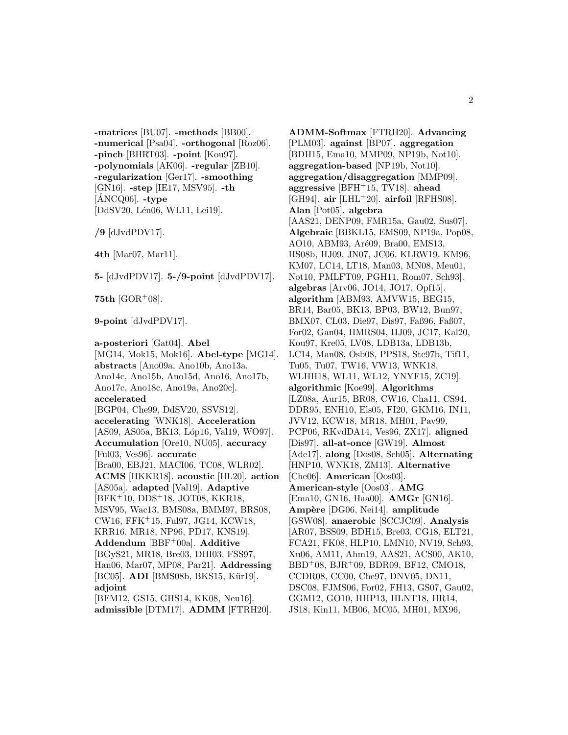**-matrices** [BU07]. **-methods** [BB00]. **-numerical** [Psa04]. **-orthogonal** [Roz06]. **-pinch** [BHRT03]. **-point** [Kou97]. **-polynomials** [AK06]. **-regular** [ZB10]. **-regularization** [Ger17]. **-smoothing** [GN16]. **-step** [IE17, MSV95]. **-th**  $[ANCQ06]$ . -type [DdSV20, Lén06, WL11, Lei19].

**/9** [dJvdPDV17].

**4th** [Mar07, Mar11].

**5-** [dJvdPDV17]. **5-/9-point** [dJvdPDV17].

**75th**  $[GOR+08]$ .

**9-point** [dJvdPDV17].

**a-posteriori** [Gat04]. **Abel** [MG14, Mok15, Mok16]. **Abel-type** [MG14]. **abstracts** [Ano09a, Ano10b, Ano13a, Ano14c, Ano15b, Ano15d, Ano16, Ano17b, Ano17c, Ano18c, Ano19a, Ano20c]. **accelerated** [BGP04, Che99, DdSV20, SSVS12]. **accelerating** [WNK18]. **Acceleration** [AS09, AS05a, BK13, Lóp16, Val19, WO97]. **Accumulation** [Ore10, NU05]. **accuracy** [Ful03, Ves96]. **accurate** [Bra00, EBJ21, MACI06, TC08, WLR02]. **ACMS** [HKKR18]. **acoustic** [HL20]. **action** [AS05a]. **adapted** [Val19]. **Adaptive** [BFK<sup>+</sup>10, DDS<sup>+</sup>18, JOT08, KKR18, MSV95, Wac13, BMS08a, BMM97, BRS08, CW16, FFK<sup>+</sup>15, Ful97, JG14, KCW18, KRR16, MR18, NP96, PD17, KNS19]. **Addendum** [BBF<sup>+</sup>00a]. **Additive** [BGyS21, MR18, Bre03, DHI03, FSS97, Han06, Mar07, MP08, Par21]. **Addressing** [BC05]. **ADI** [BMS08b, BKS15, Kür19]. **adjoint** [BFM12, GS15, GHS14, KK08, Neu16]. **admissible** [DTM17]. **ADMM** [FTRH20].

**ADMM-Softmax** [FTRH20]. **Advancing** [PLM03]. **against** [BP07]. **aggregation** [BDH15, Ema10, MMP09, NP19b, Not10]. **aggregation-based** [NP19b, Not10]. **aggregation/disaggregation** [MMP09]. **aggressive** [BFH<sup>+</sup>15, TV18]. **ahead** [GH94]. **air** [LHL<sup>+</sup>20]. **airfoil** [RFHS08]. **Alan** [Pot05]. **algebra** [AAS21, DENP09, FMR15a, Gau02, Sus07]. **Algebraic** [BBKL15, EMS09, NP19a, Pop08, AO10, ABM93, Aré09, Bra00, EMS13, HS08b, HJ09, JN07, JC06, KLRW19, KM96, KM07, LC14, LT18, Man03, MN08, Meu01, Not10, PMLFT09, PGH11, Rom07, Sch93]. **algebras** [Arv06, JO14, JO17, Opf15]. **algorithm** [ABM93, AMVW15, BEG15, BR14, Bar05, BK13, BP03, BW12, Bun97, BMX07, CL03, Die97, Dis97, Faß96, Faß07, For02, Gan04, HMRS04, HJ09, JC17, Kal20, Kou97, Kre05, LV08, LDB13a, LDB13b, LC14, Man08, Osb08, PPS18, Ste97b, Tif11, Tu05, Tu07, TW16, VW13, WNK18, WLHH18, WL11, WL12, YNYF15, ZC19]. **algorithmic** [Koe99]. **Algorithms** [LZ08a, Aur15, BR08, CW16, Cha11, CS94, DDR95, ENH10, Els05, FI20, GKM16, IN11, JVV12, KCW18, MR18, MH01, Pav99, PCP06, RKvdDA14, Ves96, ZX17]. **aligned** [Dis97]. **all-at-once** [GW19]. **Almost** [Ade17]. **along** [Dos08, Sch05]. **Alternating** [HNP10, WNK18, ZM13]. **Alternative** [Che06]. **American** [Oos03]. **American-style** [Oos03]. **AMG** [Ema10, GN16, Haa00]. **AMGr** [GN16]. **Amp`ere** [DG06, Nei14]. **amplitude** [GSW08]. **anaerobic** [SCCJC09]. **Analysis** [AR07, BSS09, BDH15, Bre03, CG18, ELT21, FCA21, FK08, HLP10, LMN10, NV19, Sch93, Xu06, AM11, Ahm19, AAS21, ACS00, AK10, BBD<sup>+</sup>08, BJR<sup>+</sup>09, BDR09, BF12, CMO18, CCDR08, CC00, Che97, DNV05, DN11, DSC08, FJMS06, For02, FH13, GS07, Gau02, GGM12, GO10, HHP13, HLNT18, HR14, JS18, Kin11, MB06, MC05, MH01, MX96,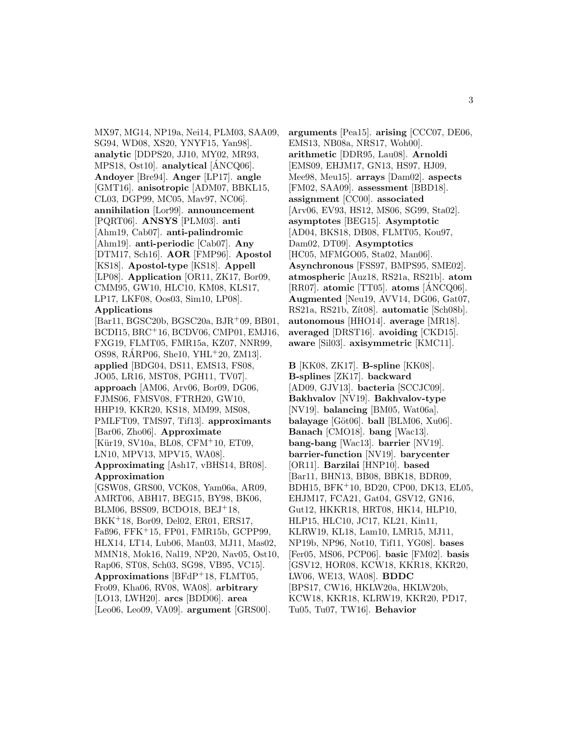MX97, MG14, NP19a, Nei14, PLM03, SAA09, SG94, WD08, XS20, YNYF15, Yan98]. **analytic** [DDPS20, JJ10, MY02, MR93, MPS18, Ost10]. **analytical** [ANCQ06]. ´ **Andoyer** [Bre94]. **Anger** [LP17]. **angle** [GMT16]. **anisotropic** [ADM07, BBKL15, CL03, DGP99, MC05, Mav97, NC06]. **annihilation** [Lor99]. **announcement** [PQRT06]. **ANSYS** [PLM03]. **anti** [Ahm19, Cab07]. **anti-palindromic** [Ahm19]. **anti-periodic** [Cab07]. **Any** [DTM17, Sch16]. **AOR** [FMP96]. **Apostol** [KS18]. **Apostol-type** [KS18]. **Appell** [LP08]. **Application** [OR11, ZK17, Bor09, CMM95, GW10, HLC10, KM08, KLS17, LP17, LKF08, Oos03, Sim10, LP08].

# **Applications**

[Bar11, BGSC20b, BGSC20a, BJR<sup>+</sup>09, BB01, BCDI15, BRC<sup>+</sup>16, BCDV06, CMP01, EMJ16, FXG19, FLMT05, FMR15a, KZ07, NNR99, OS98, RARP06, She10, YHL $+20$ , ZM13. **applied** [BDG04, DS11, EMS13, FS08, JO05, LR16, MST08, PGH11, TV07]. **approach** [AM06, Arv06, Bor09, DG06, FJMS06, FMSV08, FTRH20, GW10, HHP19, KKR20, KS18, MM99, MS08, PMLFT09, TMS97, Tif13]. **approximants** [Bar06, Zho06]. **Approximate** [Kür19, SV10a, BL08, CFM+10, ET09, LN10, MPV13, MPV15, WA08]. **Approximating** [Ash17, vBHS14, BR08]. **Approximation** [GSW08, GRS00, VCK08, Yam06a, AR09,

AMRT06, ABH17, BEG15, BY98, BK06, BLM06, BSS09, BCDO18, BEJ<sup>+</sup>18, BKK<sup>+</sup>18, Bor09, Del02, ER01, ERS17, Faß96, FFK<sup>+</sup>15, FP01, FMR15b, GCPP99, HLX14, LT14, Lub06, Man03, MJ11, Mas02, MMN18, Mok16, Nal19, NP20, Nav05, Ost10, Rap06, ST08, Sch03, SG98, VB95, VC15]. **Approximations** [BFdP<sup>+</sup>18, FLMT05, Fro09, Kha06, RV08, WA08]. **arbitrary** [LO13, LWH20]. **arcs** [BDD06]. **area** [Leo06, Leo09, VA09]. **argument** [GRS00].

**arguments** [Pea15]. **arising** [CCC07, DE06, EMS13, NB08a, NRS17, Woh00]. **arithmetic** [DDR95, Lau08]. **Arnoldi** [EMS09, EHJM17, GN13, HS97, HJ09, Mee98, Meu15]. **arrays** [Dam02]. **aspects** [FM02, SAA09]. **assessment** [BBD18]. **assignment** [CC00]. **associated** [Arv06, EV93, HS12, MS06, SG99, Sta02]. **asymptotes** [BEG15]. **Asymptotic** [AD04, BKS18, DB08, FLMT05, Kou97, Dam02, DT09]. **Asymptotics** [HC05, MFMGO05, Sta02, Man06]. **Asynchronous** [FSS97, BMPS95, SME02]. **atmospheric** [Auz18, RS21a, RS21b]. **atom** [RR07]. **atomic** [TT05]. **atoms** [ANCQ06]. ´ **Augmented** [Neu19, AVV14, DG06, Gat07, RS21a, RS21b, Zít08]. **automatic** [Sch08b]. **autonomous** [HHO14]. **average** [MR18]. **averaged** [DRST16]. **avoiding** [CKD15]. **aware** [Sil03]. **axisymmetric** [KMC11].

**B** [KK08, ZK17]. **B-spline** [KK08]. **B-splines** [ZK17]. **backward** [AD09, GJV13]. **bacteria** [SCCJC09]. **Bakhvalov** [NV19]. **Bakhvalov-type** [NV19]. **balancing** [BM05, Wat06a]. **balayage** [Göt06]. **ball** [BLM06, Xu06]. **Banach** [CMO18]. **bang** [Wac13]. **bang-bang** [Wac13]. **barrier** [NV19]. **barrier-function** [NV19]. **barycenter** [OR11]. **Barzilai** [HNP10]. **based** [Bar11, BHN13, BB08, BBK18, BDR09, BDH15, BFK<sup>+</sup>10, BD20, CP00, DK13, EL05, EHJM17, FCA21, Gat04, GSV12, GN16, Gut12, HKKR18, HRT08, HK14, HLP10, HLP15, HLC10, JC17, KL21, Kin11, KLRW19, KL18, Lam10, LMR15, MJ11, NP19b, NP96, Not10, Tif11, YG08]. **bases** [Fer05, MS06, PCP06]. **basic** [FM02]. **basis** [GSV12, HOR08, KCW18, KKR18, KKR20, LW06, WE13, WA08]. **BDDC** [BPS17, CW16, HKLW20a, HKLW20b, KCW18, KKR18, KLRW19, KKR20, PD17, Tu05, Tu07, TW16]. **Behavior**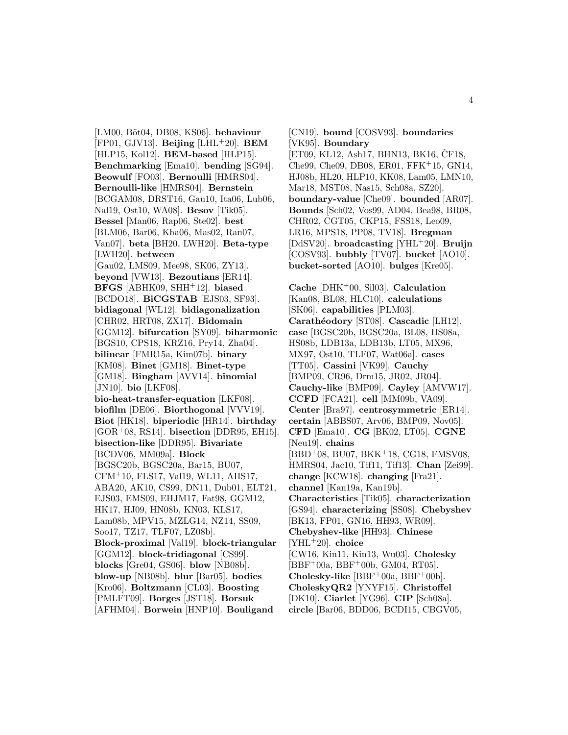[LM00, Böt04, DB08, KS06]. **behaviour** [FP01, GJV13]. **Beijing** [LHL<sup>+</sup>20]. **BEM** [HLP15, Kol12]. **BEM-based** [HLP15]. **Benchmarking** [Ema10]. **bending** [SG94]. **Beowulf** [FO03]. **Bernoulli** [HMRS04]. **Bernoulli-like** [HMRS04]. **Bernstein** [BCGAM08, DRST16, Gau10, Ita06, Lub06, Nal19, Ost10, WA08]. **Besov** [Tik05]. **Bessel** [Man06, Rap06, Ste02]. **best** [BLM06, Bar06, Kha06, Mas02, Ran07, Van07]. **beta** [BH20, LWH20]. **Beta-type** [LWH20]. **between** [Gau02, LMS09, Mee98, SK06, ZY13]. **beyond** [VW13]. **Bezoutians** [ER14]. **BFGS** [ABHK09, SHH<sup>+</sup>12]. **biased** [BCDO18]. **BiCGSTAB** [EJS03, SF93]. **bidiagonal** [WL12]. **bidiagonalization** [CHR02, HRT08, ZX17]. **Bidomain** [GGM12]. **bifurcation** [SY09]. **biharmonic** [BGS10, CPS18, KRZ16, Pry14, Zha04]. **bilinear** [FMR15a, Kim07b]. **binary** [KM08]. **Binet** [GM18]. **Binet-type** [GM18]. **Bingham** [AVV14]. **binomial** [JN10]. **bio** [LKF08]. **bio-heat-transfer-equation** [LKF08]. **biofilm** [DE06]. **Biorthogonal** [VVV19]. **Biot** [HK18]. **biperiodic** [HR14]. **birthday** [GOR<sup>+</sup>08, RS14]. **bisection** [DDR95, EH15]. **bisection-like** [DDR95]. **Bivariate** [BCDV06, MM09a]. **Block** [BGSC20b, BGSC20a, Bar15, BU07, CFM<sup>+</sup>10, FLS17, Val19, WL11, AHS17, ABA20, AK10, CS99, DN11, Dub01, ELT21, EJS03, EMS09, EHJM17, Fat98, GGM12, HK17, HJ09, HN08b, KN03, KLS17, Lam08b, MPV15, MZLG14, NZ14, SS09, Soo17, TZ17, TLF07, LZ08b]. **Block-proximal** [Val19]. **block-triangular** [GGM12]. **block-tridiagonal** [CS99]. **blocks** [Gre04, GS06]. **blow** [NB08b]. **blow-up** [NB08b]. **blur** [Bar05]. **bodies** [Kro06]. **Boltzmann** [CL03]. **Boosting** [PMLFT09]. **Borges** [JST18]. **Borsuk** [AFHM04]. **Borwein** [HNP10]. **Bouligand**

[CN19]. **bound** [COSV93]. **boundaries** [VK95]. **Boundary** [ET09, KL12, Ash17, BHN13, BK16, CF18, Che99, Che09, DB08, ER01, FFK<sup>+</sup>15, GN14, HJ08b, HL20, HLP10, KK08, Lam05, LMN10, Mar18, MST08, Nas15, Sch08a, SZ20]. **boundary-value** [Che09]. **bounded** [AR07]. **Bounds** [Sch02, Vos99, AD04, Bea98, BR08, CHR02, CGT05, CKP15, FSS18, Leo09, LR16, MPS18, PP08, TV18]. **Bregman** [DdSV20]. **broadcasting** [YHL<sup>+</sup>20]. **Bruijn** [COSV93]. **bubbly** [TV07]. **bucket** [AO10]. **bucket-sorted** [AO10]. **bulges** [Kre05]. **Cache** [DHK<sup>+</sup>00, Sil03]. **Calculation**

[Kan08, BL08, HLC10]. **calculations** [SK06]. **capabilities** [PLM03]. **Carath´eodory** [ST08]. **Cascadic** [LH12]. **case** [BGSC20b, BGSC20a, BL08, HS08a, HS08b, LDB13a, LDB13b, LT05, MX96, MX97, Ost10, TLF07, Wat06a]. **cases** [TT05]. **Cassini** [VK99]. **Cauchy** [BMP09, CR96, Drm15, JR02, JR04]. **Cauchy-like** [BMP09]. **Cayley** [AMVW17]. **CCFD** [FCA21]. **cell** [MM09b, VA09]. **Center** [Bra97]. **centrosymmetric** [ER14]. **certain** [ABBS07, Arv06, BMP09, Nov05]. **CFD** [Ema10]. **CG** [BK02, LT05]. **CGNE** [Neu19]. **chains** [BBD<sup>+</sup>08, BU07, BKK<sup>+</sup>18, CG18, FMSV08, HMRS04, Jac10, Tif11, Tif13]. **Chan** [Zei99]. **change** [KCW18]. **changing** [Fra21]. **channel** [Kan19a, Kan19b]. **Characteristics** [Tik05]. **characterization** [GS94]. **characterizing** [SS08]. **Chebyshev** [BK13, FP01, GN16, HH93, WR09]. **Chebyshev-like** [HH93]. **Chinese** [YHL<sup>+</sup>20]. **choice** [CW16, Kin11, Kin13, Wu03]. **Cholesky**  $[BBF+00a, BBF+00b, GMO4, RT05].$ **Cholesky-like** [BBF<sup>+</sup>00a, BBF<sup>+</sup>00b]. **CholeskyQR2** [YNYF15]. **Christoffel** [DK10]. **Ciarlet** [YG96]. **CIP** [Sch08a]. **circle** [Bar06, BDD06, BCDI15, CBGV05,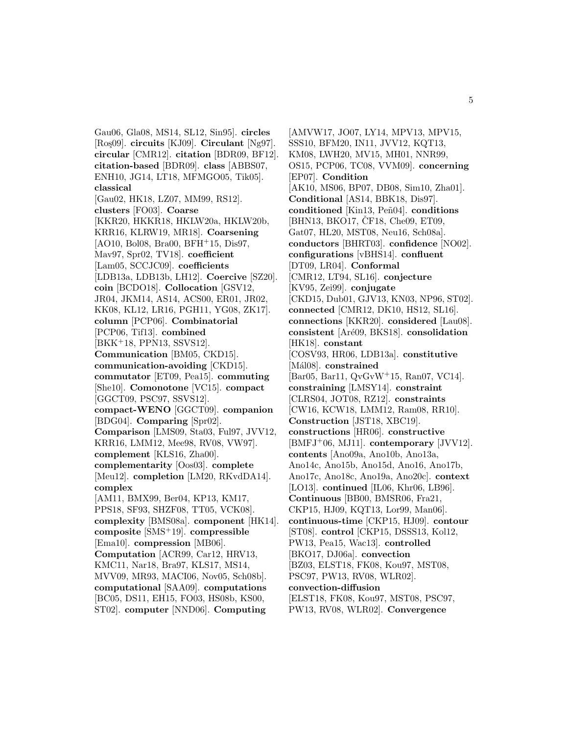Gau06, Gla08, MS14, SL12, Sin95]. **circles** [Ro¸s09]. **circuits** [KJ09]. **Circulant** [Ng97]. **circular** [CMR12]. **citation** [BDR09, BF12]. **citation-based** [BDR09]. **class** [ABBS07, ENH10, JG14, LT18, MFMGO05, Tik05]. **classical** [Gau02, HK18, LZ07, MM99, RS12]. **clusters** [FO03]. **Coarse** [KKR20, HKKR18, HKLW20a, HKLW20b, KRR16, KLRW19, MR18]. **Coarsening** [AO10, Bol08, Bra00, BFH<sup>+</sup>15, Dis97, Mav97, Spr02, TV18]. **coefficient** [Lam05, SCCJC09]. **coefficients** [LDB13a, LDB13b, LH12]. **Coercive** [SZ20]. **coin** [BCDO18]. **Collocation** [GSV12, JR04, JKM14, AS14, ACS00, ER01, JR02, KK08, KL12, LR16, PGH11, YG08, ZK17]. **column** [PCP06]. **Combinatorial** [PCP06, Tif13]. **combined** [BKK<sup>+</sup>18, PPN13, SSVS12]. **Communication** [BM05, CKD15]. **communication-avoiding** [CKD15]. **commutator** [ET09, Pea15]. **commuting** [She10]. **Comonotone** [VC15]. **compact** [GGCT09, PSC97, SSVS12]. **compact-WENO** [GGCT09]. **companion** [BDG04]. **Comparing** [Spr02]. **Comparison** [LMS09, Sta03, Ful97, JVV12, KRR16, LMM12, Mee98, RV08, VW97]. **complement** [KLS16, Zha00]. **complementarity** [Oos03]. **complete** [Meu12]. **completion** [LM20, RKvdDA14]. **complex** [AM11, BMX99, Ber04, KP13, KM17, PPS18, SF93, SHZF08, TT05, VCK08]. **complexity** [BMS08a]. **component** [HK14]. **composite** [SMS<sup>+</sup>19]. **compressible** [Ema10]. **compression** [MB06]. **Computation** [ACR99, Car12, HRV13, KMC11, Nar18, Bra97, KLS17, MS14, MVV09, MR93, MACI06, Nov05, Sch08b]. **computational** [SAA09]. **computations** [BC05, DS11, EH15, FO03, HS08b, KS00, ST02]. **computer** [NND06]. **Computing**

[AMVW17, JO07, LY14, MPV13, MPV15, SSS10, BFM20, IN11, JVV12, KQT13, KM08, LWH20, MV15, MH01, NNR99, OS15, PCP06, TC08, VVM09]. **concerning** [EP07]. **Condition** [AK10, MS06, BP07, DB08, Sim10, Zha01]. **Conditional** [AS14, BBK18, Dis97]. conditioned [Kin13, Peñ04]. **conditions** [BHN13, BKO17, ČF18, Che09, ET09, Gat07, HL20, MST08, Neu16, Sch08a]. **conductors** [BHRT03]. **confidence** [NO02]. **configurations** [vBHS14]. **confluent** [DT09, LR04]. **Conformal** [CMR12, LT94, SL16]. **conjecture** [KV95, Zei99]. **conjugate** [CKD15, Dub01, GJV13, KN03, NP96, ST02]. **connected** [CMR12, DK10, HS12, SL16]. **connections** [KKR20]. **considered** [Lau08]. **consistent** [Ar´e09, BKS18]. **consolidation** [HK18]. **constant** [COSV93, HR06, LDB13a]. **constitutive** [Mál08]. **constrained** [Bar05, Bar11, QvGvW<sup>+</sup>15, Ran07, VC14]. **constraining** [LMSY14]. **constraint** [CLRS04, JOT08, RZ12]. **constraints** [CW16, KCW18, LMM12, Ram08, RR10]. **Construction** [JST18, XBC19]. **constructions** [HR06]. **constructive** [BMFJ<sup>+</sup>06, MJ11]. **contemporary** [JVV12]. **contents** [Ano09a, Ano10b, Ano13a, Ano14c, Ano15b, Ano15d, Ano16, Ano17b, Ano17c, Ano18c, Ano19a, Ano20c]. **context** [LO13]. **continued** [IL06, Khr06, LB96]. **Continuous** [BB00, BMSR06, Fra21, CKP15, HJ09, KQT13, Lor99, Man06]. **continuous-time** [CKP15, HJ09]. **contour** [ST08]. **control** [CKP15, DSSS13, Kol12, PW13, Pea15, Wac13]. **controlled** [BKO17, DJ06a]. **convection** [BZ03, ELST18, FK08, Kou97, MST08, PSC97, PW13, RV08, WLR02]. **convection-diffusion** [ELST18, FK08, Kou97, MST08, PSC97, PW13, RV08, WLR02]. **Convergence**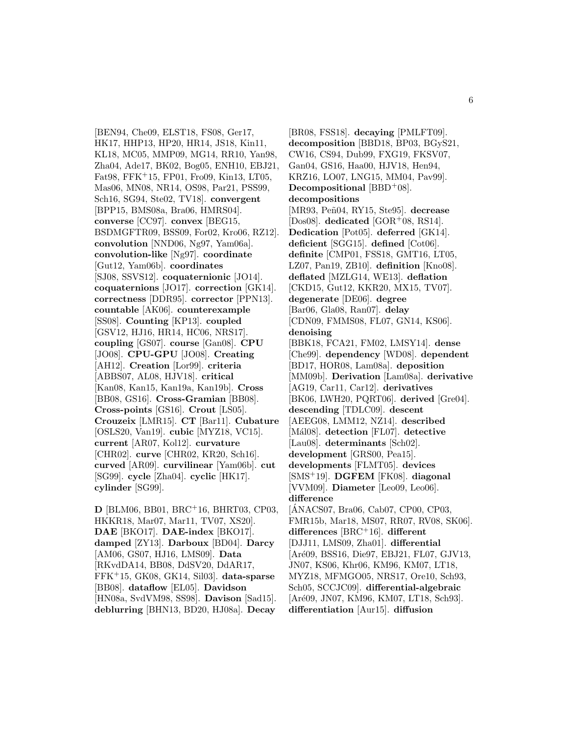[BEN94, Che09, ELST18, FS08, Ger17, HK17, HHP13, HP20, HR14, JS18, Kin11, KL18, MC05, MMP09, MG14, RR10, Yan98, Zha04, Ade17, BK02, Bog05, ENH10, EBJ21, Fat98, FFK<sup>+</sup>15, FP01, Fro09, Kin13, LT05, Mas06, MN08, NR14, OS98, Par21, PSS99, Sch16, SG94, Ste02, TV18]. **convergent** [BPP15, BMS08a, Bra06, HMRS04]. **converse** [CC97]. **convex** [BEG15, BSDMGFTR09, BSS09, For02, Kro06, RZ12]. **convolution** [NND06, Ng97, Yam06a]. **convolution-like** [Ng97]. **coordinate** [Gut12, Yam06b]. **coordinates** [SJ08, SSVS12]. **coquaternionic** [JO14]. **coquaternions** [JO17]. **correction** [GK14]. **correctness** [DDR95]. **corrector** [PPN13]. **countable** [AK06]. **counterexample** [SS08]. **Counting** [KP13]. **coupled** [GSV12, HJ16, HR14, HC06, NRS17]. **coupling** [GS07]. **course** [Gan08]. **CPU** [JO08]. **CPU-GPU** [JO08]. **Creating** [AH12]. **Creation** [Lor99]. **criteria** [ABBS07, AL08, HJV18]. **critical** [Kan08, Kan15, Kan19a, Kan19b]. **Cross** [BB08, GS16]. **Cross-Gramian** [BB08]. **Cross-points** [GS16]. **Crout** [LS05]. **Crouzeix** [LMR15]. **CT** [Bar11]. **Cubature** [OSLS20, Van19]. **cubic** [MYZ18, VC15]. **current** [AR07, Kol12]. **curvature** [CHR02]. **curve** [CHR02, KR20, Sch16]. **curved** [AR09]. **curvilinear** [Yam06b]. **cut** [SG99]. **cycle** [Zha04]. **cyclic** [HK17]. **cylinder** [SG99].

**D** [BLM06, BB01, BRC<sup>+</sup>16, BHRT03, CP03, HKKR18, Mar07, Mar11, TV07, XS20]. **DAE** [BKO17]. **DAE-index** [BKO17]. **damped** [ZY13]. **Darboux** [BD04]. **Darcy** [AM06, GS07, HJ16, LMS09]. **Data** [RKvdDA14, BB08, DdSV20, DdAR17, FFK<sup>+</sup>15, GK08, GK14, Sil03]. **data-sparse** [BB08]. **dataflow** [EL05]. **Davidson** [HN08a, SvdVM98, SS98]. **Davison** [Sad15]. **deblurring** [BHN13, BD20, HJ08a]. **Decay**

[BR08, FSS18]. **decaying** [PMLFT09]. **decomposition** [BBD18, BP03, BGyS21, CW16, CS94, Dub99, FXG19, FKSV07, Gan04, GS16, Haa00, HJV18, Hen94, KRZ16, LO07, LNG15, MM04, Pav99]. **Decompositional** [BBD+08]. **decompositions** [MR93, Peñ04, RY15, Ste95]. **decrease** [Dos08]. **dedicated** [GOR<sup>+</sup>08, RS14]. **Dedication** [Pot05]. **deferred** [GK14]. **deficient** [SGG15]. **defined** [Cot06]. **definite** [CMP01, FSS18, GMT16, LT05, LZ07, Pan19, ZB10]. **definition** [Kno08]. **deflated** [MZLG14, WE13]. **deflation** [CKD15, Gut12, KKR20, MX15, TV07]. **degenerate** [DE06]. **degree** [Bar06, Gla08, Ran07]. **delay** [CDN09, FMMS08, FL07, GN14, KS06]. **denoising** [BBK18, FCA21, FM02, LMSY14]. **dense** [Che99]. **dependency** [WD08]. **dependent** [BD17, HOR08, Lam08a]. **deposition** [MM09b]. **Derivation** [Lam08a]. **derivative** [AG19, Car11, Car12]. **derivatives** [BK06, LWH20, PQRT06]. **derived** [Gre04]. **descending** [TDLC09]. **descent** [AEEG08, LMM12, NZ14]. **described** [Mál08]. detection [FL07]. detective [Lau08]. **determinants** [Sch02]. **development** [GRS00, Pea15]. **developments** [FLMT05]. **devices** [SMS<sup>+</sup>19]. **DGFEM** [FK08]. **diagonal** [VVM09]. **Diameter** [Leo09, Leo06]. **difference** [ANACS07, Bra06, Cab07, CP00, CP03, FMR15b, Mar18, MS07, RR07, RV08, SK06]. **differences** [BRC<sup>+</sup>16]. **different** [DJJ11, LMS09, Zha01]. **differential** [Ar´e09, BSS16, Die97, EBJ21, FL07, GJV13, JN07, KS06, Khr06, KM96, KM07, LT18, MYZ18, MFMGO05, NRS17, Ore10, Sch93, Sch05, SCCJC09]. **differential-algebraic** [Aré09, JN07, KM96, KM07, LT18, Sch93].

**differentiation** [Aur15]. **diffusion**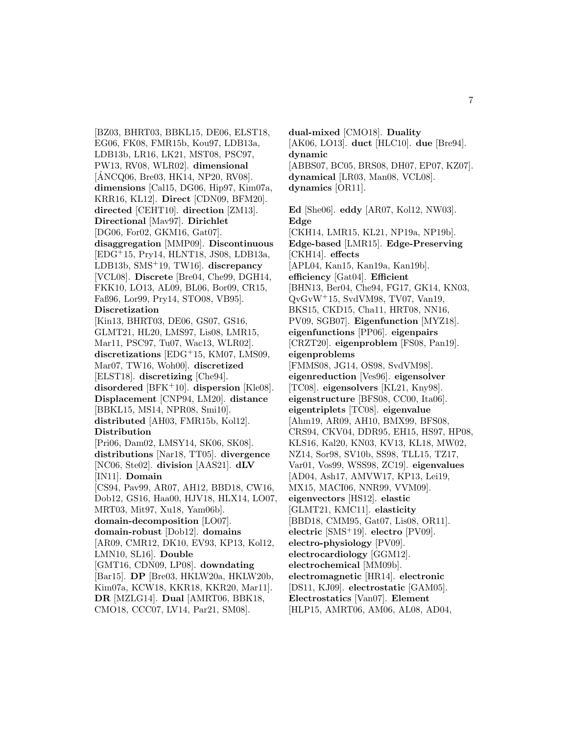[BZ03, BHRT03, BBKL15, DE06, ELST18, EG06, FK08, FMR15b, Kou97, LDB13a, LDB13b, LR16, LK21, MST08, PSC97, PW13, RV08, WLR02]. **dimensional** [ANCQ06, Bre03, HK14, NP20, RV08]. **dimensions** [Cal15, DG06, Hip97, Kim07a, KRR16, KL12]. **Direct** [CDN09, BFM20]. **directed** [CEHT10]. **direction** [ZM13]. **Directional** [Mav97]. **Dirichlet** [DG06, For02, GKM16, Gat07]. **disaggregation** [MMP09]. **Discontinuous** [EDG<sup>+</sup>15, Pry14, HLNT18, JS08, LDB13a, LDB13b, SMS<sup>+</sup>19, TW16]. **discrepancy** [VCL08]. **Discrete** [Bre04, Che99, DGH14, FKK10, LO13, AL09, BL06, Bor09, CR15, Faß96, Lor99, Pry14, STO08, VB95]. **Discretization** [Kin13, BHRT03, DE06, GS07, GS16, GLMT21, HL20, LMS97, Lis08, LMR15, Mar11, PSC97, Tu07, Wac13, WLR02]. **discretizations** [EDG<sup>+</sup>15, KM07, LMS09, Mar07, TW16, Woh00]. **discretized** [ELST18]. **discretizing** [Che94]. **disordered** [BFK<sup>+</sup>10]. **dispersion** [Kle08]. **Displacement** [CNP94, LM20]. **distance** [BBKL15, MS14, NPR08, Smi10]. **distributed** [AH03, FMR15b, Kol12]. **Distribution** [Pri06, Dam02, LMSY14, SK06, SK08]. **distributions** [Nar18, TT05]. **divergence** [NC06, Ste02]. **division** [AAS21]. **dLV** [IN11]. **Domain** [CS94, Pav99, AR07, AH12, BBD18, CW16, Dob12, GS16, Haa00, HJV18, HLX14, LO07, MRT03, Mit97, Xu18, Yam06b]. **domain-decomposition** [LO07]. **domain-robust** [Dob12]. **domains** [AR09, CMR12, DK10, EV93, KP13, Kol12, LMN10, SL16]. **Double** [GMT16, CDN09, LP08]. **downdating** [Bar15]. **DP** [Bre03, HKLW20a, HKLW20b, Kim07a, KCW18, KKR18, KKR20, Mar11]. **DR** [MZLG14]. **Dual** [AMRT06, BBK18, CMO18, CCC07, LV14, Par21, SM08].

**dynamic** [ABBS07, BC05, BRS08, DH07, EP07, KZ07]. **dynamical** [LR03, Man08, VCL08]. **dynamics** [OR11]. **Ed** [She06]. **eddy** [AR07, Kol12, NW03]. **Edge** [CKH14, LMR15, KL21, NP19a, NP19b]. **Edge-based** [LMR15]. **Edge-Preserving** [CKH14]. **effects** [APL04, Kan15, Kan19a, Kan19b]. **efficiency** [Gat04]. **Efficient** [BHN13, Ber04, Che94, FG17, GK14, KN03, QvGvW<sup>+</sup>15, SvdVM98, TV07, Van19, BKS15, CKD15, Cha11, HRT08, NN16, PV09, SGB07]. **Eigenfunction** [MYZ18]. **eigenfunctions** [PP06]. **eigenpairs** [CRZT20]. **eigenproblem** [FS08, Pan19]. **eigenproblems** [FMMS08, JG14, OS98, SvdVM98]. **eigenreduction** [Ves96]. **eigensolver** [TC08]. **eigensolvers** [KL21, Kny98]. **eigenstructure** [BFS08, CC00, Ita06]. **eigentriplets** [TC08]. **eigenvalue** [Ahm19, AR09, AH10, BMX99, BFS08, CRS94, CKV04, DDR95, EH15, HS97, HP08, KLS16, Kal20, KN03, KV13, KL18, MW02, NZ14, Sor98, SV10b, SS98, TLL15, TZ17, Var01, Vos99, WSS98, ZC19]. **eigenvalues** [AD04, Ash17, AMVW17, KP13, Lei19, MX15, MACI06, NNR99, VVM09]. **eigenvectors** [HS12]. **elastic** [GLMT21, KMC11]. **elasticity** [BBD18, CMM95, Gat07, Lis08, OR11]. **electric** [SMS<sup>+</sup>19]. **electro** [PV09]. **electro-physiology** [PV09].

**electrocardiology** [GGM12]. **electrochemical** [MM09b].

**electromagnetic** [HR14]. **electronic** [DS11, KJ09]. **electrostatic** [GAM05]. **Electrostatics** [Van07]. **Element** [HLP15, AMRT06, AM06, AL08, AD04,

**dual-mixed** [CMO18]. **Duality**

[AK06, LO13]. **duct** [HLC10]. **due** [Bre94].

7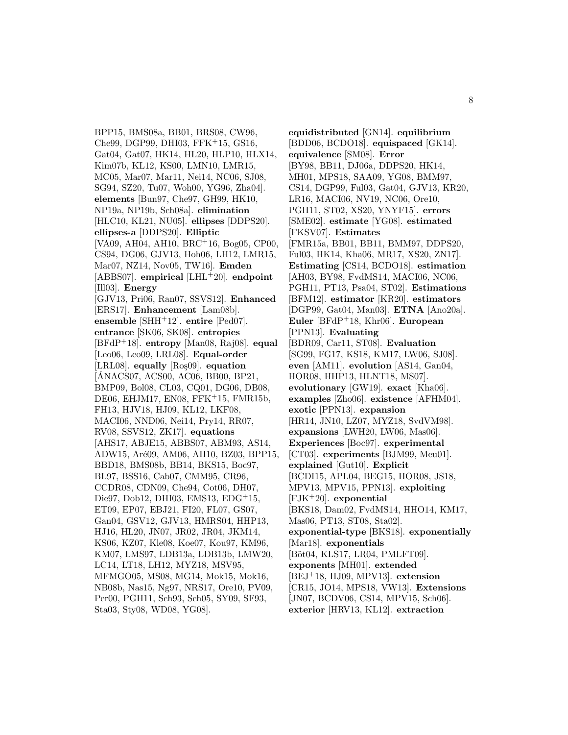BPP15, BMS08a, BB01, BRS08, CW96, Che99, DGP99, DHI03, FFK<sup>+</sup>15, GS16, Gat04, Gat07, HK14, HL20, HLP10, HLX14, Kim07b, KL12, KS00, LMN10, LMR15, MC05, Mar07, Mar11, Nei14, NC06, SJ08, SG94, SZ20, Tu07, Woh00, YG96, Zha04]. **elements** [Bun97, Che97, GH99, HK10, NP19a, NP19b, Sch08a]. **elimination** [HLC10, KL21, NU05]. **ellipses** [DDPS20]. **ellipses-a** [DDPS20]. **Elliptic** [VA09, AH04, AH10, BRC<sup>+</sup>16, Bog05, CP00, CS94, DG06, GJV13, Hoh06, LH12, LMR15, Mar07, NZ14, Nov05, TW16]. **Emden** [ABBS07]. **empirical** [LHL<sup>+</sup>20]. **endpoint** [Ill03]. **Energy** [GJV13, Pri06, Ran07, SSVS12]. **Enhanced** [ERS17]. **Enhancement** [Lam08b]. **ensemble** [SHH<sup>+</sup>12]. **entire** [Ped07]. **entrance** [SK06, SK08]. **entropies** [BFdP<sup>+</sup>18]. **entropy** [Man08, Raj08]. **equal** [Leo06, Leo09, LRL08]. **Equal-order** [LRL08]. **equally** [Ro¸s09]. **equation** [ANACS07, ACS00, AC06, BB00, BP21, ´ BMP09, Bol08, CL03, CQ01, DG06, DB08, DE06, EHJM17, EN08, FFK<sup>+</sup>15, FMR15b, FH13, HJV18, HJ09, KL12, LKF08, MACI06, NND06, Nei14, Pry14, RR07, RV08, SSVS12, ZK17]. **equations** [AHS17, ABJE15, ABBS07, ABM93, AS14, ADW15, Aré09, AM06, AH10, BZ03, BPP15, BBD18, BMS08b, BB14, BKS15, Boc97, BL97, BSS16, Cab07, CMM95, CR96, CCDR08, CDN09, Che94, Cot06, DH07, Die97, Dob12, DHI03, EMS13, EDG<sup>+</sup>15, ET09, EP07, EBJ21, FI20, FL07, GS07, Gan04, GSV12, GJV13, HMRS04, HHP13, HJ16, HL20, JN07, JR02, JR04, JKM14, KS06, KZ07, Kle08, Koe07, Kou97, KM96, KM07, LMS97, LDB13a, LDB13b, LMW20, LC14, LT18, LH12, MYZ18, MSV95, MFMGO05, MS08, MG14, Mok15, Mok16, NB08b, Nas15, Ng97, NRS17, Ore10, PV09, Per00, PGH11, Sch93, Sch05, SY09, SF93, Sta03, Sty08, WD08, YG08].

**equidistributed** [GN14]. **equilibrium** [BDD06, BCDO18]. **equispaced** [GK14]. **equivalence** [SM08]. **Error** [BY98, BB11, DJ06a, DDPS20, HK14, MH01, MPS18, SAA09, YG08, BMM97, CS14, DGP99, Ful03, Gat04, GJV13, KR20, LR16, MACI06, NV19, NC06, Ore10, PGH11, ST02, XS20, YNYF15]. **errors** [SME02]. **estimate** [YG08]. **estimated** [FKSV07]. **Estimates** [FMR15a, BB01, BB11, BMM97, DDPS20, Ful03, HK14, Kha06, MR17, XS20, ZN17]. **Estimating** [CS14, BCDO18]. **estimation** [AH03, BY98, FvdMS14, MACI06, NC06, PGH11, PT13, Psa04, ST02]. **Estimations** [BFM12]. **estimator** [KR20]. **estimators** [DGP99, Gat04, Man03]. **ETNA** [Ano20a]. **Euler** [BFdP<sup>+</sup>18, Khr06]. **European** [PPN13]. **Evaluating** [BDR09, Car11, ST08]. **Evaluation** [SG99, FG17, KS18, KM17, LW06, SJ08]. **even** [AM11]. **evolution** [AS14, Gan04, HOR08, HHP13, HLNT18, MS07]. **evolutionary** [GW19]. **exact** [Kha06]. **examples** [Zho06]. **existence** [AFHM04]. **exotic** [PPN13]. **expansion** [HR14, JN10, LZ07, MYZ18, SvdVM98]. **expansions** [LWH20, LW06, Mas06]. **Experiences** [Boc97]. **experimental** [CT03]. **experiments** [BJM99, Meu01]. **explained** [Gut10]. **Explicit** [BCDI15, APL04, BEG15, HOR08, JS18, MPV13, MPV15, PPN13]. **exploiting** [FJK<sup>+</sup>20]. **exponential** [BKS18, Dam02, FvdMS14, HHO14, KM17, Mas06, PT13, ST08, Sta02]. **exponential-type** [BKS18]. **exponentially** [Mar18]. **exponentials** [Böt04, KLS17, LR04, PMLFT09]. **exponents** [MH01]. **extended** [BEJ<sup>+</sup>18, HJ09, MPV13]. **extension** [CR15, JO14, MPS18, VW13]. **Extensions** [JN07, BCDV06, CS14, MPV15, Sch06]. **exterior** [HRV13, KL12]. **extraction**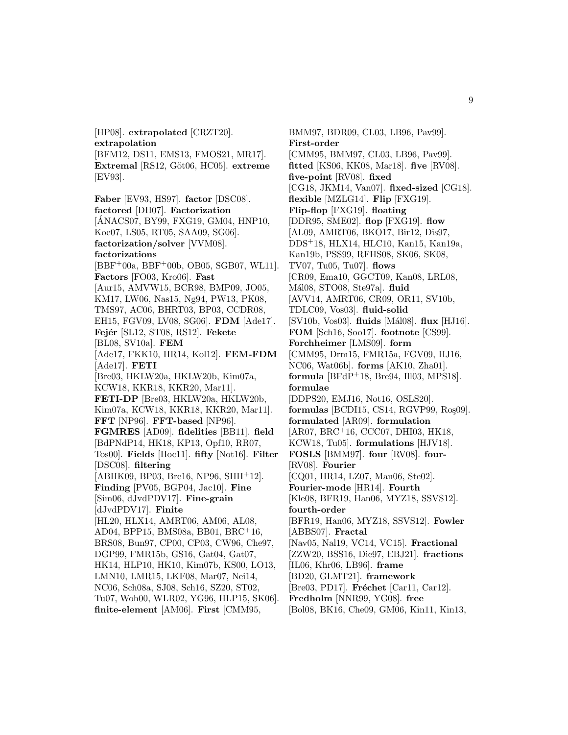[HP08]. **extrapolated** [CRZT20]. **extrapolation** [BFM12, DS11, EMS13, FMOS21, MR17]. **Extremal** [RS12, G¨ot06, HC05]. **extreme** [EV93]. **Faber** [EV93, HS97]. **factor** [DSC08]. **factored** [DH07]. **Factorization** [ANACS07, BY99, FXG19, GM04, HNP10, ´ Koe07, LS05, RT05, SAA09, SG06]. **factorization/solver** [VVM08]. **factorizations** [BBF<sup>+</sup>00a, BBF<sup>+</sup>00b, OB05, SGB07, WL11]. **Factors** [FO03, Kro06]. **Fast** [Aur15, AMVW15, BCR98, BMP09, JO05, KM17, LW06, Nas15, Ng94, PW13, PK08, TMS97, AC06, BHRT03, BP03, CCDR08, EH15, FGV09, LV08, SG06]. **FDM** [Ade17]. **Fej´er** [SL12, ST08, RS12]. **Fekete** [BL08, SV10a]. **FEM**

[Ade17, FKK10, HR14, Kol12]. **FEM-FDM** [Ade17]. **FETI** [Bre03, HKLW20a, HKLW20b, Kim07a, KCW18, KKR18, KKR20, Mar11]. **FETI-DP** [Bre03, HKLW20a, HKLW20b, Kim07a, KCW18, KKR18, KKR20, Mar11]. **FFT** [NP96]. **FFT-based** [NP96]. **FGMRES** [AD09]. **fidelities** [BB11]. **field** [BdPNdP14, HK18, KP13, Opf10, RR07, Tos00]. **Fields** [Hoc11]. **fifty** [Not16]. **Filter** [DSC08]. **filtering**  $[ABHK09, BP03, Bre16, NP96, SHH<sup>+</sup>12].$ **Finding** [PV05, BGP04, Jac10]. **Fine** [Sim06, dJvdPDV17]. **Fine-grain** [dJvdPDV17]. **Finite** [HL20, HLX14, AMRT06, AM06, AL08, AD04, BPP15, BMS08a, BB01, BRC<sup>+</sup>16,

BRS08, Bun97, CP00, CP03, CW96, Che97, DGP99, FMR15b, GS16, Gat04, Gat07, HK14, HLP10, HK10, Kim07b, KS00, LO13, LMN10, LMR15, LKF08, Mar07, Nei14,

NC06, Sch08a, SJ08, Sch16, SZ20, ST02, Tu07, Woh00, WLR02, YG96, HLP15, SK06]. **finite-element** [AM06]. **First** [CMM95,

BMM97, BDR09, CL03, LB96, Pav99]. **First-order** [CMM95, BMM97, CL03, LB96, Pav99]. **fitted** [KS06, KK08, Mar18]. **five** [RV08]. **five-point** [RV08]. **fixed** [CG18, JKM14, Van07]. **fixed-sized** [CG18]. **flexible** [MZLG14]. **Flip** [FXG19]. **Flip-flop** [FXG19]. **floating** [DDR95, SME02]. **flop** [FXG19]. **flow** [AL09, AMRT06, BKO17, Bir12, Dis97, DDS<sup>+</sup>18, HLX14, HLC10, Kan15, Kan19a, Kan19b, PSS99, RFHS08, SK06, SK08, TV07, Tu05, Tu07]. **flows** [CR09, Ema10, GGCT09, Kan08, LRL08, M´al08, STO08, Ste97a]. **fluid** [AVV14, AMRT06, CR09, OR11, SV10b, TDLC09, Vos03]. **fluid-solid** [SV10b, Vos03]. **fluids** [M´al08]. **flux** [HJ16]. **FOM** [Sch16, Soo17]. **footnote** [CS99]. **Forchheimer** [LMS09]. **form** [CMM95, Drm15, FMR15a, FGV09, HJ16, NC06, Wat06b]. **forms** [AK10, Zha01]. **formula** [BFdP<sup>+</sup>18, Bre94, Ill03, MPS18]. **formulae** [DDPS20, EMJ16, Not16, OSLS20]. **formulas** [BCDI15, CS14, RGVP99, Ro<sub>5</sub>09]. **formulated** [AR09]. **formulation** [AR07, BRC<sup>+</sup>16, CCC07, DHI03, HK18, KCW18, Tu05]. **formulations** [HJV18]. **FOSLS** [BMM97]. **four** [RV08]. **four-** [RV08]. **Fourier** [CQ01, HR14, LZ07, Man06, Ste02]. **Fourier-mode** [HR14]. **Fourth** [Kle08, BFR19, Han06, MYZ18, SSVS12]. **fourth-order** [BFR19, Han06, MYZ18, SSVS12]. **Fowler** [ABBS07]. **Fractal** [Nav05, Nal19, VC14, VC15]. **Fractional** [ZZW20, BSS16, Die97, EBJ21]. **fractions** [IL06, Khr06, LB96]. **frame** [BD20, GLMT21]. **framework** [Bre03, PD17]. **Fréchet** [Car11, Car12]. **Fredholm** [NNR99, YG08]. **free**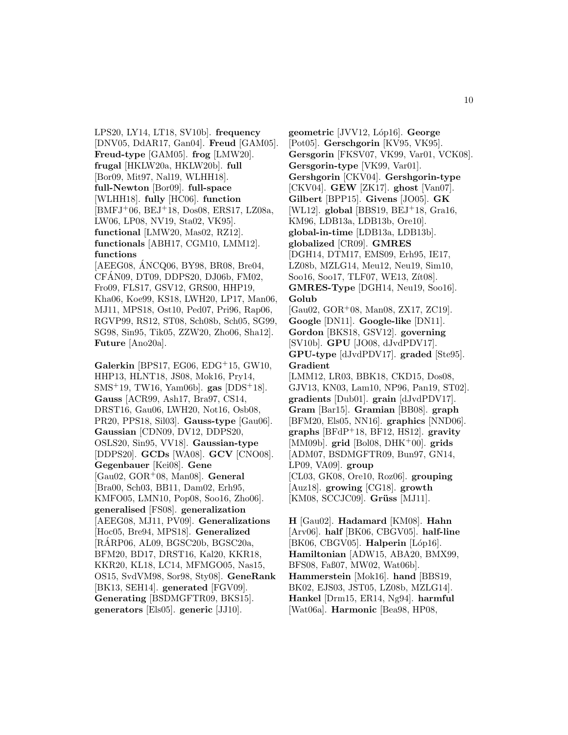LPS20, LY14, LT18, SV10b]. **frequency** [DNV05, DdAR17, Gan04]. **Freud** [GAM05]. **Freud-type** [GAM05]. **frog** [LMW20]. **frugal** [HKLW20a, HKLW20b]. **full** [Bor09, Mit97, Nal19, WLHH18]. **full-Newton** [Bor09]. **full-space** [WLHH18]. **fully** [HC06]. **function** [BMFJ<sup>+</sup>06, BEJ<sup>+</sup>18, Dos08, ERS17, LZ08a, LW06, LP08, NV19, Sta02, VK95]. **functional** [LMW20, Mas02, RZ12]. **functionals** [ABH17, CGM10, LMM12]. **functions**

[AEEG08, ANCQ06, BY98, BR08, Bre04, CFAN09, DT09, DDPS20, DJ06b, FM02, ´ Fro09, FLS17, GSV12, GRS00, HHP19, Kha06, Koe99, KS18, LWH20, LP17, Man06, MJ11, MPS18, Ost10, Ped07, Pri96, Rap06, RGVP99, RS12, ST08, Sch08b, Sch05, SG99, SG98, Sin95, Tik05, ZZW20, Zho06, Sha12]. **Future** [Ano20a].

**Galerkin** [BPS17, EG06, EDG<sup>+</sup>15, GW10, HHP13, HLNT18, JS08, Mok16, Pry14, SMS<sup>+</sup>19, TW16, Yam06b]. **gas** [DDS<sup>+</sup>18]. **Gauss** [ACR99, Ash17, Bra97, CS14, DRST16, Gau06, LWH20, Not16, Osb08, PR20, PPS18, Sil03]. **Gauss-type** [Gau06]. **Gaussian** [CDN09, DV12, DDPS20, OSLS20, Sin95, VV18]. **Gaussian-type** [DDPS20]. **GCDs** [WA08]. **GCV** [CNO08]. **Gegenbauer** [Kei08]. **Gene** [Gau02, GOR<sup>+</sup>08, Man08]. **General** [Bra00, Sch03, BB11, Dam02, Erh95, KMFO05, LMN10, Pop08, Soo16, Zho06]. **generalised** [FS08]. **generalization** [AEEG08, MJ11, PV09]. **Generalizations** [Hoc05, Bre94, MPS18]. **Generalized** [RARP06, AL09, BGSC20b, BGSC20a, ´ BFM20, BD17, DRST16, Kal20, KKR18, KKR20, KL18, LC14, MFMGO05, Nas15, OS15, SvdVM98, Sor98, Sty08]. **GeneRank** [BK13, SEH14]. **generated** [FGV09]. **Generating** [BSDMGFTR09, BKS15]. **generators** [Els05]. **generic** [JJ10].

**geometric** [JVV12, L´op16]. **George** [Pot05]. **Gerschgorin** [KV95, VK95]. **Gersgorin** [FKSV07, VK99, Var01, VCK08]. **Gersgorin-type** [VK99, Var01]. **Gershgorin** [CKV04]. **Gershgorin-type** [CKV04]. **GEW** [ZK17]. **ghost** [Van07]. **Gilbert** [BPP15]. **Givens** [JO05]. **GK** [WL12]. **global** [BBS19, BEJ<sup>+</sup>18, Gra16, KM96, LDB13a, LDB13b, Ore10]. **global-in-time** [LDB13a, LDB13b]. **globalized** [CR09]. **GMRES** [DGH14, DTM17, EMS09, Erh95, IE17, LZ08b, MZLG14, Meu12, Neu19, Sim10, Soo16, Soo17, TLF07, WE13, Zit08. **GMRES-Type** [DGH14, Neu19, Soo16]. **Golub** [Gau02, GOR<sup>+</sup>08, Man08, ZX17, ZC19]. **Google** [DN11]. **Google-like** [DN11]. **Gordon** [BKS18, GSV12]. **governing** [SV10b]. **GPU** [JO08, dJvdPDV17]. **GPU-type** [dJvdPDV17]. **graded** [Ste95]. **Gradient** [LMM12, LR03, BBK18, CKD15, Dos08, GJV13, KN03, Lam10, NP96, Pan19, ST02]. **gradients** [Dub01]. **grain** [dJvdPDV17]. **Gram** [Bar15]. **Gramian** [BB08]. **graph** [BFM20, Els05, NN16]. **graphics** [NND06]. **graphs** [BFdP<sup>+</sup>18, BF12, HS12]. **gravity** [MM09b]. **grid** [Bol08, DHK<sup>+</sup>00]. **grids** [ADM07, BSDMGFTR09, Bun97, GN14, LP09, VA09]. **group** [CL03, GK08, Ore10, Roz06]. **grouping** [Auz18]. **growing** [CG18]. **growth** [KM08, SCCJC09]. **Grüss** [MJ11].

**H** [Gau02]. **Hadamard** [KM08]. **Hahn** [Arv06]. **half** [BK06, CBGV05]. **half-line** [BK06, CBGV05]. **Halperin** [Lóp16]. **Hamiltonian** [ADW15, ABA20, BMX99, BFS08, Faß07, MW02, Wat06b]. **Hammerstein** [Mok16]. **hand** [BBS19, BK02, EJS03, JST05, LZ08b, MZLG14]. **Hankel** [Drm15, ER14, Ng94]. **harmful** [Wat06a]. **Harmonic** [Bea98, HP08,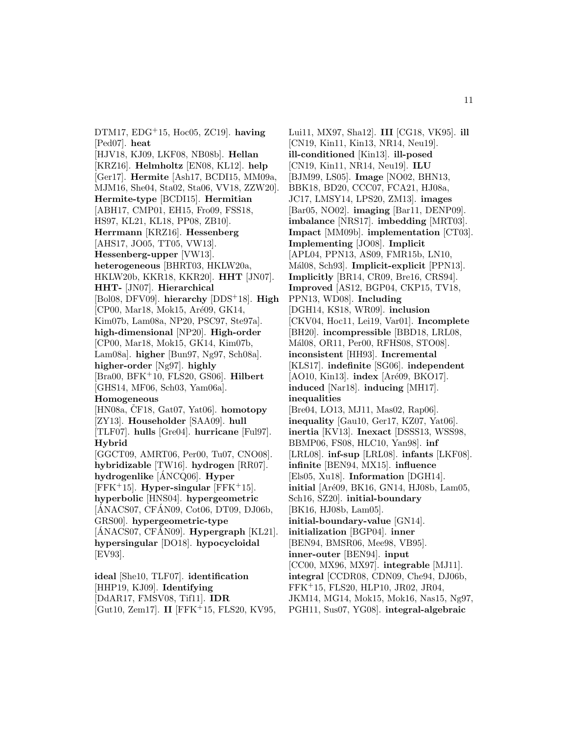DTM17, EDG<sup>+</sup>15, Hoc05, ZC19]. **having** [Ped07]. **heat** [HJV18, KJ09, LKF08, NB08b]. **Hellan** [KRZ16]. **Helmholtz** [EN08, KL12]. **help** [Ger17]. **Hermite** [Ash17, BCDI15, MM09a, MJM16, She04, Sta02, Sta06, VV18, ZZW20]. **Hermite-type** [BCDI15]. **Hermitian** [ABH17, CMP01, EH15, Fro09, FSS18, HS97, KL21, KL18, PP08, ZB10]. **Herrmann** [KRZ16]. **Hessenberg** [AHS17, JO05, TT05, VW13]. **Hessenberg-upper** [VW13]. **heterogeneous** [BHRT03, HKLW20a, HKLW20b, KKR18, KKR20]. **HHT** [JN07]. **HHT-** [JN07]. **Hierarchical** [Bol08, DFV09]. **hierarchy** [DDS<sup>+</sup>18]. **High** [CP00, Mar18, Mok15, Aré09, GK14, Kim07b, Lam08a, NP20, PSC97, Ste97a]. **high-dimensional** [NP20]. **High-order** [CP00, Mar18, Mok15, GK14, Kim07b, Lam08a]. **higher** [Bun97, Ng97, Sch08a]. **higher-order** [Ng97]. **highly** [Bra00, BFK<sup>+</sup>10, FLS20, GS06]. **Hilbert** [GHS14, MF06, Sch03, Yam06a]. **Homogeneous**  $[HM08a, \check{C}F18, Gat07, Yat06]$ . **homotopy** [ZY13]. **Householder** [SAA09]. **hull** [TLF07]. **hulls** [Gre04]. **hurricane** [Ful97]. **Hybrid** [GGCT09, AMRT06, Per00, Tu07, CNO08]. **hybridizable** [TW16]. **hydrogen** [RR07]. **hydrogenlike** [ANCQ06]. ´ **Hyper**  $[FFK<sup>+</sup>15]$ . **Hyper-singular**  $[FFK<sup>+</sup>15]$ . **hyperbolic** [HNS04]. **hypergeometric**  $\left[ \widehat{\text{ANACS}}$ , CF $\widehat{\text{ANO}}$ 9, Cot06, DT09, DJ06b, GRS00]. **hypergeometric-type**  $[ÁNACS07, CFÁN09]$ . **Hypergraph**  $[KL21]$ . **hypersingular** [DO18]. **hypocycloidal** [EV93]. **ideal** [She10, TLF07]. **identification**

[HHP19, KJ09]. **Identifying** [DdAR17, FMSV08, Tif11]. **IDR** [Gut10, Zem17]. **II** [FFK<sup>+</sup>15, FLS20, KV95,

Lui11, MX97, Sha12]. **III** [CG18, VK95]. **ill** [CN19, Kin11, Kin13, NR14, Neu19]. **ill-conditioned** [Kin13]. **ill-posed** [CN19, Kin11, NR14, Neu19]. **ILU** [BJM99, LS05]. **Image** [NO02, BHN13, BBK18, BD20, CCC07, FCA21, HJ08a, JC17, LMSY14, LPS20, ZM13]. **images** [Bar05, NO02]. **imaging** [Bar11, DENP09]. **imbalance** [NRS17]. **imbedding** [MRT03]. **Impact** [MM09b]. **implementation** [CT03]. **Implementing** [JO08]. **Implicit** [APL04, PPN13, AS09, FMR15b, LN10, M´al08, Sch93]. **Implicit-explicit** [PPN13]. **Implicitly** [BR14, CR09, Bre16, CRS94]. **Improved** [AS12, BGP04, CKP15, TV18, PPN13, WD08]. **Including** [DGH14, KS18, WR09]. **inclusion** [CKV04, Hoc11, Lei19, Var01]. **Incomplete** [BH20]. **incompressible** [BBD18, LRL08, Mál08, OR11, Per00, RFHS08, STO08]. **inconsistent** [HH93]. **Incremental** [KLS17]. **indefinite** [SG06]. **independent** [AO10, Kin13]. **index** [Aré09, BKO17]. **induced** [Nar18]. **inducing** [MH17]. **inequalities** [Bre04, LO13, MJ11, Mas02, Rap06]. **inequality** [Gau10, Ger17, KZ07, Yat06]. **inertia** [KV13]. **Inexact** [DSSS13, WSS98, BBMP06, FS08, HLC10, Yan98]. **inf** [LRL08]. **inf-sup** [LRL08]. **infants** [LKF08]. **infinite** [BEN94, MX15]. **influence** [Els05, Xu18]. **Information** [DGH14]. **initial** [Aré09, BK16, GN14, HJ08b, Lam05, Sch16, SZ20]. **initial-boundary** [BK16, HJ08b, Lam05]. **initial-boundary-value** [GN14]. **initialization** [BGP04]. **inner** [BEN94, BMSR06, Mee98, VB95]. **inner-outer** [BEN94]. **input** [CC00, MX96, MX97]. **integrable** [MJ11]. **integral** [CCDR08, CDN09, Che94, DJ06b, FFK<sup>+</sup>15, FLS20, HLP10, JR02, JR04, JKM14, MG14, Mok15, Mok16, Nas15, Ng97, PGH11, Sus07, YG08]. **integral-algebraic**

11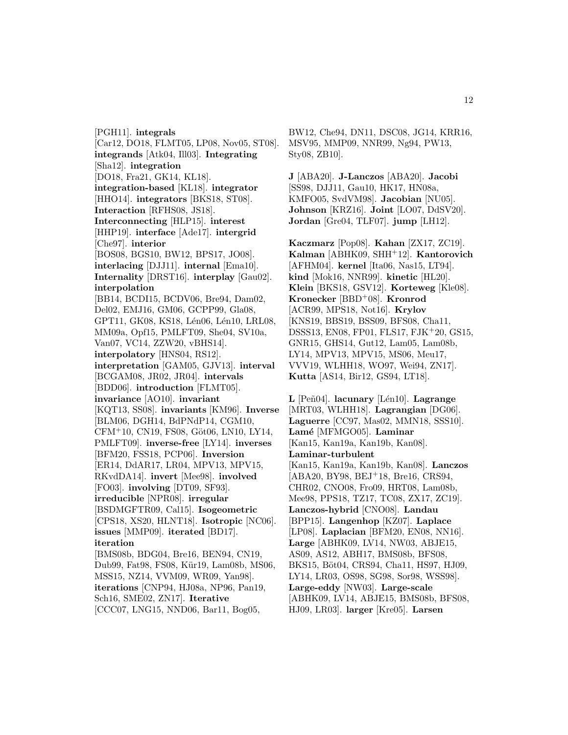[PGH11]. **integrals** [Car12, DO18, FLMT05, LP08, Nov05, ST08]. **integrands** [Atk04, Ill03]. **Integrating** [Sha12]. **integration** [DO18, Fra21, GK14, KL18]. **integration-based** [KL18]. **integrator** [HHO14]. **integrators** [BKS18, ST08]. **Interaction** [RFHS08, JS18]. **Interconnecting** [HLP15]. **interest** [HHP19]. **interface** [Ade17]. **intergrid** [Che97]. **interior** [BOS08, BGS10, BW12, BPS17, JO08]. **interlacing** [DJJ11]. **internal** [Ema10]. **Internality** [DRST16]. **interplay** [Gau02]. **interpolation** [BB14, BCDI15, BCDV06, Bre94, Dam02, Del02, EMJ16, GM06, GCPP99, Gla08, GPT11, GK08, KS18, Lén06, Lén10, LRL08, MM09a, Opf15, PMLFT09, She04, SV10a, Van07, VC14, ZZW20, vBHS14]. **interpolatory** [HNS04, RS12]. **interpretation** [GAM05, GJV13]. **interval** [BCGAM08, JR02, JR04]. **intervals** [BDD06]. **introduction** [FLMT05]. **invariance** [AO10]. **invariant** [KQT13, SS08]. **invariants** [KM96]. **Inverse** [BLM06, DGH14, BdPNdP14, CGM10, CFM+10, CN19, FS08, Göt06, LN10, LY14, PMLFT09]. **inverse-free** [LY14]. **inverses** [BFM20, FSS18, PCP06]. **Inversion** [ER14, DdAR17, LR04, MPV13, MPV15, RKvdDA14]. **invert** [Mee98]. **involved** [FO03]. **involving** [DT09, SF93]. **irreducible** [NPR08]. **irregular** [BSDMGFTR09, Cal15]. **Isogeometric** [CPS18, XS20, HLNT18]. **Isotropic** [NC06]. **issues** [MMP09]. **iterated** [BD17]. **iteration** [BMS08b, BDG04, Bre16, BEN94, CN19, Dub99, Fat98, FS08, Kür19, Lam08b, MS06, MSS15, NZ14, VVM09, WR09, Yan98]. **iterations** [CNP94, HJ08a, NP96, Pan19, Sch16, SME02, ZN17]. **Iterative** [CCC07, LNG15, NND06, Bar11, Bog05,

BW12, Che94, DN11, DSC08, JG14, KRR16, MSV95, MMP09, NNR99, Ng94, PW13, Sty08, ZB10].

**J** [ABA20]. **J-Lanczos** [ABA20]. **Jacobi** [SS98, DJJ11, Gau10, HK17, HN08a, KMFO05, SvdVM98]. **Jacobian** [NU05]. **Johnson** [KRZ16]. **Joint** [LO07, DdSV20]. **Jordan** [Gre04, TLF07]. **jump** [LH12].

**Kaczmarz** [Pop08]. **Kahan** [ZX17, ZC19]. **Kalman** [ABHK09, SHH<sup>+</sup>12]. **Kantorovich** [AFHM04]. **kernel** [Ita06, Nas15, LT94]. **kind** [Mok16, NNR99]. **kinetic** [HL20]. **Klein** [BKS18, GSV12]. **Korteweg** [Kle08]. **Kronecker** [BBD<sup>+</sup>08]. **Kronrod** [ACR99, MPS18, Not16]. **Krylov** [KNS19, BBS19, BSS09, BFS08, Cha11, DSSS13, EN08, FP01, FLS17, FJK<sup>+</sup>20, GS15, GNR15, GHS14, Gut12, Lam05, Lam08b, LY14, MPV13, MPV15, MS06, Meu17, VVV19, WLHH18, WO97, Wei94, ZN17]. **Kutta** [AS14, Bir12, GS94, LT18].

**L** [Pe˜n04]. **lacunary** [L´en10]. **Lagrange** [MRT03, WLHH18]. **Lagrangian** [DG06]. **Laguerre** [CC97, Mas02, MMN18, SSS10]. **Lam´e** [MFMGO05]. **Laminar** [Kan15, Kan19a, Kan19b, Kan08]. **Laminar-turbulent** [Kan15, Kan19a, Kan19b, Kan08]. **Lanczos** [ABA20, BY98, BEJ<sup>+</sup>18, Bre16, CRS94, CHR02, CNO08, Fro09, HRT08, Lam08b, Mee98, PPS18, TZ17, TC08, ZX17, ZC19]. **Lanczos-hybrid** [CNO08]. **Landau** [BPP15]. **Langenhop** [KZ07]. **Laplace** [LP08]. **Laplacian** [BFM20, EN08, NN16]. **Large** [ABHK09, LV14, NW03, ABJE15, AS09, AS12, ABH17, BMS08b, BFS08, BKS15, Böt04, CRS94, Cha11, HS97, HJ09, LY14, LR03, OS98, SG98, Sor98, WSS98]. **Large-eddy** [NW03]. **Large-scale** [ABHK09, LV14, ABJE15, BMS08b, BFS08, HJ09, LR03]. **larger** [Kre05]. **Larsen**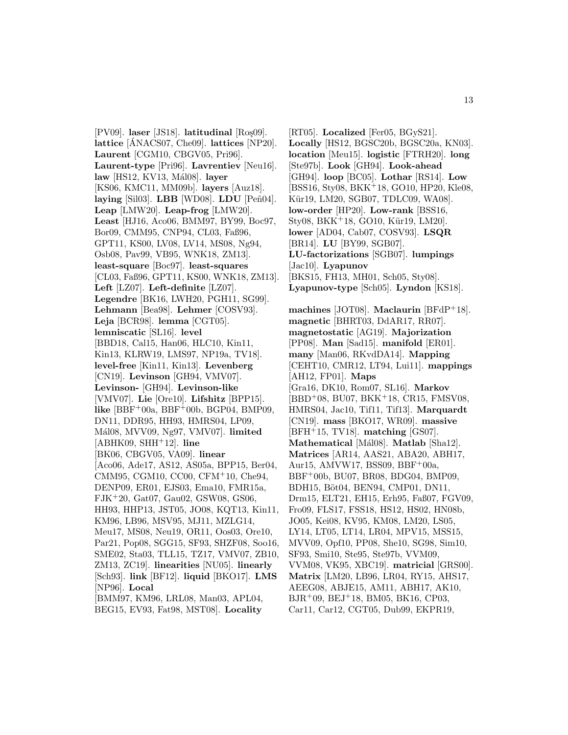[PV09]. laser [JS18]. latitudinal [Ros<sub>509]</sub>. **lattice** [ANACS07, Che09]. **lattices** [NP20]. **Laurent** [CGM10, CBGV05, Pri96]. **Laurent-type** [Pri96]. **Lavrentiev** [Neu16]. **law** [HS12, KV13, M´al08]. **layer** [KS06, KMC11, MM09b]. **layers** [Auz18]. **laying** [Sil03]. **LBB** [WD08]. **LDU** [Peñ04]. **Leap** [LMW20]. **Leap-frog** [LMW20]. **Least** [HJ16, Aco06, BMM97, BY99, Boc97, Bor09, CMM95, CNP94, CL03, Faß96, GPT11, KS00, LV08, LV14, MS08, Ng94, Osb08, Pav99, VB95, WNK18, ZM13]. **least-square** [Boc97]. **least-squares** [CL03, Faß96, GPT11, KS00, WNK18, ZM13]. **Left** [LZ07]. **Left-definite** [LZ07]. **Legendre** [BK16, LWH20, PGH11, SG99]. **Lehmann** [Bea98]. **Lehmer** [COSV93]. **Leja** [BCR98]. **lemma** [CGT05]. **lemniscatic** [SL16]. **level** [BBD18, Cal15, Han06, HLC10, Kin11, Kin13, KLRW19, LMS97, NP19a, TV18]. **level-free** [Kin11, Kin13]. **Levenberg** [CN19]. **Levinson** [GH94, VMV07]. **Levinson-** [GH94]. **Levinson-like** [VMV07]. **Lie** [Ore10]. **Lifshitz** [BPP15]. **like** [BBF<sup>+</sup>00a, BBF<sup>+</sup>00b, BGP04, BMP09, DN11, DDR95, HH93, HMRS04, LP09, M´al08, MVV09, Ng97, VMV07]. **limited** [ABHK09, SHH<sup>+</sup>12]. **line** [BK06, CBGV05, VA09]. **linear** [Aco06, Ade17, AS12, AS05a, BPP15, Ber04, CMM95, CGM10, CC00, CFM<sup>+</sup>10, Che94, DENP09, ER01, EJS03, Ema10, FMR15a, FJK<sup>+</sup>20, Gat07, Gau02, GSW08, GS06, HH93, HHP13, JST05, JO08, KQT13, Kin11, KM96, LB96, MSV95, MJ11, MZLG14, Meu17, MS08, Neu19, OR11, Oos03, Ore10, Par21, Pop08, SGG15, SF93, SHZF08, Soo16, SME02, Sta03, TLL15, TZ17, VMV07, ZB10, ZM13, ZC19]. **linearities** [NU05]. **linearly** [Sch93]. **link** [BF12]. **liquid** [BKO17]. **LMS** [NP96]. **Local** [BMM97, KM96, LRL08, Man03, APL04,

BEG15, EV93, Fat98, MST08]. **Locality**

[RT05]. **Localized** [Fer05, BGyS21]. **Locally** [HS12, BGSC20b, BGSC20a, KN03]. **location** [Meu15]. **logistic** [FTRH20]. **long** [Ste97b]. **Look** [GH94]. **Look-ahead** [GH94]. **loop** [BC05]. **Lothar** [RS14]. **Low** [BSS16, Sty08, BKK<sup>+</sup>18, GO10, HP20, Kle08, Kür19, LM20, SGB07, TDLC09, WA08]. **low-order** [HP20]. **Low-rank** [BSS16, Sty08, BKK+18, GO10, Kür19, LM20]. **lower** [AD04, Cab07, COSV93]. **LSQR** [BR14]. **LU** [BY99, SGB07]. **LU-factorizations** [SGB07]. **lumpings** [Jac10]. **Lyapunov** [BKS15, FH13, MH01, Sch05, Sty08]. **Lyapunov-type** [Sch05]. **Lyndon** [KS18].

**machines** [JOT08]. **Maclaurin** [BFdP<sup>+</sup>18]. **magnetic** [BHRT03, DdAR17, RR07]. **magnetostatic** [AG19]. **Majorization** [PP08]. **Man** [Sad15]. **manifold** [ER01]. **many** [Man06, RKvdDA14]. **Mapping** [CEHT10, CMR12, LT94, Lui11]. **mappings** [AH12, FP01]. **Maps** [Gra16, DK10, Rom07, SL16]. **Markov** [BBD<sup>+</sup>08, BU07, BKK<sup>+</sup>18, CR15, FMSV08, HMRS04, Jac10, Tif11, Tif13]. **Marquardt** [CN19]. **mass** [BKO17, WR09]. **massive** [BFH<sup>+</sup>15, TV18]. **matching** [GS07]. **Mathematical** [Mál08]. **Matlab** [Sha12]. **Matrices** [AR14, AAS21, ABA20, ABH17, Aur15, AMVW17, BSS09, BBF<sup>+</sup>00a, BBF<sup>+</sup>00b, BU07, BR08, BDG04, BMP09, BDH15, Böt04, BEN94, CMP01, DN11, Drm15, ELT21, EH15, Erh95, Faß07, FGV09, Fro09, FLS17, FSS18, HS12, HS02, HN08b, JO05, Kei08, KV95, KM08, LM20, LS05, LY14, LT05, LT14, LR04, MPV15, MSS15, MVV09, Opf10, PP08, She10, SG98, Sim10, SF93, Smi10, Ste95, Ste97b, VVM09, VVM08, VK95, XBC19]. **matricial** [GRS00]. **Matrix** [LM20, LB96, LR04, RY15, AHS17, AEEG08, ABJE15, AM11, ABH17, AK10, BJR<sup>+</sup>09, BEJ<sup>+</sup>18, BM05, BK16, CP03, Car11, Car12, CGT05, Dub99, EKPR19,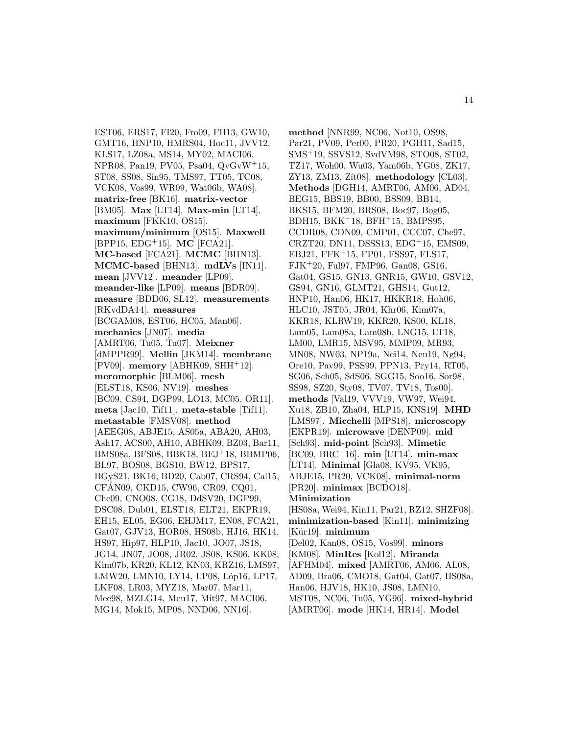EST06, ERS17, FI20, Fro09, FH13, GW10, GMT16, HNP10, HMRS04, Hoc11, JVV12, KLS17, LZ08a, MS14, MY02, MACI06, NPR08, Pan19, PV05, Psa04, QvGvW<sup>+</sup>15, ST08, SS08, Sin95, TMS97, TT05, TC08, VCK08, Vos99, WR09, Wat06b, WA08]. **matrix-free** [BK16]. **matrix-vector** [BM05]. **Max** [LT14]. **Max-min** [LT14]. **maximum** [FKK10, OS15]. **maximum/minimum** [OS15]. **Maxwell** [BPP15, EDG<sup>+</sup>15]. **MC** [FCA21]. **MC-based** [FCA21]. **MCMC** [BHN13]. **MCMC-based** [BHN13]. **mdLVs** [IN11]. **mean** [JVV12]. **meander** [LP09]. **meander-like** [LP09]. **means** [BDR09]. **measure** [BDD06, SL12]. **measurements** [RKvdDA14]. **measures** [BCGAM08, EST06, HC05, Man06]. **mechanics** [JN07]. **media** [AMRT06, Tu05, Tu07]. **Meixner** [dMPPR99]. **Mellin** [JKM14]. **membrane** [PV09]. **memory** [ABHK09, SHH<sup>+</sup>12]. **meromorphic** [BLM06]. **mesh** [ELST18, KS06, NV19]. **meshes** [BC09, CS94, DGP99, LO13, MC05, OR11]. **meta** [Jac10, Tif11]. **meta-stable** [Tif11]. **metastable** [FMSV08]. **method** [AEEG08, ABJE15, AS05a, ABA20, AH03, Ash17, ACS00, AH10, ABHK09, BZ03, Bar11, BMS08a, BFS08, BBK18, BEJ<sup>+</sup>18, BBMP06, BL97, BOS08, BGS10, BW12, BPS17, BGyS21, BK16, BD20, Cab07, CRS94, Cal15, CFAN09, CKD15, CW96, CR09, CQ01, ´ Che09, CNO08, CG18, DdSV20, DGP99, DSC08, Dub01, ELST18, ELT21, EKPR19, EH15, EL05, EG06, EHJM17, EN08, FCA21, Gat07, GJV13, HOR08, HS08b, HJ16, HK14, HS97, Hip97, HLP10, Jac10, JO07, JS18, JG14, JN07, JO08, JR02, JS08, KS06, KK08, Kim07b, KR20, KL12, KN03, KRZ16, LMS97, LMW20, LMN10, LY14, LP08, Lóp16, LP17, LKF08, LR03, MYZ18, Mar07, Mar11, Mee98, MZLG14, Meu17, Mit97, MACI06, MG14, Mok15, MP08, NND06, NN16].

**method** [NNR99, NC06, Not10, OS98, Par21, PV09, Per00, PR20, PGH11, Sad15, SMS<sup>+</sup>19, SSVS12, SvdVM98, STO08, ST02, TZ17, Woh00, Wu03, Yam06b, YG08, ZK17, ZY13, ZM13, Z´ıt08]. **methodology** [CL03]. **Methods** [DGH14, AMRT06, AM06, AD04, BEG15, BBS19, BB00, BSS09, BB14, BKS15, BFM20, BRS08, Boc97, Bog05, BDH15, BKK<sup>+</sup>18, BFH<sup>+</sup>15, BMPS95, CCDR08, CDN09, CMP01, CCC07, Che97, CRZT20, DN11, DSSS13, EDG<sup>+</sup>15, EMS09, EBJ21, FFK<sup>+</sup>15, FP01, FSS97, FLS17, FJK<sup>+</sup>20, Ful97, FMP96, Gan08, GS16, Gat04, GS15, GN13, GNR15, GW10, GSV12, GS94, GN16, GLMT21, GHS14, Gut12, HNP10, Han06, HK17, HKKR18, Hoh06, HLC10, JST05, JR04, Khr06, Kim07a, KKR18, KLRW19, KKR20, KS00, KL18, Lam05, Lam08a, Lam08b, LNG15, LT18, LM00, LMR15, MSV95, MMP09, MR93, MN08, NW03, NP19a, Nei14, Neu19, Ng94, Ore10, Pav99, PSS99, PPN13, Pry14, RT05, SG06, Sch05, SdS06, SGG15, Soo16, Sor98, SS98, SZ20, Sty08, TV07, TV18, Tos00]. **methods** [Val19, VVV19, VW97, Wei94, Xu18, ZB10, Zha04, HLP15, KNS19]. **MHD** [LMS97]. **Micchelli** [MPS18]. **microscopy** [EKPR19]. **microwave** [DENP09]. **mid** [Sch93]. **mid-point** [Sch93]. **Mimetic** [BC09, BRC<sup>+</sup>16]. **min** [LT14]. **min-max** [LT14]. **Minimal** [Gla08, KV95, VK95, ABJE15, PR20, VCK08]. **minimal-norm** [PR20]. **minimax** [BCDO18]. **Minimization** [HS08a, Wei94, Kin11, Par21, RZ12, SHZF08]. **minimization-based** [Kin11]. **minimizing** [Kür19]. **minimum** [Del02, Kan08, OS15, Vos99]. **minors** [KM08]. **MinRes** [Kol12]. **Miranda** [AFHM04]. **mixed** [AMRT06, AM06, AL08, AD09, Bra06, CMO18, Gat04, Gat07, HS08a, Han06, HJV18, HK10, JS08, LMN10, MST08, NC06, Tu05, YG96]. **mixed-hybrid** [AMRT06]. **mode** [HK14, HR14]. **Model**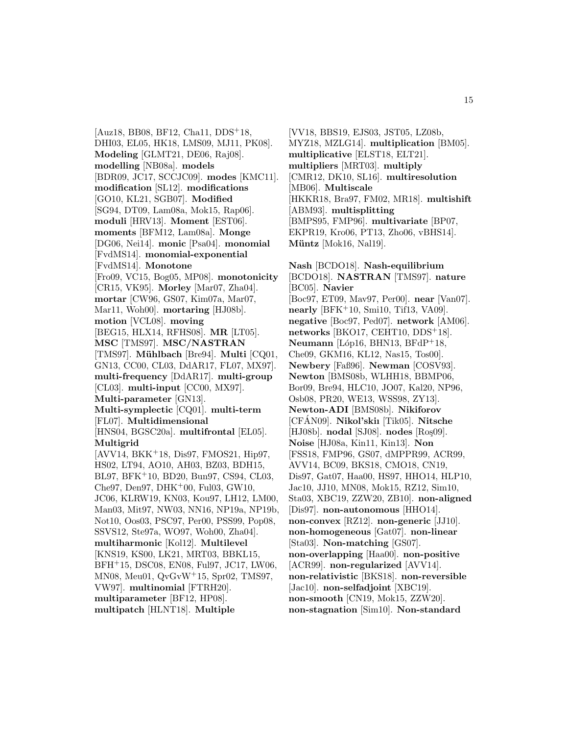[Auz18, BB08, BF12, Cha11, DDS<sup>+</sup>18, DHI03, EL05, HK18, LMS09, MJ11, PK08]. **Modeling** [GLMT21, DE06, Raj08]. **modelling** [NB08a]. **models** [BDR09, JC17, SCCJC09]. **modes** [KMC11]. **modification** [SL12]. **modifications** [GO10, KL21, SGB07]. **Modified** [SG94, DT09, Lam08a, Mok15, Rap06]. **moduli** [HRV13]. **Moment** [EST06]. **moments** [BFM12, Lam08a]. **Monge** [DG06, Nei14]. **monic** [Psa04]. **monomial** [FvdMS14]. **monomial-exponential** [FvdMS14]. **Monotone** [Fro09, VC15, Bog05, MP08]. **monotonicity** [CR15, VK95]. **Morley** [Mar07, Zha04]. **mortar** [CW96, GS07, Kim07a, Mar07, Mar11, Woh00]. **mortaring** [HJ08b]. **motion** [VCL08]. **moving** [BEG15, HLX14, RFHS08]. **MR** [LT05]. **MSC** [TMS97]. **MSC/NASTRAN** [TMS97]. **Mühlbach** [Bre94]. **Multi** [CQ01, GN13, CC00, CL03, DdAR17, FL07, MX97]. **multi-frequency** [DdAR17]. **multi-group** [CL03]. **multi-input** [CC00, MX97]. **Multi-parameter** [GN13]. **Multi-symplectic** [CQ01]. **multi-term** [FL07]. **Multidimensional** [HNS04, BGSC20a]. **multifrontal** [EL05]. **Multigrid** [AVV14, BKK<sup>+</sup>18, Dis97, FMOS21, Hip97, HS02, LT94, AO10, AH03, BZ03, BDH15, BL97, BFK<sup>+</sup>10, BD20, Bun97, CS94, CL03,  $Che97, Den97, DHK<sup>+</sup>00, Ful03, GW10,$ JC06, KLRW19, KN03, Kou97, LH12, LM00, Man03, Mit97, NW03, NN16, NP19a, NP19b, Not10, Oos03, PSC97, Per00, PSS99, Pop08, SSVS12, Ste97a, WO97, Woh00, Zha04]. **multiharmonic** [Kol12]. **Multilevel** [KNS19, KS00, LK21, MRT03, BBKL15, BFH<sup>+</sup>15, DSC08, EN08, Ful97, JC17, LW06, MN08, Meu01, QvGvW<sup>+</sup>15, Spr02, TMS97, VW97]. **multinomial** [FTRH20]. **multiparameter** [BF12, HP08]. **multipatch** [HLNT18]. **Multiple**

[VV18, BBS19, EJS03, JST05, LZ08b, MYZ18, MZLG14]. **multiplication** [BM05]. **multiplicative** [ELST18, ELT21]. **multipliers** [MRT03]. **multiply** [CMR12, DK10, SL16]. **multiresolution** [MB06]. **Multiscale** [HKKR18, Bra97, FM02, MR18]. **multishift** [ABM93]. **multisplitting** [BMPS95, FMP96]. **multivariate** [BP07, EKPR19, Kro06, PT13, Zho06, vBHS14]. **Müntz** [Mok16, Nal19].

**Nash** [BCDO18]. **Nash-equilibrium** [BCDO18]. **NASTRAN** [TMS97]. **nature** [BC05]. **Navier** [Boc97, ET09, Mav97, Per00]. **near** [Van07]. **nearly** [BFK<sup>+</sup>10, Smi10, Tif13, VA09]. **negative** [Boc97, Ped07]. **network** [AM06]. **networks** [BKO17, CEHT10, DDS<sup>+</sup>18]. **Neumann** [Lóp16, BHN13, BFdP+18, Che09, GKM16, KL12, Nas15, Tos00]. **Newbery** [Faß96]. **Newman** [COSV93]. **Newton** [BMS08b, WLHH18, BBMP06, Bor09, Bre94, HLC10, JO07, Kal20, NP96, Osb08, PR20, WE13, WSS98, ZY13]. **Newton-ADI** [BMS08b]. **Nikiforov** [CFAN09]. ´ **Nikol'skiı** [Tik05]. **Nitsche** [HJ08b]. **nodal** [SJ08]. **nodes** [Roş09]. **Noise** [HJ08a, Kin11, Kin13]. **Non** [FSS18, FMP96, GS07, dMPPR99, ACR99, AVV14, BC09, BKS18, CMO18, CN19, Dis97, Gat07, Haa00, HS97, HHO14, HLP10, Jac10, JJ10, MN08, Mok15, RZ12, Sim10, Sta03, XBC19, ZZW20, ZB10]. **non-aligned** [Dis97]. **non-autonomous** [HHO14]. **non-convex** [RZ12]. **non-generic** [JJ10]. **non-homogeneous** [Gat07]. **non-linear** [Sta03]. **Non-matching** [GS07]. **non-overlapping** [Haa00]. **non-positive** [ACR99]. **non-regularized** [AVV14]. **non-relativistic** [BKS18]. **non-reversible** [Jac10]. **non-selfadjoint** [XBC19]. **non-smooth** [CN19, Mok15, ZZW20]. **non-stagnation** [Sim10]. **Non-standard**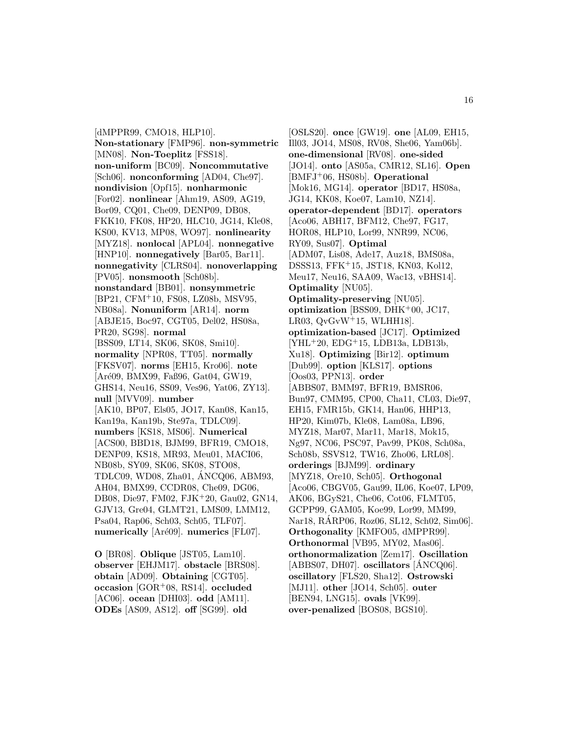[dMPPR99, CMO18, HLP10]. **Non-stationary** [FMP96]. **non-symmetric** [MN08]. **Non-Toeplitz** [FSS18]. **non-uniform** [BC09]. **Noncommutative** [Sch06]. **nonconforming** [AD04, Che97]. **nondivision** [Opf15]. **nonharmonic** [For02]. **nonlinear** [Ahm19, AS09, AG19, Bor09, CQ01, Che09, DENP09, DB08, FKK10, FK08, HP20, HLC10, JG14, Kle08, KS00, KV13, MP08, WO97]. **nonlinearity** [MYZ18]. **nonlocal** [APL04]. **nonnegative** [HNP10]. **nonnegatively** [Bar05, Bar11]. **nonnegativity** [CLRS04]. **nonoverlapping** [PV05]. **nonsmooth** [Sch08b]. **nonstandard** [BB01]. **nonsymmetric** [BP21, CFM<sup>+</sup>10, FS08, LZ08b, MSV95, NB08a]. **Nonuniform** [AR14]. **norm** [ABJE15, Boc97, CGT05, Del02, HS08a, PR20, SG98]. **normal** [BSS09, LT14, SK06, SK08, Smi10]. **normality** [NPR08, TT05]. **normally** [FKSV07]. **norms** [EH15, Kro06]. **note** [Aré09, BMX99, Faß96, Gat04, GW19, GHS14, Neu16, SS09, Ves96, Yat06, ZY13]. **null** [MVV09]. **number** [AK10, BP07, Els05, JO17, Kan08, Kan15, Kan19a, Kan19b, Ste97a, TDLC09]. **numbers** [KS18, MS06]. **Numerical** [ACS00, BBD18, BJM99, BFR19, CMO18, DENP09, KS18, MR93, Meu01, MACI06, NB08b, SY09, SK06, SK08, STO08, TDLC09, WD08, Zha01, ANCQ06, ABM93, ´ AH04, BMX99, CCDR08, Che09, DG06, DB08, Die97, FM02, FJK<sup>+</sup>20, Gau02, GN14, GJV13, Gre04, GLMT21, LMS09, LMM12, Psa04, Rap06, Sch03, Sch05, TLF07]. **numerically** [Aré09]. **numerics** [FL07].

**O** [BR08]. **Oblique** [JST05, Lam10]. **observer** [EHJM17]. **obstacle** [BRS08]. **obtain** [AD09]. **Obtaining** [CGT05]. **occasion** [GOR<sup>+</sup>08, RS14]. **occluded** [AC06]. **ocean** [DHI03]. **odd** [AM11]. **ODEs** [AS09, AS12]. **off** [SG99]. **old**

[OSLS20]. **once** [GW19]. **one** [AL09, EH15, Ill03, JO14, MS08, RV08, She06, Yam06b]. **one-dimensional** [RV08]. **one-sided** [JO14]. **onto** [AS05a, CMR12, SL16]. **Open** [BMFJ<sup>+</sup>06, HS08b]. **Operational** [Mok16, MG14]. **operator** [BD17, HS08a, JG14, KK08, Koe07, Lam10, NZ14]. **operator-dependent** [BD17]. **operators** [Aco06, ABH17, BFM12, Che97, FG17, HOR08, HLP10, Lor99, NNR99, NC06, RY09, Sus07]. **Optimal** [ADM07, Lis08, Ade17, Auz18, BMS08a, DSSS13, FFK<sup>+</sup>15, JST18, KN03, Kol12, Meu17, Neu16, SAA09, Wac13, vBHS14]. **Optimality** [NU05]. **Optimality-preserving** [NU05]. **optimization** [BSS09, DHK<sup>+</sup>00, JC17, LR03,  $QvGvW+15$ , WLHH18]. **optimization-based** [JC17]. **Optimized** [YHL<sup>+</sup>20, EDG<sup>+</sup>15, LDB13a, LDB13b, Xu18]. **Optimizing** [Bir12]. **optimum** [Dub99]. **option** [KLS17]. **options** [Oos03, PPN13]. **order** [ABBS07, BMM97, BFR19, BMSR06, Bun97, CMM95, CP00, Cha11, CL03, Die97, EH15, FMR15b, GK14, Han06, HHP13, HP20, Kim07b, Kle08, Lam08a, LB96, MYZ18, Mar07, Mar11, Mar18, Mok15, Ng97, NC06, PSC97, Pav99, PK08, Sch08a, Sch08b, SSVS12, TW16, Zho06, LRL08]. **orderings** [BJM99]. **ordinary** [MYZ18, Ore10, Sch05]. **Orthogonal** [Aco06, CBGV05, Gau99, IL06, Koe07, LP09, AK06, BGyS21, Che06, Cot06, FLMT05, GCPP99, GAM05, Koe99, Lor99, MM99, Nar18, RARP06, Roz06, SL12, Sch02, Sim06]. ´ **Orthogonality** [KMFO05, dMPPR99]. **Orthonormal** [VB95, MY02, Mas06]. **orthonormalization** [Zem17]. **Oscillation** [ABBS07, DH07]. **oscillators** [ANCQ06]. ´ **oscillatory** [FLS20, Sha12]. **Ostrowski** [MJ11]. **other** [JO14, Sch05]. **outer** [BEN94, LNG15]. **ovals** [VK99]. **over-penalized** [BOS08, BGS10].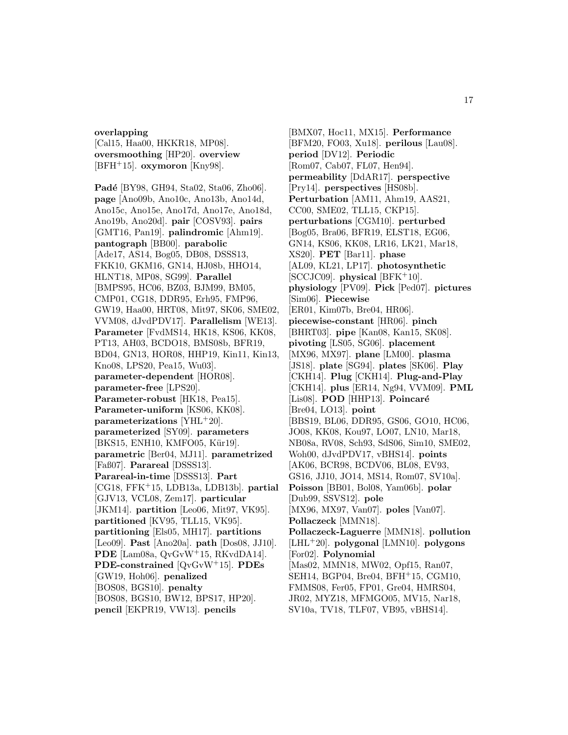# **overlapping**

[Cal15, Haa00, HKKR18, MP08]. **oversmoothing** [HP20]. **overview** [BFH<sup>+</sup>15]. **oxymoron** [Kny98].

Padé [BY98, GH94, Sta02, Sta06, Zho06]. **page** [Ano09b, Ano10c, Ano13b, Ano14d, Ano15c, Ano15e, Ano17d, Ano17e, Ano18d, Ano19b, Ano20d]. **pair** [COSV93]. **pairs** [GMT16, Pan19]. **palindromic** [Ahm19]. **pantograph** [BB00]. **parabolic** [Ade17, AS14, Bog05, DB08, DSSS13, FKK10, GKM16, GN14, HJ08b, HHO14, HLNT18, MP08, SG99]. **Parallel** [BMPS95, HC06, BZ03, BJM99, BM05, CMP01, CG18, DDR95, Erh95, FMP96, GW19, Haa00, HRT08, Mit97, SK06, SME02, VVM08, dJvdPDV17]. **Parallelism** [WE13]. **Parameter** [FvdMS14, HK18, KS06, KK08, PT13, AH03, BCDO18, BMS08b, BFR19, BD04, GN13, HOR08, HHP19, Kin11, Kin13, Kno08, LPS20, Pea15, Wu03]. **parameter-dependent** [HOR08]. **parameter-free** [LPS20]. **Parameter-robust** [HK18, Pea15]. **Parameter-uniform** [KS06, KK08]. **parameterizations** [YHL<sup>+</sup>20]. **parameterized** [SY09]. **parameters** [BKS15, ENH10, KMFO05, Kür19]. **parametric** [Ber04, MJ11]. **parametrized** [Faß07]. **Parareal** [DSSS13]. **Parareal-in-time** [DSSS13]. **Part** [CG18, FFK<sup>+</sup>15, LDB13a, LDB13b]. **partial** [GJV13, VCL08, Zem17]. **particular** [JKM14]. **partition** [Leo06, Mit97, VK95]. **partitioned** [KV95, TLL15, VK95]. **partitioning** [Els05, MH17]. **partitions** [Leo09]. **Past** [Ano20a]. **path** [Dos08, JJ10]. **PDE** [Lam08a, QvGvW<sup>+</sup>15, RKvdDA14]. **PDE-constrained** [QvGvW<sup>+</sup>15]. **PDEs** [GW19, Hoh06]. **penalized** [BOS08, BGS10]. **penalty** [BOS08, BGS10, BW12, BPS17, HP20]. **pencil** [EKPR19, VW13]. **pencils**

[BMX07, Hoc11, MX15]. **Performance** [BFM20, FO03, Xu18]. **perilous** [Lau08]. **period** [DV12]. **Periodic** [Rom07, Cab07, FL07, Hen94]. **permeability** [DdAR17]. **perspective** [Pry14]. **perspectives** [HS08b]. **Perturbation** [AM11, Ahm19, AAS21, CC00, SME02, TLL15, CKP15]. **perturbations** [CGM10]. **perturbed** [Bog05, Bra06, BFR19, ELST18, EG06, GN14, KS06, KK08, LR16, LK21, Mar18, XS20]. **PET** [Bar11]. **phase** [AL09, KL21, LP17]. **photosynthetic** [SCCJC09]. **physical** [BFK<sup>+</sup>10]. **physiology** [PV09]. **Pick** [Ped07]. **pictures** [Sim06]. **Piecewise** [ER01, Kim07b, Bre04, HR06]. **piecewise-constant** [HR06]. **pinch** [BHRT03]. **pipe** [Kan08, Kan15, SK08]. **pivoting** [LS05, SG06]. **placement** [MX96, MX97]. **plane** [LM00]. **plasma** [JS18]. **plate** [SG94]. **plates** [SK06]. **Play** [CKH14]. **Plug** [CKH14]. **Plug-and-Play** [CKH14]. **plus** [ER14, Ng94, VVM09]. **PML** [Lis08]. **POD** [HHP13]. **Poincaré** [Bre04, LO13]. **point** [BBS19, BL06, DDR95, GS06, GO10, HC06, JO08, KK08, Kou97, LO07, LN10, Mar18, NB08a, RV08, Sch93, SdS06, Sim10, SME02, Woh00, dJvdPDV17, vBHS14]. **points** [AK06, BCR98, BCDV06, BL08, EV93, GS16, JJ10, JO14, MS14, Rom07, SV10a]. **Poisson** [BB01, Bol08, Yam06b]. **polar** [Dub99, SSVS12]. **pole** [MX96, MX97, Van07]. **poles** [Van07]. **Pollaczeck** [MMN18]. **Pollaczeck-Laguerre** [MMN18]. **pollution** [LHL<sup>+</sup>20]. **polygonal** [LMN10]. **polygons** [For02]. **Polynomial** [Mas02, MMN18, MW02, Opf15, Ran07, SEH14, BGP04, Bre04, BFH<sup>+</sup>15, CGM10, FMMS08, Fer05, FP01, Gre04, HMRS04, JR02, MYZ18, MFMGO05, MV15, Nar18, SV10a, TV18, TLF07, VB95, vBHS14].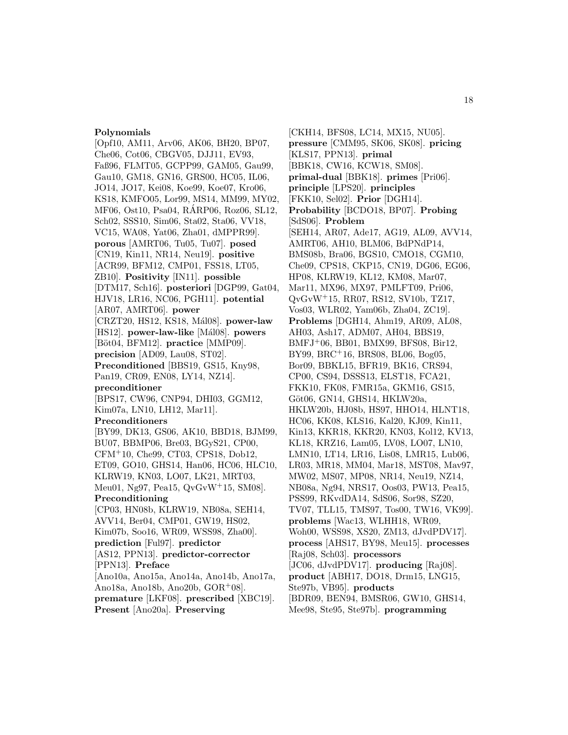#### **Polynomials**

[Opf10, AM11, Arv06, AK06, BH20, BP07, Che06, Cot06, CBGV05, DJJ11, EV93, Faß96, FLMT05, GCPP99, GAM05, Gau99, Gau10, GM18, GN16, GRS00, HC05, IL06, JO14, JO17, Kei08, Koe99, Koe07, Kro06, KS18, KMFO05, Lor99, MS14, MM99, MY02, MF06, Ost10, Psa04, RARP06, Roz06, SL12, ´ Sch02, SSS10, Sim06, Sta02, Sta06, VV18, VC15, WA08, Yat06, Zha01, dMPPR99]. **porous** [AMRT06, Tu05, Tu07]. **posed** [CN19, Kin11, NR14, Neu19]. **positive** [ACR99, BFM12, CMP01, FSS18, LT05, ZB10]. **Positivity** [IN11]. **possible** [DTM17, Sch16]. **posteriori** [DGP99, Gat04, HJV18, LR16, NC06, PGH11]. **potential** [AR07, AMRT06]. **power** [CRZT20, HS12, KS18, M´al08]. **power-law** [HS12]. **power-law-like** [Mál08]. **powers** [Böt04, BFM12]. **practice** [MMP09]. **precision** [AD09, Lau08, ST02]. **Preconditioned** [BBS19, GS15, Kny98, Pan19, CR09, EN08, LY14, NZ14]. **preconditioner** [BPS17, CW96, CNP94, DHI03, GGM12, Kim07a, LN10, LH12, Mar11]. **Preconditioners** [BY99, DK13, GS06, AK10, BBD18, BJM99, BU07, BBMP06, Bre03, BGyS21, CP00, CFM<sup>+</sup>10, Che99, CT03, CPS18, Dob12, ET09, GO10, GHS14, Han06, HC06, HLC10, KLRW19, KN03, LO07, LK21, MRT03, Meu01, Ng97, Pea15, QvGvW<sup>+</sup>15, SM08]. **Preconditioning** [CP03, HN08b, KLRW19, NB08a, SEH14, AVV14, Ber04, CMP01, GW19, HS02, Kim07b, Soo16, WR09, WSS98, Zha00]. **prediction** [Ful97]. **predictor** [AS12, PPN13]. **predictor-corrector** [PPN13]. **Preface** [Ano10a, Ano15a, Ano14a, Ano14b, Ano17a, Ano18a, Ano18b, Ano20b, GOR<sup>+</sup>08]. **premature** [LKF08]. **prescribed** [XBC19].

**Present** [Ano20a]. **Preserving**

[CKH14, BFS08, LC14, MX15, NU05]. **pressure** [CMM95, SK06, SK08]. **pricing** [KLS17, PPN13]. **primal** [BBK18, CW16, KCW18, SM08]. **primal-dual** [BBK18]. **primes** [Pri06]. **principle** [LPS20]. **principles** [FKK10, Sel02]. **Prior** [DGH14]. **Probability** [BCDO18, BP07]. **Probing** [SdS06]. **Problem** [SEH14, AR07, Ade17, AG19, AL09, AVV14, AMRT06, AH10, BLM06, BdPNdP14, BMS08b, Bra06, BGS10, CMO18, CGM10, Che09, CPS18, CKP15, CN19, DG06, EG06, HP08, KLRW19, KL12, KM08, Mar07, Mar11, MX96, MX97, PMLFT09, Pri06, QvGvW<sup>+</sup>15, RR07, RS12, SV10b, TZ17, Vos03, WLR02, Yam06b, Zha04, ZC19]. **Problems** [DGH14, Ahm19, AR09, AL08, AH03, Ash17, ADM07, AH04, BBS19, BMFJ<sup>+</sup>06, BB01, BMX99, BFS08, Bir12, BY99, BRC<sup>+</sup>16, BRS08, BL06, Bog05, Bor09, BBKL15, BFR19, BK16, CRS94, CP00, CS94, DSSS13, ELST18, FCA21, FKK10, FK08, FMR15a, GKM16, GS15, Göt06, GN14, GHS14, HKLW20a, HKLW20b, HJ08b, HS97, HHO14, HLNT18, HC06, KK08, KLS16, Kal20, KJ09, Kin11, Kin13, KKR18, KKR20, KN03, Kol12, KV13, KL18, KRZ16, Lam05, LV08, LO07, LN10, LMN10, LT14, LR16, Lis08, LMR15, Lub06, LR03, MR18, MM04, Mar18, MST08, Mav97, MW02, MS07, MP08, NR14, Neu19, NZ14, NB08a, Ng94, NRS17, Oos03, PW13, Pea15, PSS99, RKvdDA14, SdS06, Sor98, SZ20, TV07, TLL15, TMS97, Tos00, TW16, VK99]. **problems** [Wac13, WLHH18, WR09, Woh00, WSS98, XS20, ZM13, dJvdPDV17]. **process** [AHS17, BY98, Meu15]. **processes** [Raj08, Sch03]. **processors** [JC06, dJvdPDV17]. **producing** [Raj08]. **product** [ABH17, DO18, Drm15, LNG15, Ste97b, VB95]. **products** [BDR09, BEN94, BMSR06, GW10, GHS14,

Mee98, Ste95, Ste97b]. **programming**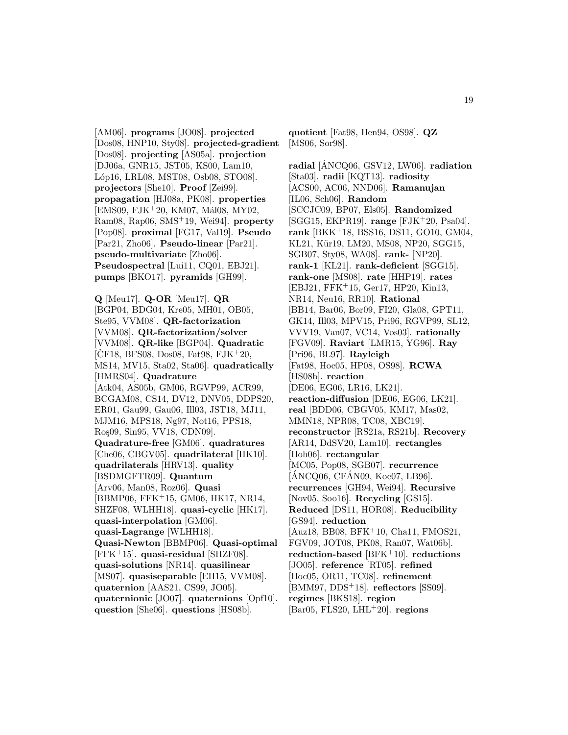[AM06]. **programs** [JO08]. **projected** [Dos08, HNP10, Sty08]. **projected-gradient** [Dos08]. **projecting** [AS05a]. **projection** [DJ06a, GNR15, JST05, KS00, Lam10, L´op16, LRL08, MST08, Osb08, STO08]. **projectors** [She10]. **Proof** [Zei99]. **propagation** [HJ08a, PK08]. **properties** [EMS09, FJK<sup>+</sup>20, KM07, Mál08, MY02, Ram08, Rap06, SMS<sup>+</sup>19, Wei94]. **property** [Pop08]. **proximal** [FG17, Val19]. **Pseudo** [Par21, Zho06]. **Pseudo-linear** [Par21]. **pseudo-multivariate** [Zho06]. **Pseudospectral** [Lui11, CQ01, EBJ21]. **pumps** [BKO17]. **pyramids** [GH99].

**Q** [Meu17]. **Q-OR** [Meu17]. **QR** [BGP04, BDG04, Kre05, MH01, OB05, Ste95, VVM08]. **QR-factorization** [VVM08]. **QR-factorization/solver** [VVM08]. **QR-like** [BGP04]. **Quadratic**  $[CF18, BFS08, Dos08, Fat98, FJK<sup>+</sup>20,$ MS14, MV15, Sta02, Sta06]. **quadratically** [HMRS04]. **Quadrature** [Atk04, AS05b, GM06, RGVP99, ACR99, BCGAM08, CS14, DV12, DNV05, DDPS20, ER01, Gau99, Gau06, Ill03, JST18, MJ11, MJM16, MPS18, Ng97, Not16, PPS18, Ro¸s09, Sin95, VV18, CDN09]. **Quadrature-free** [GM06]. **quadratures** [Che06, CBGV05]. **quadrilateral** [HK10]. **quadrilaterals** [HRV13]. **quality** [BSDMGFTR09]. **Quantum** [Arv06, Man08, Roz06]. **Quasi** [BBMP06, FFK<sup>+</sup>15, GM06, HK17, NR14, SHZF08, WLHH18]. **quasi-cyclic** [HK17]. **quasi-interpolation** [GM06]. **quasi-Lagrange** [WLHH18]. **Quasi-Newton** [BBMP06]. **Quasi-optimal** [FFK<sup>+</sup>15]. **quasi-residual** [SHZF08]. **quasi-solutions** [NR14]. **quasilinear** [MS07]. **quasiseparable** [EH15, VVM08]. **quaternion** [AAS21, CS99, JO05]. **quaternionic** [JO07]. **quaternions** [Opf10]. **question** [She06]. **questions** [HS08b].

**quotient** [Fat98, Hen94, OS98]. **QZ** [MS06, Sor98].

**radial** [ANCQ06, GSV12, LW06]. ´ **radiation** [Sta03]. **radii** [KQT13]. **radiosity** [ACS00, AC06, NND06]. **Ramanujan** [IL06, Sch06]. **Random** [SCCJC09, BP07, Els05]. **Randomized** [SGG15, EKPR19]. **range** [FJK<sup>+</sup>20, Psa04]. **rank** [BKK<sup>+</sup>18, BSS16, DS11, GO10, GM04, KL21, Kür19, LM20, MS08, NP20, SGG15, SGB07, Sty08, WA08]. **rank-** [NP20]. **rank-1** [KL21]. **rank-deficient** [SGG15]. **rank-one** [MS08]. **rate** [HHP19]. **rates** [EBJ21, FFK<sup>+</sup>15, Ger17, HP20, Kin13, NR14, Neu16, RR10]. **Rational** [BB14, Bar06, Bor09, FI20, Gla08, GPT11, GK14, Ill03, MPV15, Pri96, RGVP99, SL12, VVV19, Van07, VC14, Vos03]. **rationally** [FGV09]. **Raviart** [LMR15, YG96]. **Ray** [Pri96, BL97]. **Rayleigh** [Fat98, Hoc05, HP08, OS98]. **RCWA** [HS08b]. **reaction** [DE06, EG06, LR16, LK21]. **reaction-diffusion** [DE06, EG06, LK21]. **real** [BDD06, CBGV05, KM17, Mas02, MMN18, NPR08, TC08, XBC19]. **reconstructor** [RS21a, RS21b]. **Recovery** [AR14, DdSV20, Lam10]. **rectangles** [Hoh06]. **rectangular** [MC05, Pop08, SGB07]. **recurrence**  $[AMCQ06, CFAN09, Koe07, LB96].$ **recurrences** [GH94, Wei94]. **Recursive** [Nov05, Soo16]. **Recycling** [GS15]. **Reduced** [DS11, HOR08]. **Reducibility** [GS94]. **reduction** [Auz18, BB08, BFK<sup>+</sup>10, Cha11, FMOS21, FGV09, JOT08, PK08, Ran07, Wat06b]. **reduction-based** [BFK<sup>+</sup>10]. **reductions** [JO05]. **reference** [RT05]. **refined** [Hoc05, OR11, TC08]. **refinement** [BMM97, DDS<sup>+</sup>18]. **reflectors** [SS09]. **regimes** [BKS18]. **region**

[Bar05, FLS20, LHL<sup>+</sup>20]. **regions**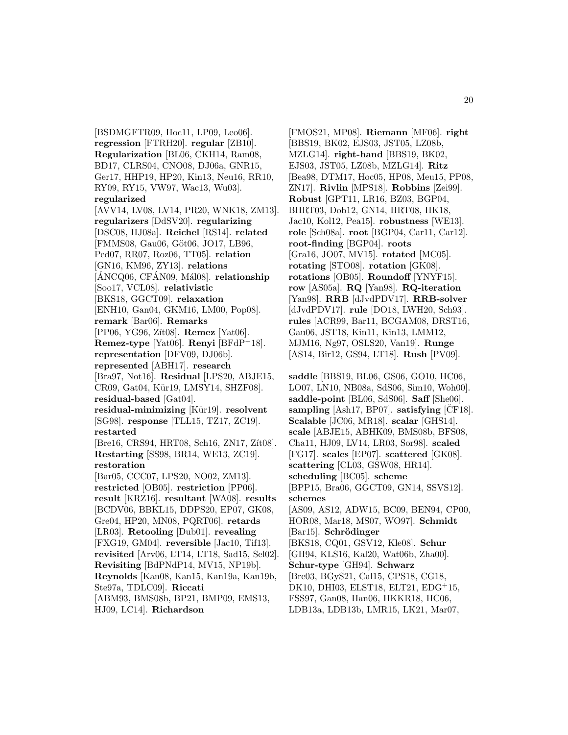**Regularization** [BL06, CKH14, Ram08, BD17, CLRS04, CNO08, DJ06a, GNR15, Ger17, HHP19, HP20, Kin13, Neu16, RR10, RY09, RY15, VW97, Wac13, Wu03]. **regularized** [AVV14, LV08, LV14, PR20, WNK18, ZM13]. **regularizers** [DdSV20]. **regularizing** [DSC08, HJ08a]. **Reichel** [RS14]. **related** [FMMS08, Gau06, Göt06, JO17, LB96, Ped07, RR07, Roz06, TT05]. **relation** [GN16, KM96, ZY13]. **relations** [ANCQ06, CFAN09, Mál08]. **relationship** [Soo17, VCL08]. **relativistic** [BKS18, GGCT09]. **relaxation** [ENH10, Gan04, GKM16, LM00, Pop08]. **remark** [Bar06]. **Remarks** [PP06, YG96, Z´ıt08]. **Remez** [Yat06]. **Remez-type** [Yat06]. **Renyi** [BFdP<sup>+</sup>18]. **representation** [DFV09, DJ06b]. **represented** [ABH17]. **research** [Bra97, Not16]. **Residual** [LPS20, ABJE15, CR09, Gat04, Kür19, LMSY14, SHZF08]. **residual-based** [Gat04]. **residual-minimizing** [Kür19]. **resolvent** [SG98]. **response** [TLL15, TZ17, ZC19]. **restarted** [Bre16, CRS94, HRT08, Sch16, ZN17, Zit08]. **Restarting** [SS98, BR14, WE13, ZC19]. **restoration** [Bar05, CCC07, LPS20, NO02, ZM13]. **restricted** [OB05]. **restriction** [PP06].

[BSDMGFTR09, Hoc11, LP09, Leo06]. **regression** [FTRH20]. **regular** [ZB10].

**result** [KRZ16]. **resultant** [WA08]. **results** [BCDV06, BBKL15, DDPS20, EP07, GK08, Gre04, HP20, MN08, PQRT06]. **retards** [LR03]. **Retooling** [Dub01]. **revealing** [FXG19, GM04]. **reversible** [Jac10, Tif13]. **revisited** [Arv06, LT14, LT18, Sad15, Sel02]. **Revisiting** [BdPNdP14, MV15, NP19b]. **Reynolds** [Kan08, Kan15, Kan19a, Kan19b, Ste97a, TDLC09]. **Riccati** [ABM93, BMS08b, BP21, BMP09, EMS13, HJ09, LC14]. **Richardson**

[FMOS21, MP08]. **Riemann** [MF06]. **right** [BBS19, BK02, EJS03, JST05, LZ08b, MZLG14]. **right-hand** [BBS19, BK02, EJS03, JST05, LZ08b, MZLG14]. **Ritz** [Bea98, DTM17, Hoc05, HP08, Meu15, PP08, ZN17]. **Rivlin** [MPS18]. **Robbins** [Zei99]. **Robust** [GPT11, LR16, BZ03, BGP04, BHRT03, Dob12, GN14, HRT08, HK18, Jac10, Kol12, Pea15]. **robustness** [WE13]. **role** [Sch08a]. **root** [BGP04, Car11, Car12]. **root-finding** [BGP04]. **roots** [Gra16, JO07, MV15]. **rotated** [MC05]. **rotating** [STO08]. **rotation** [GK08]. **rotations** [OB05]. **Roundoff** [YNYF15]. **row** [AS05a]. **RQ** [Yan98]. **RQ-iteration** [Yan98]. **RRB** [dJvdPDV17]. **RRB-solver** [dJvdPDV17]. **rule** [DO18, LWH20, Sch93]. **rules** [ACR99, Bar11, BCGAM08, DRST16, Gau06, JST18, Kin11, Kin13, LMM12, MJM16, Ng97, OSLS20, Van19]. **Runge** [AS14, Bir12, GS94, LT18]. **Rush** [PV09].

**saddle** [BBS19, BL06, GS06, GO10, HC06, LO07, LN10, NB08a, SdS06, Sim10, Woh00]. **saddle-point** [BL06, SdS06]. **Saff** [She06]. **sampling** [Ash17, BP07]. **satisfying**  $|\text{CF18}]$ . **Scalable** [JC06, MR18]. **scalar** [GHS14]. **scale** [ABJE15, ABHK09, BMS08b, BFS08, Cha11, HJ09, LV14, LR03, Sor98]. **scaled** [FG17]. **scales** [EP07]. **scattered** [GK08]. **scattering** [CL03, GSW08, HR14]. **scheduling** [BC05]. **scheme** [BPP15, Bra06, GGCT09, GN14, SSVS12]. **schemes** [AS09, AS12, ADW15, BC09, BEN94, CP00, HOR08, Mar18, MS07, WO97]. **Schmidt** [Bar15]. **Schrödinger** [BKS18, CQ01, GSV12, Kle08]. **Schur** [GH94, KLS16, Kal20, Wat06b, Zha00]. **Schur-type** [GH94]. **Schwarz** [Bre03, BGyS21, Cal15, CPS18, CG18, DK10, DHI03, ELST18, ELT21, EDG<sup>+</sup>15, FSS97, Gan08, Han06, HKKR18, HC06, LDB13a, LDB13b, LMR15, LK21, Mar07,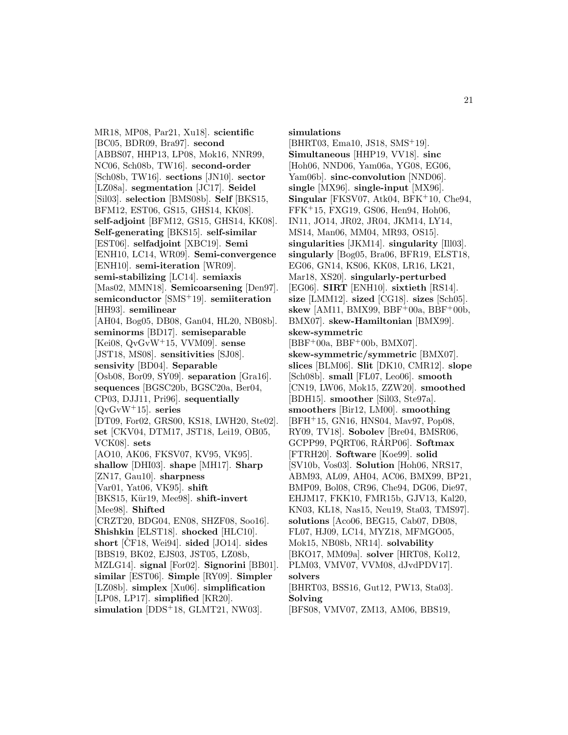MR18, MP08, Par21, Xu18]. **scientific** [BC05, BDR09, Bra97]. **second** [ABBS07, HHP13, LP08, Mok16, NNR99, NC06, Sch08b, TW16]. **second-order** [Sch08b, TW16]. **sections** [JN10]. **sector** [LZ08a]. **segmentation** [JC17]. **Seidel** [Sil03]. **selection** [BMS08b]. **Self** [BKS15, BFM12, EST06, GS15, GHS14, KK08]. **self-adjoint** [BFM12, GS15, GHS14, KK08]. **Self-generating** [BKS15]. **self-similar** [EST06]. **selfadjoint** [XBC19]. **Semi** [ENH10, LC14, WR09]. **Semi-convergence** [ENH10]. **semi-iteration** [WR09]. **semi-stabilizing** [LC14]. **semiaxis** [Mas02, MMN18]. **Semicoarsening** [Den97]. **semiconductor** [SMS<sup>+</sup>19]. **semiiteration** [HH93]. **semilinear** [AH04, Bog05, DB08, Gan04, HL20, NB08b]. **seminorms** [BD17]. **semiseparable** [Kei08, QvGvW<sup>+</sup>15, VVM09]. **sense** [JST18, MS08]. **sensitivities** [SJ08]. **sensivity** [BD04]. **Separable** [Osb08, Bor09, SY09]. **separation** [Gra16]. **sequences** [BGSC20b, BGSC20a, Ber04, CP03, DJJ11, Pri96]. **sequentially** [QvGvW<sup>+</sup>15]. **series** [DT09, For02, GRS00, KS18, LWH20, Ste02]. **set** [CKV04, DTM17, JST18, Lei19, OB05, VCK08]. **sets** [AO10, AK06, FKSV07, KV95, VK95]. **shallow** [DHI03]. **shape** [MH17]. **Sharp** [ZN17, Gau10]. **sharpness** [Var01, Yat06, VK95]. **shift** [BKS15, Kür19, Mee98]. **shift-invert** [Mee98]. **Shifted** [CRZT20, BDG04, EN08, SHZF08, Soo16]. **Shishkin** [ELST18]. **shocked** [HLC10]. **short** [CF18, Wei94]. **sided** [JO14]. **sides** [BBS19, BK02, EJS03, JST05, LZ08b, MZLG14]. **signal** [For02]. **Signorini** [BB01]. **similar** [EST06]. **Simple** [RY09]. **Simpler** [LZ08b]. **simplex** [Xu06]. **simplification** [LP08, LP17]. **simplified** [KR20]. **simulation** [DDS<sup>+</sup>18, GLMT21, NW03].

**simulations**

[BHRT03, Ema10, JS18, SMS<sup>+</sup>19]. **Simultaneous** [HHP19, VV18]. **sinc** [Hoh06, NND06, Yam06a, YG08, EG06, Yam06b]. **sinc-convolution** [NND06]. **single** [MX96]. **single-input** [MX96]. **Singular** [FKSV07, Atk04, BFK<sup>+</sup>10, Che94, FFK<sup>+</sup>15, FXG19, GS06, Hen94, Hoh06, IN11, JO14, JR02, JR04, JKM14, LY14, MS14, Man06, MM04, MR93, OS15]. **singularities** [JKM14]. **singularity** [Ill03]. **singularly** [Bog05, Bra06, BFR19, ELST18, EG06, GN14, KS06, KK08, LR16, LK21, Mar18, XS20]. **singularly-perturbed** [EG06]. **SIRT** [ENH10]. **sixtieth** [RS14]. **size** [LMM12]. **sized** [CG18]. **sizes** [Sch05]. **skew** [AM11, BMX99, BBF<sup>+</sup>00a, BBF<sup>+</sup>00b, BMX07]. **skew-Hamiltonian** [BMX99]. **skew-symmetric**  $[BBF+00a, BBF+00b, BMX07].$ **skew-symmetric/symmetric** [BMX07]. **slices** [BLM06]. **Slit** [DK10, CMR12]. **slope** [Sch08b]. **small** [FL07, Leo06]. **smooth** [CN19, LW06, Mok15, ZZW20]. **smoothed** [BDH15]. **smoother** [Sil03, Ste97a]. **smoothers** [Bir12, LM00]. **smoothing** [BFH<sup>+</sup>15, GN16, HNS04, Mav97, Pop08, RY09, TV18]. **Sobolev** [Bre04, BMSR06, GCPP99, PQRT06, RÁRP06. Softmax [FTRH20]. **Software** [Koe99]. **solid** [SV10b, Vos03]. **Solution** [Hoh06, NRS17, ABM93, AL09, AH04, AC06, BMX99, BP21, BMP09, Bol08, CR96, Che94, DG06, Die97, EHJM17, FKK10, FMR15b, GJV13, Kal20, KN03, KL18, Nas15, Neu19, Sta03, TMS97]. **solutions** [Aco06, BEG15, Cab07, DB08, FL07, HJ09, LC14, MYZ18, MFMGO05, Mok15, NB08b, NR14]. **solvability** [BKO17, MM09a]. **solver** [HRT08, Kol12, PLM03, VMV07, VVM08, dJvdPDV17]. **solvers** [BHRT03, BSS16, Gut12, PW13, Sta03]. **Solving**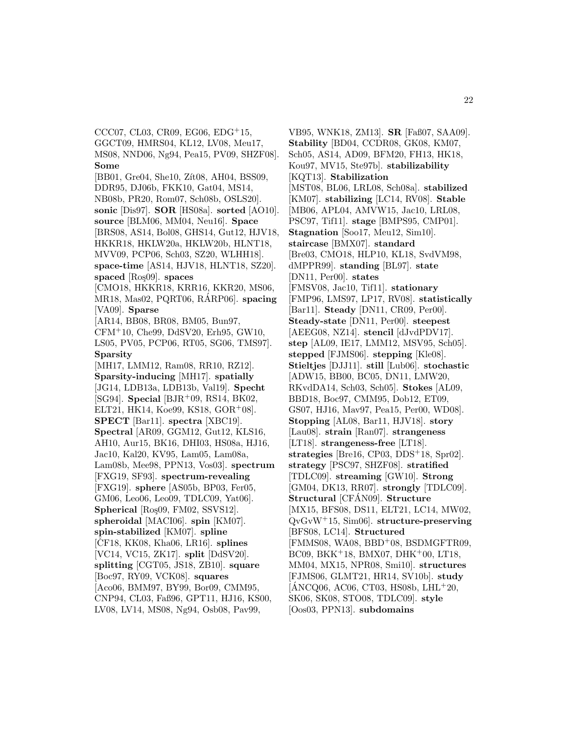MS08, NND06, Ng94, Pea15, PV09, SHZF08]. **Some** [BB01, Gre04, She10, Zit08, AH04, BSS09, DDR95, DJ06b, FKK10, Gat04, MS14, NB08b, PR20, Rom07, Sch08b, OSLS20]. **sonic** [Dis97]. **SOR** [HS08a]. **sorted** [AO10]. **source** [BLM06, MM04, Neu16]. **Space** [BRS08, AS14, Bol08, GHS14, Gut12, HJV18, HKKR18, HKLW20a, HKLW20b, HLNT18, MVV09, PCP06, Sch03, SZ20, WLHH18]. **space-time** [AS14, HJV18, HLNT18, SZ20]. **spaced** [Ro¸s09]. **spaces** [CMO18, HKKR18, KRR16, KKR20, MS06, MR18, Mas02, PQRT06, RARP06. **spacing** [VA09]. **Sparse** [AR14, BB08, BR08, BM05, Bun97, CFM<sup>+</sup>10, Che99, DdSV20, Erh95, GW10, LS05, PV05, PCP06, RT05, SG06, TMS97]. **Sparsity**

CCC07, CL03, CR09, EG06, EDG<sup>+</sup>15, GGCT09, HMRS04, KL12, LV08, Meu17,

[MH17, LMM12, Ram08, RR10, RZ12]. **Sparsity-inducing** [MH17]. **spatially** [JG14, LDB13a, LDB13b, Val19]. **Specht** [SG94]. **Special** [BJR<sup>+</sup>09, RS14, BK02, ELT21, HK14, Koe $99,$  KS18, GOR<sup>+</sup>08]. **SPECT** [Bar11]. **spectra** [XBC19]. **Spectral** [AR09, GGM12, Gut12, KLS16, AH10, Aur15, BK16, DHI03, HS08a, HJ16, Jac10, Kal20, KV95, Lam05, Lam08a, Lam08b, Mee98, PPN13, Vos03]. **spectrum** [FXG19, SF93]. **spectrum-revealing** [FXG19]. **sphere** [AS05b, BP03, Fer05, GM06, Leo06, Leo09, TDLC09, Yat06]. **Spherical** [Ros<sub>09</sub>, FM02, SSVS12]. **spheroidal** [MACI06]. **spin** [KM07]. **spin-stabilized** [KM07]. **spline**  $[CF18, KK08, Kha06, LR16]$ . **splines** [VC14, VC15, ZK17]. **split** [DdSV20]. **splitting** [CGT05, JS18, ZB10]. **square** [Boc97, RY09, VCK08]. **squares** [Aco06, BMM97, BY99, Bor09, CMM95, CNP94, CL03, Faß96, GPT11, HJ16, KS00, LV08, LV14, MS08, Ng94, Osb08, Pav99,

VB95, WNK18, ZM13]. **SR** [Faß07, SAA09]. **Stability** [BD04, CCDR08, GK08, KM07, Sch05, AS14, AD09, BFM20, FH13, HK18, Kou97, MV15, Ste97b]. **stabilizability** [KQT13]. **Stabilization** [MST08, BL06, LRL08, Sch08a]. **stabilized** [KM07]. **stabilizing** [LC14, RV08]. **Stable** [MB06, APL04, AMVW15, Jac10, LRL08, PSC97, Tif11]. **stage** [BMPS95, CMP01]. **Stagnation** [Soo17, Meu12, Sim10]. **staircase** [BMX07]. **standard** [Bre03, CMO18, HLP10, KL18, SvdVM98, dMPPR99]. **standing** [BL97]. **state** [DN11, Per00]. **states** [FMSV08, Jac10, Tif11]. **stationary** [FMP96, LMS97, LP17, RV08]. **statistically** [Bar11]. **Steady** [DN11, CR09, Per00]. **Steady-state** [DN11, Per00]. **steepest** [AEEG08, NZ14]. **stencil** [dJvdPDV17]. **step** [AL09, IE17, LMM12, MSV95, Sch05]. **stepped** [FJMS06]. **stepping** [Kle08]. **Stieltjes** [DJJ11]. **still** [Lub06]. **stochastic** [ADW15, BB00, BC05, DN11, LMW20, RKvdDA14, Sch03, Sch05]. **Stokes** [AL09, BBD18, Boc97, CMM95, Dob12, ET09, GS07, HJ16, Mav97, Pea15, Per00, WD08]. **Stopping** [AL08, Bar11, HJV18]. **story** [Lau08]. **strain** [Ran07]. **strangeness** [LT18]. **strangeness-free** [LT18]. **strategies** [Bre16, CP03, DDS<sup>+</sup>18, Spr02]. **strategy** [PSC97, SHZF08]. **stratified** [TDLC09]. **streaming** [GW10]. **Strong** [GM04, DK13, RR07]. **strongly** [TDLC09]. **Structural** [CFAN09]. **Structure** [MX15, BFS08, DS11, ELT21, LC14, MW02, QvGvW<sup>+</sup>15, Sim06]. **structure-preserving** [BFS08, LC14]. **Structured** [FMMS08, WA08, BBD<sup>+</sup>08, BSDMGFTR09, BC09, BKK<sup>+</sup>18, BMX07, DHK<sup>+</sup>00, LT18, MM04, MX15, NPR08, Smi10]. **structures** [FJMS06, GLMT21, HR14, SV10b]. **study**  $[AMCQ06, AC06, CT03, HS08b, LHL+20,$ SK06, SK08, STO08, TDLC09]. **style** [Oos03, PPN13]. **subdomains**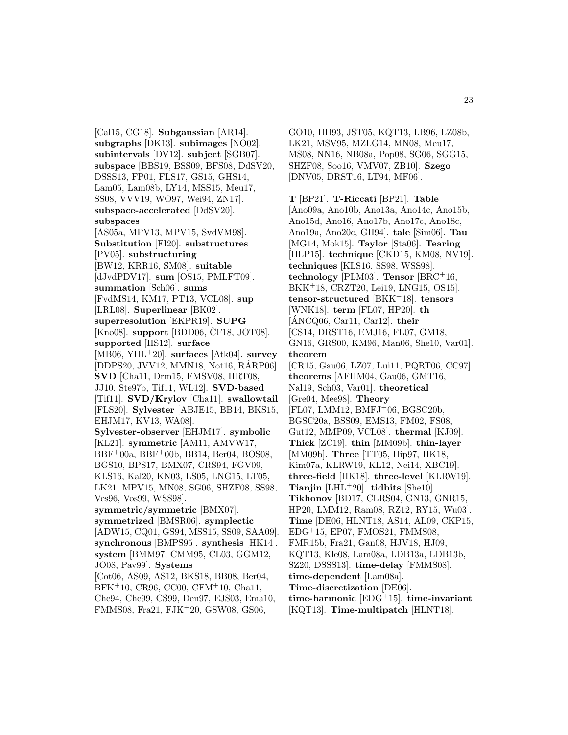[Cal15, CG18]. **Subgaussian** [AR14]. **subgraphs** [DK13]. **subimages** [NO02]. **subintervals** [DV12]. **subject** [SGB07]. **subspace** [BBS19, BSS09, BFS08, DdSV20, DSSS13, FP01, FLS17, GS15, GHS14, Lam05, Lam08b, LY14, MSS15, Meu17, SS08, VVV19, WO97, Wei94, ZN17]. **subspace-accelerated** [DdSV20]. **subspaces** [AS05a, MPV13, MPV15, SvdVM98]. **Substitution** [FI20]. **substructures** [PV05]. **substructuring** [BW12, KRR16, SM08]. **suitable** [dJvdPDV17]. **sum** [OS15, PMLFT09]. **summation** [Sch06]. **sums** [FvdMS14, KM17, PT13, VCL08]. **sup** [LRL08]. **Superlinear** [BK02]. **superresolution** [EKPR19]. **SUPG**  $[Kno08]$ . **support**  $[BDD06, CF18, JOT08]$ . **supported** [HS12]. **surface** [MB06, YHL<sup>+</sup>20]. **surfaces** [Atk04]. **survey** [DDPS20, JVV12, MMN18, Not16, RARP06]. ´ **SVD** [Cha11, Drm15, FMSV08, HRT08, JJ10, Ste97b, Tif11, WL12]. **SVD-based** [Tif11]. **SVD/Krylov** [Cha11]. **swallowtail** [FLS20]. **Sylvester** [ABJE15, BB14, BKS15, EHJM17, KV13, WA08]. **Sylvester-observer** [EHJM17]. **symbolic** [KL21]. **symmetric** [AM11, AMVW17, BBF<sup>+</sup>00a, BBF<sup>+</sup>00b, BB14, Ber04, BOS08, BGS10, BPS17, BMX07, CRS94, FGV09, KLS16, Kal20, KN03, LS05, LNG15, LT05, LK21, MPV15, MN08, SG06, SHZF08, SS98, Ves96, Vos99, WSS98]. **symmetric/symmetric** [BMX07]. **symmetrized** [BMSR06]. **symplectic** [ADW15, CQ01, GS94, MSS15, SS09, SAA09]. **synchronous** [BMPS95]. **synthesis** [HK14]. **system** [BMM97, CMM95, CL03, GGM12, JO08, Pav99]. **Systems** [Cot06, AS09, AS12, BKS18, BB08, Ber04, BFK<sup>+</sup>10, CR96, CC00, CFM<sup>+</sup>10, Cha11,

Che94, Che99, CS99, Den97, EJS03, Ema10, FMMS08, Fra21, FJK<sup>+</sup>20, GSW08, GS06,

GO10, HH93, JST05, KQT13, LB96, LZ08b, LK21, MSV95, MZLG14, MN08, Meu17, MS08, NN16, NB08a, Pop08, SG06, SGG15, SHZF08, Soo16, VMV07, ZB10]. **Szego** [DNV05, DRST16, LT94, MF06].

**T** [BP21]. **T-Riccati** [BP21]. **Table** [Ano09a, Ano10b, Ano13a, Ano14c, Ano15b, Ano15d, Ano16, Ano17b, Ano17c, Ano18c, Ano19a, Ano20c, GH94]. **tale** [Sim06]. **Tau** [MG14, Mok15]. **Taylor** [Sta06]. **Tearing** [HLP15]. **technique** [CKD15, KM08, NV19]. **techniques** [KLS16, SS98, WSS98]. **technology** [PLM03]. **Tensor** [BRC<sup>+</sup>16, BKK<sup>+</sup>18, CRZT20, Lei19, LNG15, OS15]. **tensor-structured** [BKK<sup>+</sup>18]. **tensors** [WNK18]. **term** [FL07, HP20]. **th**  $[\text{ÁNCQ06}, \text{Car11}, \text{Car12}].$  their [CS14, DRST16, EMJ16, FL07, GM18, GN16, GRS00, KM96, Man06, She10, Var01]. **theorem** [CR15, Gau06, LZ07, Lui11, PQRT06, CC97]. **theorems** [AFHM04, Gau06, GMT16, Nal19, Sch03, Var01]. **theoretical** [Gre04, Mee98]. **Theory**  $[FL07, LMM12, BMFJ<sup>+</sup>06, BGSC20b,$ BGSC20a, BSS09, EMS13, FM02, FS08, Gut12, MMP09, VCL08]. **thermal** [KJ09]. **Thick** [ZC19]. **thin** [MM09b]. **thin-layer** [MM09b]. **Three** [TT05, Hip97, HK18, Kim07a, KLRW19, KL12, Nei14, XBC19]. **three-field** [HK18]. **three-level** [KLRW19]. **Tianjin** [LHL<sup>+</sup>20]. **tidbits** [She10]. **Tikhonov** [BD17, CLRS04, GN13, GNR15, HP20, LMM12, Ram08, RZ12, RY15, Wu03]. **Time** [DE06, HLNT18, AS14, AL09, CKP15, EDG<sup>+</sup>15, EP07, FMOS21, FMMS08, FMR15b, Fra21, Gan08, HJV18, HJ09, KQT13, Kle08, Lam08a, LDB13a, LDB13b, SZ20, DSSS13]. **time-delay** [FMMS08]. **time-dependent** [Lam08a]. **Time-discretization** [DE06]. **time-harmonic** [EDG<sup>+</sup>15]. **time-invariant** [KQT13]. **Time-multipatch** [HLNT18].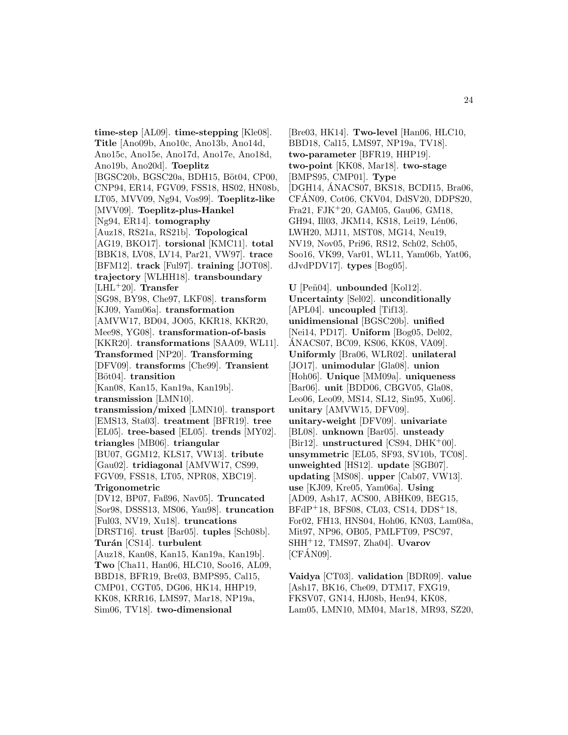**time-step** [AL09]. **time-stepping** [Kle08]. **Title** [Ano09b, Ano10c, Ano13b, Ano14d, Ano15c, Ano15e, Ano17d, Ano17e, Ano18d, Ano19b, Ano20d]. **Toeplitz** [BGSC20b, BGSC20a, BDH15, Böt04, CP00, CNP94, ER14, FGV09, FSS18, HS02, HN08b, LT05, MVV09, Ng94, Vos99]. **Toeplitz-like** [MVV09]. **Toeplitz-plus-Hankel** [Ng94, ER14]. **tomography** [Auz18, RS21a, RS21b]. **Topological** [AG19, BKO17]. **torsional** [KMC11]. **total** [BBK18, LV08, LV14, Par21, VW97]. **trace** [BFM12]. **track** [Ful97]. **training** [JOT08]. **trajectory** [WLHH18]. **transboundary** [LHL<sup>+</sup>20]. **Transfer** [SG98, BY98, Che97, LKF08]. **transform** [KJ09, Yam06a]. **transformation** [AMVW17, BD04, JO05, KKR18, KKR20, Mee98, YG08]. **transformation-of-basis** [KKR20]. **transformations** [SAA09, WL11]. **Transformed** [NP20]. **Transforming** [DFV09]. **transforms** [Che99]. **Transient** [Böt04]. **transition** [Kan08, Kan15, Kan19a, Kan19b]. **transmission** [LMN10]. **transmission/mixed** [LMN10]. **transport** [EMS13, Sta03]. **treatment** [BFR19]. **tree** [EL05]. **tree-based** [EL05]. **trends** [MY02]. **triangles** [MB06]. **triangular** [BU07, GGM12, KLS17, VW13]. **tribute** [Gau02]. **tridiagonal** [AMVW17, CS99, FGV09, FSS18, LT05, NPR08, XBC19]. **Trigonometric** [DV12, BP07, Faß96, Nav05]. **Truncated** [Sor98, DSSS13, MS06, Yan98]. **truncation** [Ful03, NV19, Xu18]. **truncations** [DRST16]. **trust** [Bar05]. **tuples** [Sch08b]. **Tur´an** [CS14]. **turbulent** [Auz18, Kan08, Kan15, Kan19a, Kan19b]. **Two** [Cha11, Han06, HLC10, Soo16, AL09, BBD18, BFR19, Bre03, BMPS95, Cal15, CMP01, CGT05, DG06, HK14, HHP19, KK08, KRR16, LMS97, Mar18, NP19a, Sim06, TV18]. **two-dimensional**

[Bre03, HK14]. **Two-level** [Han06, HLC10, BBD18, Cal15, LMS97, NP19a, TV18]. **two-parameter** [BFR19, HHP19]. **two-point** [KK08, Mar18]. **two-stage** [BMPS95, CMP01]. **Type** [DGH14, ANACS07, BKS18, BCDI15, Bra06, CFAN09, Cot06, CKV04, DdSV20, DDPS20, ´ Fra21, FJK<sup>+</sup>20, GAM05, Gau06, GM18, GH94, Ill03, JKM14, KS18, Lei19, Lén06, LWH20, MJ11, MST08, MG14, Neu19, NV19, Nov05, Pri96, RS12, Sch02, Sch05, Soo16, VK99, Var01, WL11, Yam06b, Yat06, dJvdPDV17]. **types** [Bog05].

**U** [Pe˜n04]. **unbounded** [Kol12]. **Uncertainty** [Sel02]. **unconditionally** [APL04]. **uncoupled** [Tif13]. **unidimensional** [BGSC20b]. **unified** [Nei14, PD17]. **Uniform** [Bog05, Del02, ANACS07, BC09, KS06, KK08, VA09]. ´ **Uniformly** [Bra06, WLR02]. **unilateral** [JO17]. **unimodular** [Gla08]. **union** [Hoh06]. **Unique** [MM09a]. **uniqueness** [Bar06]. **unit** [BDD06, CBGV05, Gla08, Leo06, Leo09, MS14, SL12, Sin95, Xu06]. **unitary** [AMVW15, DFV09]. **unitary-weight** [DFV09]. **univariate** [BL08]. **unknown** [Bar05]. **unsteady** [Bir12]. **unstructured** [CS94, DHK<sup>+</sup>00]. **unsymmetric** [EL05, SF93, SV10b, TC08]. **unweighted** [HS12]. **update** [SGB07]. **updating** [MS08]. **upper** [Cab07, VW13]. **use** [KJ09, Kre05, Yam06a]. **Using** [AD09, Ash17, ACS00, ABHK09, BEG15, BFdP<sup>+</sup>18, BFS08, CL03, CS14, DDS<sup>+</sup>18, For02, FH13, HNS04, Hoh06, KN03, Lam08a, Mit97, NP96, OB05, PMLFT09, PSC97, SHH<sup>+</sup>12, TMS97, Zha04]. **Uvarov**  $[CFANO9]$ .

**Vaidya** [CT03]. **validation** [BDR09]. **value** [Ash17, BK16, Che09, DTM17, FXG19, FKSV07, GN14, HJ08b, Hen94, KK08, Lam05, LMN10, MM04, Mar18, MR93, SZ20,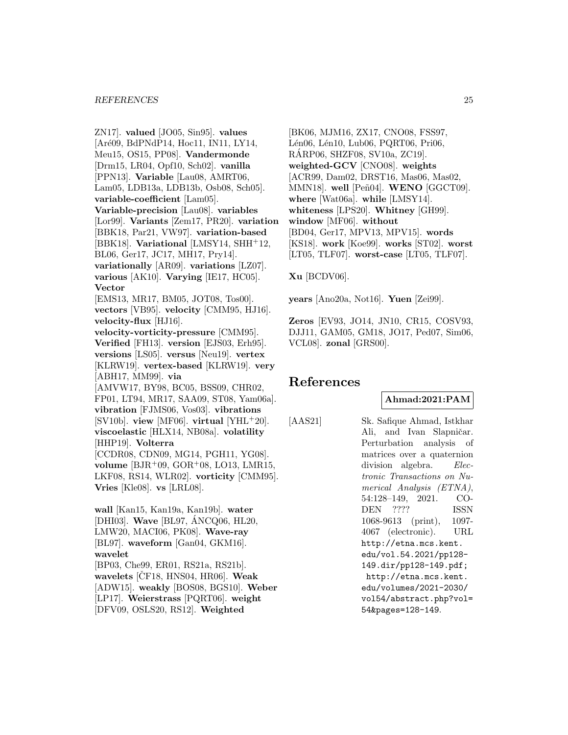#### *REFERENCES* 25

ZN17]. **valued** [JO05, Sin95]. **values** [Aré09, BdPNdP14, Hoc11, IN11, LY14, Meu15, OS15, PP08]. **Vandermonde** [Drm15, LR04, Opf10, Sch02]. **vanilla** [PPN13]. **Variable** [Lau08, AMRT06, Lam05, LDB13a, LDB13b, Osb08, Sch05]. **variable-coefficient** [Lam05]. **Variable-precision** [Lau08]. **variables** [Lor99]. **Variants** [Zem17, PR20]. **variation** [BBK18, Par21, VW97]. **variation-based** [BBK18]. **Variational** [LMSY14, SHH<sup>+</sup>12, BL06, Ger17, JC17, MH17, Pry14]. **variationally** [AR09]. **variations** [LZ07]. **various** [AK10]. **Varying** [IE17, HC05]. **Vector** [EMS13, MR17, BM05, JOT08, Tos00]. **vectors** [VB95]. **velocity** [CMM95, HJ16]. **velocity-flux** [HJ16]. **velocity-vorticity-pressure** [CMM95]. **Verified** [FH13]. **version** [EJS03, Erh95]. **versions** [LS05]. **versus** [Neu19]. **vertex** [KLRW19]. **vertex-based** [KLRW19]. **very** [ABH17, MM99]. **via** [AMVW17, BY98, BC05, BSS09, CHR02, FP01, LT94, MR17, SAA09, ST08, Yam06a]. **vibration** [FJMS06, Vos03]. **vibrations**  $[SV10b]$ . **view** [MF06]. **virtual**  $[YHL^+20]$ . **viscoelastic** [HLX14, NB08a]. **volatility** [HHP19]. **Volterra** [CCDR08, CDN09, MG14, PGH11, YG08]. **volume** [BJR<sup>+</sup>09, GOR<sup>+</sup>08, LO13, LMR15, LKF08, RS14, WLR02]. **vorticity** [CMM95]. **Vries** [Kle08]. **vs** [LRL08]. **wall** [Kan15, Kan19a, Kan19b]. **water**

[DHI03]. **Wave** [BL97, ANCQ06, HL20, ´ LMW20, MACI06, PK08]. **Wave-ray** [BL97]. **waveform** [Gan04, GKM16]. **wavelet** [BP03, Che99, ER01, RS21a, RS21b]. **wavelets** [CF18, HNS04, HR06]. **Weak** [ADW15]. **weakly** [BOS08, BGS10]. **Weber** [LP17]. **Weierstrass** [PQRT06]. **weight** [DFV09, OSLS20, RS12]. **Weighted**

[BK06, MJM16, ZX17, CNO08, FSS97, Lén06, Lén10, Lub06, PQRT06, Pri06, RARP06, SHZF08, SV10a, ZC19]. ´ **weighted-GCV** [CNO08]. **weights** [ACR99, Dam02, DRST16, Mas06, Mas02, MMN18]. well [Peñ04]. WENO [GGCT09]. **where** [Wat06a]. **while** [LMSY14]. **whiteness** [LPS20]. **Whitney** [GH99]. **window** [MF06]. **without** [BD04, Ger17, MPV13, MPV15]. **words** [KS18]. **work** [Koe99]. **works** [ST02]. **worst** [LT05, TLF07]. **worst-case** [LT05, TLF07].

**Xu** [BCDV06].

**years** [Ano20a, Not16]. **Yuen** [Zei99].

**Zeros** [EV93, JO14, JN10, CR15, COSV93, DJJ11, GAM05, GM18, JO17, Ped07, Sim06, VCL08]. **zonal** [GRS00].

# **References**

# **Ahmad:2021:PAM**

[AAS21] Sk. Safique Ahmad, Istkhar Ali, and Ivan Slapničar. Perturbation analysis of matrices over a quaternion division algebra. Electronic Transactions on Numerical Analysis (ETNA), 54:128–149, 2021. CO-DEN ???? ISSN 1068-9613 (print), 1097- 4067 (electronic). URL http://etna.mcs.kent. edu/vol.54.2021/pp128- 149.dir/pp128-149.pdf; http://etna.mcs.kent. edu/volumes/2021-2030/ vol54/abstract.php?vol= 54&pages=128-149.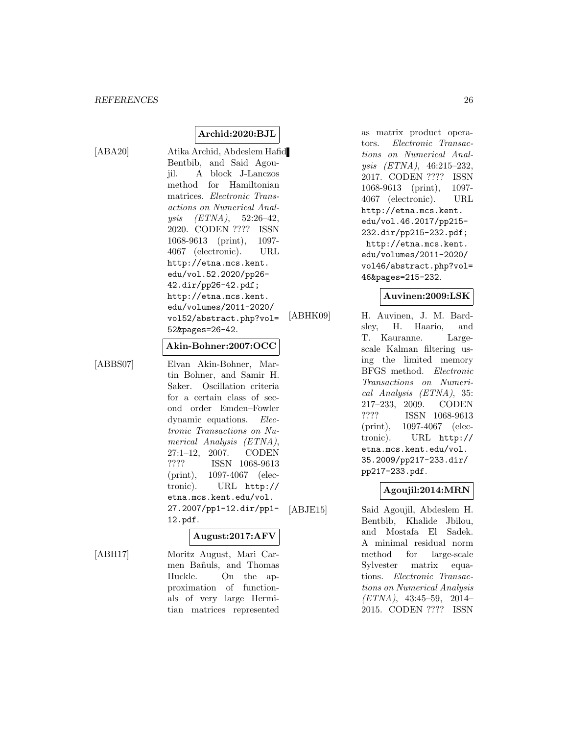[ABA20] Atika Archid, Abdeslem Hafid Bentbib, and Said Agoujil. A block J-Lanczos method for Hamiltonian matrices. Electronic Transactions on Numerical Analysis (ETNA), 52:26–42, 2020. CODEN ???? ISSN 1068-9613 (print), 1097- 4067 (electronic). URL http://etna.mcs.kent. edu/vol.52.2020/pp26- 42.dir/pp26-42.pdf; http://etna.mcs.kent. edu/volumes/2011-2020/ vol52/abstract.php?vol= 52&pages=26-42.

**Archid:2020:BJL**

#### **Akin-Bohner:2007:OCC**

[ABBS07] Elvan Akin-Bohner, Martin Bohner, and Samir H. Saker. Oscillation criteria for a certain class of second order Emden–Fowler dynamic equations. Electronic Transactions on Numerical Analysis (ETNA), 27:1–12, 2007. CODEN ???? ISSN 1068-9613 (print), 1097-4067 (electronic). URL http:// etna.mcs.kent.edu/vol. 27.2007/pp1-12.dir/pp1- 12.pdf.

# **August:2017:AFV**

[ABH17] Moritz August, Mari Carmen Bañuls, and Thomas Huckle. On the approximation of functionals of very large Hermitian matrices represented

as matrix product operators. Electronic Transactions on Numerical Analysis (ETNA), 46:215–232, 2017. CODEN ???? ISSN 1068-9613 (print), 1097- 4067 (electronic). URL http://etna.mcs.kent. edu/vol.46.2017/pp215- 232.dir/pp215-232.pdf; http://etna.mcs.kent. edu/volumes/2011-2020/ vol46/abstract.php?vol= 46&pages=215-232.

# **Auvinen:2009:LSK**

[ABHK09] H. Auvinen, J. M. Bardsley, H. Haario, and T. Kauranne. Largescale Kalman filtering using the limited memory BFGS method. Electronic Transactions on Numerical Analysis (ETNA), 35: 217–233, 2009. CODEN ???? ISSN 1068-9613 (print), 1097-4067 (electronic). URL http:// etna.mcs.kent.edu/vol. 35.2009/pp217-233.dir/ pp217-233.pdf.

# **Agoujil:2014:MRN**

[ABJE15] Said Agoujil, Abdeslem H. Bentbib, Khalide Jbilou, and Mostafa El Sadek. A minimal residual norm method for large-scale Sylvester matrix equations. Electronic Transactions on Numerical Analysis (ETNA), 43:45–59, 2014– 2015. CODEN ???? ISSN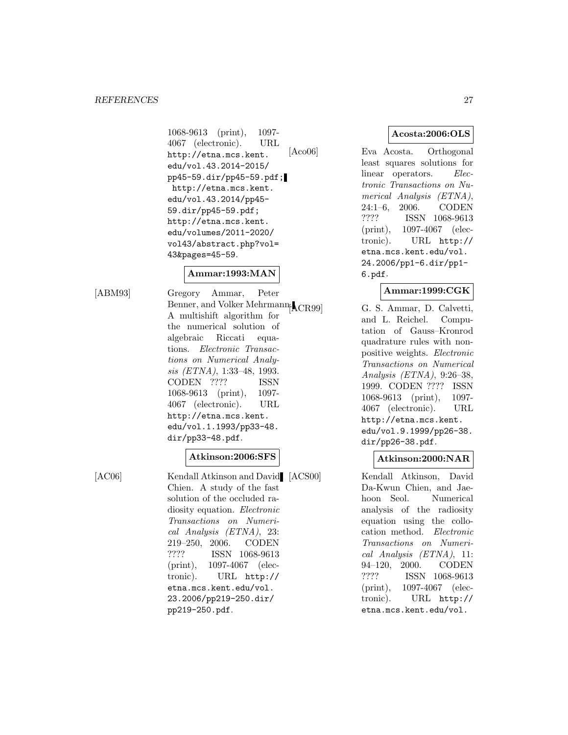#### *REFERENCES* 27

1068-9613 (print), 1097- 4067 (electronic). URL http://etna.mcs.kent. edu/vol.43.2014-2015/ pp45-59.dir/pp45-59.pdf; http://etna.mcs.kent. edu/vol.43.2014/pp45- 59.dir/pp45-59.pdf; http://etna.mcs.kent. edu/volumes/2011-2020/ vol43/abstract.php?vol= 43&pages=45-59.

# **Ammar:1993:MAN**

[ABM93] Gregory Ammar, Peter Benner, and Volker Mehrmann<sub>[ACR99]</sub> A multishift algorithm for the numerical solution of algebraic Riccati equations. Electronic Transactions on Numerical Analysis (ETNA), 1:33–48, 1993. CODEN ???? ISSN 1068-9613 (print), 1097- 4067 (electronic). URL http://etna.mcs.kent. edu/vol.1.1993/pp33-48. dir/pp33-48.pdf.

#### **Atkinson:2006:SFS**

[AC06] Kendall Atkinson and David [ACS00] Chien. A study of the fast solution of the occluded radiosity equation. Electronic Transactions on Numerical Analysis (ETNA), 23: 219–250, 2006. CODEN ???? ISSN 1068-9613 (print), 1097-4067 (electronic). URL http:// etna.mcs.kent.edu/vol. 23.2006/pp219-250.dir/ pp219-250.pdf.

# **Acosta:2006:OLS**

[Aco06] Eva Acosta. Orthogonal least squares solutions for linear operators. Electronic Transactions on Numerical Analysis (ETNA), 24:1–6, 2006. CODEN ???? ISSN 1068-9613 (print), 1097-4067 (electronic). URL http:// etna.mcs.kent.edu/vol. 24.2006/pp1-6.dir/pp1- 6.pdf.

# **Ammar:1999:CGK**

G. S. Ammar, D. Calvetti, and L. Reichel. Computation of Gauss–Kronrod quadrature rules with nonpositive weights. Electronic Transactions on Numerical Analysis (ETNA), 9:26–38, 1999. CODEN ???? ISSN 1068-9613 (print), 1097- 4067 (electronic). URL http://etna.mcs.kent. edu/vol.9.1999/pp26-38. dir/pp26-38.pdf.

# **Atkinson:2000:NAR**

Kendall Atkinson, David Da-Kwun Chien, and Jaehoon Seol. Numerical analysis of the radiosity equation using the collocation method. Electronic Transactions on Numerical Analysis (ETNA), 11: 94–120, 2000. CODEN ???? ISSN 1068-9613 (print), 1097-4067 (electronic). URL http:// etna.mcs.kent.edu/vol.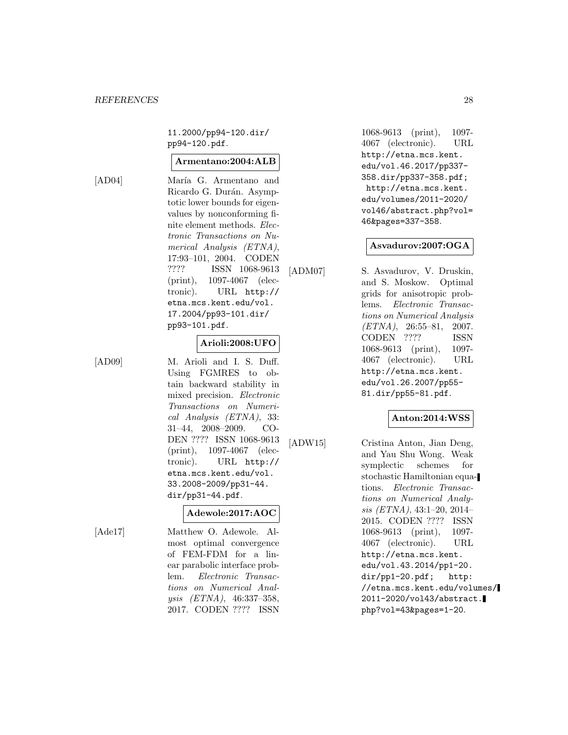11.2000/pp94-120.dir/ pp94-120.pdf.

# **Armentano:2004:ALB**

[AD04] María G. Armentano and Ricardo G. Durán. Asymptotic lower bounds for eigenvalues by nonconforming finite element methods. Electronic Transactions on Numerical Analysis (ETNA), 17:93–101, 2004. CODEN ???? ISSN 1068-9613 (print), 1097-4067 (electronic). URL http:// etna.mcs.kent.edu/vol. 17.2004/pp93-101.dir/ pp93-101.pdf.

# **Arioli:2008:UFO**

[AD09] M. Arioli and I. S. Duff. Using FGMRES to obtain backward stability in mixed precision. Electronic Transactions on Numerical Analysis (ETNA), 33: 31–44, 2008–2009. CO-DEN ???? ISSN 1068-9613 (print), 1097-4067 (electronic). URL http:// etna.mcs.kent.edu/vol. 33.2008-2009/pp31-44. dir/pp31-44.pdf.

# **Adewole:2017:AOC**

[Ade17] Matthew O. Adewole. Almost optimal convergence of FEM-FDM for a linear parabolic interface problem. Electronic Transactions on Numerical Analysis (ETNA), 46:337–358, 2017. CODEN ???? ISSN

1068-9613 (print), 1097- 4067 (electronic). URL http://etna.mcs.kent. edu/vol.46.2017/pp337- 358.dir/pp337-358.pdf; http://etna.mcs.kent. edu/volumes/2011-2020/ vol46/abstract.php?vol= 46&pages=337-358.

# **Asvadurov:2007:OGA**

[ADM07] S. Asvadurov, V. Druskin, and S. Moskow. Optimal grids for anisotropic problems. Electronic Transactions on Numerical Analysis  $(ETNA)$ , 26:55–81, 2007. CODEN ???? ISSN 1068-9613 (print), 1097- 4067 (electronic). URL http://etna.mcs.kent. edu/vol.26.2007/pp55- 81.dir/pp55-81.pdf.

# **Anton:2014:WSS**

[ADW15] Cristina Anton, Jian Deng, and Yau Shu Wong. Weak symplectic schemes for stochastic Hamiltonian equations. Electronic Transactions on Numerical Analysis (ETNA), 43:1–20, 2014– 2015. CODEN ???? ISSN 1068-9613 (print), 1097- 4067 (electronic). URL http://etna.mcs.kent. edu/vol.43.2014/pp1-20. dir/pp1-20.pdf; http: //etna.mcs.kent.edu/volumes/ 2011-2020/vol43/abstract. php?vol=43&pages=1-20.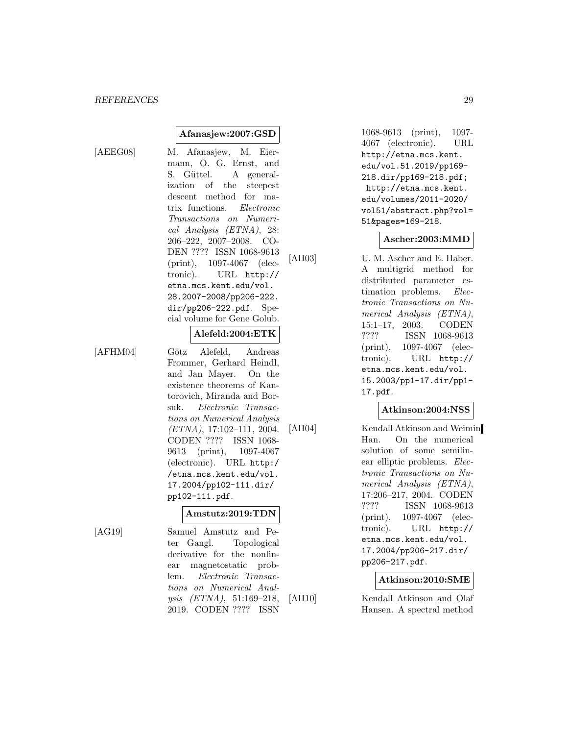# **Afanasjew:2007:GSD**

[AEEG08] M. Afanasjew, M. Eiermann, O. G. Ernst, and S. Güttel. A generalization of the steepest descent method for matrix functions. Electronic Transactions on Numerical Analysis (ETNA), 28: 206–222, 2007–2008. CO-DEN ???? ISSN 1068-9613 (print), 1097-4067 (electronic). URL http:// etna.mcs.kent.edu/vol. 28.2007-2008/pp206-222. dir/pp206-222.pdf. Special volume for Gene Golub.

# **Alefeld:2004:ETK**

[AFHM04] Götz Alefeld, Andreas Frommer, Gerhard Heindl, and Jan Mayer. On the existence theorems of Kantorovich, Miranda and Borsuk. Electronic Transactions on Numerical Analysis (ETNA), 17:102–111, 2004. CODEN ???? ISSN 1068- 9613 (print), 1097-4067 (electronic). URL http:/ /etna.mcs.kent.edu/vol. 17.2004/pp102-111.dir/ pp102-111.pdf.

# **Amstutz:2019:TDN**

[AG19] Samuel Amstutz and Peter Gangl. Topological derivative for the nonlinear magnetostatic problem. Electronic Transactions on Numerical Analysis (ETNA), 51:169–218, 2019. CODEN ???? ISSN

1068-9613 (print), 1097- 4067 (electronic). URL http://etna.mcs.kent. edu/vol.51.2019/pp169- 218.dir/pp169-218.pdf; http://etna.mcs.kent. edu/volumes/2011-2020/ vol51/abstract.php?vol= 51&pages=169-218.

# **Ascher:2003:MMD**

[AH03] U. M. Ascher and E. Haber. A multigrid method for distributed parameter estimation problems. Electronic Transactions on Numerical Analysis (ETNA), 15:1–17, 2003. CODEN ???? ISSN 1068-9613 (print), 1097-4067 (electronic). URL http:// etna.mcs.kent.edu/vol. 15.2003/pp1-17.dir/pp1- 17.pdf.

# **Atkinson:2004:NSS**

[AH04] Kendall Atkinson and Weimin Han. On the numerical solution of some semilinear elliptic problems. Electronic Transactions on Numerical Analysis (ETNA), 17:206–217, 2004. CODEN ???? ISSN 1068-9613 (print), 1097-4067 (electronic). URL http:// etna.mcs.kent.edu/vol. 17.2004/pp206-217.dir/ pp206-217.pdf.

# **Atkinson:2010:SME**

[AH10] Kendall Atkinson and Olaf Hansen. A spectral method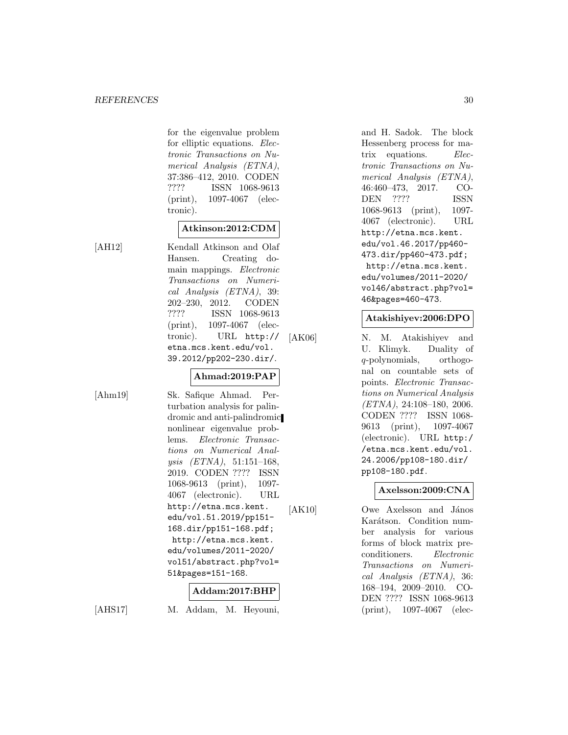for the eigenvalue problem for elliptic equations. Electronic Transactions on Numerical Analysis (ETNA), 37:386–412, 2010. CODEN ???? ISSN 1068-9613 (print), 1097-4067 (electronic).

# **Atkinson:2012:CDM**

[AH12] Kendall Atkinson and Olaf Hansen. Creating domain mappings. Electronic Transactions on Numerical Analysis (ETNA), 39: 202–230, 2012. CODEN ???? ISSN 1068-9613 (print), 1097-4067 (electronic). URL http:// etna.mcs.kent.edu/vol. 39.2012/pp202-230.dir/.

# **Ahmad:2019:PAP**

[Ahm19] Sk. Safique Ahmad. Perturbation analysis for palindromic and anti-palindromic nonlinear eigenvalue problems. Electronic Transactions on Numerical Analysis  $(ETNA)$ , 51:151-168, 2019. CODEN ???? ISSN 1068-9613 (print), 1097- 4067 (electronic). URL http://etna.mcs.kent. edu/vol.51.2019/pp151- 168.dir/pp151-168.pdf; http://etna.mcs.kent. edu/volumes/2011-2020/ vol51/abstract.php?vol= 51&pages=151-168.

# **Addam:2017:BHP**

[AHS17] M. Addam, M. Heyouni,

and H. Sadok. The block Hessenberg process for matrix equations. Electronic Transactions on Numerical Analysis (ETNA), 46:460–473, 2017. CO-DEN ???? ISSN 1068-9613 (print), 1097- 4067 (electronic). URL http://etna.mcs.kent. edu/vol.46.2017/pp460- 473.dir/pp460-473.pdf; http://etna.mcs.kent. edu/volumes/2011-2020/ vol46/abstract.php?vol= 46&pages=460-473.

# **Atakishiyev:2006:DPO**

[AK06] N. M. Atakishiyev and U. Klimyk. Duality of q-polynomials, orthogonal on countable sets of points. Electronic Transactions on Numerical Analysis (ETNA), 24:108–180, 2006. CODEN ???? ISSN 1068- 9613 (print), 1097-4067 (electronic). URL http:/ /etna.mcs.kent.edu/vol. 24.2006/pp108-180.dir/ pp108-180.pdf.

# **Axelsson:2009:CNA**

[AK10] Owe Axelsson and János Karátson. Condition number analysis for various forms of block matrix preconditioners. Electronic Transactions on Numerical Analysis (ETNA), 36: 168–194, 2009–2010. CO-DEN ???? ISSN 1068-9613 (print), 1097-4067 (elec-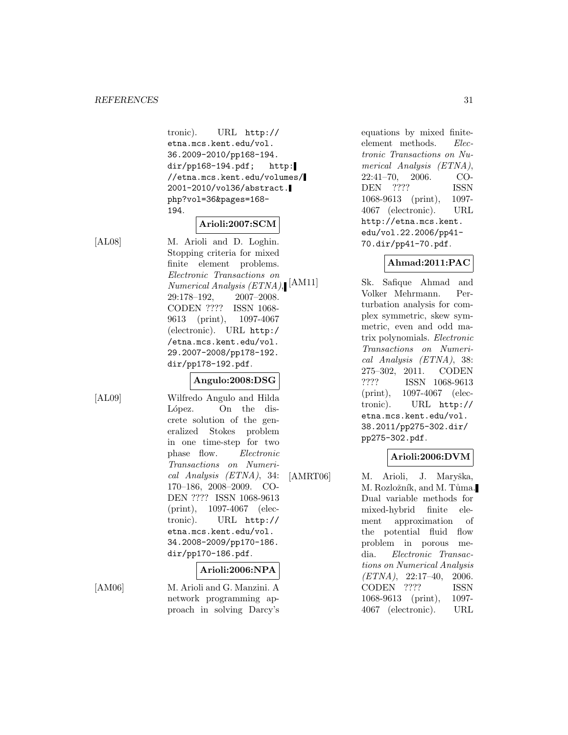tronic). URL http:// etna.mcs.kent.edu/vol. 36.2009-2010/pp168-194. dir/pp168-194.pdf; http: //etna.mcs.kent.edu/volumes/ 2001-2010/vol36/abstract. php?vol=36&pages=168- 194.

**Arioli:2007:SCM**

[AL08] M. Arioli and D. Loghin. Stopping criteria for mixed finite element problems. Electronic Transactions on Numerical Analysis (ETNA), 29:178–192, 2007–2008. CODEN ???? ISSN 1068- 9613 (print), 1097-4067 (electronic). URL http:/ /etna.mcs.kent.edu/vol. 29.2007-2008/pp178-192. dir/pp178-192.pdf.

# **Angulo:2008:DSG**

[AL09] Wilfredo Angulo and Hilda López. On the discrete solution of the generalized Stokes problem in one time-step for two phase flow. Electronic Transactions on Numerical Analysis (ETNA), 34: 170–186, 2008–2009. CO-DEN ???? ISSN 1068-9613 (print), 1097-4067 (electronic). URL http:// etna.mcs.kent.edu/vol. 34.2008-2009/pp170-186. dir/pp170-186.pdf.

# **Arioli:2006:NPA**

[AM06] M. Arioli and G. Manzini. A network programming approach in solving Darcy's equations by mixed finiteelement methods. Electronic Transactions on Numerical Analysis (ETNA), 22:41–70, 2006. CO-DEN ???? ISSN 1068-9613 (print), 1097- 4067 (electronic). URL http://etna.mcs.kent. edu/vol.22.2006/pp41- 70.dir/pp41-70.pdf.

# **Ahmad:2011:PAC**

Sk. Safique Ahmad and Volker Mehrmann. Perturbation analysis for complex symmetric, skew symmetric, even and odd matrix polynomials. Electronic Transactions on Numerical Analysis (ETNA), 38: 275–302, 2011. CODEN ???? ISSN 1068-9613 (print), 1097-4067 (electronic). URL http:// etna.mcs.kent.edu/vol. 38.2011/pp275-302.dir/ pp275-302.pdf.

# **Arioli:2006:DVM**

[AMRT06] M. Arioli, J. Maryška, M. Rozložník, and M. Tůma. Dual variable methods for mixed-hybrid finite element approximation of the potential fluid flow problem in porous media. Electronic Transactions on Numerical Analysis (ETNA), 22:17–40, 2006. CODEN ???? ISSN 1068-9613 (print), 1097- 4067 (electronic). URL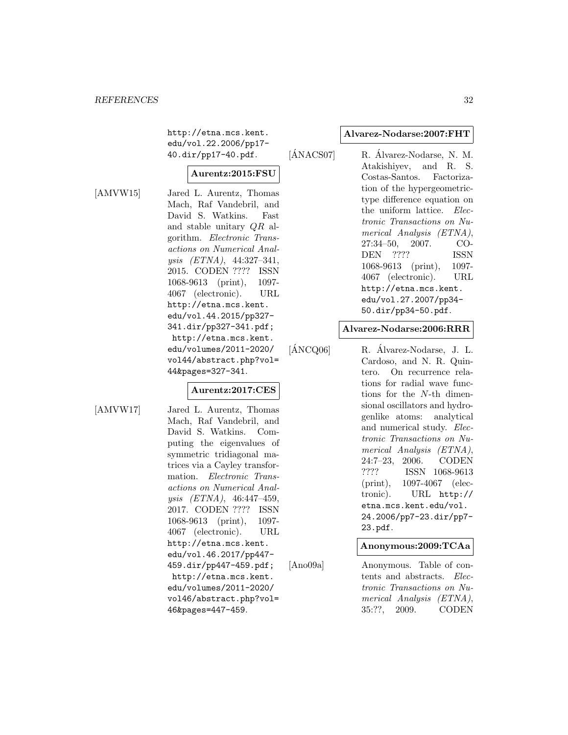http://etna.mcs.kent. edu/vol.22.2006/pp17- 40.dir/pp17-40.pdf.

# **Aurentz:2015:FSU**

[AMVW15] Jared L. Aurentz, Thomas Mach, Raf Vandebril, and David S. Watkins. Fast and stable unitary QR algorithm. Electronic Transactions on Numerical Analysis (ETNA), 44:327–341, 2015. CODEN ???? ISSN 1068-9613 (print), 1097- 4067 (electronic). URL http://etna.mcs.kent. edu/vol.44.2015/pp327- 341.dir/pp327-341.pdf; http://etna.mcs.kent. edu/volumes/2011-2020/ vol44/abstract.php?vol= 44&pages=327-341.

# **Aurentz:2017:CES**

[AMVW17] Jared L. Aurentz, Thomas Mach, Raf Vandebril, and David S. Watkins. Computing the eigenvalues of symmetric tridiagonal matrices via a Cayley transformation. Electronic Transactions on Numerical Analysis (ETNA), 46:447–459, 2017. CODEN ???? ISSN 1068-9613 (print), 1097- 4067 (electronic). URL http://etna.mcs.kent. edu/vol.46.2017/pp447- 459.dir/pp447-459.pdf; http://etna.mcs.kent. edu/volumes/2011-2020/ vol46/abstract.php?vol= 46&pages=447-459.

#### **Alvarez-Nodarse:2007:FHT**

 $[\hat{\text{ANACS}}07]$  R.  $\hat{\text{Alvarez-Nodarse}}$ , N. M. Atakishiyev, and R. S. Costas-Santos. Factorization of the hypergeometrictype difference equation on the uniform lattice. Electronic Transactions on Numerical Analysis (ETNA), 27:34–50, 2007. CO-DEN ???? ISSN 1068-9613 (print), 1097- 4067 (electronic). URL http://etna.mcs.kent. edu/vol.27.2007/pp34- 50.dir/pp34-50.pdf.

# **Alvarez-Nodarse:2006:RRR**

 $[\text{ANCQ06}]$  R.  $\text{Alvarez-Nodarse}, \text{ J. L.}$ Cardoso, and N. R. Quintero. On recurrence relations for radial wave functions for the N-th dimensional oscillators and hydrogenlike atoms: analytical and numerical study. Electronic Transactions on Numerical Analysis (ETNA), 24:7–23, 2006. CODEN ???? ISSN 1068-9613 (print), 1097-4067 (electronic). URL http:// etna.mcs.kent.edu/vol. 24.2006/pp7-23.dir/pp7- 23.pdf.

# **Anonymous:2009:TCAa**

[Ano09a] Anonymous. Table of contents and abstracts. Electronic Transactions on Numerical Analysis (ETNA), 35:??, 2009. CODEN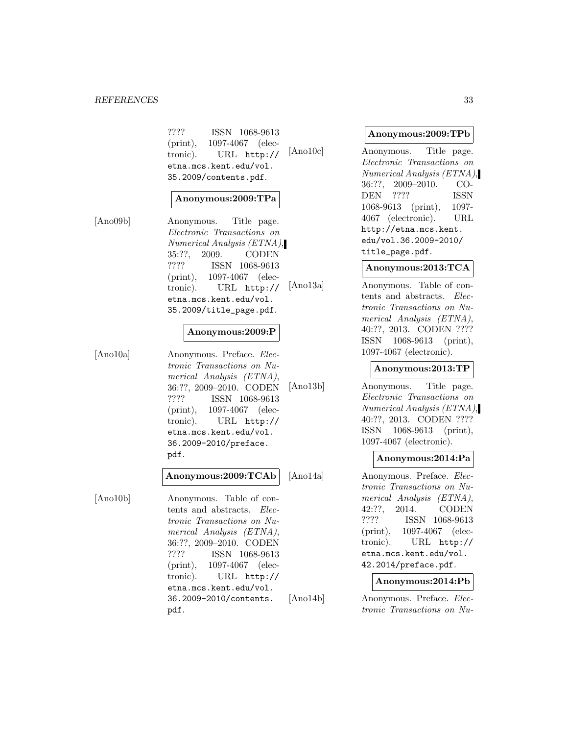#### *REFERENCES* 33

???? ISSN 1068-9613 (print), 1097-4067 (electronic). URL http:// etna.mcs.kent.edu/vol. 35.2009/contents.pdf.

# **Anonymous:2009:TPa**

[Ano09b] Anonymous. Title page. Electronic Transactions on Numerical Analysis (ETNA), 35:??, 2009. CODEN ???? ISSN 1068-9613 (print), 1097-4067 (electronic). URL http:// etna.mcs.kent.edu/vol. 35.2009/title\_page.pdf.

# **Anonymous:2009:P**

[Ano10a] Anonymous. Preface. Electronic Transactions on Numerical Analysis (ETNA), 36:??, 2009–2010. CODEN ???? ISSN 1068-9613 (print), 1097-4067 (electronic). URL http:// etna.mcs.kent.edu/vol. 36.2009-2010/preface. pdf.

# **Anonymous:2009:TCAb**

[Ano10b] Anonymous. Table of contents and abstracts. Electronic Transactions on Numerical Analysis (ETNA), 36:??, 2009–2010. CODEN ???? ISSN 1068-9613 (print), 1097-4067 (electronic). URL http:// etna.mcs.kent.edu/vol. 36.2009-2010/contents. pdf.

#### **Anonymous:2009:TPb**

[Ano10c] Anonymous. Title page. Electronic Transactions on Numerical Analysis (ETNA), 36:??, 2009–2010. CO-DEN ???? ISSN 1068-9613 (print), 1097- 4067 (electronic). URL http://etna.mcs.kent. edu/vol.36.2009-2010/ title\_page.pdf.

# **Anonymous:2013:TCA**

[Ano13a] Anonymous. Table of contents and abstracts. Electronic Transactions on Numerical Analysis (ETNA), 40:??, 2013. CODEN ???? ISSN 1068-9613 (print), 1097-4067 (electronic).

# **Anonymous:2013:TP**

[Ano13b] Anonymous. Title page. Electronic Transactions on Numerical Analysis (ETNA), 40:??, 2013. CODEN ???? ISSN 1068-9613 (print), 1097-4067 (electronic).

# **Anonymous:2014:Pa**

[Ano14a] Anonymous. Preface. Electronic Transactions on Numerical Analysis (ETNA), 42:??, 2014. CODEN ???? ISSN 1068-9613 (print), 1097-4067 (electronic). URL http:// etna.mcs.kent.edu/vol. 42.2014/preface.pdf.

# **Anonymous:2014:Pb**

[Ano14b] Anonymous. Preface. Electronic Transactions on Nu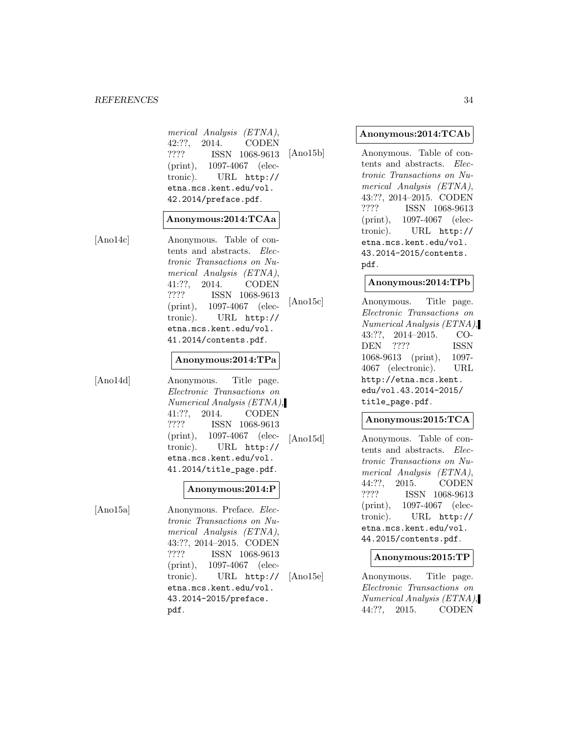merical Analysis (ETNA), 42:??, 2014. CODEN ???? ISSN 1068-9613 (print), 1097-4067 (electronic). URL http:// etna.mcs.kent.edu/vol. 42.2014/preface.pdf.

# **Anonymous:2014:TCAa**

[Ano14c] Anonymous. Table of contents and abstracts. Electronic Transactions on Numerical Analysis (ETNA), 41:??, 2014. CODEN ???? ISSN 1068-9613 (print), 1097-4067 (electronic). URL http:// etna.mcs.kent.edu/vol. 41.2014/contents.pdf.

# **Anonymous:2014:TPa**

[Ano14d] Anonymous. Title page. Electronic Transactions on Numerical Analysis (ETNA), 41:??, 2014. CODEN ???? ISSN 1068-9613 (print), 1097-4067 (electronic). URL http:// etna.mcs.kent.edu/vol. 41.2014/title\_page.pdf.

# **Anonymous:2014:P**

[Ano15a] Anonymous. Preface. Electronic Transactions on Numerical Analysis (ETNA), 43:??, 2014–2015. CODEN ???? ISSN 1068-9613 (print), 1097-4067 (electronic). URL http:// etna.mcs.kent.edu/vol. 43.2014-2015/preface. pdf.

# **Anonymous:2014:TCAb**

[Ano15b] Anonymous. Table of contents and abstracts. Electronic Transactions on Numerical Analysis (ETNA), 43:??, 2014–2015. CODEN ???? ISSN 1068-9613 (print), 1097-4067 (electronic). URL http:// etna.mcs.kent.edu/vol. 43.2014-2015/contents. pdf.

# **Anonymous:2014:TPb**

[Ano15c] Anonymous. Title page. Electronic Transactions on Numerical Analysis (ETNA), 43:??, 2014–2015. CO-DEN ???? ISSN 1068-9613 (print), 1097- 4067 (electronic). URL http://etna.mcs.kent. edu/vol.43.2014-2015/ title\_page.pdf.

#### **Anonymous:2015:TCA**

[Ano15d] Anonymous. Table of contents and abstracts. Electronic Transactions on Numerical Analysis (ETNA), 44:??, 2015. CODEN ???? ISSN 1068-9613 (print), 1097-4067 (electronic). URL http:// etna.mcs.kent.edu/vol. 44.2015/contents.pdf.

# **Anonymous:2015:TP**

[Ano15e] Anonymous. Title page. Electronic Transactions on Numerical Analysis (ETNA), 44:??, 2015. CODEN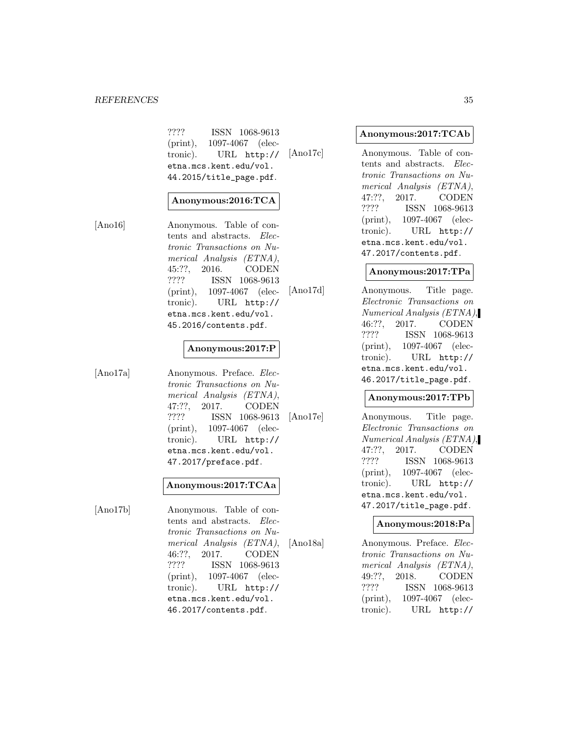#### *REFERENCES* 35

???? ISSN 1068-9613 (print), 1097-4067 (electronic). URL http:// etna.mcs.kent.edu/vol. 44.2015/title\_page.pdf.

# **Anonymous:2016:TCA**

[Ano16] Anonymous. Table of contents and abstracts. Electronic Transactions on Numerical Analysis (ETNA), 45:??, 2016. CODEN ???? ISSN 1068-9613 (print), 1097-4067 (electronic). URL http:// etna.mcs.kent.edu/vol. 45.2016/contents.pdf.

# **Anonymous:2017:P**

[Ano17a] Anonymous. Preface. Electronic Transactions on Numerical Analysis (ETNA), 47:??, 2017. CODEN ???? ISSN 1068-9613 (print), 1097-4067 (electronic). URL http:// etna.mcs.kent.edu/vol. 47.2017/preface.pdf.

### **Anonymous:2017:TCAa**

[Ano17b] Anonymous. Table of contents and abstracts. Electronic Transactions on Numerical Analysis (ETNA), 46:??, 2017. CODEN ???? ISSN 1068-9613 (print), 1097-4067 (electronic). URL http:// etna.mcs.kent.edu/vol. 46.2017/contents.pdf.

#### **Anonymous:2017:TCAb**

[Ano17c] Anonymous. Table of contents and abstracts. Electronic Transactions on Numerical Analysis (ETNA), 47:??, 2017. CODEN ???? ISSN 1068-9613 (print), 1097-4067 (electronic). URL http:// etna.mcs.kent.edu/vol. 47.2017/contents.pdf.

# **Anonymous:2017:TPa**

[Ano17d] Anonymous. Title page. Electronic Transactions on Numerical Analysis (ETNA), 46:??, 2017. CODEN ???? ISSN 1068-9613 (print), 1097-4067 (electronic). URL http:// etna.mcs.kent.edu/vol. 46.2017/title\_page.pdf.

# **Anonymous:2017:TPb**

[Ano17e] Anonymous. Title page. Electronic Transactions on Numerical Analysis (ETNA), 47:??, 2017. CODEN ???? ISSN 1068-9613 (print), 1097-4067 (electronic). URL http:// etna.mcs.kent.edu/vol. 47.2017/title\_page.pdf.

#### **Anonymous:2018:Pa**

[Ano18a] Anonymous. Preface. Electronic Transactions on Numerical Analysis (ETNA), 49:??, 2018. CODEN ???? ISSN 1068-9613 (print), 1097-4067 (electronic). URL http://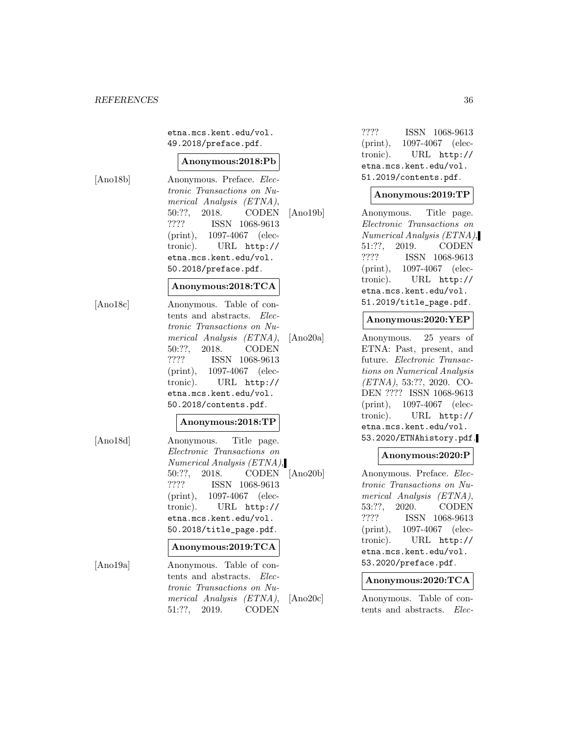etna.mcs.kent.edu/vol. 49.2018/preface.pdf.

#### **Anonymous:2018:Pb**

[Ano18b] Anonymous. Preface. Electronic Transactions on Numerical Analysis (ETNA), 50:??, 2018. CODEN ???? ISSN 1068-9613 (print), 1097-4067 (electronic). URL http:// etna.mcs.kent.edu/vol. 50.2018/preface.pdf.

# **Anonymous:2018:TCA**

[Ano18c] Anonymous. Table of contents and abstracts. Electronic Transactions on Numerical Analysis (ETNA), 50:??, 2018. CODEN ???? ISSN 1068-9613 (print), 1097-4067 (electronic). URL http:// etna.mcs.kent.edu/vol. 50.2018/contents.pdf.

# **Anonymous:2018:TP**

[Ano18d] Anonymous. Title page. Electronic Transactions on Numerical Analysis (ETNA), 50:??, 2018. CODEN ???? ISSN 1068-9613 (print), 1097-4067 (electronic). URL http:// etna.mcs.kent.edu/vol. 50.2018/title\_page.pdf.

# **Anonymous:2019:TCA**

[Ano19a] Anonymous. Table of contents and abstracts. Electronic Transactions on Numerical Analysis (ETNA), 51:??, 2019. CODEN

???? ISSN 1068-9613 (print), 1097-4067 (electronic). URL http:// etna.mcs.kent.edu/vol. 51.2019/contents.pdf.

# **Anonymous:2019:TP**

[Ano19b] Anonymous. Title page. Electronic Transactions on Numerical Analysis (ETNA), 51:??, 2019. CODEN ???? ISSN 1068-9613 (print), 1097-4067 (electronic). URL http:// etna.mcs.kent.edu/vol. 51.2019/title\_page.pdf.

# **Anonymous:2020:YEP**

[Ano20a] Anonymous. 25 years of ETNA: Past, present, and future. Electronic Transactions on Numerical Analysis (ETNA), 53:??, 2020. CO-DEN ???? ISSN 1068-9613 (print), 1097-4067 (electronic). URL http:// etna.mcs.kent.edu/vol. 53.2020/ETNAhistory.pdf.

# **Anonymous:2020:P**

[Ano20b] Anonymous. Preface. Electronic Transactions on Numerical Analysis (ETNA), 53:??, 2020. CODEN ???? ISSN 1068-9613 (print), 1097-4067 (electronic). URL http:// etna.mcs.kent.edu/vol. 53.2020/preface.pdf.

#### **Anonymous:2020:TCA**

[Ano20c] Anonymous. Table of contents and abstracts. Elec-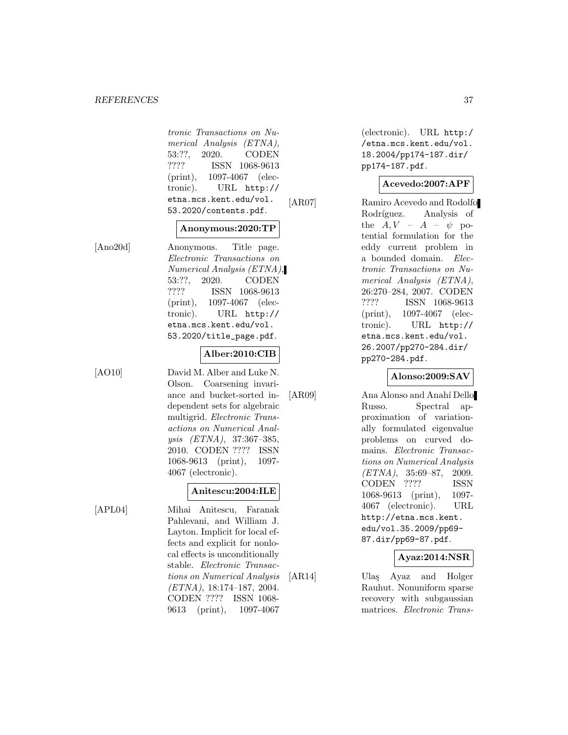tronic Transactions on Numerical Analysis (ETNA), 53:??, 2020. CODEN ???? ISSN 1068-9613 (print), 1097-4067 (electronic). URL http:// etna.mcs.kent.edu/vol. 53.2020/contents.pdf.

#### **Anonymous:2020:TP**

[Ano20d] Anonymous. Title page. Electronic Transactions on Numerical Analysis (ETNA), 53:??, 2020. CODEN ???? ISSN 1068-9613 (print), 1097-4067 (electronic). URL http:// etna.mcs.kent.edu/vol. 53.2020/title\_page.pdf.

#### **Alber:2010:CIB**

[AO10] David M. Alber and Luke N.

Olson. Coarsening invariance and bucket-sorted independent sets for algebraic multigrid. Electronic Transactions on Numerical Analysis (ETNA), 37:367–385, 2010. CODEN ???? ISSN 1068-9613 (print), 1097- 4067 (electronic).

#### **Anitescu:2004:ILE**

[APL04] Mihai Anitescu, Faranak Pahlevani, and William J. Layton. Implicit for local effects and explicit for nonlocal effects is unconditionally stable. Electronic Transactions on Numerical Analysis (ETNA), 18:174–187, 2004. CODEN ???? ISSN 1068- 9613 (print), 1097-4067

(electronic). URL http:/ /etna.mcs.kent.edu/vol. 18.2004/pp174-187.dir/ pp174-187.pdf.

#### **Acevedo:2007:APF**

[AR07] Ramiro Acevedo and Rodolfo Rodríguez. Analysis of the  $A, V - A - \psi$  potential formulation for the eddy current problem in a bounded domain. Electronic Transactions on Numerical Analysis (ETNA), 26:270–284, 2007. CODEN ???? ISSN 1068-9613 (print), 1097-4067 (electronic). URL http:// etna.mcs.kent.edu/vol. 26.2007/pp270-284.dir/ pp270-284.pdf.

#### **Alonso:2009:SAV**

[AR09] Ana Alonso and Anahí Dello Russo. Spectral approximation of variationally formulated eigenvalue problems on curved domains. Electronic Transactions on Numerical Analysis  $(ETNA)$ , 35:69-87, 2009. CODEN ???? ISSN 1068-9613 (print), 1097- 4067 (electronic). URL http://etna.mcs.kent. edu/vol.35.2009/pp69- 87.dir/pp69-87.pdf.

# **Ayaz:2014:NSR**

[AR14] Ulaş Ayaz and Holger Rauhut. Nonuniform sparse recovery with subgaussian matrices. Electronic Trans-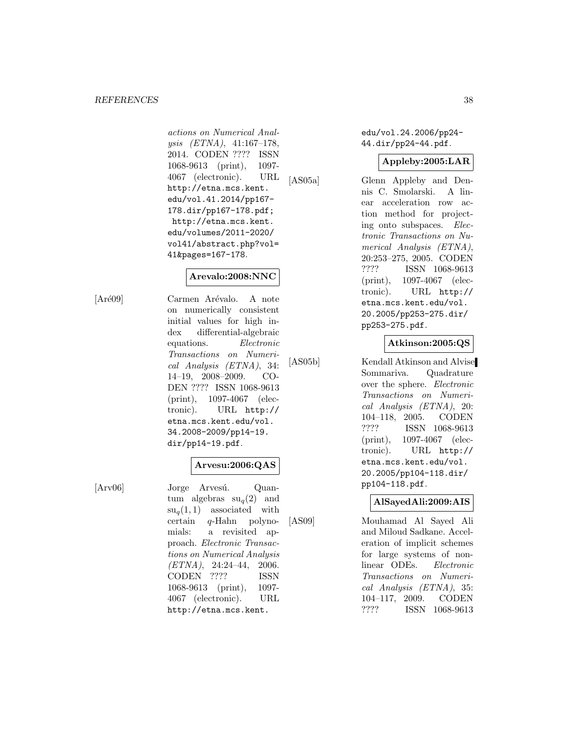#### *REFERENCES* 38

actions on Numerical Analysis (ETNA), 41:167–178, 2014. CODEN ???? ISSN 1068-9613 (print), 1097- 4067 (electronic). URL http://etna.mcs.kent. edu/vol.41.2014/pp167- 178.dir/pp167-178.pdf; http://etna.mcs.kent. edu/volumes/2011-2020/ vol41/abstract.php?vol= 41&pages=167-178.

# **Arevalo:2008:NNC**

[Aré09] Carmen Arévalo. A note on numerically consistent initial values for high index differential-algebraic equations. Electronic Transactions on Numerical Analysis (ETNA), 34: 14–19, 2008–2009. CO-DEN ???? ISSN 1068-9613 (print), 1097-4067 (electronic). URL http:// etna.mcs.kent.edu/vol. 34.2008-2009/pp14-19. dir/pp14-19.pdf.

# **Arvesu:2006:QAS**

[Arv06] Jorge Arvesú. Quantum algebras  $su_q(2)$  and  $su_q(1,1)$  associated with certain q-Hahn polynomials: a revisited approach. Electronic Transactions on Numerical Analysis  $(ETNA), 24:24-44, 2006.$ CODEN ???? ISSN 1068-9613 (print), 1097- 4067 (electronic). URL http://etna.mcs.kent.

edu/vol.24.2006/pp24- 44.dir/pp24-44.pdf.

### **Appleby:2005:LAR**

[AS05a] Glenn Appleby and Dennis C. Smolarski. A linear acceleration row action method for projecting onto subspaces. Electronic Transactions on Numerical Analysis (ETNA), 20:253–275, 2005. CODEN ???? ISSN 1068-9613 (print), 1097-4067 (electronic). URL http:// etna.mcs.kent.edu/vol. 20.2005/pp253-275.dir/ pp253-275.pdf.

**Atkinson:2005:QS**

[AS05b] Kendall Atkinson and Alvise Sommariva. Quadrature over the sphere. Electronic Transactions on Numerical Analysis (ETNA), 20: 104–118, 2005. CODEN ???? ISSN 1068-9613 (print), 1097-4067 (electronic). URL http:// etna.mcs.kent.edu/vol. 20.2005/pp104-118.dir/ pp104-118.pdf.

#### **AlSayedAli:2009:AIS**

[AS09] Mouhamad Al Sayed Ali and Miloud Sadkane. Acceleration of implicit schemes for large systems of nonlinear ODEs. Electronic Transactions on Numerical Analysis (ETNA), 35: 104–117, 2009. CODEN ???? ISSN 1068-9613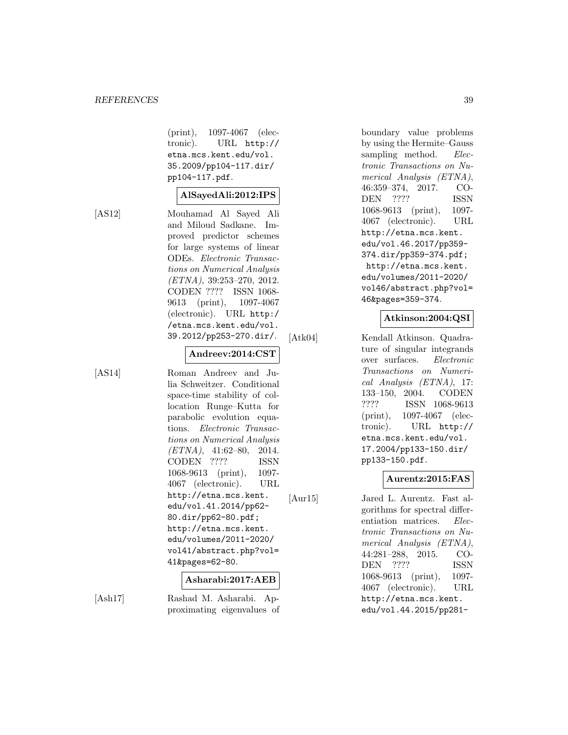(print), 1097-4067 (electronic). URL http:// etna.mcs.kent.edu/vol. 35.2009/pp104-117.dir/ pp104-117.pdf.

#### **AlSayedAli:2012:IPS**

[AS12] Mouhamad Al Sayed Ali and Miloud Sadkane. Improved predictor schemes for large systems of linear ODEs. Electronic Transactions on Numerical Analysis (ETNA), 39:253–270, 2012. CODEN ???? ISSN 1068- 9613 (print), 1097-4067 (electronic). URL http:/ /etna.mcs.kent.edu/vol. 39.2012/pp253-270.dir/.

#### **Andreev:2014:CST**

[AS14] Roman Andreev and Julia Schweitzer. Conditional space-time stability of collocation Runge–Kutta for parabolic evolution equations. Electronic Transactions on Numerical Analysis  $(ETNA)$ , 41:62-80, 2014. CODEN ???? ISSN 1068-9613 (print), 1097- 4067 (electronic). URL http://etna.mcs.kent. edu/vol.41.2014/pp62- 80.dir/pp62-80.pdf; http://etna.mcs.kent. edu/volumes/2011-2020/ vol41/abstract.php?vol= 41&pages=62-80.

#### **Asharabi:2017:AEB**

[Ash17] Rashad M. Asharabi. Approximating eigenvalues of boundary value problems by using the Hermite–Gauss sampling method. Electronic Transactions on Numerical Analysis (ETNA), 46:359–374, 2017. CO-DEN ???? ISSN 1068-9613 (print), 1097- 4067 (electronic). URL http://etna.mcs.kent. edu/vol.46.2017/pp359- 374.dir/pp359-374.pdf; http://etna.mcs.kent. edu/volumes/2011-2020/ vol46/abstract.php?vol= 46&pages=359-374.

# **Atkinson:2004:QSI**

[Atk04] Kendall Atkinson. Quadrature of singular integrands over surfaces. Electronic Transactions on Numerical Analysis (ETNA), 17: 133–150, 2004. CODEN ???? ISSN 1068-9613 (print), 1097-4067 (electronic). URL http:// etna.mcs.kent.edu/vol. 17.2004/pp133-150.dir/ pp133-150.pdf.

# **Aurentz:2015:FAS**

[Aur15] Jared L. Aurentz. Fast algorithms for spectral differentiation matrices. *Elec*tronic Transactions on Numerical Analysis (ETNA), 44:281–288, 2015. CO-DEN ???? ISSN 1068-9613 (print), 1097- 4067 (electronic). URL http://etna.mcs.kent. edu/vol.44.2015/pp281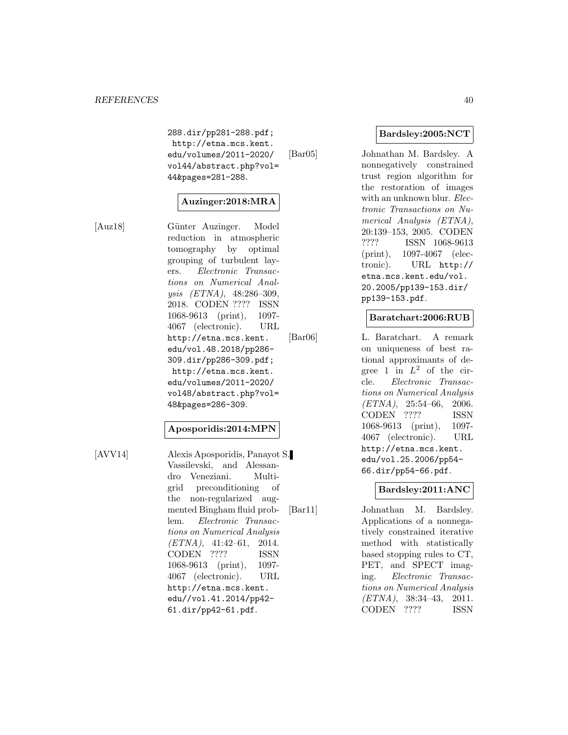288.dir/pp281-288.pdf; http://etna.mcs.kent. edu/volumes/2011-2020/ vol44/abstract.php?vol= 44&pages=281-288.

# **Auzinger:2018:MRA**

[Auz18] Günter Auzinger. Model reduction in atmospheric tomography by optimal grouping of turbulent layers. Electronic Transactions on Numerical Analysis (ETNA), 48:286–309, 2018. CODEN ???? ISSN 1068-9613 (print), 1097- 4067 (electronic). URL http://etna.mcs.kent. edu/vol.48.2018/pp286- 309.dir/pp286-309.pdf; http://etna.mcs.kent. edu/volumes/2011-2020/ vol48/abstract.php?vol= 48&pages=286-309.

#### **Aposporidis:2014:MPN**

[AVV14] Alexis Aposporidis, Panayot S. Vassilevski, and Alessandro Veneziani. Multigrid preconditioning of the non-regularized augmented Bingham fluid problem. Electronic Transactions on Numerical Analysis  $(ETNA)$ , 41:42-61, 2014. CODEN ???? ISSN 1068-9613 (print), 1097- 4067 (electronic). URL http://etna.mcs.kent. edu//vol.41.2014/pp42- 61.dir/pp42-61.pdf.

# **Bardsley:2005:NCT**

[Bar05] Johnathan M. Bardsley. A nonnegatively constrained trust region algorithm for the restoration of images with an unknown blur. Electronic Transactions on Numerical Analysis (ETNA), 20:139–153, 2005. CODEN ???? ISSN 1068-9613 (print), 1097-4067 (electronic). URL http:// etna.mcs.kent.edu/vol. 20.2005/pp139-153.dir/ pp139-153.pdf.

#### **Baratchart:2006:RUB**

[Bar06] L. Baratchart. A remark on uniqueness of best rational approximants of degree 1 in  $L^2$  of the circle. Electronic Transactions on Numerical Analysis  $(ETNA)$ , 25:54-66, 2006. CODEN ???? ISSN 1068-9613 (print), 1097- 4067 (electronic). URL http://etna.mcs.kent. edu/vol.25.2006/pp54- 66.dir/pp54-66.pdf.

# **Bardsley:2011:ANC**

[Bar11] Johnathan M. Bardsley. Applications of a nonnegatively constrained iterative method with statistically based stopping rules to CT, PET, and SPECT imaging. Electronic Transactions on Numerical Analysis (ETNA), 38:34–43, 2011. CODEN ???? ISSN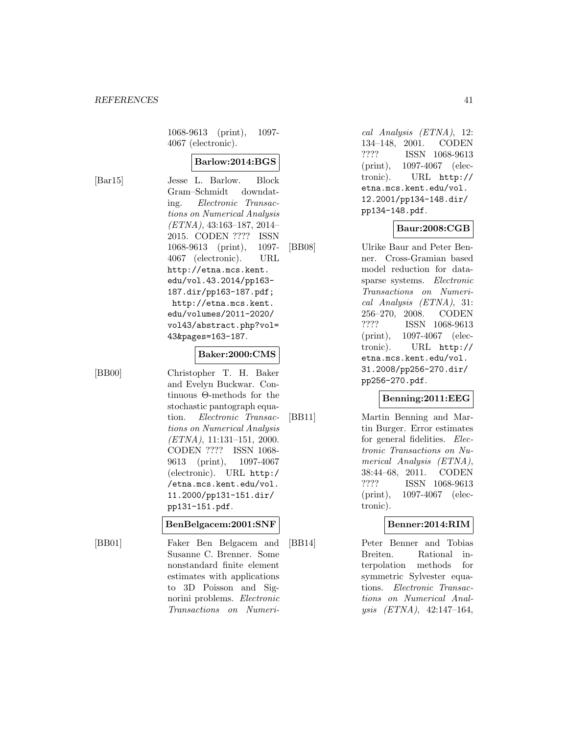1068-9613 (print), 1097- 4067 (electronic).

# **Barlow:2014:BGS**

[Bar15] Jesse L. Barlow. Block Gram–Schmidt downdating. Electronic Transactions on Numerical Analysis (ETNA), 43:163–187, 2014– 2015. CODEN ???? ISSN 1068-9613 (print), 1097- 4067 (electronic). URL http://etna.mcs.kent. edu/vol.43.2014/pp163- 187.dir/pp163-187.pdf; http://etna.mcs.kent. edu/volumes/2011-2020/ vol43/abstract.php?vol= 43&pages=163-187.

#### **Baker:2000:CMS**

[BB00] Christopher T. H. Baker and Evelyn Buckwar. Continuous Θ-methods for the stochastic pantograph equation. Electronic Transactions on Numerical Analysis (ETNA), 11:131–151, 2000. CODEN ???? ISSN 1068- 9613 (print), 1097-4067 (electronic). URL http:/ /etna.mcs.kent.edu/vol. 11.2000/pp131-151.dir/ pp131-151.pdf.

#### **BenBelgacem:2001:SNF**

[BB01] Faker Ben Belgacem and Susanne C. Brenner. Some nonstandard finite element estimates with applications to 3D Poisson and Signorini problems. Electronic Transactions on Numeri-

cal Analysis (ETNA), 12: 134–148, 2001. CODEN ???? ISSN 1068-9613 (print), 1097-4067 (electronic). URL http:// etna.mcs.kent.edu/vol. 12.2001/pp134-148.dir/ pp134-148.pdf.

#### **Baur:2008:CGB**

[BB08] Ulrike Baur and Peter Benner. Cross-Gramian based model reduction for datasparse systems. Electronic Transactions on Numerical Analysis (ETNA), 31: 256–270, 2008. CODEN ???? ISSN 1068-9613 (print), 1097-4067 (electronic). URL http:// etna.mcs.kent.edu/vol. 31.2008/pp256-270.dir/ pp256-270.pdf.

# **Benning:2011:EEG**

[BB11] Martin Benning and Martin Burger. Error estimates for general fidelities. Electronic Transactions on Numerical Analysis (ETNA), 38:44–68, 2011. CODEN ???? ISSN 1068-9613 (print), 1097-4067 (electronic).

#### **Benner:2014:RIM**

[BB14] Peter Benner and Tobias Breiten. Rational interpolation methods for symmetric Sylvester equations. Electronic Transactions on Numerical Analysis (ETNA), 42:147–164,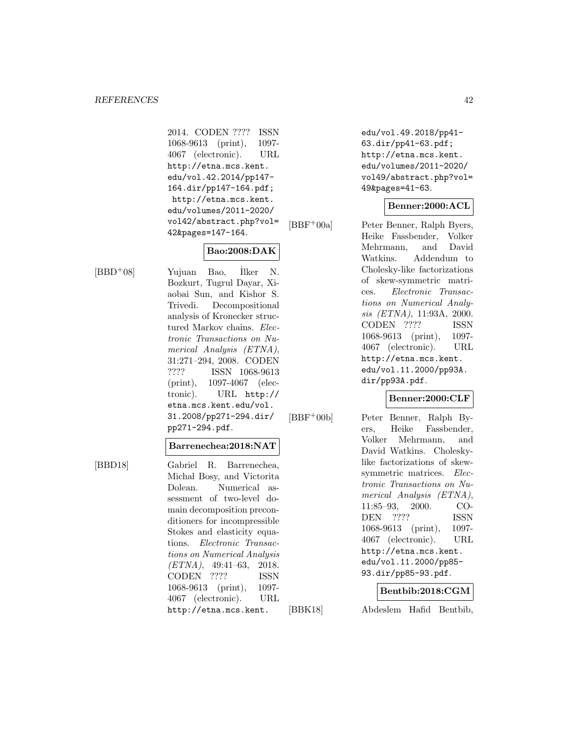2014. CODEN ???? ISSN 1068-9613 (print), 1097- 4067 (electronic). URL http://etna.mcs.kent. edu/vol.42.2014/pp147- 164.dir/pp147-164.pdf; http://etna.mcs.kent. edu/volumes/2011-2020/ vol42/abstract.php?vol= 42&pages=147-164.

# **Bao:2008:DAK**

 $[BBD+08]$  Yujuan Bao, Ilker N. Bozkurt, Tugrul Dayar, Xiaobai Sun, and Kishor S. Trivedi. Decompositional analysis of Kronecker structured Markov chains. Electronic Transactions on Numerical Analysis (ETNA), 31:271–294, 2008. CODEN ???? ISSN 1068-9613 (print), 1097-4067 (electronic). URL http:// etna.mcs.kent.edu/vol. 31.2008/pp271-294.dir/ pp271-294.pdf.

### **Barrenechea:2018:NAT**

[BBD18] Gabriel R. Barrenechea, Michał Bosy, and Victorita Dolean. Numerical assessment of two-level domain decomposition preconditioners for incompressible Stokes and elasticity equations. Electronic Transactions on Numerical Analysis (ETNA), 49:41–63, 2018. CODEN ???? ISSN 1068-9613 (print), 1097- 4067 (electronic). URL http://etna.mcs.kent.

edu/vol.49.2018/pp41- 63.dir/pp41-63.pdf; http://etna.mcs.kent. edu/volumes/2011-2020/ vol49/abstract.php?vol= 49&pages=41-63.

# **Benner:2000:ACL**

[BBF<sup>+</sup>00a] Peter Benner, Ralph Byers, Heike Fassbender, Volker Mehrmann, and David Watkins. Addendum to Cholesky-like factorizations of skew-symmetric matrices. Electronic Transactions on Numerical Analysis (ETNA), 11:93A, 2000. CODEN ???? ISSN 1068-9613 (print), 1097- 4067 (electronic). URL http://etna.mcs.kent. edu/vol.11.2000/pp93A. dir/pp93A.pdf.

# **Benner:2000:CLF**

[BBF<sup>+</sup>00b] Peter Benner, Ralph Byers, Heike Fassbender, Volker Mehrmann, and David Watkins. Choleskylike factorizations of skewsymmetric matrices. Electronic Transactions on Numerical Analysis (ETNA), 11:85–93, 2000. CO-DEN ???? ISSN 1068-9613 (print), 1097- 4067 (electronic). URL http://etna.mcs.kent. edu/vol.11.2000/pp85- 93.dir/pp85-93.pdf.

#### **Bentbib:2018:CGM**

[BBK18] Abdeslem Hafid Bentbib,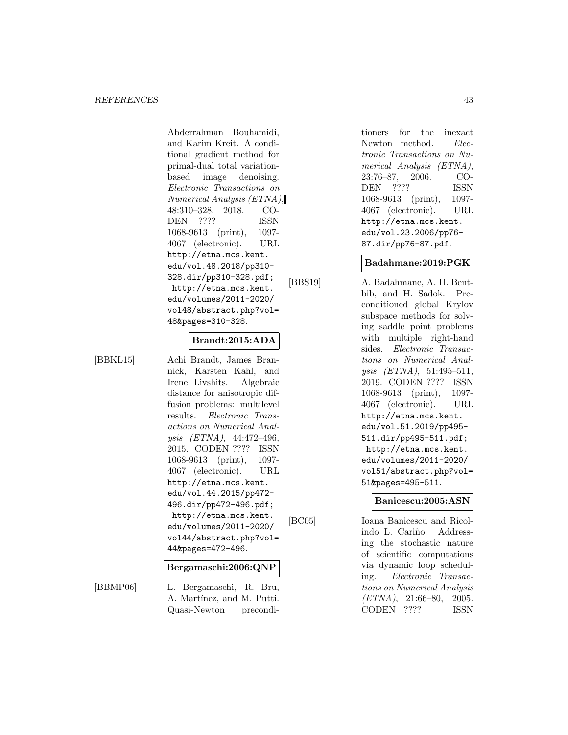Abderrahman Bouhamidi, and Karim Kreit. A conditional gradient method for primal-dual total variationbased image denoising. Electronic Transactions on Numerical Analysis (ETNA), 48:310–328, 2018. CO-DEN ???? ISSN 1068-9613 (print), 1097- 4067 (electronic). URL http://etna.mcs.kent. edu/vol.48.2018/pp310- 328.dir/pp310-328.pdf; http://etna.mcs.kent. edu/volumes/2011-2020/ vol48/abstract.php?vol= 48&pages=310-328.

#### **Brandt:2015:ADA**

[BBKL15] Achi Brandt, James Brannick, Karsten Kahl, and Irene Livshits. Algebraic distance for anisotropic diffusion problems: multilevel results. Electronic Transactions on Numerical Analysis (ETNA), 44:472–496, 2015. CODEN ???? ISSN 1068-9613 (print), 1097- 4067 (electronic). URL http://etna.mcs.kent. edu/vol.44.2015/pp472- 496.dir/pp472-496.pdf; http://etna.mcs.kent. edu/volumes/2011-2020/ vol44/abstract.php?vol= 44&pages=472-496.

#### **Bergamaschi:2006:QNP**

[BBMP06] L. Bergamaschi, R. Bru, A. Martínez, and M. Putti. Quasi-Newton preconditioners for the inexact Newton method. Electronic Transactions on Numerical Analysis (ETNA), 23:76–87, 2006. CO-DEN ???? ISSN 1068-9613 (print), 1097- 4067 (electronic). URL http://etna.mcs.kent. edu/vol.23.2006/pp76- 87.dir/pp76-87.pdf.

#### **Badahmane:2019:PGK**

[BBS19] A. Badahmane, A. H. Bentbib, and H. Sadok. Preconditioned global Krylov subspace methods for solving saddle point problems with multiple right-hand sides. Electronic Transactions on Numerical Analysis (ETNA), 51:495–511, 2019. CODEN ???? ISSN 1068-9613 (print), 1097- 4067 (electronic). URL http://etna.mcs.kent. edu/vol.51.2019/pp495- 511.dir/pp495-511.pdf; http://etna.mcs.kent. edu/volumes/2011-2020/ vol51/abstract.php?vol= 51&pages=495-511.

#### **Banicescu:2005:ASN**

[BC05] Ioana Banicescu and Ricolindo L. Cariño. Addressing the stochastic nature of scientific computations via dynamic loop scheduling. Electronic Transactions on Numerical Analysis (ETNA), 21:66–80, 2005. CODEN ???? ISSN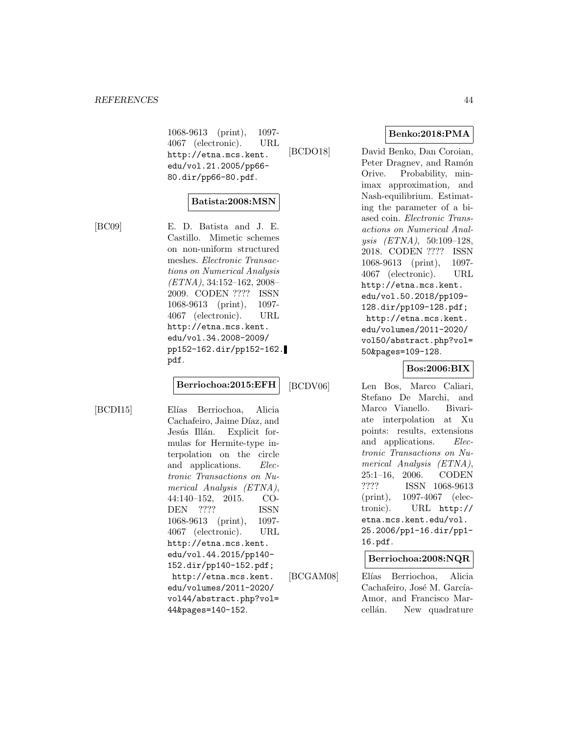1068-9613 (print), 1097- 4067 (electronic). URL http://etna.mcs.kent. edu/vol.21.2005/pp66- 80.dir/pp66-80.pdf.

# **Batista:2008:MSN**

[BC09] E. D. Batista and J. E. Castillo. Mimetic schemes on non-uniform structured meshes. Electronic Transactions on Numerical Analysis (ETNA), 34:152–162, 2008– 2009. CODEN ???? ISSN 1068-9613 (print), 1097- 4067 (electronic). URL http://etna.mcs.kent. edu/vol.34.2008-2009/ pp152-162.dir/pp152-162. pdf.

#### **Berriochoa:2015:EFH**

[BCDI15] Elías Berriochoa, Alicia Cachafeiro, Jaime Díaz, and Jesús Illán. Explicit formulas for Hermite-type interpolation on the circle and applications. Electronic Transactions on Numerical Analysis (ETNA), 44:140–152, 2015. CO-DEN ???? ISSN 1068-9613 (print), 1097- 4067 (electronic). URL http://etna.mcs.kent. edu/vol.44.2015/pp140- 152.dir/pp140-152.pdf; http://etna.mcs.kent. edu/volumes/2011-2020/ vol44/abstract.php?vol= 44&pages=140-152.

[BCGAM08] Elías Berriochoa, Alicia Cachafeiro, José M. García-Amor, and Francisco Marcellán. New quadrature

**Benko:2018:PMA**

[BCDO18] David Benko, Dan Coroian, Peter Dragnev, and Ramón Orive. Probability, minimax approximation, and Nash-equilibrium. Estimating the parameter of a biased coin. Electronic Transactions on Numerical Analysis (ETNA), 50:109–128, 2018. CODEN ???? ISSN 1068-9613 (print), 1097- 4067 (electronic). URL http://etna.mcs.kent. edu/vol.50.2018/pp109- 128.dir/pp109-128.pdf; http://etna.mcs.kent. edu/volumes/2011-2020/ vol50/abstract.php?vol= 50&pages=109-128.

### **Bos:2006:BIX**

[BCDV06] Len Bos, Marco Caliari, Stefano De Marchi, and Marco Vianello. Bivariate interpolation at Xu points: results, extensions and applications. Electronic Transactions on Numerical Analysis (ETNA), 25:1–16, 2006. CODEN ???? ISSN 1068-9613 (print), 1097-4067 (electronic). URL http:// etna.mcs.kent.edu/vol. 25.2006/pp1-16.dir/pp1- 16.pdf.

**Berriochoa:2008:NQR**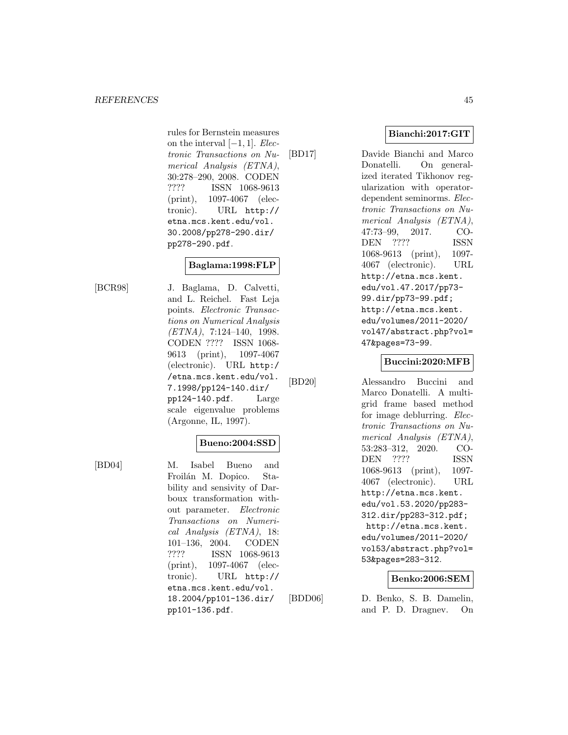rules for Bernstein measures on the interval  $[-1, 1]$ . Electronic Transactions on Numerical Analysis (ETNA), 30:278–290, 2008. CODEN ???? ISSN 1068-9613 (print), 1097-4067 (electronic). URL http:// etna.mcs.kent.edu/vol. 30.2008/pp278-290.dir/ pp278-290.pdf.

# **Baglama:1998:FLP**

[BCR98] J. Baglama, D. Calvetti, and L. Reichel. Fast Leja points. Electronic Transactions on Numerical Analysis (ETNA), 7:124–140, 1998. CODEN ???? ISSN 1068- 9613 (print), 1097-4067 (electronic). URL http:/ /etna.mcs.kent.edu/vol. 7.1998/pp124-140.dir/ pp124-140.pdf. Large scale eigenvalue problems (Argonne, IL, 1997).

# **Bueno:2004:SSD**

[BD04] M. Isabel Bueno and Froilán M. Dopico. Stability and sensivity of Darboux transformation without parameter. Electronic Transactions on Numerical Analysis (ETNA), 18: 101–136, 2004. CODEN ???? ISSN 1068-9613 (print), 1097-4067 (electronic). URL http:// etna.mcs.kent.edu/vol. 18.2004/pp101-136.dir/ pp101-136.pdf.

**Bianchi:2017:GIT**

[BD17] Davide Bianchi and Marco Donatelli. On generalized iterated Tikhonov regularization with operatordependent seminorms. Electronic Transactions on Numerical Analysis (ETNA), 47:73–99, 2017. CO-DEN ???? ISSN 1068-9613 (print), 1097- 4067 (electronic). URL http://etna.mcs.kent. edu/vol.47.2017/pp73- 99.dir/pp73-99.pdf; http://etna.mcs.kent. edu/volumes/2011-2020/ vol47/abstract.php?vol= 47&pages=73-99.

# **Buccini:2020:MFB**

[BD20] Alessandro Buccini and Marco Donatelli. A multigrid frame based method for image deblurring. Electronic Transactions on Numerical Analysis (ETNA), 53:283–312, 2020. CO-DEN ???? ISSN 1068-9613 (print), 1097- 4067 (electronic). URL http://etna.mcs.kent. edu/vol.53.2020/pp283- 312.dir/pp283-312.pdf; http://etna.mcs.kent. edu/volumes/2011-2020/ vol53/abstract.php?vol= 53&pages=283-312.

# **Benko:2006:SEM**

[BDD06] D. Benko, S. B. Damelin, and P. D. Dragnev. On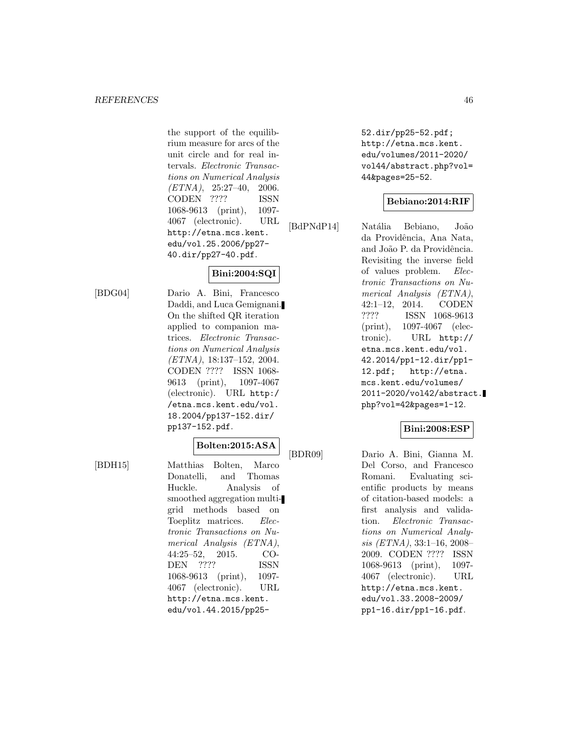the support of the equilibrium measure for arcs of the unit circle and for real intervals. Electronic Transactions on Numerical Analysis  $(ETNA), 25:27-40, 2006.$ CODEN ???? ISSN 1068-9613 (print), 1097- 4067 (electronic). URL http://etna.mcs.kent. edu/vol.25.2006/pp27- 40.dir/pp27-40.pdf.

# **Bini:2004:SQI**

[BDG04] Dario A. Bini, Francesco Daddi, and Luca Gemignani. On the shifted QR iteration applied to companion matrices. Electronic Transactions on Numerical Analysis (ETNA), 18:137–152, 2004. CODEN ???? ISSN 1068- 9613 (print), 1097-4067 (electronic). URL http:/ /etna.mcs.kent.edu/vol. 18.2004/pp137-152.dir/ pp137-152.pdf.

# **Bolten:2015:ASA**

[BDH15] Matthias Bolten, Marco Donatelli, and Thomas Huckle. Analysis of smoothed aggregation multigrid methods based on Toeplitz matrices. Electronic Transactions on Numerical Analysis (ETNA), 44:25–52, 2015. CO-DEN ???? ISSN 1068-9613 (print), 1097- 4067 (electronic). URL http://etna.mcs.kent. edu/vol.44.2015/pp2552.dir/pp25-52.pdf; http://etna.mcs.kent. edu/volumes/2011-2020/ vol44/abstract.php?vol= 44&pages=25-52.

# **Bebiano:2014:RIF**

[BdPNdP14] Natália Bebiano, João da Providência, Ana Nata, and João P. da Providência. Revisiting the inverse field of values problem. Electronic Transactions on Numerical Analysis (ETNA), 42:1–12, 2014. CODEN ???? ISSN 1068-9613 (print), 1097-4067 (electronic). URL http:// etna.mcs.kent.edu/vol. 42.2014/pp1-12.dir/pp1- 12.pdf; http://etna. mcs.kent.edu/volumes/ 2011-2020/vol42/abstract. php?vol=42&pages=1-12.

## **Bini:2008:ESP**

[BDR09] Dario A. Bini, Gianna M. Del Corso, and Francesco Romani. Evaluating scientific products by means of citation-based models: a first analysis and validation. Electronic Transactions on Numerical Analysis (ETNA), 33:1–16, 2008– 2009. CODEN ???? ISSN 1068-9613 (print), 1097- 4067 (electronic). URL http://etna.mcs.kent. edu/vol.33.2008-2009/ pp1-16.dir/pp1-16.pdf.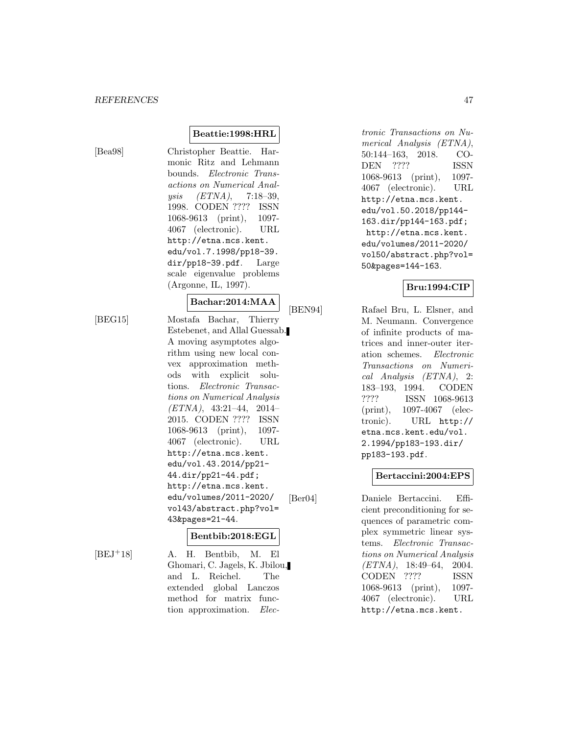# [Bea98] Christopher Beattie. Harmonic Ritz and Lehmann bounds. Electronic Transactions on Numerical Analysis (ETNA), 7:18–39, 1998. CODEN ???? ISSN 1068-9613 (print), 1097- 4067 (electronic). URL http://etna.mcs.kent. edu/vol.7.1998/pp18-39. dir/pp18-39.pdf. Large scale eigenvalue problems (Argonne, IL, 1997).

**Beattie:1998:HRL**

#### **Bachar:2014:MAA**

[BEG15] Mostafa Bachar, Thierry Estebenet, and Allal Guessab. A moving asymptotes algorithm using new local convex approximation methods with explicit solutions. Electronic Transactions on Numerical Analysis (ETNA), 43:21–44, 2014– 2015. CODEN ???? ISSN 1068-9613 (print), 1097- 4067 (electronic). URL http://etna.mcs.kent. edu/vol.43.2014/pp21- 44.dir/pp21-44.pdf; http://etna.mcs.kent. edu/volumes/2011-2020/ vol43/abstract.php?vol= 43&pages=21-44.

# **Bentbib:2018:EGL**

 $[BEJ<sup>+</sup>18]$  A. H. Bentbib, M. El Ghomari, C. Jagels, K. Jbilou, and L. Reichel. The extended global Lanczos method for matrix function approximation. Electronic Transactions on Numerical Analysis (ETNA), 50:144–163, 2018. CO-DEN ???? ISSN 1068-9613 (print), 1097- 4067 (electronic). URL http://etna.mcs.kent. edu/vol.50.2018/pp144- 163.dir/pp144-163.pdf; http://etna.mcs.kent. edu/volumes/2011-2020/ vol50/abstract.php?vol= 50&pages=144-163.

#### **Bru:1994:CIP**

[BEN94] Rafael Bru, L. Elsner, and M. Neumann. Convergence of infinite products of matrices and inner-outer iteration schemes. Electronic Transactions on Numerical Analysis (ETNA), 2: 183–193, 1994. CODEN ???? ISSN 1068-9613 (print), 1097-4067 (electronic). URL http:// etna.mcs.kent.edu/vol. 2.1994/pp183-193.dir/ pp183-193.pdf.

# **Bertaccini:2004:EPS**

[Ber04] Daniele Bertaccini. Efficient preconditioning for sequences of parametric complex symmetric linear systems. Electronic Transactions on Numerical Analysis (ETNA), 18:49–64, 2004. CODEN ???? ISSN 1068-9613 (print), 1097- 4067 (electronic). URL http://etna.mcs.kent.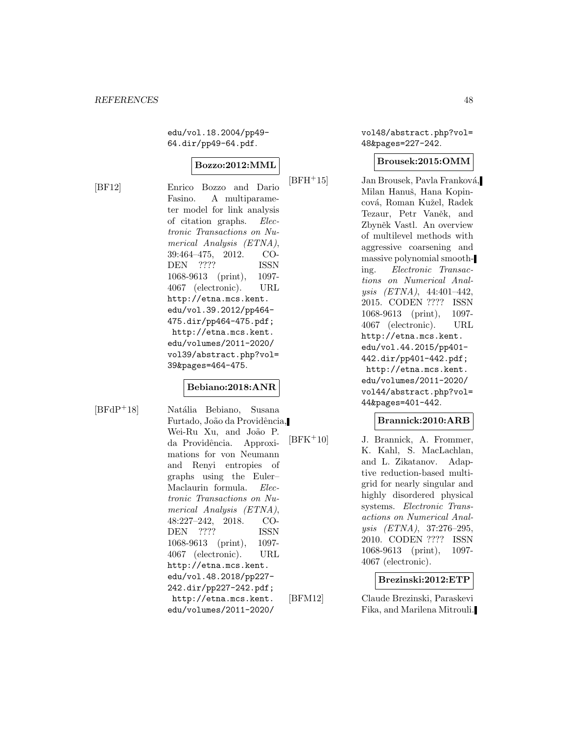edu/vol.18.2004/pp49- 64.dir/pp49-64.pdf.

### **Bozzo:2012:MML**

[BF12] Enrico Bozzo and Dario Fasino. A multiparameter model for link analysis of citation graphs. Electronic Transactions on Numerical Analysis (ETNA), 39:464–475, 2012. CO-DEN ???? ISSN 1068-9613 (print), 1097- 4067 (electronic). URL http://etna.mcs.kent. edu/vol.39.2012/pp464- 475.dir/pp464-475.pdf; http://etna.mcs.kent. edu/volumes/2011-2020/ vol39/abstract.php?vol= 39&pages=464-475.

#### **Bebiano:2018:ANR**

[BFdP<sup>+</sup>18] Natália Bebiano, Susana Furtado, João da Providência, Wei-Ru Xu, and João P. da Providência. Approximations for von Neumann and Renyi entropies of graphs using the Euler– Maclaurin formula. Electronic Transactions on Numerical Analysis (ETNA), 48:227–242, 2018. CO-DEN ???? ISSN 1068-9613 (print), 1097- 4067 (electronic). URL http://etna.mcs.kent. edu/vol.48.2018/pp227- 242.dir/pp227-242.pdf; http://etna.mcs.kent. edu/volumes/2011-2020/

vol48/abstract.php?vol= 48&pages=227-242.

#### **Brousek:2015:OMM**

 $[BFH<sup>+</sup>15]$  Jan Brousek, Pavla Franková, Milan Hanuš, Hana Kopincová, Roman Kužel, Radek Tezaur, Petr Vaněk, and Zbyněk Vastl. An overview of multilevel methods with aggressive coarsening and massive polynomial smoothing. Electronic Transactions on Numerical Analysis (ETNA), 44:401–442, 2015. CODEN ???? ISSN 1068-9613 (print), 1097- 4067 (electronic). URL http://etna.mcs.kent. edu/vol.44.2015/pp401- 442.dir/pp401-442.pdf; http://etna.mcs.kent. edu/volumes/2011-2020/ vol44/abstract.php?vol= 44&pages=401-442.

#### **Brannick:2010:ARB**

[BFK<sup>+</sup>10] J. Brannick, A. Frommer, K. Kahl, S. MacLachlan, and L. Zikatanov. Adaptive reduction-based multigrid for nearly singular and highly disordered physical systems. Electronic Transactions on Numerical Analysis (ETNA), 37:276–295, 2010. CODEN ???? ISSN 1068-9613 (print), 1097- 4067 (electronic).

**Brezinski:2012:ETP**

[BFM12] Claude Brezinski, Paraskevi Fika, and Marilena Mitrouli.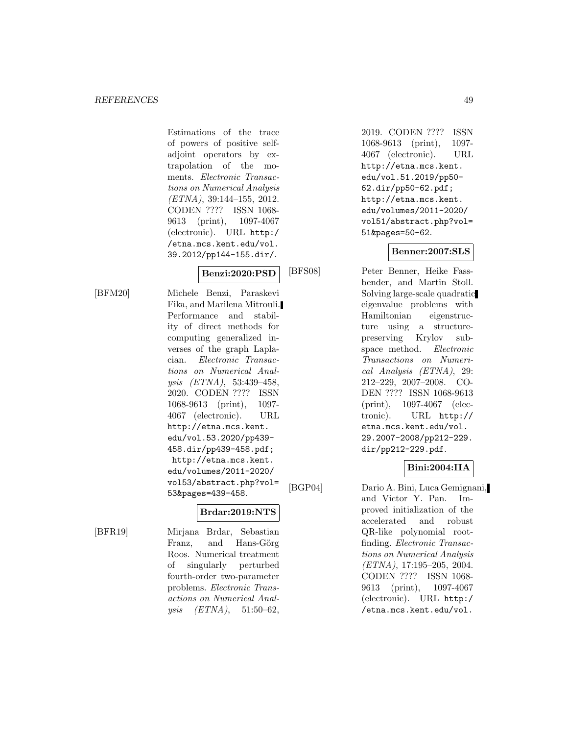Estimations of the trace of powers of positive selfadjoint operators by extrapolation of the moments. Electronic Transactions on Numerical Analysis (ETNA), 39:144–155, 2012. CODEN ???? ISSN 1068- 9613 (print), 1097-4067 (electronic). URL http:/ /etna.mcs.kent.edu/vol. 39.2012/pp144-155.dir/.

# **Benzi:2020:PSD**

[BFM20] Michele Benzi, Paraskevi Fika, and Marilena Mitrouli. Performance and stability of direct methods for computing generalized inverses of the graph Laplacian. Electronic Transactions on Numerical Analysis (ETNA), 53:439–458, 2020. CODEN ???? ISSN 1068-9613 (print), 1097- 4067 (electronic). URL http://etna.mcs.kent. edu/vol.53.2020/pp439- 458.dir/pp439-458.pdf; http://etna.mcs.kent. edu/volumes/2011-2020/ vol53/abstract.php?vol= 53&pages=439-458.

# **Brdar:2019:NTS**

[BFR19] Mirjana Brdar, Sebastian Franz, and Hans-Görg Roos. Numerical treatment of singularly perturbed fourth-order two-parameter problems. Electronic Transactions on Numerical Analysis  $(ETNA)$ , 51:50-62,

2019. CODEN ???? ISSN 1068-9613 (print), 1097- 4067 (electronic). URL http://etna.mcs.kent. edu/vol.51.2019/pp50- 62.dir/pp50-62.pdf; http://etna.mcs.kent. edu/volumes/2011-2020/ vol51/abstract.php?vol= 51&pages=50-62.

# **Benner:2007:SLS**

[BFS08] Peter Benner, Heike Fassbender, and Martin Stoll. Solving large-scale quadratic eigenvalue problems with Hamiltonian eigenstructure using a structurepreserving Krylov subspace method. Electronic Transactions on Numerical Analysis (ETNA), 29: 212–229, 2007–2008. CO-DEN ???? ISSN 1068-9613 (print), 1097-4067 (electronic). URL http:// etna.mcs.kent.edu/vol. 29.2007-2008/pp212-229. dir/pp212-229.pdf.

# **Bini:2004:IIA**

[BGP04] Dario A. Bini, Luca Gemignani, and Victor Y. Pan. Improved initialization of the accelerated and robust QR-like polynomial rootfinding. Electronic Transactions on Numerical Analysis (ETNA), 17:195–205, 2004. CODEN ???? ISSN 1068- 9613 (print), 1097-4067 (electronic). URL http:/ /etna.mcs.kent.edu/vol.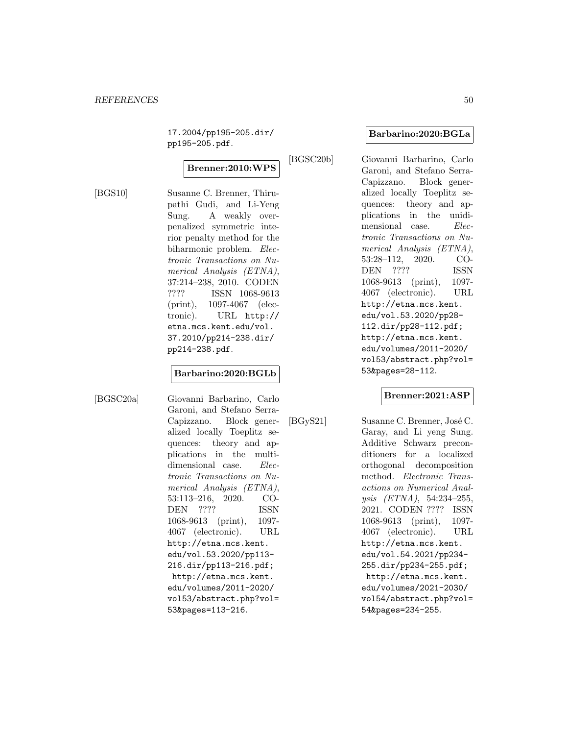17.2004/pp195-205.dir/ pp195-205.pdf.

# **Brenner:2010:WPS**

[BGS10] Susanne C. Brenner, Thirupathi Gudi, and Li-Yeng Sung. A weakly overpenalized symmetric interior penalty method for the biharmonic problem. Electronic Transactions on Numerical Analysis (ETNA), 37:214–238, 2010. CODEN ???? ISSN 1068-9613 (print), 1097-4067 (electronic). URL http:// etna.mcs.kent.edu/vol. 37.2010/pp214-238.dir/ pp214-238.pdf.

#### **Barbarino:2020:BGLb**

[BGSC20a] Giovanni Barbarino, Carlo Garoni, and Stefano Serra-Capizzano. Block generalized locally Toeplitz sequences: theory and applications in the multidimensional case. Electronic Transactions on Numerical Analysis (ETNA), 53:113–216, 2020. CO-DEN ???? ISSN 1068-9613 (print), 1097- 4067 (electronic). URL http://etna.mcs.kent. edu/vol.53.2020/pp113- 216.dir/pp113-216.pdf; http://etna.mcs.kent. edu/volumes/2011-2020/ vol53/abstract.php?vol= 53&pages=113-216.

#### **Barbarino:2020:BGLa**

[BGSC20b] Giovanni Barbarino, Carlo Garoni, and Stefano Serra-Capizzano. Block generalized locally Toeplitz sequences: theory and applications in the unidimensional case. Electronic Transactions on Numerical Analysis (ETNA), 53:28–112, 2020. CO-DEN ???? ISSN 1068-9613 (print), 1097- 4067 (electronic). URL http://etna.mcs.kent. edu/vol.53.2020/pp28- 112.dir/pp28-112.pdf; http://etna.mcs.kent. edu/volumes/2011-2020/ vol53/abstract.php?vol= 53&pages=28-112.

#### **Brenner:2021:ASP**

[BGyS21] Susanne C. Brenner, José C. Garay, and Li yeng Sung. Additive Schwarz preconditioners for a localized orthogonal decomposition method. Electronic Transactions on Numerical Analysis (ETNA), 54:234–255, 2021. CODEN ???? ISSN 1068-9613 (print), 1097- 4067 (electronic). URL http://etna.mcs.kent. edu/vol.54.2021/pp234- 255.dir/pp234-255.pdf; http://etna.mcs.kent. edu/volumes/2021-2030/ vol54/abstract.php?vol= 54&pages=234-255.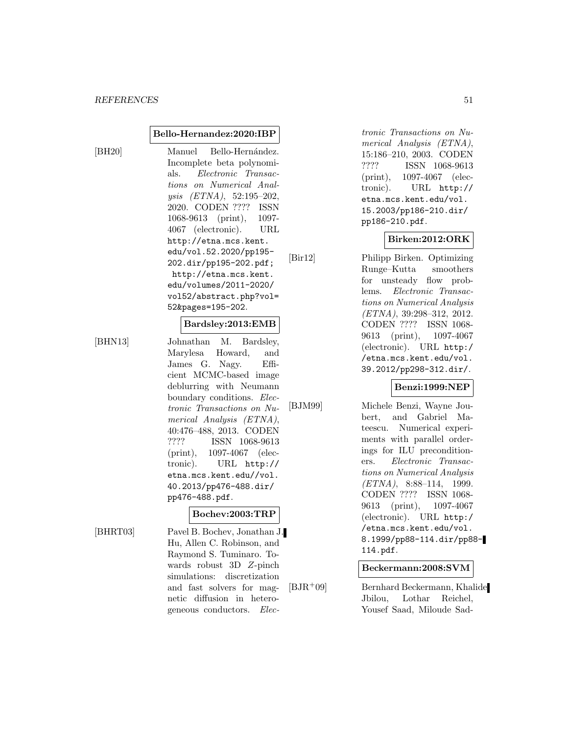#### **Bello-Hernandez:2020:IBP**

[BH20] Manuel Bello-Hernández. Incomplete beta polynomials. Electronic Transactions on Numerical Analysis (ETNA), 52:195–202, 2020. CODEN ???? ISSN 1068-9613 (print), 1097- 4067 (electronic). URL http://etna.mcs.kent. edu/vol.52.2020/pp195- 202.dir/pp195-202.pdf; http://etna.mcs.kent. edu/volumes/2011-2020/ vol52/abstract.php?vol= 52&pages=195-202.

#### **Bardsley:2013:EMB**

[BHN13] Johnathan M. Bardsley, Marylesa Howard, and James G. Nagy. Efficient MCMC-based image deblurring with Neumann boundary conditions. Electronic Transactions on Numerical Analysis (ETNA), 40:476–488, 2013. CODEN ???? ISSN 1068-9613 (print), 1097-4067 (electronic). URL http:// etna.mcs.kent.edu//vol. 40.2013/pp476-488.dir/ pp476-488.pdf.

# **Bochev:2003:TRP**

[BHRT03] Pavel B. Bochev, Jonathan J. Hu, Allen C. Robinson, and Raymond S. Tuminaro. Towards robust 3D Z-pinch simulations: discretization and fast solvers for magnetic diffusion in heterogeneous conductors. Electronic Transactions on Numerical Analysis (ETNA), 15:186–210, 2003. CODEN ???? ISSN 1068-9613 (print), 1097-4067 (electronic). URL http:// etna.mcs.kent.edu/vol. 15.2003/pp186-210.dir/ pp186-210.pdf.

#### **Birken:2012:ORK**

[Bir12] Philipp Birken. Optimizing Runge–Kutta smoothers for unsteady flow problems. Electronic Transactions on Numerical Analysis (ETNA), 39:298–312, 2012. CODEN ???? ISSN 1068- 9613 (print), 1097-4067 (electronic). URL http:/ /etna.mcs.kent.edu/vol. 39.2012/pp298-312.dir/.

# **Benzi:1999:NEP**

[BJM99] Michele Benzi, Wayne Joubert, and Gabriel Mateescu. Numerical experiments with parallel orderings for ILU preconditioners. Electronic Transactions on Numerical Analysis  $(ETNA)$ , 8:88-114, 1999. CODEN ???? ISSN 1068- 9613 (print), 1097-4067 (electronic). URL http:/ /etna.mcs.kent.edu/vol. 8.1999/pp88-114.dir/pp88- 114.pdf.

#### **Beckermann:2008:SVM**

[BJR<sup>+</sup>09] Bernhard Beckermann, Khalide Jbilou, Lothar Reichel, Yousef Saad, Miloude Sad-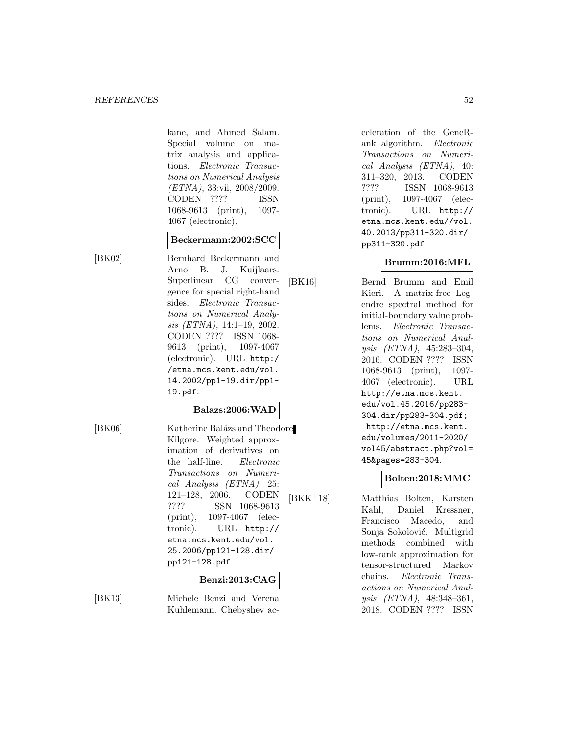kane, and Ahmed Salam. Special volume on matrix analysis and applications. Electronic Transactions on Numerical Analysis (ETNA), 33:vii, 2008/2009. CODEN ???? ISSN 1068-9613 (print), 1097- 4067 (electronic).

# **Beckermann:2002:SCC**

[BK02] Bernhard Beckermann and Arno B. J. Kuijlaars. Superlinear CG convergence for special right-hand sides. Electronic Transactions on Numerical Analysis (ETNA), 14:1–19, 2002. CODEN ???? ISSN 1068- 9613 (print), 1097-4067 (electronic). URL http:/ /etna.mcs.kent.edu/vol. 14.2002/pp1-19.dir/pp1- 19.pdf.

# **Balazs:2006:WAD**

[BK06] Katherine Balázs and Theodore Kilgore. Weighted approximation of derivatives on the half-line. Electronic Transactions on Numerical Analysis (ETNA), 25: 121–128, 2006. CODEN ???? ISSN 1068-9613 (print), 1097-4067 (electronic). URL http:// etna.mcs.kent.edu/vol. 25.2006/pp121-128.dir/ pp121-128.pdf.

# **Benzi:2013:CAG**

[BK13] Michele Benzi and Verena Kuhlemann. Chebyshev acceleration of the GeneRank algorithm. Electronic Transactions on Numerical Analysis (ETNA), 40: 311–320, 2013. CODEN ???? ISSN 1068-9613 (print), 1097-4067 (electronic). URL http:// etna.mcs.kent.edu//vol. 40.2013/pp311-320.dir/ pp311-320.pdf.

# **Brumm:2016:MFL**

[BK16] Bernd Brumm and Emil Kieri. A matrix-free Legendre spectral method for initial-boundary value problems. Electronic Transactions on Numerical Analysis (ETNA), 45:283–304, 2016. CODEN ???? ISSN 1068-9613 (print), 1097- 4067 (electronic). URL http://etna.mcs.kent. edu/vol.45.2016/pp283- 304.dir/pp283-304.pdf; http://etna.mcs.kent. edu/volumes/2011-2020/ vol45/abstract.php?vol= 45&pages=283-304.

# **Bolten:2018:MMC**

[BKK<sup>+</sup>18] Matthias Bolten, Karsten Kahl, Daniel Kressner, Francisco Macedo, and Sonja Sokolović. Multigrid methods combined with low-rank approximation for tensor-structured Markov chains. Electronic Transactions on Numerical Analysis (ETNA), 48:348–361, 2018. CODEN ???? ISSN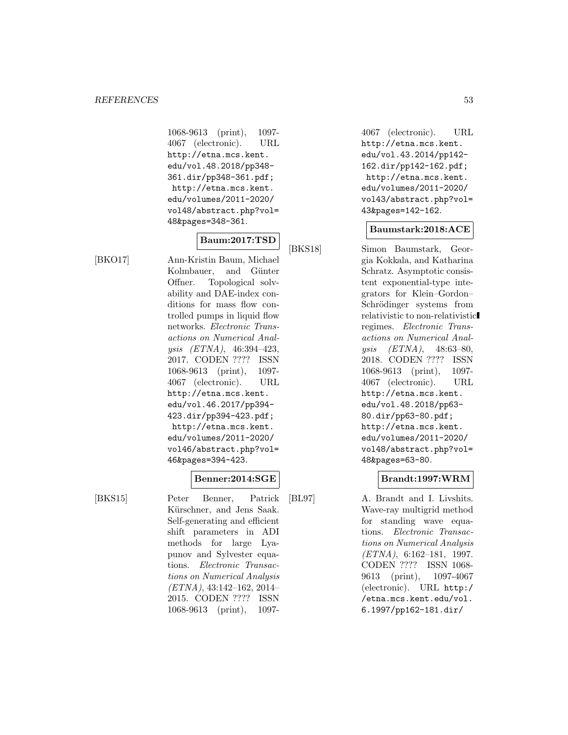1068-9613 (print), 1097- 4067 (electronic). URL http://etna.mcs.kent. edu/vol.48.2018/pp348- 361.dir/pp348-361.pdf; http://etna.mcs.kent. edu/volumes/2011-2020/ vol48/abstract.php?vol= 48&pages=348-361.

# **Baum:2017:TSD**

[BKO17] Ann-Kristin Baum, Michael Kolmbauer, and Günter Offner. Topological solvability and DAE-index conditions for mass flow controlled pumps in liquid flow networks. Electronic Transactions on Numerical Analysis (ETNA), 46:394–423, 2017. CODEN ???? ISSN 1068-9613 (print), 1097- 4067 (electronic). URL http://etna.mcs.kent. edu/vol.46.2017/pp394- 423.dir/pp394-423.pdf; http://etna.mcs.kent. edu/volumes/2011-2020/ vol46/abstract.php?vol= 46&pages=394-423.

#### **Benner:2014:SGE**

[BKS15] Peter Benner, Patrick Kürschner, and Jens Saak. Self-generating and efficient shift parameters in ADI methods for large Lyapunov and Sylvester equations. Electronic Transactions on Numerical Analysis (ETNA), 43:142–162, 2014– 2015. CODEN ???? ISSN 1068-9613 (print), 10974067 (electronic). URL http://etna.mcs.kent. edu/vol.43.2014/pp142- 162.dir/pp142-162.pdf; http://etna.mcs.kent. edu/volumes/2011-2020/ vol43/abstract.php?vol= 43&pages=142-162.

# **Baumstark:2018:ACE**

[BKS18] Simon Baumstark, Georgia Kokkala, and Katharina Schratz. Asymptotic consistent exponential-type integrators for Klein–Gordon– Schrödinger systems from relativistic to non-relativistic regimes. Electronic Transactions on Numerical Analysis (ETNA), 48:63–80, 2018. CODEN ???? ISSN 1068-9613 (print), 1097- 4067 (electronic). URL http://etna.mcs.kent. edu/vol.48.2018/pp63- 80.dir/pp63-80.pdf; http://etna.mcs.kent. edu/volumes/2011-2020/ vol48/abstract.php?vol= 48&pages=63-80.

# **Brandt:1997:WRM**

[BL97] A. Brandt and I. Livshits. Wave-ray multigrid method for standing wave equations. Electronic Transactions on Numerical Analysis (ETNA), 6:162–181, 1997. CODEN ???? ISSN 1068- 9613 (print), 1097-4067 (electronic). URL http:/ /etna.mcs.kent.edu/vol. 6.1997/pp162-181.dir/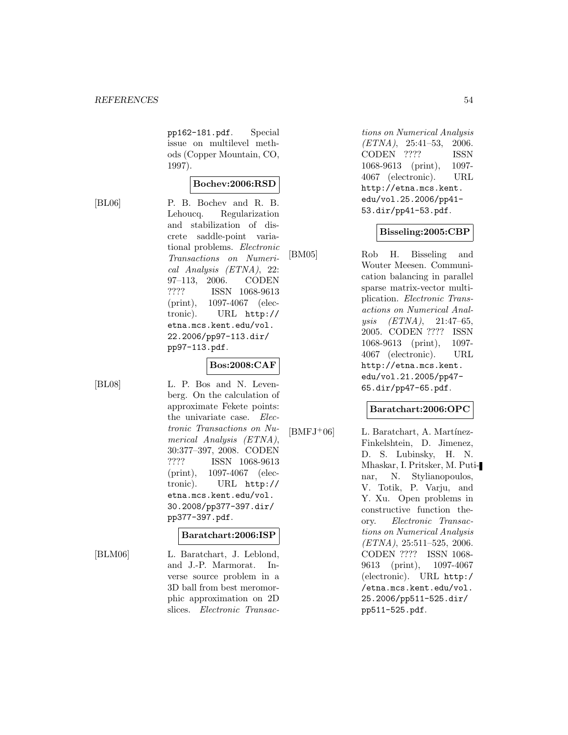pp162-181.pdf. Special issue on multilevel methods (Copper Mountain, CO, 1997).

#### **Bochev:2006:RSD**

[BL06] P. B. Bochev and R. B. Lehoucq. Regularization and stabilization of discrete saddle-point variational problems. Electronic Transactions on Numerical Analysis (ETNA), 22: 97–113, 2006. CODEN ???? ISSN 1068-9613 (print), 1097-4067 (electronic). URL http:// etna.mcs.kent.edu/vol. 22.2006/pp97-113.dir/ pp97-113.pdf.

# **Bos:2008:CAF**

[BL08] L. P. Bos and N. Levenberg. On the calculation of approximate Fekete points: the univariate case. Electronic Transactions on Numerical Analysis (ETNA), 30:377–397, 2008. CODEN ???? ISSN 1068-9613 (print), 1097-4067 (electronic). URL http:// etna.mcs.kent.edu/vol. 30.2008/pp377-397.dir/ pp377-397.pdf.

#### **Baratchart:2006:ISP**

[BLM06] L. Baratchart, J. Leblond, and J.-P. Marmorat. Inverse source problem in a 3D ball from best meromorphic approximation on 2D slices. Electronic Transactions on Numerical Analysis (ETNA), 25:41–53, 2006. CODEN ???? ISSN 1068-9613 (print), 1097- 4067 (electronic). URL http://etna.mcs.kent. edu/vol.25.2006/pp41- 53.dir/pp41-53.pdf.

# **Bisseling:2005:CBP**

[BM05] Rob H. Bisseling and Wouter Meesen. Communication balancing in parallel sparse matrix-vector multiplication. Electronic Transactions on Numerical Analysis (ETNA), 21:47–65, 2005. CODEN ???? ISSN 1068-9613 (print), 1097- 4067 (electronic). URL http://etna.mcs.kent. edu/vol.21.2005/pp47- 65.dir/pp47-65.pdf.

#### **Baratchart:2006:OPC**

 $[BMFJ<sup>+</sup>06]$  L. Baratchart, A. Martínez-Finkelshtein, D. Jimenez, D. S. Lubinsky, H. N. Mhaskar, I. Pritsker, M. Putinar, N. Stylianopoulos, V. Totik, P. Varju, and Y. Xu. Open problems in constructive function theory. Electronic Transactions on Numerical Analysis (ETNA), 25:511–525, 2006. CODEN ???? ISSN 1068- 9613 (print), 1097-4067 (electronic). URL http:/ /etna.mcs.kent.edu/vol. 25.2006/pp511-525.dir/ pp511-525.pdf.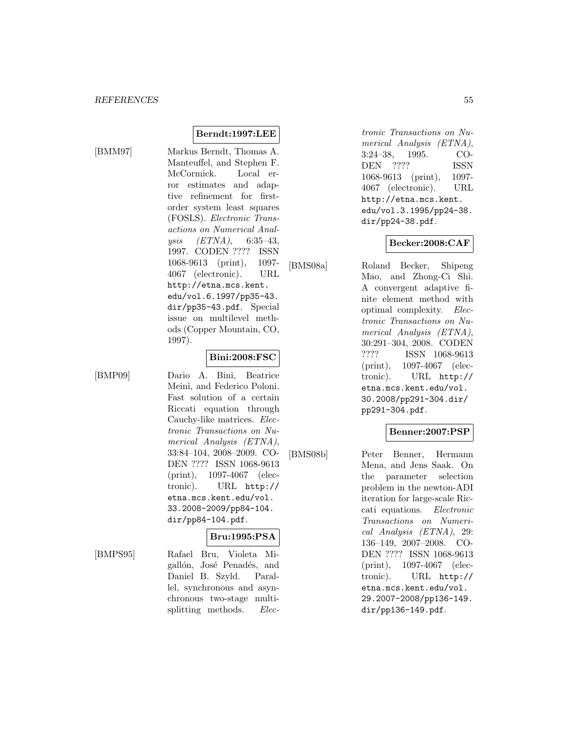[BMM97] Markus Berndt, Thomas A. Manteuffel, and Stephen F. McCormick. Local error estimates and adaptive refinement for firstorder system least squares (FOSLS). Electronic Transactions on Numerical Analysis (ETNA), 6:35–43, 1997. CODEN ???? ISSN 1068-9613 (print), 1097- 4067 (electronic). URL http://etna.mcs.kent. edu/vol.6.1997/pp35-43. dir/pp35-43.pdf. Special issue on multilevel methods (Copper Mountain, CO, 1997).

**Berndt:1997:LEE**

#### **Bini:2008:FSC**

[BMP09] Dario A. Bini, Beatrice Meini, and Federico Poloni. Fast solution of a certain Riccati equation through Cauchy-like matrices. Electronic Transactions on Numerical Analysis (ETNA), 33:84–104, 2008–2009. CO-DEN ???? ISSN 1068-9613 (print), 1097-4067 (electronic). URL http:// etna.mcs.kent.edu/vol. 33.2008-2009/pp84-104. dir/pp84-104.pdf.

# **Bru:1995:PSA**

[BMPS95] Rafael Bru, Violeta Migallón, José Penadés, and Daniel B. Szyld. Parallel, synchronous and asynchronous two-stage multisplitting methods. *Elec*- tronic Transactions on Numerical Analysis (ETNA), 3:24–38, 1995. CO-DEN ???? ISSN 1068-9613 (print), 1097- 4067 (electronic). URL http://etna.mcs.kent. edu/vol.3.1995/pp24-38. dir/pp24-38.pdf.

# **Becker:2008:CAF**

[BMS08a] Roland Becker, Shipeng Mao, and Zhong-Ci Shi. A convergent adaptive finite element method with optimal complexity. Electronic Transactions on Numerical Analysis (ETNA), 30:291–304, 2008. CODEN ???? ISSN 1068-9613 (print), 1097-4067 (electronic). URL http:// etna.mcs.kent.edu/vol. 30.2008/pp291-304.dir/ pp291-304.pdf.

# **Benner:2007:PSP**

[BMS08b] Peter Benner, Hermann Mena, and Jens Saak. On the parameter selection problem in the newton-ADI iteration for large-scale Riccati equations. Electronic Transactions on Numerical Analysis (ETNA), 29: 136–149, 2007–2008. CO-DEN ???? ISSN 1068-9613 (print), 1097-4067 (electronic). URL http:// etna.mcs.kent.edu/vol. 29.2007-2008/pp136-149. dir/pp136-149.pdf.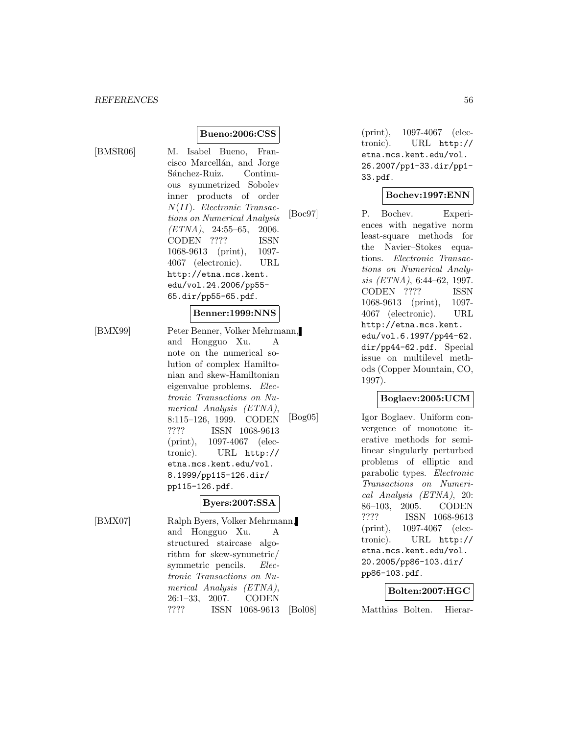**Bueno:2006:CSS**

[BMSR06] M. Isabel Bueno, Francisco Marcellán, and Jorge Sánchez-Ruiz. Continuous symmetrized Sobolev inner products of order N(II). Electronic Transactions on Numerical Analysis  $(ETNA)$ , 24:55-65, 2006. CODEN ???? ISSN 1068-9613 (print), 1097- 4067 (electronic). URL http://etna.mcs.kent. edu/vol.24.2006/pp55- 65.dir/pp55-65.pdf.

#### **Benner:1999:NNS**

[BMX99] Peter Benner, Volker Mehrmann, and Hongguo Xu. A note on the numerical solution of complex Hamiltonian and skew-Hamiltonian eigenvalue problems. Electronic Transactions on Numerical Analysis (ETNA), 8:115–126, 1999. CODEN ???? ISSN 1068-9613 (print), 1097-4067 (electronic). URL http:// etna.mcs.kent.edu/vol. 8.1999/pp115-126.dir/ pp115-126.pdf.

# **Byers:2007:SSA**

[BMX07] Ralph Byers, Volker Mehrmann, and Hongguo Xu. A structured staircase algorithm for skew-symmetric/ symmetric pencils. Electronic Transactions on Numerical Analysis (ETNA), 26:1–33, 2007. CODEN ???? ISSN 1068-9613

(print), 1097-4067 (electronic). URL http:// etna.mcs.kent.edu/vol. 26.2007/pp1-33.dir/pp1- 33.pdf.

#### **Bochev:1997:ENN**

[Boc97] P. Bochev. Experiences with negative norm least-square methods for the Navier–Stokes equations. Electronic Transactions on Numerical Analysis (ETNA), 6:44–62, 1997. CODEN ???? ISSN 1068-9613 (print), 1097- 4067 (electronic). URL http://etna.mcs.kent. edu/vol.6.1997/pp44-62. dir/pp44-62.pdf. Special issue on multilevel methods (Copper Mountain, CO, 1997).

#### **Boglaev:2005:UCM**

[Bog05] Igor Boglaev. Uniform convergence of monotone iterative methods for semilinear singularly perturbed problems of elliptic and parabolic types. Electronic Transactions on Numerical Analysis (ETNA), 20: 86–103, 2005. CODEN ???? ISSN 1068-9613 (print), 1097-4067 (electronic). URL http:// etna.mcs.kent.edu/vol. 20.2005/pp86-103.dir/ pp86-103.pdf.

#### **Bolten:2007:HGC**

[Bol08] Matthias Bolten. Hierar-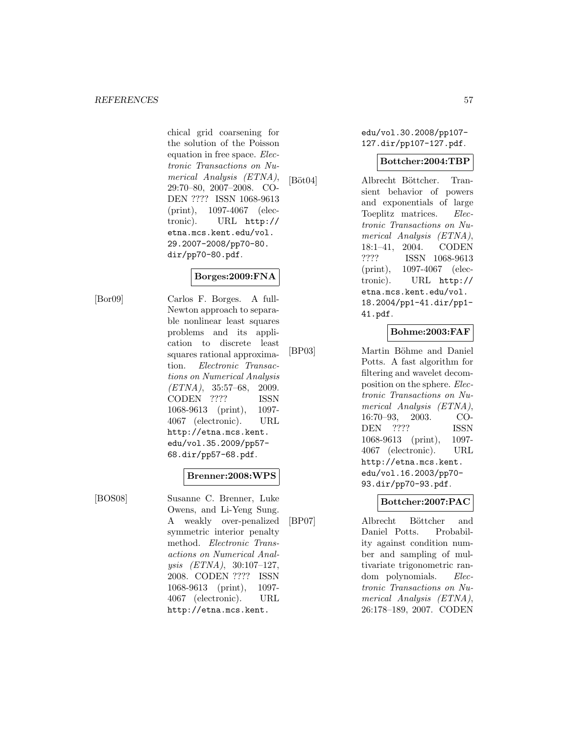chical grid coarsening for the solution of the Poisson equation in free space. Electronic Transactions on Numerical Analysis (ETNA), 29:70–80, 2007–2008. CO-DEN ???? ISSN 1068-9613 (print), 1097-4067 (electronic). URL http:// etna.mcs.kent.edu/vol. 29.2007-2008/pp70-80. dir/pp70-80.pdf.

# **Borges:2009:FNA**

[Bor09] Carlos F. Borges. A full-Newton approach to separable nonlinear least squares problems and its application to discrete least squares rational approximation. Electronic Transactions on Numerical Analysis  $(ETNA)$ , 35:57-68, 2009. CODEN ???? ISSN 1068-9613 (print), 1097- 4067 (electronic). URL http://etna.mcs.kent. edu/vol.35.2009/pp57- 68.dir/pp57-68.pdf.

#### **Brenner:2008:WPS**

[BOS08] Susanne C. Brenner, Luke Owens, and Li-Yeng Sung. A weakly over-penalized symmetric interior penalty method. Electronic Transactions on Numerical Analysis (ETNA), 30:107–127, 2008. CODEN ???? ISSN 1068-9613 (print), 1097- 4067 (electronic). URL http://etna.mcs.kent.

edu/vol.30.2008/pp107- 127.dir/pp107-127.pdf.

#### **Bottcher:2004:TBP**

[Böt04] Albrecht Böttcher. Transient behavior of powers and exponentials of large Toeplitz matrices. Electronic Transactions on Numerical Analysis (ETNA), 18:1–41, 2004. CODEN ???? ISSN 1068-9613 (print), 1097-4067 (electronic). URL http:// etna.mcs.kent.edu/vol. 18.2004/pp1-41.dir/pp1- 41.pdf.

# **Bohme:2003:FAF**

[BP03] Martin Böhme and Daniel Potts. A fast algorithm for filtering and wavelet decomposition on the sphere. Electronic Transactions on Numerical Analysis (ETNA), 16:70–93, 2003. CO-DEN ???? ISSN 1068-9613 (print), 1097- 4067 (electronic). URL http://etna.mcs.kent. edu/vol.16.2003/pp70- 93.dir/pp70-93.pdf.

# **Bottcher:2007:PAC**

[BP07] Albrecht Böttcher and Daniel Potts. Probability against condition number and sampling of multivariate trigonometric random polynomials. Electronic Transactions on Numerical Analysis (ETNA), 26:178–189, 2007. CODEN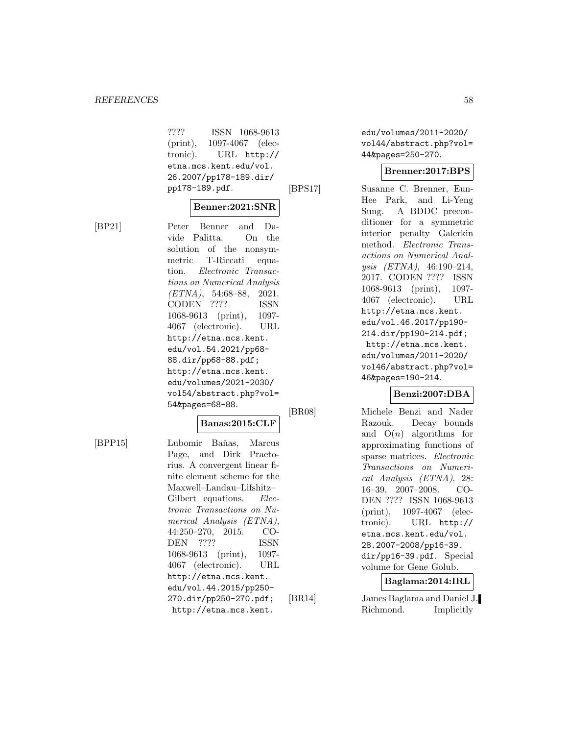???? ISSN 1068-9613 (print), 1097-4067 (electronic). URL http:// etna.mcs.kent.edu/vol. 26.2007/pp178-189.dir/ pp178-189.pdf.

# **Benner:2021:SNR**

[BP21] Peter Benner and Davide Palitta. On the solution of the nonsymmetric T-Riccati equation. Electronic Transactions on Numerical Analysis  $(ETNA)$ , 54:68-88, 2021. CODEN ???? ISSN 1068-9613 (print), 1097- 4067 (electronic). URL http://etna.mcs.kent. edu/vol.54.2021/pp68- 88.dir/pp68-88.pdf; http://etna.mcs.kent. edu/volumes/2021-2030/ vol54/abstract.php?vol= 54&pages=68-88.

# **Banas:2015:CLF**

[BPP15] Lubomir Baňas, Marcus Page, and Dirk Praetorius. A convergent linear finite element scheme for the Maxwell–Landau–Lifshitz– Gilbert equations. Electronic Transactions on Numerical Analysis (ETNA), 44:250–270, 2015. CO-DEN ???? ISSN 1068-9613 (print), 1097- 4067 (electronic). URL http://etna.mcs.kent. edu/vol.44.2015/pp250- 270.dir/pp250-270.pdf; http://etna.mcs.kent.

edu/volumes/2011-2020/ vol44/abstract.php?vol= 44&pages=250-270.

#### **Brenner:2017:BPS**

[BPS17] Susanne C. Brenner, Eun-Hee Park, and Li-Yeng Sung. A BDDC preconditioner for a symmetric interior penalty Galerkin method. Electronic Transactions on Numerical Analysis (ETNA), 46:190–214, 2017. CODEN ???? ISSN 1068-9613 (print), 1097- 4067 (electronic). URL http://etna.mcs.kent. edu/vol.46.2017/pp190- 214.dir/pp190-214.pdf; http://etna.mcs.kent. edu/volumes/2011-2020/ vol46/abstract.php?vol= 46&pages=190-214.

#### **Benzi:2007:DBA**

[BR08] Michele Benzi and Nader Razouk. Decay bounds and  $O(n)$  algorithms for approximating functions of sparse matrices. Electronic Transactions on Numerical Analysis (ETNA), 28: 16–39, 2007–2008. CO-DEN ???? ISSN 1068-9613 (print), 1097-4067 (electronic). URL http:// etna.mcs.kent.edu/vol. 28.2007-2008/pp16-39. dir/pp16-39.pdf. Special volume for Gene Golub.

# **Baglama:2014:IRL**

[BR14] James Baglama and Daniel J. Richmond. Implicitly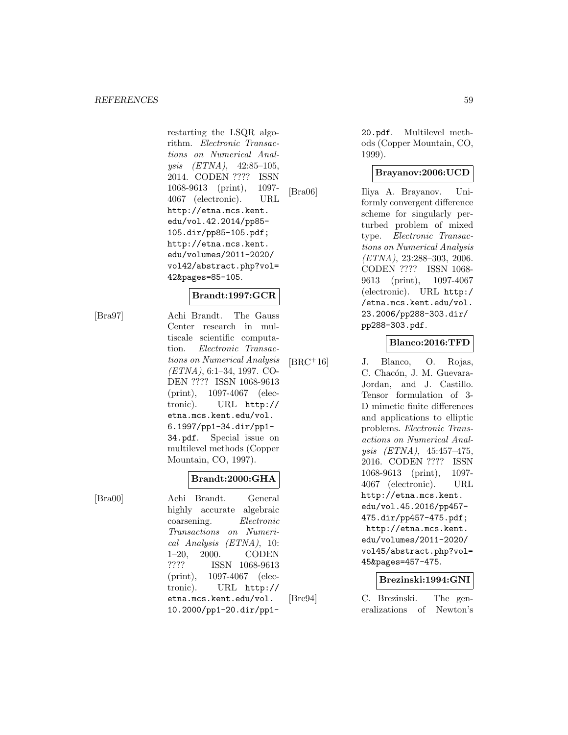restarting the LSQR algorithm. Electronic Transactions on Numerical Analysis (ETNA), 42:85–105, 2014. CODEN ???? ISSN 1068-9613 (print), 1097- 4067 (electronic). URL http://etna.mcs.kent. edu/vol.42.2014/pp85- 105.dir/pp85-105.pdf; http://etna.mcs.kent. edu/volumes/2011-2020/ vol42/abstract.php?vol= 42&pages=85-105.

# **Brandt:1997:GCR**

[Bra97] Achi Brandt. The Gauss Center research in multiscale scientific computation. Electronic Transactions on Numerical Analysis (ETNA), 6:1–34, 1997. CO-DEN ???? ISSN 1068-9613 (print), 1097-4067 (electronic). URL http:// etna.mcs.kent.edu/vol. 6.1997/pp1-34.dir/pp1- 34.pdf. Special issue on multilevel methods (Copper Mountain, CO, 1997).

#### **Brandt:2000:GHA**

[Bra00] Achi Brandt. General highly accurate algebraic coarsening. Electronic Transactions on Numerical Analysis (ETNA), 10: 1–20, 2000. CODEN ???? ISSN 1068-9613 (print), 1097-4067 (electronic). URL http:// etna.mcs.kent.edu/vol. 10.2000/pp1-20.dir/pp120.pdf. Multilevel methods (Copper Mountain, CO, 1999).

# **Brayanov:2006:UCD**

[Bra06] Iliya A. Brayanov. Uniformly convergent difference scheme for singularly perturbed problem of mixed type. Electronic Transactions on Numerical Analysis (ETNA), 23:288–303, 2006. CODEN ???? ISSN 1068- 9613 (print), 1097-4067 (electronic). URL http:/ /etna.mcs.kent.edu/vol. 23.2006/pp288-303.dir/ pp288-303.pdf.

# **Blanco:2016:TFD**

[BRC<sup>+</sup>16] J. Blanco, O. Rojas, C. Chacón, J. M. Guevara-Jordan, and J. Castillo. Tensor formulation of 3- D mimetic finite differences and applications to elliptic problems. Electronic Transactions on Numerical Analysis (ETNA), 45:457–475, 2016. CODEN ???? ISSN 1068-9613 (print), 1097- 4067 (electronic). URL http://etna.mcs.kent. edu/vol.45.2016/pp457- 475.dir/pp457-475.pdf; http://etna.mcs.kent. edu/volumes/2011-2020/ vol45/abstract.php?vol= 45&pages=457-475.

#### **Brezinski:1994:GNI**

[Bre94] C. Brezinski. The generalizations of Newton's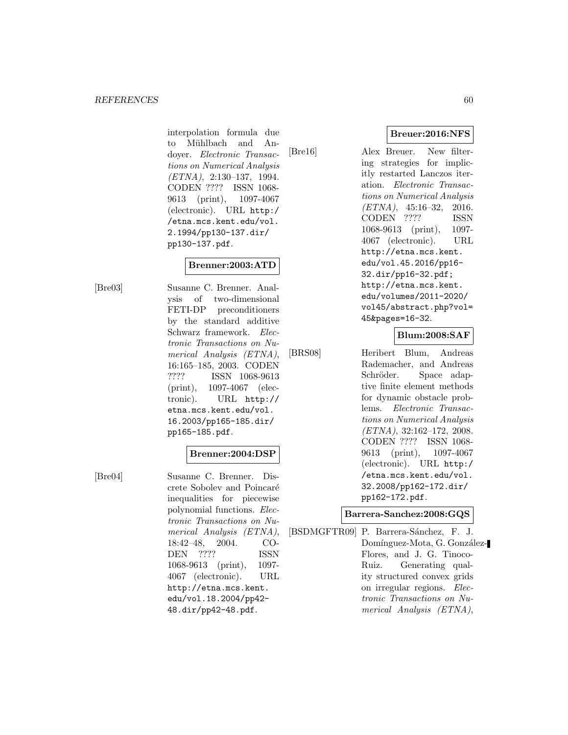interpolation formula due to Mühlbach and Andoyer. Electronic Transactions on Numerical Analysis (ETNA), 2:130–137, 1994. CODEN ???? ISSN 1068- 9613 (print), 1097-4067 (electronic). URL http:/ /etna.mcs.kent.edu/vol. 2.1994/pp130-137.dir/ pp130-137.pdf.

# **Brenner:2003:ATD**

[Bre03] Susanne C. Brenner. Analysis of two-dimensional FETI-DP preconditioners by the standard additive Schwarz framework. Electronic Transactions on Numerical Analysis (ETNA), 16:165–185, 2003. CODEN ???? ISSN 1068-9613 (print), 1097-4067 (electronic). URL http:// etna.mcs.kent.edu/vol. 16.2003/pp165-185.dir/ pp165-185.pdf.

#### **Brenner:2004:DSP**

[Bre04] Susanne C. Brenner. Discrete Sobolev and Poincaré inequalities for piecewise polynomial functions. Electronic Transactions on Numerical Analysis (ETNA), 18:42–48, 2004. CO-DEN ???? ISSN 1068-9613 (print), 1097- 4067 (electronic). URL http://etna.mcs.kent. edu/vol.18.2004/pp42- 48.dir/pp42-48.pdf.

**Breuer:2016:NFS**

[Bre16] Alex Breuer. New filtering strategies for implicitly restarted Lanczos iteration. Electronic Transactions on Numerical Analysis  $(ETNA)$ , 45:16-32, 2016. CODEN ???? ISSN 1068-9613 (print), 1097- 4067 (electronic). URL http://etna.mcs.kent. edu/vol.45.2016/pp16- 32.dir/pp16-32.pdf; http://etna.mcs.kent. edu/volumes/2011-2020/ vol45/abstract.php?vol= 45&pages=16-32.

# **Blum:2008:SAF**

[BRS08] Heribert Blum, Andreas Rademacher, and Andreas Schröder. Space adaptive finite element methods for dynamic obstacle problems. Electronic Transactions on Numerical Analysis (ETNA), 32:162–172, 2008. CODEN ???? ISSN 1068- 9613 (print), 1097-4067 (electronic). URL http:/ /etna.mcs.kent.edu/vol. 32.2008/pp162-172.dir/ pp162-172.pdf.

#### **Barrera-Sanchez:2008:GQS**

[BSDMGFTR09] P. Barrera-Sánchez, F. J. Domínguez-Mota, G. González-Flores, and J. G. Tinoco-Ruiz. Generating quality structured convex grids on irregular regions. Electronic Transactions on Numerical Analysis (ETNA),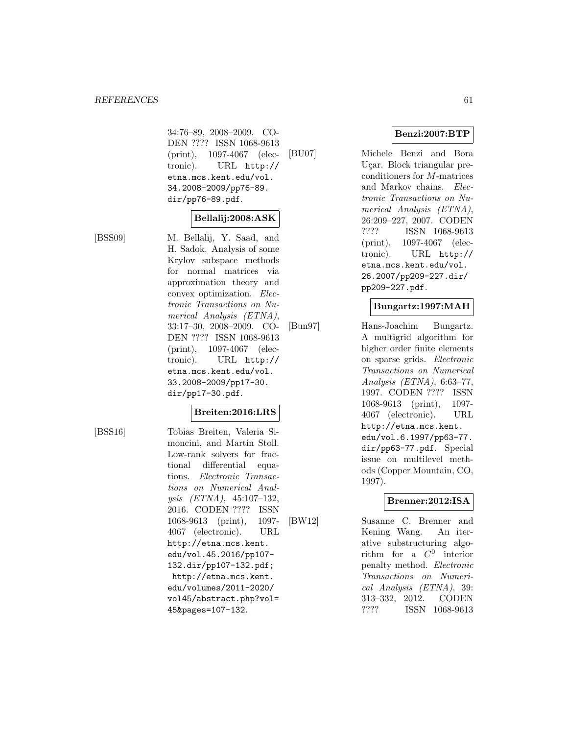34:76–89, 2008–2009. CO-DEN ???? ISSN 1068-9613 (print), 1097-4067 (electronic). URL http:// etna.mcs.kent.edu/vol. 34.2008-2009/pp76-89. dir/pp76-89.pdf.

# **Bellalij:2008:ASK**

[BSS09] M. Bellalij, Y. Saad, and H. Sadok. Analysis of some Krylov subspace methods for normal matrices via approximation theory and convex optimization. Electronic Transactions on Numerical Analysis (ETNA), 33:17–30, 2008–2009. CO-DEN ???? ISSN 1068-9613 (print), 1097-4067 (electronic). URL http:// etna.mcs.kent.edu/vol. 33.2008-2009/pp17-30. dir/pp17-30.pdf.

# **Breiten:2016:LRS**

[BSS16] Tobias Breiten, Valeria Simoncini, and Martin Stoll. Low-rank solvers for fractional differential equations. Electronic Transactions on Numerical Analysis (ETNA), 45:107–132, 2016. CODEN ???? ISSN 1068-9613 (print), 1097- 4067 (electronic). URL http://etna.mcs.kent. edu/vol.45.2016/pp107- 132.dir/pp107-132.pdf; http://etna.mcs.kent. edu/volumes/2011-2020/ vol45/abstract.php?vol= 45&pages=107-132.

**Benzi:2007:BTP**

[BU07] Michele Benzi and Bora Uçar. Block triangular preconditioners for M-matrices and Markov chains. Electronic Transactions on Numerical Analysis (ETNA), 26:209–227, 2007. CODEN ???? ISSN 1068-9613 (print), 1097-4067 (electronic). URL http:// etna.mcs.kent.edu/vol. 26.2007/pp209-227.dir/ pp209-227.pdf.

# **Bungartz:1997:MAH**

[Bun97] Hans-Joachim Bungartz. A multigrid algorithm for higher order finite elements on sparse grids. Electronic Transactions on Numerical Analysis (ETNA), 6:63–77, 1997. CODEN ???? ISSN 1068-9613 (print), 1097- 4067 (electronic). URL http://etna.mcs.kent. edu/vol.6.1997/pp63-77. dir/pp63-77.pdf. Special issue on multilevel methods (Copper Mountain, CO, 1997).

# **Brenner:2012:ISA**

[BW12] Susanne C. Brenner and Kening Wang. An iterative substructuring algorithm for a  $C^0$  interior penalty method. Electronic Transactions on Numerical Analysis (ETNA), 39: 313–332, 2012. CODEN ???? ISSN 1068-9613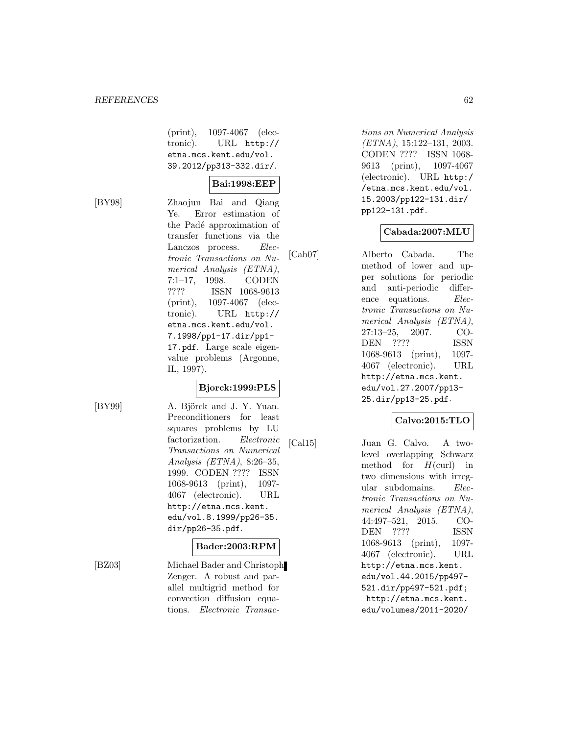(print), 1097-4067 (electronic). URL http:// etna.mcs.kent.edu/vol. 39.2012/pp313-332.dir/.

#### **Bai:1998:EEP**

[BY98] Zhaojun Bai and Qiang Ye. Error estimation of the Padé approximation of transfer functions via the Lanczos process. Electronic Transactions on Numerical Analysis (ETNA), 7:1–17, 1998. CODEN ???? ISSN 1068-9613 (print), 1097-4067 (electronic). URL http:// etna.mcs.kent.edu/vol. 7.1998/pp1-17.dir/pp1- 17.pdf. Large scale eigenvalue problems (Argonne, IL, 1997).

# **Bjorck:1999:PLS**

[BY99] A. Björck and J. Y. Yuan. Preconditioners for least squares problems by LU factorization. Electronic Transactions on Numerical Analysis (ETNA), 8:26–35, 1999. CODEN ???? ISSN 1068-9613 (print), 1097- 4067 (electronic). URL http://etna.mcs.kent. edu/vol.8.1999/pp26-35. dir/pp26-35.pdf.

#### **Bader:2003:RPM**

[BZ03] Michael Bader and Christoph Zenger. A robust and parallel multigrid method for convection diffusion equations. Electronic Transactions on Numerical Analysis (ETNA), 15:122–131, 2003. CODEN ???? ISSN 1068- 9613 (print), 1097-4067 (electronic). URL http:/ /etna.mcs.kent.edu/vol. 15.2003/pp122-131.dir/ pp122-131.pdf.

# **Cabada:2007:MLU**

[Cab07] Alberto Cabada. The method of lower and upper solutions for periodic and anti-periodic difference equations. Electronic Transactions on Numerical Analysis (ETNA), 27:13–25, 2007. CO-DEN ???? ISSN 1068-9613 (print), 1097- 4067 (electronic). URL http://etna.mcs.kent. edu/vol.27.2007/pp13- 25.dir/pp13-25.pdf.

# **Calvo:2015:TLO**

[Cal15] Juan G. Calvo. A twolevel overlapping Schwarz method for  $H(\text{curl})$  in two dimensions with irregular subdomains. Electronic Transactions on Numerical Analysis (ETNA), 44:497–521, 2015. CO-DEN ???? ISSN 1068-9613 (print), 1097- 4067 (electronic). URL http://etna.mcs.kent. edu/vol.44.2015/pp497- 521.dir/pp497-521.pdf; http://etna.mcs.kent. edu/volumes/2011-2020/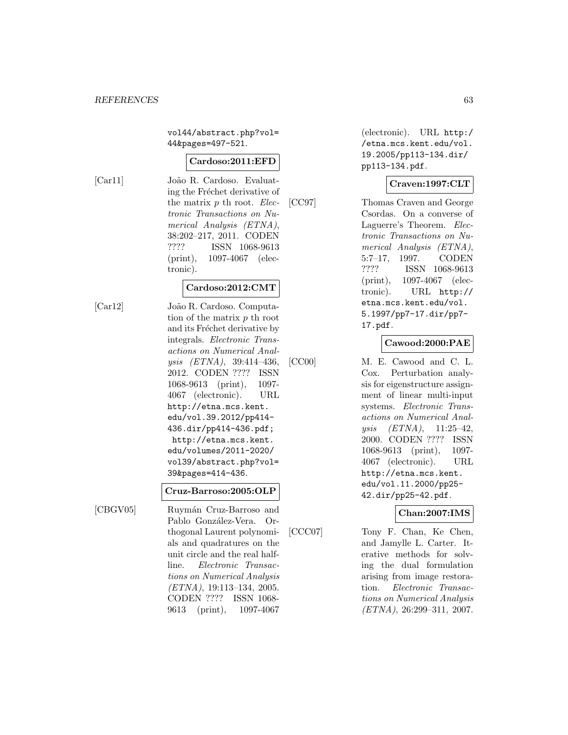vol44/abstract.php?vol= 44&pages=497-521.

#### **Cardoso:2011:EFD**

[Car11] João R. Cardoso. Evaluating the Fréchet derivative of the matrix  $p$  th root. *Elec*tronic Transactions on Numerical Analysis (ETNA), 38:202–217, 2011. CODEN ???? ISSN 1068-9613 (print), 1097-4067 (electronic).

#### **Cardoso:2012:CMT**

[Car12] Jo˜ao R. Cardoso. Computation of the matrix p th root and its Fréchet derivative by integrals. Electronic Transactions on Numerical Analysis (ETNA), 39:414–436, 2012. CODEN ???? ISSN 1068-9613 (print), 1097- 4067 (electronic). URL http://etna.mcs.kent. edu/vol.39.2012/pp414- 436.dir/pp414-436.pdf; http://etna.mcs.kent. edu/volumes/2011-2020/ vol39/abstract.php?vol= 39&pages=414-436.

#### **Cruz-Barroso:2005:OLP**

[CBGV05] Ruymán Cruz-Barroso and Pablo González-Vera. Orthogonal Laurent polynomials and quadratures on the unit circle and the real halfline. Electronic Transactions on Numerical Analysis (ETNA), 19:113–134, 2005. CODEN ???? ISSN 1068- 9613 (print), 1097-4067

(electronic). URL http:/ /etna.mcs.kent.edu/vol. 19.2005/pp113-134.dir/ pp113-134.pdf.

# **Craven:1997:CLT**

[CC97] Thomas Craven and George Csordas. On a converse of Laguerre's Theorem. Electronic Transactions on Numerical Analysis (ETNA), 5:7–17, 1997. CODEN ???? ISSN 1068-9613 (print), 1097-4067 (electronic). URL http:// etna.mcs.kent.edu/vol. 5.1997/pp7-17.dir/pp7- 17.pdf.

# **Cawood:2000:PAE**

[CC00] M. E. Cawood and C. L. Cox. Perturbation analysis for eigenstructure assignment of linear multi-input systems. Electronic Transactions on Numerical Analysis (ETNA), 11:25–42, 2000. CODEN ???? ISSN 1068-9613 (print), 1097- 4067 (electronic). URL http://etna.mcs.kent. edu/vol.11.2000/pp25- 42.dir/pp25-42.pdf.

#### **Chan:2007:IMS**

[CCC07] Tony F. Chan, Ke Chen, and Jamylle L. Carter. Iterative methods for solving the dual formulation arising from image restoration. Electronic Transactions on Numerical Analysis (ETNA), 26:299–311, 2007.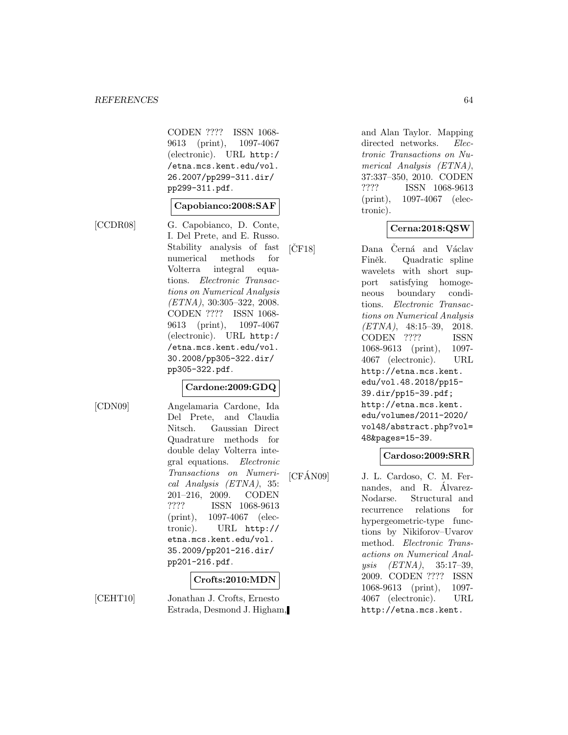CODEN ???? ISSN 1068- 9613 (print), 1097-4067 (electronic). URL http:/ /etna.mcs.kent.edu/vol. 26.2007/pp299-311.dir/ pp299-311.pdf.

#### **Capobianco:2008:SAF**

[CCDR08] G. Capobianco, D. Conte, I. Del Prete, and E. Russo. Stability analysis of fast numerical methods for Volterra integral equations. Electronic Transactions on Numerical Analysis (ETNA), 30:305–322, 2008. CODEN ???? ISSN 1068- 9613 (print), 1097-4067 (electronic). URL http:/ /etna.mcs.kent.edu/vol. 30.2008/pp305-322.dir/ pp305-322.pdf.

# **Cardone:2009:GDQ**

[CDN09] Angelamaria Cardone, Ida Del Prete, and Claudia Nitsch. Gaussian Direct Quadrature methods for double delay Volterra integral equations. Electronic Transactions on Numerical Analysis (ETNA), 35: 201–216, 2009. CODEN ???? ISSN 1068-9613 (print), 1097-4067 (electronic). URL http:// etna.mcs.kent.edu/vol. 35.2009/pp201-216.dir/ pp201-216.pdf.

# **Crofts:2010:MDN**

[CEHT10] Jonathan J. Crofts, Ernesto Estrada, Desmond J. Higham, and Alan Taylor. Mapping directed networks. Electronic Transactions on Numerical Analysis (ETNA), 37:337–350, 2010. CODEN ???? ISSN 1068-9613 (print), 1097-4067 (electronic).

#### **Cerna:2018:QSW**

[CF18] Dana Cerná and Václav Finěk. Quadratic spline wavelets with short support satisfying homogeneous boundary conditions. Electronic Transactions on Numerical Analysis (ETNA), 48:15–39, 2018. CODEN ???? ISSN 1068-9613 (print), 1097- 4067 (electronic). URL http://etna.mcs.kent. edu/vol.48.2018/pp15- 39.dir/pp15-39.pdf; http://etna.mcs.kent. edu/volumes/2011-2020/ vol48/abstract.php?vol= 48&pages=15-39.

#### **Cardoso:2009:SRR**

[CFÁN09] J. L. Cardoso, C. M. Fernandes, and R. Alvarez-Nodarse. Structural and recurrence relations for hypergeometric-type functions by Nikiforov–Uvarov method. Electronic Transactions on Numerical Analysis (ETNA), 35:17–39, 2009. CODEN ???? ISSN 1068-9613 (print), 1097- 4067 (electronic). URL http://etna.mcs.kent.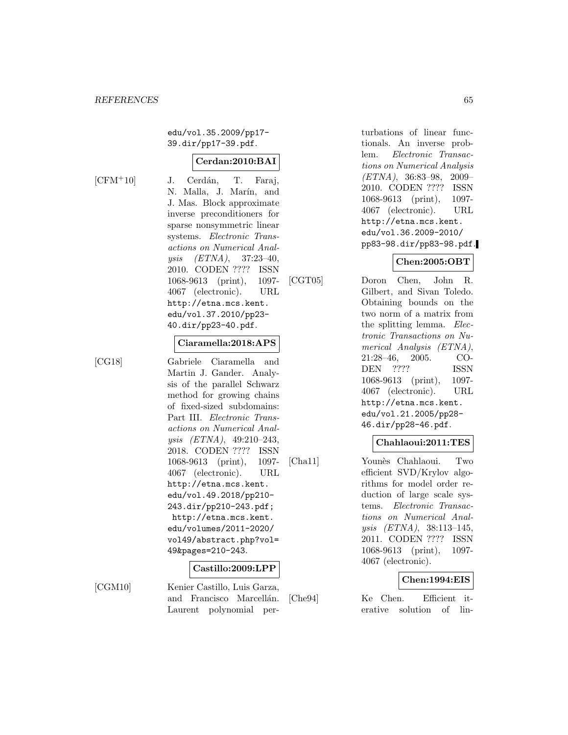edu/vol.35.2009/pp17- 39.dir/pp17-39.pdf.

# **Cerdan:2010:BAI**

 $[CFM+10]$  J. Cerdán, T. Faraj, N. Malla, J. Marín, and J. Mas. Block approximate inverse preconditioners for sparse nonsymmetric linear systems. Electronic Transactions on Numerical Analysis (ETNA), 37:23–40, 2010. CODEN ???? ISSN 1068-9613 (print), 1097- 4067 (electronic). URL http://etna.mcs.kent. edu/vol.37.2010/pp23- 40.dir/pp23-40.pdf.

#### **Ciaramella:2018:APS**

[CG18] Gabriele Ciaramella and Martin J. Gander. Analysis of the parallel Schwarz method for growing chains of fixed-sized subdomains: Part III. Electronic Transactions on Numerical Analysis (ETNA), 49:210–243, 2018. CODEN ???? ISSN 1068-9613 (print), 1097- 4067 (electronic). URL http://etna.mcs.kent. edu/vol.49.2018/pp210- 243.dir/pp210-243.pdf; http://etna.mcs.kent. edu/volumes/2011-2020/ vol49/abstract.php?vol= 49&pages=210-243.

# **Castillo:2009:LPP**

[CGM10] Kenier Castillo, Luis Garza, and Francisco Marcellán. Laurent polynomial perturbations of linear functionals. An inverse problem. Electronic Transactions on Numerical Analysis (ETNA), 36:83–98, 2009– 2010. CODEN ???? ISSN 1068-9613 (print), 1097- 4067 (electronic). URL http://etna.mcs.kent. edu/vol.36.2009-2010/ pp83-98.dir/pp83-98.pdf.

# **Chen:2005:OBT**

[CGT05] Doron Chen, John R. Gilbert, and Sivan Toledo. Obtaining bounds on the two norm of a matrix from the splitting lemma. Electronic Transactions on Numerical Analysis (ETNA), 21:28–46, 2005. CO-DEN ???? ISSN 1068-9613 (print), 1097- 4067 (electronic). URL http://etna.mcs.kent. edu/vol.21.2005/pp28- 46.dir/pp28-46.pdf.

# **Chahlaoui:2011:TES**

[Cha11] Younès Chahlaoui. Two efficient SVD/Krylov algorithms for model order reduction of large scale systems. Electronic Transactions on Numerical Analysis (ETNA), 38:113–145, 2011. CODEN ???? ISSN 1068-9613 (print), 1097- 4067 (electronic).

#### **Chen:1994:EIS**

[Che94] Ke Chen. Efficient iterative solution of lin-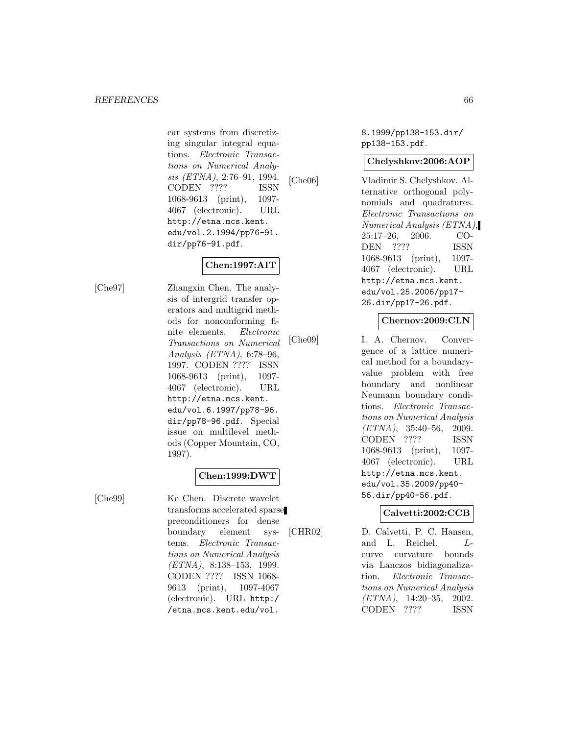ear systems from discretizing singular integral equations. Electronic Transactions on Numerical Analysis (ETNA), 2:76–91, 1994. CODEN ???? ISSN 1068-9613 (print), 1097- 4067 (electronic). URL http://etna.mcs.kent. edu/vol.2.1994/pp76-91. dir/pp76-91.pdf.

# **Chen:1997:AIT**

[Che97] Zhangxin Chen. The analysis of intergrid transfer operators and multigrid methods for nonconforming finite elements. Electronic Transactions on Numerical Analysis (ETNA), 6:78–96, 1997. CODEN ???? ISSN 1068-9613 (print), 1097- 4067 (electronic). URL http://etna.mcs.kent. edu/vol.6.1997/pp78-96. dir/pp78-96.pdf. Special issue on multilevel methods (Copper Mountain, CO, 1997).

# **Chen:1999:DWT**

[Che99] Ke Chen. Discrete wavelet transforms accelerated sparse preconditioners for dense boundary element systems. Electronic Transactions on Numerical Analysis  $(ETNA)$ , 8:138-153, 1999. CODEN ???? ISSN 1068- 9613 (print), 1097-4067 (electronic). URL http:/ /etna.mcs.kent.edu/vol.

8.1999/pp138-153.dir/ pp138-153.pdf.

# **Chelyshkov:2006:AOP**

[Che06] Vladimir S. Chelyshkov. Alternative orthogonal polynomials and quadratures. Electronic Transactions on Numerical Analysis (ETNA), 25:17–26, 2006. CO-DEN ???? ISSN 1068-9613 (print), 1097- 4067 (electronic). URL http://etna.mcs.kent. edu/vol.25.2006/pp17- 26.dir/pp17-26.pdf.

# **Chernov:2009:CLN**

[Che09] I. A. Chernov. Convergence of a lattice numerical method for a boundaryvalue problem with free boundary and nonlinear Neumann boundary conditions. Electronic Transactions on Numerical Analysis  $(ETNA)$ , 35:40-56, 2009. CODEN ???? ISSN 1068-9613 (print), 1097- 4067 (electronic). URL http://etna.mcs.kent. edu/vol.35.2009/pp40- 56.dir/pp40-56.pdf.

# **Calvetti:2002:CCB**

[CHR02] D. Calvetti, P. C. Hansen, and L. Reichel. Lcurve curvature bounds via Lanczos bidiagonalization. Electronic Transactions on Numerical Analysis (ETNA), 14:20–35, 2002. CODEN ???? ISSN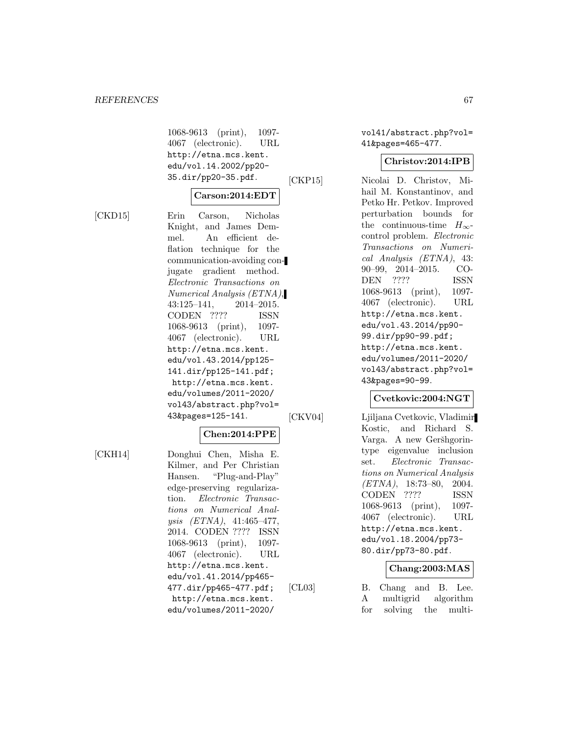1068-9613 (print), 1097- 4067 (electronic). URL http://etna.mcs.kent. edu/vol.14.2002/pp20- 35.dir/pp20-35.pdf.

$$
\fbox{Carson:} 2014{:} \text{EDT}
$$

[CKD15] Erin Carson, Nicholas Knight, and James Demmel. An efficient deflation technique for the communication-avoiding conjugate gradient method. Electronic Transactions on Numerical Analysis (ETNA), 43:125–141, 2014–2015. CODEN ???? ISSN 1068-9613 (print), 1097- 4067 (electronic). URL http://etna.mcs.kent. edu/vol.43.2014/pp125- 141.dir/pp125-141.pdf; http://etna.mcs.kent. edu/volumes/2011-2020/ vol43/abstract.php?vol= 43&pages=125-141.

# **Chen:2014:PPE**

[CKH14] Donghui Chen, Misha E. Kilmer, and Per Christian Hansen. "Plug-and-Play" edge-preserving regularization. Electronic Transactions on Numerical Analysis (ETNA), 41:465–477, 2014. CODEN ???? ISSN 1068-9613 (print), 1097- 4067 (electronic). URL http://etna.mcs.kent. edu/vol.41.2014/pp465- 477.dir/pp465-477.pdf; http://etna.mcs.kent. edu/volumes/2011-2020/

vol41/abstract.php?vol= 41&pages=465-477.

# **Christov:2014:IPB**

[CKP15] Nicolai D. Christov, Mihail M. Konstantinov, and Petko Hr. Petkov. Improved perturbation bounds for the continuous-time  $H_{\infty}$ control problem. Electronic Transactions on Numerical Analysis (ETNA), 43: 90–99, 2014–2015. CO-DEN ???? ISSN 1068-9613 (print), 1097- 4067 (electronic). URL http://etna.mcs.kent. edu/vol.43.2014/pp90- 99.dir/pp90-99.pdf; http://etna.mcs.kent. edu/volumes/2011-2020/ vol43/abstract.php?vol= 43&pages=90-99.

# **Cvetkovic:2004:NGT**

[CKV04] Ljiljana Cvetkovic, Vladimir Kostic, and Richard S. Varga. A new Geršhgorintype eigenvalue inclusion set. Electronic Transactions on Numerical Analysis  $(ETNA)$ , 18:73-80, 2004. CODEN ???? ISSN 1068-9613 (print), 1097- 4067 (electronic). URL http://etna.mcs.kent. edu/vol.18.2004/pp73- 80.dir/pp73-80.pdf.

# **Chang:2003:MAS**

[CL03] B. Chang and B. Lee. A multigrid algorithm for solving the multi-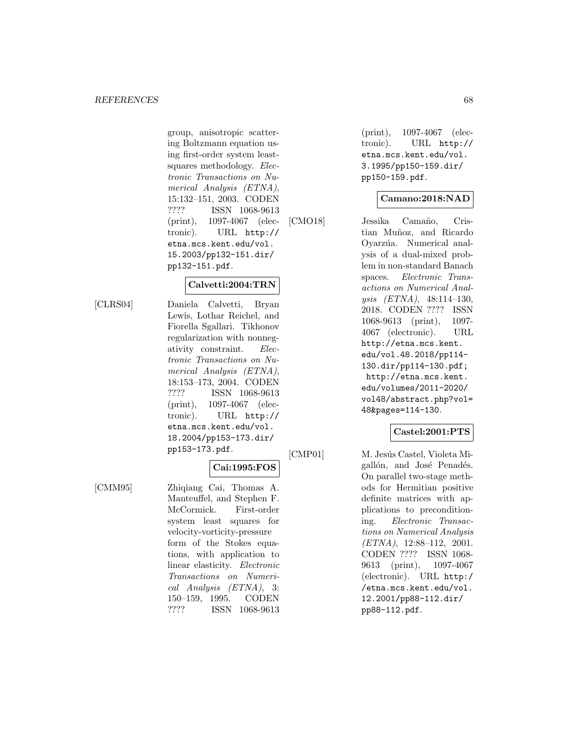group, anisotropic scattering Boltzmann equation using first-order system leastsquares methodology. Electronic Transactions on Numerical Analysis (ETNA), 15:132–151, 2003. CODEN ???? ISSN 1068-9613 (print), 1097-4067 (electronic). URL http:// etna.mcs.kent.edu/vol. 15.2003/pp132-151.dir/ pp132-151.pdf.

#### **Calvetti:2004:TRN**

[CLRS04] Daniela Calvetti, Bryan Lewis, Lothar Reichel, and Fiorella Sgallari. Tikhonov regularization with nonnegativity constraint. Electronic Transactions on Numerical Analysis (ETNA), 18:153–173, 2004. CODEN ???? ISSN 1068-9613 (print), 1097-4067 (electronic). URL http:// etna.mcs.kent.edu/vol. 18.2004/pp153-173.dir/ pp153-173.pdf.

# **Cai:1995:FOS**

[CMM95] Zhiqiang Cai, Thomas A. Manteuffel, and Stephen F. McCormick. First-order system least squares for velocity-vorticity-pressure form of the Stokes equations, with application to linear elasticity. Electronic Transactions on Numerical Analysis (ETNA), 3: 150–159, 1995. CODEN ???? ISSN 1068-9613

(print), 1097-4067 (electronic). URL http:// etna.mcs.kent.edu/vol. 3.1995/pp150-159.dir/ pp150-159.pdf.

# **Camano:2018:NAD**

[CMO18] Jessika Camaño, Cristian Muñoz, and Ricardo Oyarzúa. Numerical analysis of a dual-mixed problem in non-standard Banach spaces. Electronic Transactions on Numerical Analysis (ETNA), 48:114–130, 2018. CODEN ???? ISSN 1068-9613 (print), 1097- 4067 (electronic). URL http://etna.mcs.kent. edu/vol.48.2018/pp114- 130.dir/pp114-130.pdf; http://etna.mcs.kent. edu/volumes/2011-2020/ vol48/abstract.php?vol= 48&pages=114-130.

# **Castel:2001:PTS**

[CMP01] M. Jesús Castel, Violeta Migallón, and José Penadés. On parallel two-stage methods for Hermitian positive definite matrices with applications to preconditioning. Electronic Transactions on Numerical Analysis  $(ETNA)$ , 12:88-112, 2001. CODEN ???? ISSN 1068- 9613 (print), 1097-4067 (electronic). URL http:/ /etna.mcs.kent.edu/vol. 12.2001/pp88-112.dir/ pp88-112.pdf.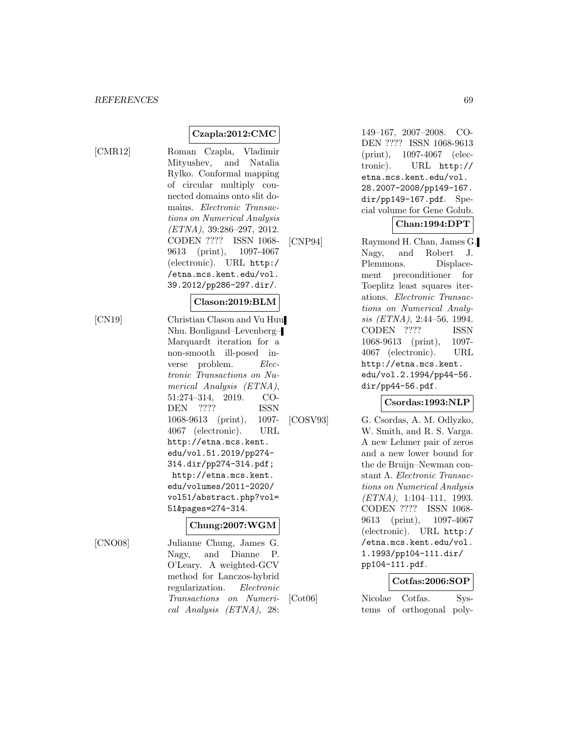### **Czapla:2012:CMC**

[CMR12] Roman Czapla, Vladimir Mityushev, and Natalia Rylko. Conformal mapping of circular multiply connected domains onto slit domains. Electronic Transactions on Numerical Analysis  $(ETNA), 39:286-297, 2012.$ CODEN ???? ISSN 1068- 9613 (print), 1097-4067 (electronic). URL http:/ /etna.mcs.kent.edu/vol. 39.2012/pp286-297.dir/.

#### **Clason:2019:BLM**

[CN19] Christian Clason and Vu Huu Nhu. Bouligand–Levenberg– Marquardt iteration for a non-smooth ill-posed inverse problem. Electronic Transactions on Numerical Analysis (ETNA), 51:274–314, 2019. CO-DEN ???? ISSN 1068-9613 (print), 1097- 4067 (electronic). URL http://etna.mcs.kent. edu/vol.51.2019/pp274- 314.dir/pp274-314.pdf; http://etna.mcs.kent. edu/volumes/2011-2020/ vol51/abstract.php?vol= 51&pages=274-314.

#### **Chung:2007:WGM**

[CNO08] Julianne Chung, James G. Nagy, and Dianne P. O'Leary. A weighted-GCV method for Lanczos-hybrid regularization. Electronic Transactions on Numerical Analysis (ETNA), 28:

149–167, 2007–2008. CO-DEN ???? ISSN 1068-9613 (print), 1097-4067 (electronic). URL http:// etna.mcs.kent.edu/vol. 28.2007-2008/pp149-167. dir/pp149-167.pdf. Special volume for Gene Golub.

# **Chan:1994:DPT**

[CNP94] Raymond H. Chan, James G. Nagy, and Robert J. Plemmons. Displacement preconditioner for Toeplitz least squares iterations. Electronic Transactions on Numerical Analysis (ETNA), 2:44–56, 1994. CODEN ???? ISSN 1068-9613 (print), 1097- 4067 (electronic). URL http://etna.mcs.kent. edu/vol.2.1994/pp44-56. dir/pp44-56.pdf.

# **Csordas:1993:NLP**

[COSV93] G. Csordas, A. M. Odlyzko, W. Smith, and R. S. Varga. A new Lehmer pair of zeros and a new lower bound for the de Bruijn–Newman constant Λ. Electronic Transactions on Numerical Analysis (ETNA), 1:104–111, 1993. CODEN ???? ISSN 1068- 9613 (print), 1097-4067 (electronic). URL http:/ /etna.mcs.kent.edu/vol. 1.1993/pp104-111.dir/ pp104-111.pdf.

#### **Cotfas:2006:SOP**

[Cot06] Nicolae Cotfas. Systems of orthogonal poly-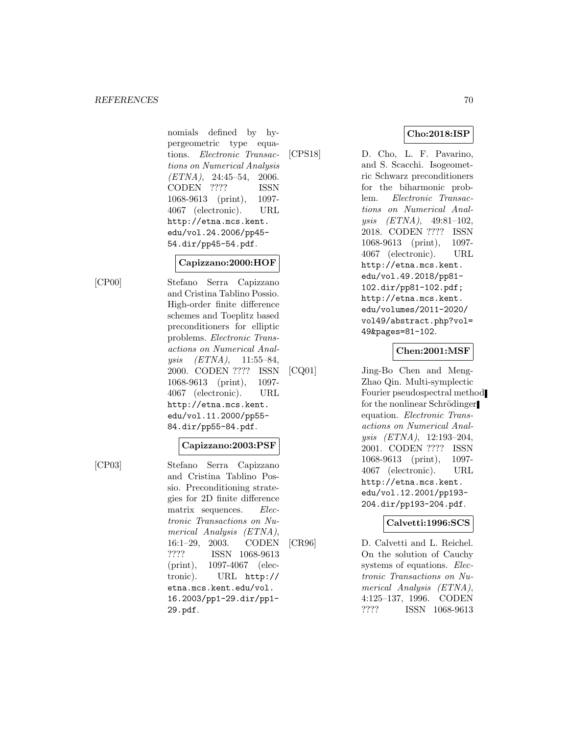#### **REFERENCES** 70

nomials defined by hypergeometric type equations. Electronic Transactions on Numerical Analysis  $(ETNA)$ , 24:45-54, 2006. CODEN ???? ISSN 1068-9613 (print), 1097- 4067 (electronic). URL http://etna.mcs.kent. edu/vol.24.2006/pp45- 54.dir/pp45-54.pdf.

### **Capizzano:2000:HOF**

[CP00] Stefano Serra Capizzano and Cristina Tablino Possio. High-order finite difference schemes and Toeplitz based preconditioners for elliptic problems. Electronic Transactions on Numerical Analysis (ETNA), 11:55–84, 2000. CODEN ???? ISSN 1068-9613 (print), 1097- 4067 (electronic). URL http://etna.mcs.kent. edu/vol.11.2000/pp55- 84.dir/pp55-84.pdf.

# **Capizzano:2003:PSF**

[CP03] Stefano Serra Capizzano and Cristina Tablino Possio. Preconditioning strategies for 2D finite difference matrix sequences. Electronic Transactions on Numerical Analysis (ETNA), 16:1–29, 2003. CODEN ???? ISSN 1068-9613 (print), 1097-4067 (electronic). URL http:// etna.mcs.kent.edu/vol. 16.2003/pp1-29.dir/pp1- 29.pdf.

# **Cho:2018:ISP**

[CPS18] D. Cho, L. F. Pavarino, and S. Scacchi. Isogeometric Schwarz preconditioners for the biharmonic problem. Electronic Transactions on Numerical Analysis (ETNA), 49:81–102, 2018. CODEN ???? ISSN 1068-9613 (print), 1097- 4067 (electronic). URL http://etna.mcs.kent. edu/vol.49.2018/pp81- 102.dir/pp81-102.pdf; http://etna.mcs.kent. edu/volumes/2011-2020/ vol49/abstract.php?vol= 49&pages=81-102.

# **Chen:2001:MSF**

[CQ01] Jing-Bo Chen and Meng-Zhao Qin. Multi-symplectic Fourier pseudospectral method for the nonlinear Schrödinger equation. Electronic Transactions on Numerical Analysis (ETNA), 12:193–204, 2001. CODEN ???? ISSN 1068-9613 (print), 1097- 4067 (electronic). URL http://etna.mcs.kent. edu/vol.12.2001/pp193- 204.dir/pp193-204.pdf.

# **Calvetti:1996:SCS**

[CR96] D. Calvetti and L. Reichel. On the solution of Cauchy systems of equations. Electronic Transactions on Numerical Analysis (ETNA), 4:125–137, 1996. CODEN ???? ISSN 1068-9613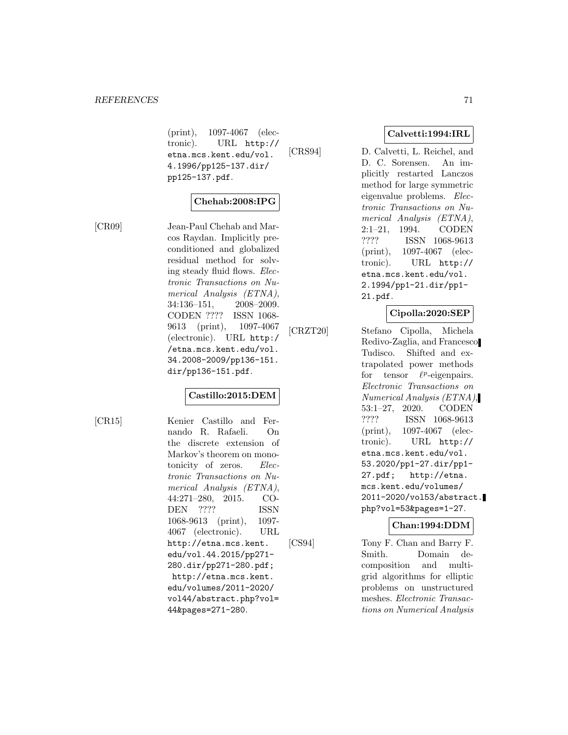(print), 1097-4067 (electronic). URL http:// etna.mcs.kent.edu/vol. 4.1996/pp125-137.dir/ pp125-137.pdf.

# **Chehab:2008:IPG**

[CR09] Jean-Paul Chehab and Marcos Raydan. Implicitly preconditioned and globalized residual method for solving steady fluid flows. Electronic Transactions on Numerical Analysis (ETNA), 34:136–151, 2008–2009. CODEN ???? ISSN 1068- 9613 (print), 1097-4067 (electronic). URL http:/ /etna.mcs.kent.edu/vol. 34.2008-2009/pp136-151. dir/pp136-151.pdf.

# **Castillo:2015:DEM**

[CR15] Kenier Castillo and Fernando R. Rafaeli. On the discrete extension of Markov's theorem on monotonicity of zeros. Electronic Transactions on Numerical Analysis (ETNA), 44:271–280, 2015. CO-DEN ???? ISSN 1068-9613 (print), 1097- 4067 (electronic). URL http://etna.mcs.kent. edu/vol.44.2015/pp271- 280.dir/pp271-280.pdf; http://etna.mcs.kent. edu/volumes/2011-2020/ vol44/abstract.php?vol= 44&pages=271-280.

# **Calvetti:1994:IRL**

[CRS94] D. Calvetti, L. Reichel, and D. C. Sorensen. An implicitly restarted Lanczos method for large symmetric eigenvalue problems. Electronic Transactions on Numerical Analysis (ETNA), 2:1–21, 1994. CODEN ???? ISSN 1068-9613 (print), 1097-4067 (electronic). URL http:// etna.mcs.kent.edu/vol. 2.1994/pp1-21.dir/pp1- 21.pdf.

# **Cipolla:2020:SEP**

[CRZT20] Stefano Cipolla, Michela Redivo-Zaglia, and Francesco Tudisco. Shifted and extrapolated power methods for tensor  $\ell^p$ -eigenpairs. Electronic Transactions on Numerical Analysis (ETNA), 53:1–27, 2020. CODEN ???? ISSN 1068-9613 (print), 1097-4067 (electronic). URL http:// etna.mcs.kent.edu/vol. 53.2020/pp1-27.dir/pp1- 27.pdf; http://etna. mcs.kent.edu/volumes/ 2011-2020/vol53/abstract. php?vol=53&pages=1-27.

# **Chan:1994:DDM**

[CS94] Tony F. Chan and Barry F. Smith. Domain decomposition and multigrid algorithms for elliptic problems on unstructured meshes. Electronic Transactions on Numerical Analysis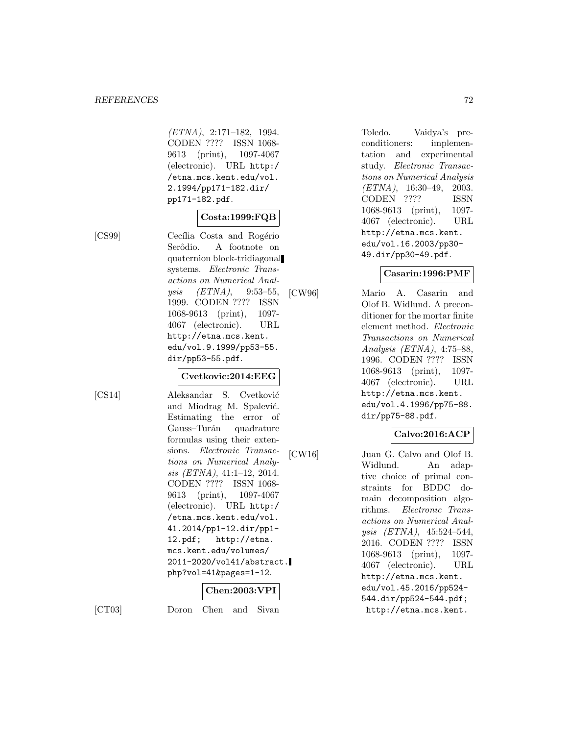(ETNA), 2:171–182, 1994. CODEN ???? ISSN 1068- 9613 (print), 1097-4067 (electronic). URL http:/ /etna.mcs.kent.edu/vol. 2.1994/pp171-182.dir/ pp171-182.pdf.

# **Costa:1999:FQB**

[CS99] Cecília Costa and Rogério Serôdio. A footnote on quaternion block-tridiagonal systems. Electronic Transactions on Numerical Analysis (ETNA), 9:53–55, 1999. CODEN ???? ISSN 1068-9613 (print), 1097- 4067 (electronic). URL http://etna.mcs.kent. edu/vol.9.1999/pp53-55. dir/pp53-55.pdf.

#### **Cvetkovic:2014:EEG**

[CS14] Aleksandar S. Cvetković and Miodrag M. Spalević. Estimating the error of Gauss–Turán quadrature formulas using their extensions. Electronic Transactions on Numerical Analysis (ETNA), 41:1–12, 2014. CODEN ???? ISSN 1068- 9613 (print), 1097-4067 (electronic). URL http:/ /etna.mcs.kent.edu/vol. 41.2014/pp1-12.dir/pp1- 12.pdf; http://etna. mcs.kent.edu/volumes/ 2011-2020/vol41/abstract. php?vol=41&pages=1-12.

# **Chen:2003:VPI**

[CT03] Doron Chen and Sivan

Toledo. Vaidya's preconditioners: implementation and experimental study. Electronic Transactions on Numerical Analysis (ETNA), 16:30–49, 2003. CODEN ???? ISSN 1068-9613 (print), 1097- 4067 (electronic). URL http://etna.mcs.kent. edu/vol.16.2003/pp30- 49.dir/pp30-49.pdf.

# **Casarin:1996:PMF**

[CW96] Mario A. Casarin and Olof B. Widlund. A preconditioner for the mortar finite element method. Electronic Transactions on Numerical Analysis (ETNA), 4:75–88, 1996. CODEN ???? ISSN 1068-9613 (print), 1097- 4067 (electronic). URL http://etna.mcs.kent. edu/vol.4.1996/pp75-88. dir/pp75-88.pdf.

# **Calvo:2016:ACP**

[CW16] Juan G. Calvo and Olof B. Widlund. An adaptive choice of primal constraints for BDDC domain decomposition algorithms. Electronic Transactions on Numerical Analysis (ETNA), 45:524–544, 2016. CODEN ???? ISSN 1068-9613 (print), 1097- 4067 (electronic). URL http://etna.mcs.kent. edu/vol.45.2016/pp524- 544.dir/pp524-544.pdf; http://etna.mcs.kent.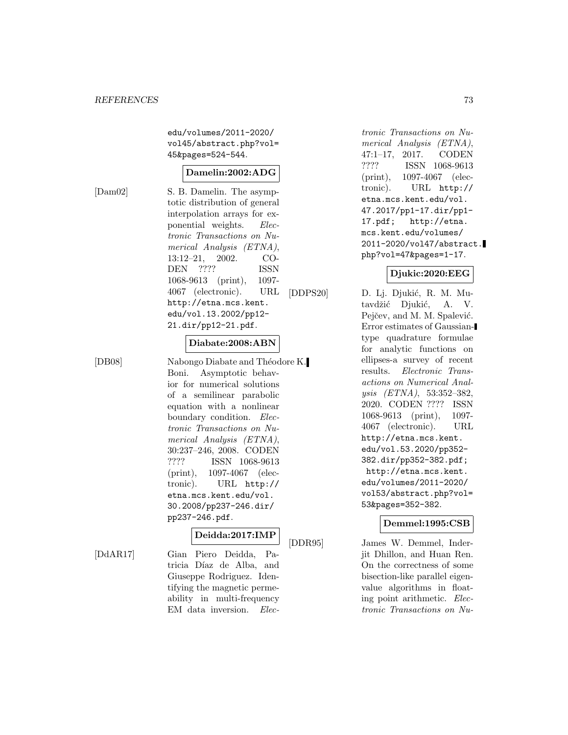edu/volumes/2011-2020/ vol45/abstract.php?vol= 45&pages=524-544.

#### **Damelin:2002:ADG**

[Dam02] S. B. Damelin. The asymptotic distribution of general interpolation arrays for exponential weights. Electronic Transactions on Numerical Analysis (ETNA), 13:12–21, 2002. CO-DEN ???? ISSN 1068-9613 (print), 1097- 4067 (electronic). URL http://etna.mcs.kent. edu/vol.13.2002/pp12- 21.dir/pp12-21.pdf.

#### **Diabate:2008:ABN**

[DB08] Nabongo Diabate and Théodore K. Boni. Asymptotic behavior for numerical solutions of a semilinear parabolic equation with a nonlinear boundary condition. Electronic Transactions on Numerical Analysis (ETNA), 30:237–246, 2008. CODEN ???? ISSN 1068-9613 (print), 1097-4067 (electronic). URL http:// etna.mcs.kent.edu/vol. 30.2008/pp237-246.dir/ pp237-246.pdf.

## **Deidda:2017:IMP**

[DdAR17] Gian Piero Deidda, Patricia Díaz de Alba, and Giuseppe Rodriguez. Identifying the magnetic permeability in multi-frequency EM data inversion. Electronic Transactions on Numerical Analysis (ETNA), 47:1–17, 2017. CODEN ???? ISSN 1068-9613 (print), 1097-4067 (electronic). URL http:// etna.mcs.kent.edu/vol. 47.2017/pp1-17.dir/pp1- 17.pdf; http://etna. mcs.kent.edu/volumes/ 2011-2020/vol47/abstract. php?vol=47&pages=1-17.

## **Djukic:2020:EEG**

[DDPS20] D. Lj. Djukić, R. M. Mutavdžić Djukić, A. V. Pejčev, and M. M. Spalević. Error estimates of Gaussiantype quadrature formulae for analytic functions on ellipses-a survey of recent results. Electronic Transactions on Numerical Analysis (ETNA), 53:352–382, 2020. CODEN ???? ISSN 1068-9613 (print), 1097- 4067 (electronic). URL http://etna.mcs.kent. edu/vol.53.2020/pp352- 382.dir/pp352-382.pdf; http://etna.mcs.kent. edu/volumes/2011-2020/ vol53/abstract.php?vol= 53&pages=352-382.

# **Demmel:1995:CSB**

[DDR95] James W. Demmel, Inderjit Dhillon, and Huan Ren. On the correctness of some bisection-like parallel eigenvalue algorithms in floating point arithmetic. Electronic Transactions on Nu-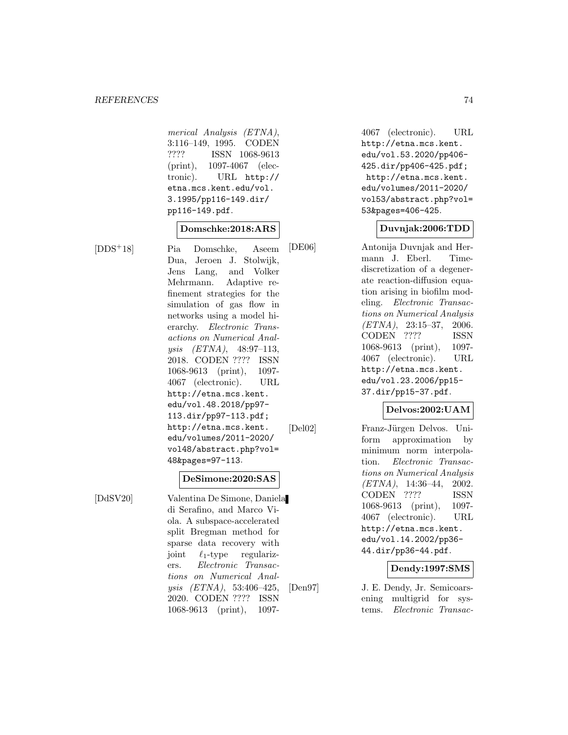merical Analysis (ETNA), 3:116–149, 1995. CODEN ???? ISSN 1068-9613 (print), 1097-4067 (electronic). URL http:// etna.mcs.kent.edu/vol. 3.1995/pp116-149.dir/ pp116-149.pdf.

## **Domschke:2018:ARS**

[DDS<sup>+</sup>18] Pia Domschke, Aseem Dua, Jeroen J. Stolwijk, Jens Lang, and Volker Mehrmann. Adaptive refinement strategies for the simulation of gas flow in networks using a model hierarchy. Electronic Transactions on Numerical Analysis (ETNA), 48:97–113, 2018. CODEN ???? ISSN 1068-9613 (print), 1097- 4067 (electronic). URL http://etna.mcs.kent. edu/vol.48.2018/pp97- 113.dir/pp97-113.pdf; http://etna.mcs.kent. edu/volumes/2011-2020/ vol48/abstract.php?vol= 48&pages=97-113.

#### **DeSimone:2020:SAS**

[DdSV20] Valentina De Simone, Daniela di Serafino, and Marco Viola. A subspace-accelerated split Bregman method for sparse data recovery with joint  $\ell_1$ -type regularizers. Electronic Transactions on Numerical Analysis (ETNA), 53:406–425, 2020. CODEN ???? ISSN 1068-9613 (print), 10974067 (electronic). URL http://etna.mcs.kent. edu/vol.53.2020/pp406- 425.dir/pp406-425.pdf; http://etna.mcs.kent. edu/volumes/2011-2020/ vol53/abstract.php?vol= 53&pages=406-425.

#### **Duvnjak:2006:TDD**

[DE06] Antonija Duvnjak and Hermann J. Eberl. Timediscretization of a degenerate reaction-diffusion equation arising in biofilm modeling. Electronic Transactions on Numerical Analysis (ETNA), 23:15–37, 2006. CODEN ???? ISSN 1068-9613 (print), 1097- 4067 (electronic). URL http://etna.mcs.kent. edu/vol.23.2006/pp15- 37.dir/pp15-37.pdf.

#### **Delvos:2002:UAM**

[Del02] Franz-Jürgen Delvos. Uniform approximation by minimum norm interpolation. Electronic Transactions on Numerical Analysis  $(ETNA)$ , 14:36-44, 2002. CODEN ???? ISSN 1068-9613 (print), 1097- 4067 (electronic). URL http://etna.mcs.kent. edu/vol.14.2002/pp36- 44.dir/pp36-44.pdf.

#### **Dendy:1997:SMS**

[Den97] J. E. Dendy, Jr. Semicoarsening multigrid for systems. Electronic Transac-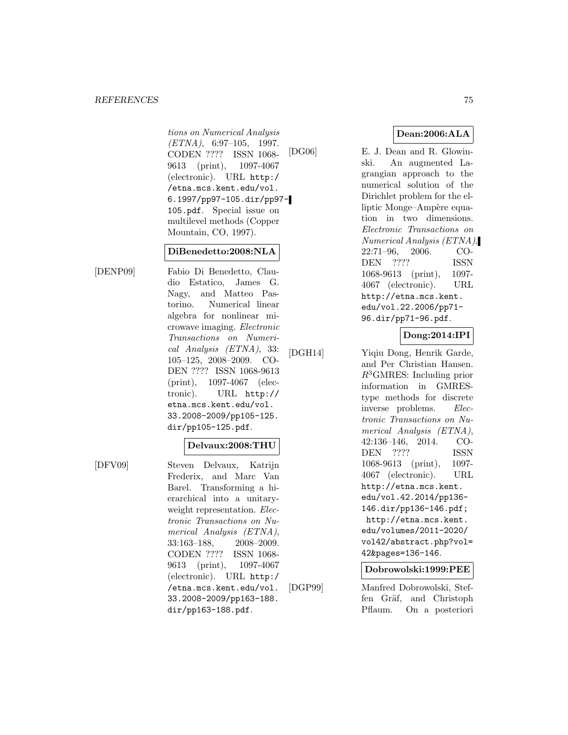#### *REFERENCES* 75

tions on Numerical Analysis  $(ETNA)$ , 6:97-105, 1997. CODEN ???? ISSN 1068- 9613 (print), 1097-4067 (electronic). URL http:/ /etna.mcs.kent.edu/vol. 6.1997/pp97-105.dir/pp97- 105.pdf. Special issue on multilevel methods (Copper Mountain, CO, 1997).

#### **DiBenedetto:2008:NLA**

[DENP09] Fabio Di Benedetto, Claudio Estatico, James G. Nagy, and Matteo Pastorino. Numerical linear algebra for nonlinear microwave imaging. Electronic Transactions on Numerical Analysis (ETNA), 33: 105–125, 2008–2009. CO-DEN ???? ISSN 1068-9613 (print), 1097-4067 (electronic). URL http:// etna.mcs.kent.edu/vol. 33.2008-2009/pp105-125. dir/pp105-125.pdf.

#### **Delvaux:2008:THU**

[DFV09] Steven Delvaux, Katrijn Frederix, and Marc Van Barel. Transforming a hierarchical into a unitaryweight representation. Electronic Transactions on Numerical Analysis (ETNA), 33:163–188, 2008–2009. CODEN ???? ISSN 1068- 9613 (print), 1097-4067 (electronic). URL http:/ /etna.mcs.kent.edu/vol. 33.2008-2009/pp163-188. dir/pp163-188.pdf.

**Dean:2006:ALA**

[DG06] E. J. Dean and R. Glowinski. An augmented Lagrangian approach to the numerical solution of the Dirichlet problem for the elliptic Monge–Ampère equation in two dimensions. Electronic Transactions on Numerical Analysis (ETNA), 22:71–96, 2006. CO-DEN ???? ISSN 1068-9613 (print), 1097- 4067 (electronic). URL http://etna.mcs.kent. edu/vol.22.2006/pp71- 96.dir/pp71-96.pdf.

**Dong:2014:IPI**

[DGH14] Yiqiu Dong, Henrik Garde, and Per Christian Hansen.  $R^3$ GMRES: Including prior information in GMREStype methods for discrete inverse problems. Electronic Transactions on Numerical Analysis (ETNA), 42:136–146, 2014. CO-DEN ???? ISSN 1068-9613 (print), 1097- 4067 (electronic). URL http://etna.mcs.kent. edu/vol.42.2014/pp136- 146.dir/pp136-146.pdf; http://etna.mcs.kent. edu/volumes/2011-2020/ vol42/abstract.php?vol= 42&pages=136-146.

## **Dobrowolski:1999:PEE**

[DGP99] Manfred Dobrowolski, Steffen Gräf, and Christoph Pflaum. On a posteriori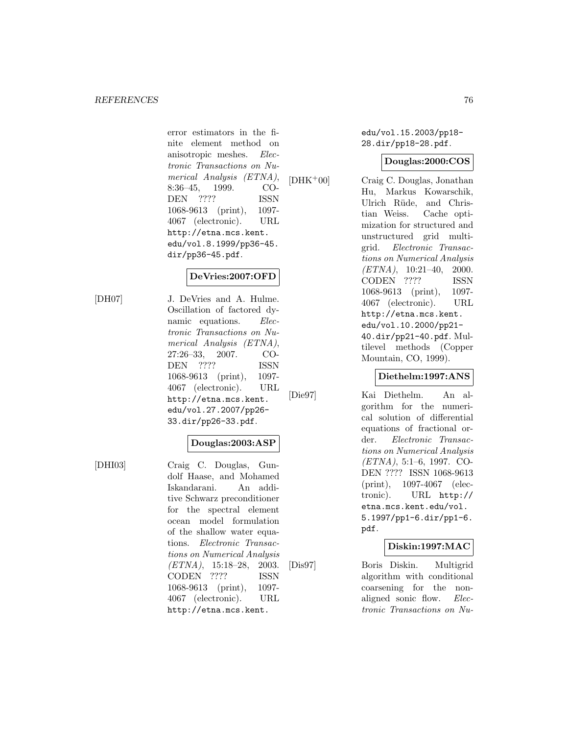error estimators in the finite element method on anisotropic meshes. Electronic Transactions on Numerical Analysis (ETNA), 8:36–45, 1999. CO-DEN ???? ISSN 1068-9613 (print), 1097- 4067 (electronic). URL http://etna.mcs.kent. edu/vol.8.1999/pp36-45. dir/pp36-45.pdf.

## **DeVries:2007:OFD**

[DH07] J. DeVries and A. Hulme. Oscillation of factored dynamic equations. Electronic Transactions on Numerical Analysis (ETNA), 27:26–33, 2007. CO-DEN ???? ISSN 1068-9613 (print), 1097- 4067 (electronic). URL http://etna.mcs.kent. edu/vol.27.2007/pp26- 33.dir/pp26-33.pdf.

# **Douglas:2003:ASP**

[DHI03] Craig C. Douglas, Gundolf Haase, and Mohamed Iskandarani. An additive Schwarz preconditioner for the spectral element ocean model formulation of the shallow water equations. Electronic Transactions on Numerical Analysis (ETNA), 15:18–28, 2003. CODEN ???? ISSN 1068-9613 (print), 1097- 4067 (electronic). URL http://etna.mcs.kent.

edu/vol.15.2003/pp18- 28.dir/pp18-28.pdf.

## **Douglas:2000:COS**

[DHK<sup>+</sup>00] Craig C. Douglas, Jonathan Hu, Markus Kowarschik, Ulrich Rüde, and Christian Weiss. Cache optimization for structured and unstructured grid multigrid. Electronic Transactions on Numerical Analysis  $(ETNA)$ , 10:21-40, 2000. CODEN ???? ISSN 1068-9613 (print), 1097- 4067 (electronic). URL http://etna.mcs.kent. edu/vol.10.2000/pp21- 40.dir/pp21-40.pdf. Multilevel methods (Copper Mountain, CO, 1999).

#### **Diethelm:1997:ANS**

[Die97] Kai Diethelm. An algorithm for the numerical solution of differential equations of fractional order. Electronic Transactions on Numerical Analysis (ETNA), 5:1–6, 1997. CO-DEN ???? ISSN 1068-9613 (print), 1097-4067 (electronic). URL http:// etna.mcs.kent.edu/vol. 5.1997/pp1-6.dir/pp1-6. pdf.

## **Diskin:1997:MAC**

[Dis97] Boris Diskin. Multigrid algorithm with conditional coarsening for the nonaligned sonic flow. Electronic Transactions on Nu-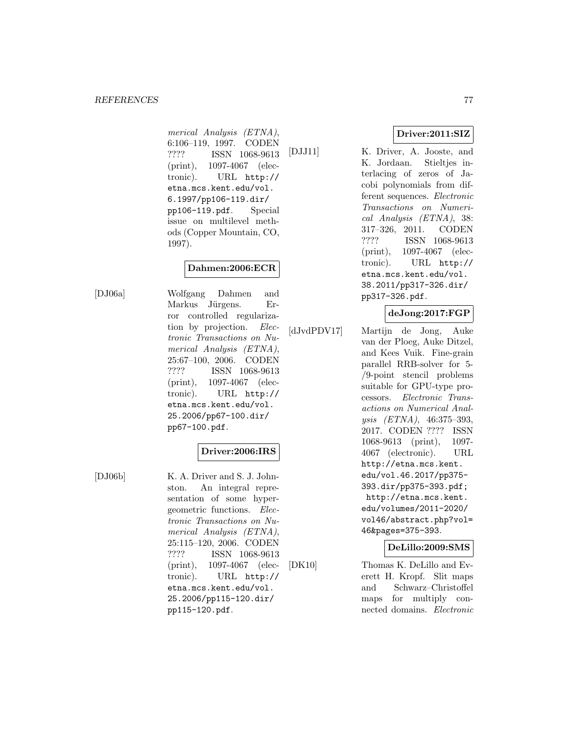merical Analysis (ETNA), 6:106–119, 1997. CODEN ???? ISSN 1068-9613 (print), 1097-4067 (electronic). URL http:// etna.mcs.kent.edu/vol. 6.1997/pp106-119.dir/ pp106-119.pdf. Special issue on multilevel methods (Copper Mountain, CO, 1997).

# **Dahmen:2006:ECR**

[DJ06a] Wolfgang Dahmen and Markus Jürgens. Error controlled regularization by projection. Electronic Transactions on Numerical Analysis (ETNA), 25:67–100, 2006. CODEN ???? ISSN 1068-9613 (print), 1097-4067 (electronic). URL http:// etna.mcs.kent.edu/vol. 25.2006/pp67-100.dir/ pp67-100.pdf.

## **Driver:2006:IRS**

[DJ06b] K. A. Driver and S. J. Johnston. An integral representation of some hypergeometric functions. Electronic Transactions on Numerical Analysis (ETNA), 25:115–120, 2006. CODEN ???? ISSN 1068-9613 (print), 1097-4067 (electronic). URL http:// etna.mcs.kent.edu/vol. 25.2006/pp115-120.dir/ pp115-120.pdf.

# **Driver:2011:SIZ**

[DJJ11] K. Driver, A. Jooste, and K. Jordaan. Stieltjes interlacing of zeros of Jacobi polynomials from different sequences. Electronic Transactions on Numerical Analysis (ETNA), 38: 317–326, 2011. CODEN ???? ISSN 1068-9613 (print), 1097-4067 (electronic). URL http:// etna.mcs.kent.edu/vol. 38.2011/pp317-326.dir/ pp317-326.pdf.

## **deJong:2017:FGP**

[dJvdPDV17] Martijn de Jong, Auke van der Ploeg, Auke Ditzel, and Kees Vuik. Fine-grain parallel RRB-solver for 5- /9-point stencil problems suitable for GPU-type processors. Electronic Transactions on Numerical Analysis (ETNA), 46:375–393, 2017. CODEN ???? ISSN 1068-9613 (print), 1097- 4067 (electronic). URL http://etna.mcs.kent. edu/vol.46.2017/pp375- 393.dir/pp375-393.pdf; http://etna.mcs.kent. edu/volumes/2011-2020/ vol46/abstract.php?vol= 46&pages=375-393.

#### **DeLillo:2009:SMS**

[DK10] Thomas K. DeLillo and Everett H. Kropf. Slit maps and Schwarz–Christoffel maps for multiply connected domains. Electronic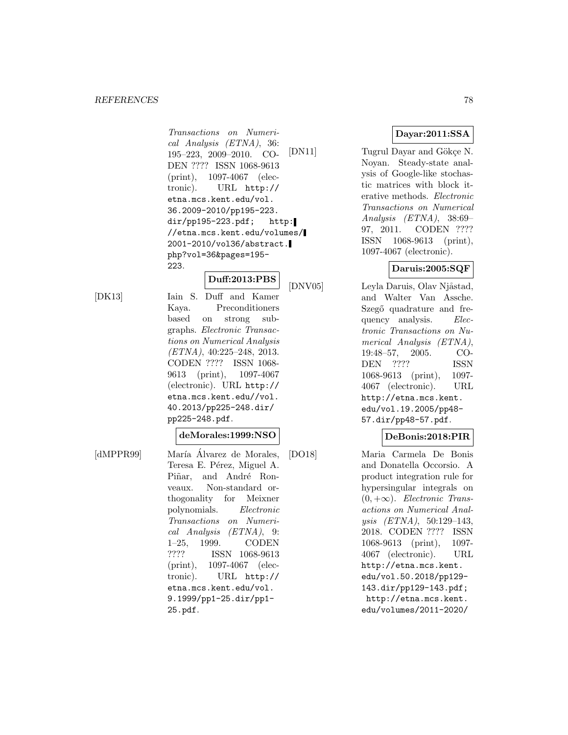#### *REFERENCES* 78

Transactions on Numerical Analysis (ETNA), 36: 195–223, 2009–2010. CO-DEN ???? ISSN 1068-9613 (print), 1097-4067 (electronic). URL http:// etna.mcs.kent.edu/vol. 36.2009-2010/pp195-223. dir/pp195-223.pdf; http: //etna.mcs.kent.edu/volumes/ 2001-2010/vol36/abstract. php?vol=36&pages=195- 223.

# **Duff:2013:PBS**

[DK13] Iain S. Duff and Kamer Kaya. Preconditioners based on strong subgraphs. Electronic Transactions on Numerical Analysis (ETNA), 40:225–248, 2013. CODEN ???? ISSN 1068- 9613 (print), 1097-4067 (electronic). URL http:// etna.mcs.kent.edu//vol. 40.2013/pp225-248.dir/ pp225-248.pdf.

#### **deMorales:1999:NSO**

[dMPPR99] María Álvarez de Morales, Teresa E. Pérez, Miguel A. Piñar, and André Ronveaux. Non-standard orthogonality for Meixner polynomials. Electronic Transactions on Numerical Analysis (ETNA), 9: 1–25, 1999. CODEN ???? ISSN 1068-9613 (print), 1097-4067 (electronic). URL http:// etna.mcs.kent.edu/vol. 9.1999/pp1-25.dir/pp1- 25.pdf.

## **Dayar:2011:SSA**

[DN11] Tugrul Dayar and Gökçe N. Noyan. Steady-state analysis of Google-like stochastic matrices with block iterative methods. Electronic Transactions on Numerical Analysis (ETNA), 38:69– 97, 2011. CODEN ???? ISSN 1068-9613 (print), 1097-4067 (electronic).

## **Daruis:2005:SQF**

[DNV05] Leyla Daruis, Olav Njåstad, and Walter Van Assche. Szegő quadrature and frequency analysis. Electronic Transactions on Numerical Analysis (ETNA), 19:48–57, 2005. CO-DEN ???? ISSN 1068-9613 (print), 1097- 4067 (electronic). URL http://etna.mcs.kent. edu/vol.19.2005/pp48- 57.dir/pp48-57.pdf.

## **DeBonis:2018:PIR**

[DO18] Maria Carmela De Bonis and Donatella Occorsio. A product integration rule for hypersingular integrals on  $(0, +\infty)$ . Electronic Transactions on Numerical Analysis (ETNA), 50:129–143, 2018. CODEN ???? ISSN 1068-9613 (print), 1097- 4067 (electronic). URL http://etna.mcs.kent. edu/vol.50.2018/pp129- 143.dir/pp129-143.pdf; http://etna.mcs.kent. edu/volumes/2011-2020/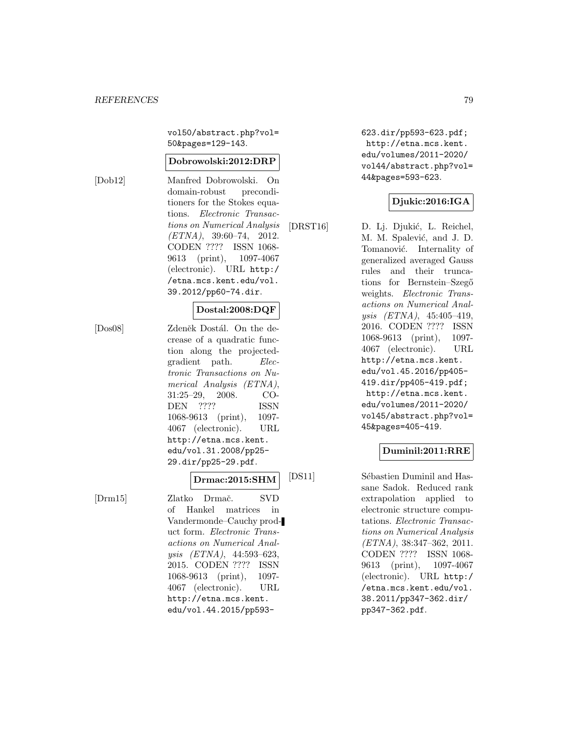vol50/abstract.php?vol= 50&pages=129-143.

#### **Dobrowolski:2012:DRP**

[Dob12] Manfred Dobrowolski. On domain-robust preconditioners for the Stokes equations. Electronic Transactions on Numerical Analysis  $(ETNA)$ , 39:60-74, 2012. CODEN ???? ISSN 1068- 9613 (print), 1097-4067 (electronic). URL http:/ /etna.mcs.kent.edu/vol. 39.2012/pp60-74.dir.

#### **Dostal:2008:DQF**

[Dos08] Zdeněk Dostál. On the decrease of a quadratic function along the projectedgradient path. Electronic Transactions on Numerical Analysis (ETNA), 31:25–29, 2008. CO-DEN ???? ISSN 1068-9613 (print), 1097- 4067 (electronic). URL http://etna.mcs.kent. edu/vol.31.2008/pp25- 29.dir/pp25-29.pdf.

# **Drmac:2015:SHM**

[Drm15] Zlatko Drmač. SVD of Hankel matrices in Vandermonde–Cauchy product form. Electronic Transactions on Numerical Analysis (ETNA), 44:593–623, 2015. CODEN ???? ISSN 1068-9613 (print), 1097- 4067 (electronic). URL http://etna.mcs.kent. edu/vol.44.2015/pp593623.dir/pp593-623.pdf; http://etna.mcs.kent. edu/volumes/2011-2020/ vol44/abstract.php?vol= 44&pages=593-623.

## **Djukic:2016:IGA**

[DRST16] D. Lj. Djukić, L. Reichel, M. M. Spalević, and J. D. Tomanović. Internality of generalized averaged Gauss rules and their truncations for Bernstein–Szegő weights. *Electronic Trans*actions on Numerical Analysis (ETNA), 45:405–419, 2016. CODEN ???? ISSN 1068-9613 (print), 1097- 4067 (electronic). URL http://etna.mcs.kent. edu/vol.45.2016/pp405- 419.dir/pp405-419.pdf; http://etna.mcs.kent. edu/volumes/2011-2020/ vol45/abstract.php?vol= 45&pages=405-419.

# **Duminil:2011:RRE**

[DS11] Sébastien Duminil and Hassane Sadok. Reduced rank extrapolation applied to electronic structure computations. Electronic Transactions on Numerical Analysis (ETNA), 38:347–362, 2011. CODEN ???? ISSN 1068- 9613 (print), 1097-4067 (electronic). URL http:/ /etna.mcs.kent.edu/vol. 38.2011/pp347-362.dir/ pp347-362.pdf.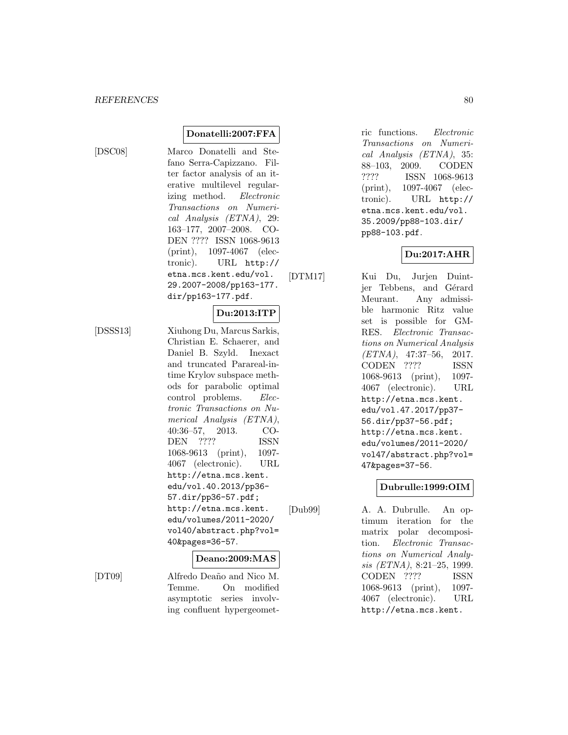[DSC08] Marco Donatelli and Stefano Serra-Capizzano. Filter factor analysis of an iterative multilevel regularizing method. Electronic Transactions on Numerical Analysis (ETNA), 29: 163–177, 2007–2008. CO-DEN ???? ISSN 1068-9613 (print), 1097-4067 (electronic). URL http:// etna.mcs.kent.edu/vol. 29.2007-2008/pp163-177. dir/pp163-177.pdf.

**Donatelli:2007:FFA**

**Du:2013:ITP**

[DSSS13] Xiuhong Du, Marcus Sarkis, Christian E. Schaerer, and Daniel B. Szyld. Inexact and truncated Parareal-intime Krylov subspace methods for parabolic optimal control problems. Electronic Transactions on Numerical Analysis (ETNA), 40:36–57, 2013. CO-DEN ???? ISSN 1068-9613 (print), 1097- 4067 (electronic). URL http://etna.mcs.kent. edu/vol.40.2013/pp36- 57.dir/pp36-57.pdf; http://etna.mcs.kent. edu/volumes/2011-2020/ vol40/abstract.php?vol= 40&pages=36-57.

# **Deano:2009:MAS**

[DT09] Alfredo Deaño and Nico M. Temme. On modified asymptotic series involving confluent hypergeometric functions. Electronic Transactions on Numerical Analysis (ETNA), 35: 88–103, 2009. CODEN ???? ISSN 1068-9613 (print), 1097-4067 (electronic). URL http:// etna.mcs.kent.edu/vol. 35.2009/pp88-103.dir/ pp88-103.pdf.

## **Du:2017:AHR**

[DTM17] Kui Du, Jurjen Duintjer Tebbens, and Gérard Meurant. Any admissible harmonic Ritz value set is possible for GM-RES. Electronic Transactions on Numerical Analysis  $(ETNA)$ , 47:37-56, 2017. CODEN ???? ISSN 1068-9613 (print), 1097- 4067 (electronic). URL http://etna.mcs.kent. edu/vol.47.2017/pp37- 56.dir/pp37-56.pdf; http://etna.mcs.kent. edu/volumes/2011-2020/ vol47/abstract.php?vol= 47&pages=37-56.

## **Dubrulle:1999:OIM**

[Dub99] A. A. Dubrulle. An optimum iteration for the matrix polar decomposition. Electronic Transactions on Numerical Analysis (ETNA), 8:21–25, 1999. CODEN ???? ISSN 1068-9613 (print), 1097- 4067 (electronic). URL http://etna.mcs.kent.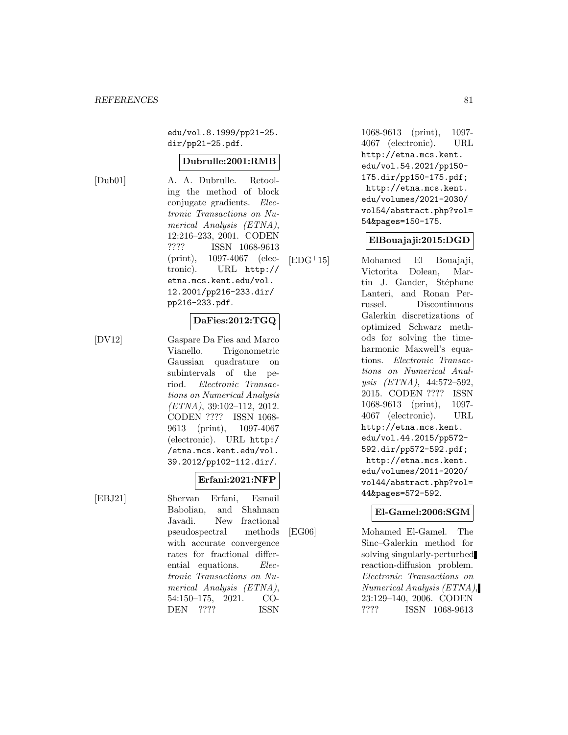edu/vol.8.1999/pp21-25. dir/pp21-25.pdf.

#### **Dubrulle:2001:RMB**

[Dub01] A. A. Dubrulle. Retooling the method of block conjugate gradients. Electronic Transactions on Numerical Analysis (ETNA), 12:216–233, 2001. CODEN ???? ISSN 1068-9613 (print), 1097-4067 (electronic). URL http:// etna.mcs.kent.edu/vol. 12.2001/pp216-233.dir/ pp216-233.pdf.

## **DaFies:2012:TGQ**

[DV12] Gaspare Da Fies and Marco Vianello. Trigonometric Gaussian quadrature on subintervals of the period. Electronic Transactions on Numerical Analysis  $(ETNA), 39:102-112, 2012.$ CODEN ???? ISSN 1068- 9613 (print), 1097-4067 (electronic). URL http:/ /etna.mcs.kent.edu/vol. 39.2012/pp102-112.dir/.

# **Erfani:2021:NFP**

[EBJ21] Shervan Erfani, Esmail Babolian, and Shahnam Javadi. New fractional pseudospectral methods with accurate convergence rates for fractional differential equations. Electronic Transactions on Numerical Analysis (ETNA), 54:150–175, 2021. CO-DEN ???? ISSN

1068-9613 (print), 1097- 4067 (electronic). URL http://etna.mcs.kent. edu/vol.54.2021/pp150- 175.dir/pp150-175.pdf; http://etna.mcs.kent. edu/volumes/2021-2030/ vol54/abstract.php?vol= 54&pages=150-175.

#### **ElBouajaji:2015:DGD**

[EDG<sup>+</sup>15] Mohamed El Bouajaji, Victorita Dolean, Martin J. Gander, Stéphane Lanteri, and Ronan Perrussel. Discontinuous Galerkin discretizations of optimized Schwarz methods for solving the timeharmonic Maxwell's equations. Electronic Transactions on Numerical Analysis (ETNA), 44:572–592, 2015. CODEN ???? ISSN 1068-9613 (print), 1097- 4067 (electronic). URL http://etna.mcs.kent. edu/vol.44.2015/pp572- 592.dir/pp572-592.pdf; http://etna.mcs.kent. edu/volumes/2011-2020/ vol44/abstract.php?vol= 44&pages=572-592.

#### **El-Gamel:2006:SGM**

[EG06] Mohamed El-Gamel. The Sinc–Galerkin method for solving singularly-perturbed reaction-diffusion problem. Electronic Transactions on Numerical Analysis (ETNA), 23:129–140, 2006. CODEN ???? ISSN 1068-9613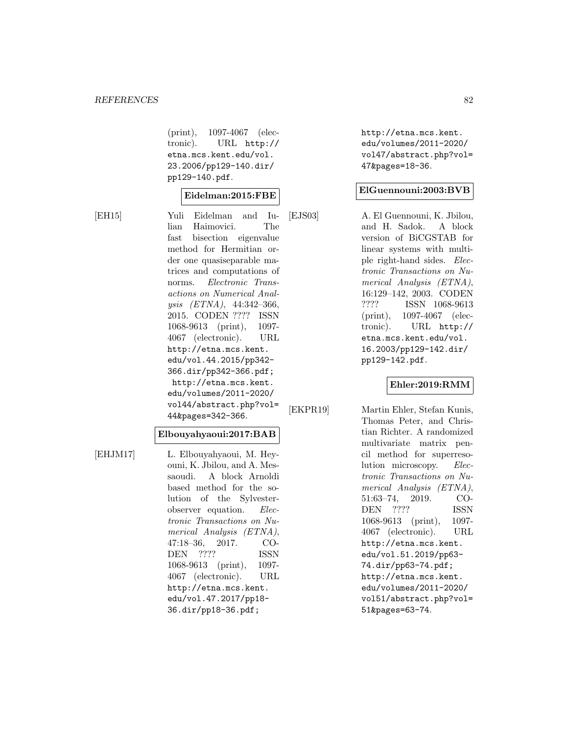(print), 1097-4067 (electronic). URL http:// etna.mcs.kent.edu/vol. 23.2006/pp129-140.dir/ pp129-140.pdf.

#### **Eidelman:2015:FBE**

[EH15] Yuli Eidelman and Iulian Haimovici. The fast bisection eigenvalue method for Hermitian order one quasiseparable matrices and computations of norms. Electronic Transactions on Numerical Analysis (ETNA), 44:342–366, 2015. CODEN ???? ISSN 1068-9613 (print), 1097- 4067 (electronic). URL http://etna.mcs.kent. edu/vol.44.2015/pp342- 366.dir/pp342-366.pdf; http://etna.mcs.kent. edu/volumes/2011-2020/ vol44/abstract.php?vol= 44&pages=342-366.

#### **Elbouyahyaoui:2017:BAB**

[EHJM17] L. Elbouyahyaoui, M. Heyouni, K. Jbilou, and A. Messaoudi. A block Arnoldi based method for the solution of the Sylvesterobserver equation. Electronic Transactions on Numerical Analysis (ETNA), 47:18–36, 2017. CO-DEN ???? ISSN 1068-9613 (print), 1097- 4067 (electronic). URL http://etna.mcs.kent. edu/vol.47.2017/pp18- 36.dir/pp18-36.pdf;

http://etna.mcs.kent. edu/volumes/2011-2020/ vol47/abstract.php?vol= 47&pages=18-36.

#### **ElGuennouni:2003:BVB**

[EJS03] A. El Guennouni, K. Jbilou, and H. Sadok. A block version of BiCGSTAB for linear systems with multiple right-hand sides. Electronic Transactions on Numerical Analysis (ETNA), 16:129–142, 2003. CODEN ???? ISSN 1068-9613 (print), 1097-4067 (electronic). URL http:// etna.mcs.kent.edu/vol. 16.2003/pp129-142.dir/ pp129-142.pdf.

#### **Ehler:2019:RMM**

[EKPR19] Martin Ehler, Stefan Kunis, Thomas Peter, and Christian Richter. A randomized multivariate matrix pencil method for superresolution microscopy. Electronic Transactions on Numerical Analysis (ETNA), 51:63–74, 2019. CO-DEN ???? ISSN 1068-9613 (print), 1097- 4067 (electronic). URL http://etna.mcs.kent. edu/vol.51.2019/pp63- 74.dir/pp63-74.pdf; http://etna.mcs.kent. edu/volumes/2011-2020/ vol51/abstract.php?vol= 51&pages=63-74.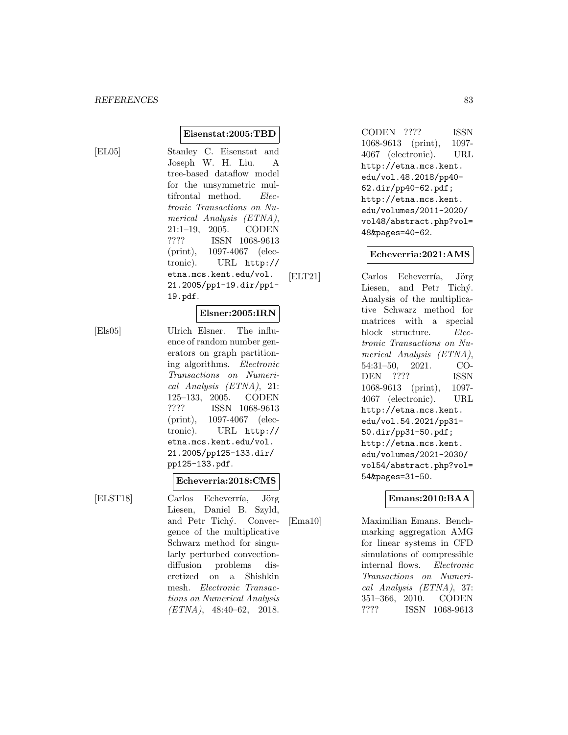$[EL05]$ 

| Stanley C. Eisenstat and          |
|-----------------------------------|
| Joseph W. H. Liu. A               |
| tree-based dataflow model         |
| for the unsymmetric mul-          |
| tifrontal method. Elec-           |
| <i>tronic Transactions on Nu-</i> |
| merical Analysis (ETNA),          |
| 21:1-19, 2005. CODEN              |
| ????<br>ISSN 1068-9613            |
| (print), 1097-4067 (elec-         |
| tronic). URL http://              |
| etna.mcs.kent.edu/vol.            |
| 21.2005/pp1-19.dir/pp1-           |
| 19.pdf.                           |
|                                   |
| Elsner:2005:IRN                   |

**Eisenstat:2005:TBD**

[Els05] Ulrich Elsner. The influence of random number generators on graph partitioning algorithms. Electronic Transactions on Numerical Analysis (ETNA), 21: 125–133, 2005. CODEN ???? ISSN 1068-9613 (print), 1097-4067 (electronic). URL http:// etna.mcs.kent.edu/vol. 21.2005/pp125-133.dir/ pp125-133.pdf.

#### **Echeverria:2018:CMS**

[ELST18] Carlos Echeverría, Jörg Liesen, Daniel B. Szyld, and Petr Tichý. Convergence of the multiplicative Schwarz method for singularly perturbed convectiondiffusion problems discretized on a Shishkin mesh. Electronic Transactions on Numerical Analysis (ETNA), 48:40–62, 2018.

CODEN ???? ISSN 1068-9613 (print), 1097- 4067 (electronic). URL http://etna.mcs.kent. edu/vol.48.2018/pp40- 62.dir/pp40-62.pdf; http://etna.mcs.kent. edu/volumes/2011-2020/ vol48/abstract.php?vol= 48&pages=40-62.

#### **Echeverria:2021:AMS**

[ELT21] Carlos Echeverría, Jörg Liesen, and Petr Tichý. Analysis of the multiplicative Schwarz method for matrices with a special block structure. Electronic Transactions on Numerical Analysis (ETNA), 54:31–50, 2021. CO-DEN ???? ISSN 1068-9613 (print), 1097- 4067 (electronic). URL http://etna.mcs.kent. edu/vol.54.2021/pp31- 50.dir/pp31-50.pdf; http://etna.mcs.kent. edu/volumes/2021-2030/ vol54/abstract.php?vol= 54&pages=31-50.

#### **Emans:2010:BAA**

[Ema10] Maximilian Emans. Benchmarking aggregation AMG for linear systems in CFD simulations of compressible internal flows. Electronic Transactions on Numerical Analysis (ETNA), 37: 351–366, 2010. CODEN ???? ISSN 1068-9613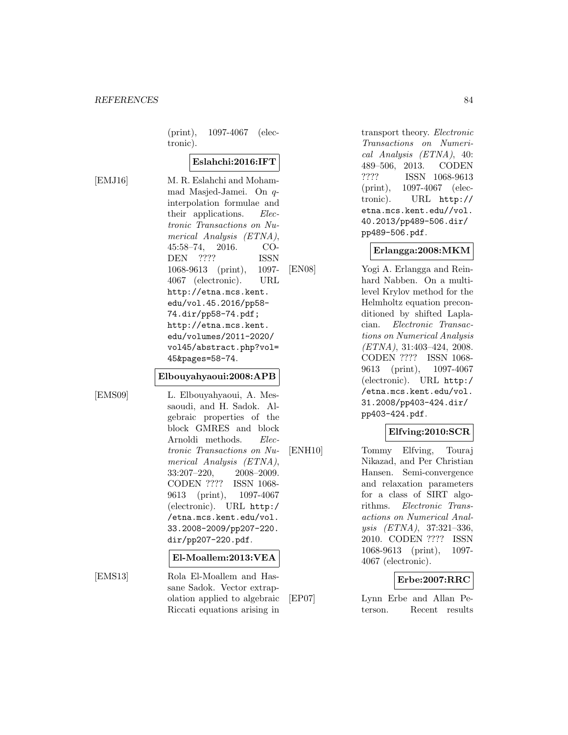(print), 1097-4067 (electronic).

## **Eslahchi:2016:IFT**

[EMJ16] M. R. Eslahchi and Mohammad Masjed-Jamei. On qinterpolation formulae and their applications. Electronic Transactions on Numerical Analysis (ETNA), 45:58–74, 2016. CO-DEN ???? ISSN 1068-9613 (print), 1097- 4067 (electronic). URL http://etna.mcs.kent. edu/vol.45.2016/pp58- 74.dir/pp58-74.pdf; http://etna.mcs.kent. edu/volumes/2011-2020/ vol45/abstract.php?vol= 45&pages=58-74.

#### **Elbouyahyaoui:2008:APB**

[EMS09] L. Elbouyahyaoui, A. Messaoudi, and H. Sadok. Algebraic properties of the block GMRES and block Arnoldi methods. Electronic Transactions on Numerical Analysis (ETNA), 33:207–220, 2008–2009. CODEN ???? ISSN 1068- 9613 (print), 1097-4067 (electronic). URL http:/ /etna.mcs.kent.edu/vol. 33.2008-2009/pp207-220. dir/pp207-220.pdf.

#### **El-Moallem:2013:VEA**

[EMS13] Rola El-Moallem and Hassane Sadok. Vector extrapolation applied to algebraic Riccati equations arising in

transport theory. Electronic Transactions on Numerical Analysis (ETNA), 40: 489–506, 2013. CODEN ???? ISSN 1068-9613 (print), 1097-4067 (electronic). URL http:// etna.mcs.kent.edu//vol. 40.2013/pp489-506.dir/ pp489-506.pdf.

## **Erlangga:2008:MKM**

[EN08] Yogi A. Erlangga and Reinhard Nabben. On a multilevel Krylov method for the Helmholtz equation preconditioned by shifted Laplacian. Electronic Transactions on Numerical Analysis (ETNA), 31:403–424, 2008. CODEN ???? ISSN 1068- 9613 (print), 1097-4067 (electronic). URL http:/ /etna.mcs.kent.edu/vol. 31.2008/pp403-424.dir/ pp403-424.pdf.

# **Elfving:2010:SCR**

[ENH10] Tommy Elfving, Touraj Nikazad, and Per Christian Hansen. Semi-convergence and relaxation parameters for a class of SIRT algorithms. Electronic Transactions on Numerical Analysis (ETNA), 37:321–336, 2010. CODEN ???? ISSN 1068-9613 (print), 1097- 4067 (electronic).

## **Erbe:2007:RRC**

[EP07] Lynn Erbe and Allan Peterson. Recent results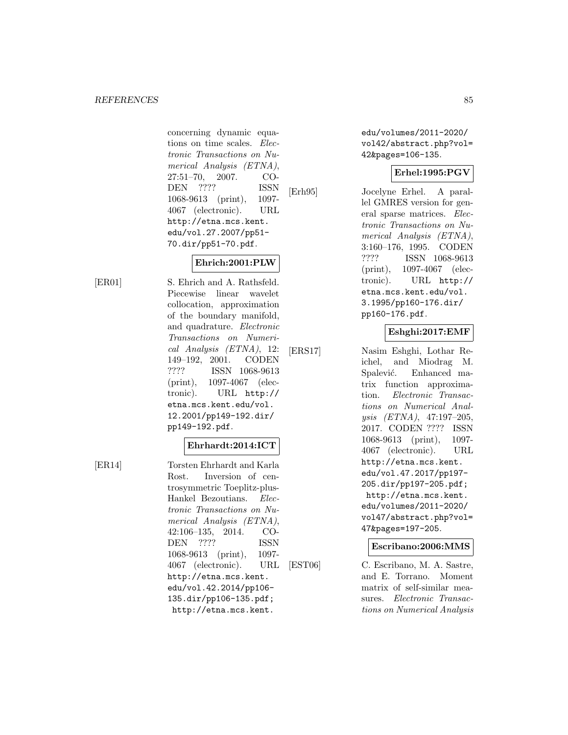concerning dynamic equations on time scales. Electronic Transactions on Numerical Analysis (ETNA), 27:51–70, 2007. CO-DEN ???? ISSN 1068-9613 (print), 1097- 4067 (electronic). URL http://etna.mcs.kent. edu/vol.27.2007/pp51- 70.dir/pp51-70.pdf.

# **Ehrich:2001:PLW**

[ER01] S. Ehrich and A. Rathsfeld. Piecewise linear wavelet collocation, approximation of the boundary manifold, and quadrature. Electronic Transactions on Numerical Analysis (ETNA), 12: 149–192, 2001. CODEN ???? ISSN 1068-9613 (print), 1097-4067 (electronic). URL http:// etna.mcs.kent.edu/vol. 12.2001/pp149-192.dir/ pp149-192.pdf.

## **Ehrhardt:2014:ICT**

[ER14] Torsten Ehrhardt and Karla Rost. Inversion of centrosymmetric Toeplitz-plus-Hankel Bezoutians. Electronic Transactions on Numerical Analysis (ETNA), 42:106–135, 2014. CO-DEN ???? ISSN 1068-9613 (print), 1097- 4067 (electronic). URL http://etna.mcs.kent. edu/vol.42.2014/pp106- 135.dir/pp106-135.pdf; http://etna.mcs.kent.

edu/volumes/2011-2020/ vol42/abstract.php?vol= 42&pages=106-135.

## **Erhel:1995:PGV**

[Erh95] Jocelyne Erhel. A parallel GMRES version for general sparse matrices. Electronic Transactions on Numerical Analysis (ETNA), 3:160–176, 1995. CODEN ???? ISSN 1068-9613 (print), 1097-4067 (electronic). URL http:// etna.mcs.kent.edu/vol. 3.1995/pp160-176.dir/ pp160-176.pdf.

# **Eshghi:2017:EMF**

[ERS17] Nasim Eshghi, Lothar Reichel, and Miodrag M. Spalević. Enhanced matrix function approximation. Electronic Transactions on Numerical Analysis (ETNA), 47:197–205, 2017. CODEN ???? ISSN 1068-9613 (print), 1097- 4067 (electronic). URL http://etna.mcs.kent. edu/vol.47.2017/pp197- 205.dir/pp197-205.pdf; http://etna.mcs.kent. edu/volumes/2011-2020/ vol47/abstract.php?vol= 47&pages=197-205.

**Escribano:2006:MMS**

[EST06] C. Escribano, M. A. Sastre, and E. Torrano. Moment matrix of self-similar measures. Electronic Transactions on Numerical Analysis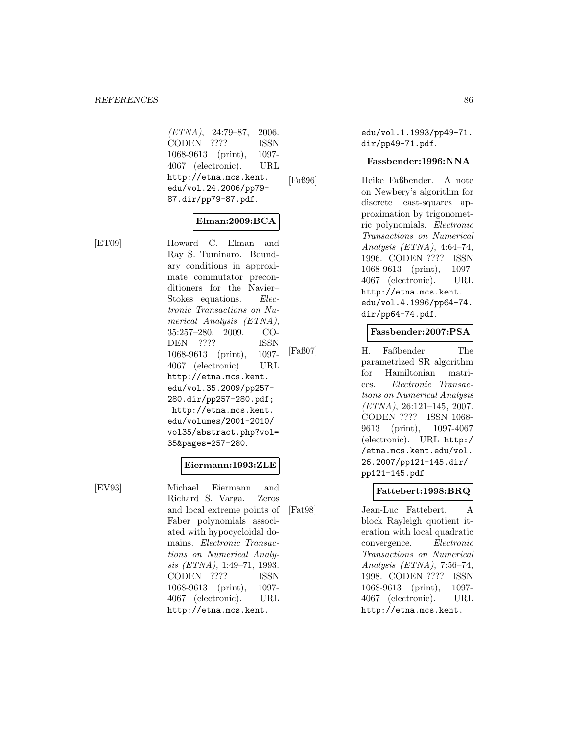$(ETNA), 24:79-87, 2006.$ CODEN ???? ISSN 1068-9613 (print), 1097- 4067 (electronic). URL http://etna.mcs.kent. edu/vol.24.2006/pp79- 87.dir/pp79-87.pdf.

## **Elman:2009:BCA**

[ET09] Howard C. Elman and Ray S. Tuminaro. Boundary conditions in approximate commutator preconditioners for the Navier– Stokes equations. *Elec*tronic Transactions on Numerical Analysis (ETNA), 35:257–280, 2009. CO-DEN ???? ISSN 1068-9613 (print), 1097- 4067 (electronic). URL http://etna.mcs.kent. edu/vol.35.2009/pp257- 280.dir/pp257-280.pdf; http://etna.mcs.kent. edu/volumes/2001-2010/ vol35/abstract.php?vol= 35&pages=257-280.

#### **Eiermann:1993:ZLE**

[EV93] Michael Eiermann and Richard S. Varga. Zeros and local extreme points of Faber polynomials associated with hypocycloidal domains. Electronic Transactions on Numerical Analysis (ETNA), 1:49–71, 1993. CODEN ???? ISSN 1068-9613 (print), 1097- 4067 (electronic). URL http://etna.mcs.kent.

edu/vol.1.1993/pp49-71. dir/pp49-71.pdf.

#### **Fassbender:1996:NNA**

[Faß96] Heike Faßbender. A note on Newbery's algorithm for discrete least-squares approximation by trigonometric polynomials. Electronic Transactions on Numerical Analysis (ETNA), 4:64–74, 1996. CODEN ???? ISSN 1068-9613 (print), 1097- 4067 (electronic). URL http://etna.mcs.kent. edu/vol.4.1996/pp64-74. dir/pp64-74.pdf.

## **Fassbender:2007:PSA**

[Faß07] H. Faßbender. The parametrized SR algorithm for Hamiltonian matrices. Electronic Transactions on Numerical Analysis (ETNA), 26:121–145, 2007. CODEN ???? ISSN 1068- 9613 (print), 1097-4067 (electronic). URL http:/ /etna.mcs.kent.edu/vol. 26.2007/pp121-145.dir/ pp121-145.pdf.

## **Fattebert:1998:BRQ**

[Fat98] Jean-Luc Fattebert. A block Rayleigh quotient iteration with local quadratic convergence. Electronic Transactions on Numerical Analysis (ETNA), 7:56–74, 1998. CODEN ???? ISSN 1068-9613 (print), 1097- 4067 (electronic). URL http://etna.mcs.kent.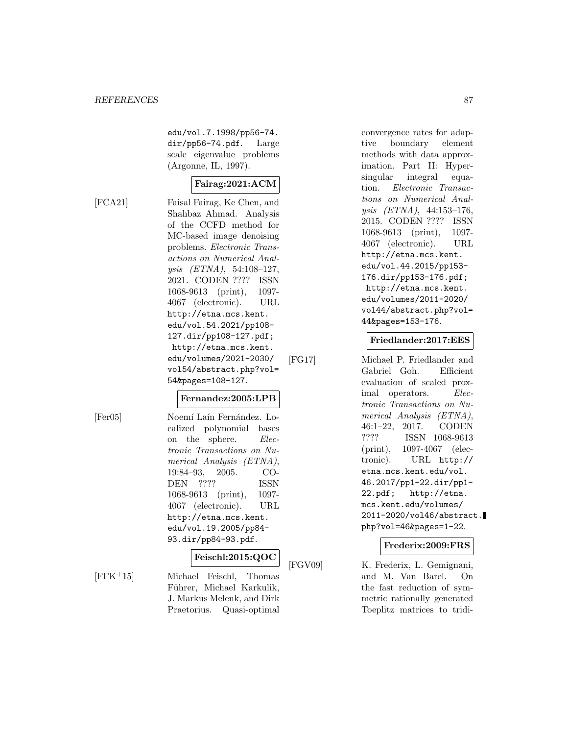edu/vol.7.1998/pp56-74. dir/pp56-74.pdf. Large scale eigenvalue problems (Argonne, IL, 1997).

# **Fairag:2021:ACM**

[FCA21] Faisal Fairag, Ke Chen, and Shahbaz Ahmad. Analysis of the CCFD method for MC-based image denoising problems. Electronic Transactions on Numerical Analysis (ETNA), 54:108–127, 2021. CODEN ???? ISSN 1068-9613 (print), 1097- 4067 (electronic). URL http://etna.mcs.kent. edu/vol.54.2021/pp108- 127.dir/pp108-127.pdf; http://etna.mcs.kent. edu/volumes/2021-2030/ vol54/abstract.php?vol= 54&pages=108-127.

#### **Fernandez:2005:LPB**

[Fer05] Noemí Laín Fernández. Localized polynomial bases on the sphere. Electronic Transactions on Numerical Analysis (ETNA), 19:84–93, 2005. CO-DEN ???? ISSN 1068-9613 (print), 1097- 4067 (electronic). URL http://etna.mcs.kent. edu/vol.19.2005/pp84- 93.dir/pp84-93.pdf.

#### **Feischl:2015:QOC**

[FFK<sup>+</sup>15] Michael Feischl, Thomas Führer, Michael Karkulik, J. Markus Melenk, and Dirk Praetorius. Quasi-optimal

convergence rates for adaptive boundary element methods with data approximation. Part II: Hypersingular integral equation. Electronic Transactions on Numerical Analysis (ETNA), 44:153–176, 2015. CODEN ???? ISSN 1068-9613 (print), 1097- 4067 (electronic). URL http://etna.mcs.kent. edu/vol.44.2015/pp153- 176.dir/pp153-176.pdf; http://etna.mcs.kent. edu/volumes/2011-2020/ vol44/abstract.php?vol= 44&pages=153-176.

# **Friedlander:2017:EES**

[FG17] Michael P. Friedlander and Gabriel Goh. Efficient evaluation of scaled proximal operators. Electronic Transactions on Numerical Analysis (ETNA), 46:1–22, 2017. CODEN ???? ISSN 1068-9613 (print), 1097-4067 (electronic). URL http:// etna.mcs.kent.edu/vol. 46.2017/pp1-22.dir/pp1- 22.pdf; http://etna. mcs.kent.edu/volumes/ 2011-2020/vol46/abstract. php?vol=46&pages=1-22.

## **Frederix:2009:FRS**

[FGV09] K. Frederix, L. Gemignani, and M. Van Barel. On the fast reduction of symmetric rationally generated Toeplitz matrices to tridi-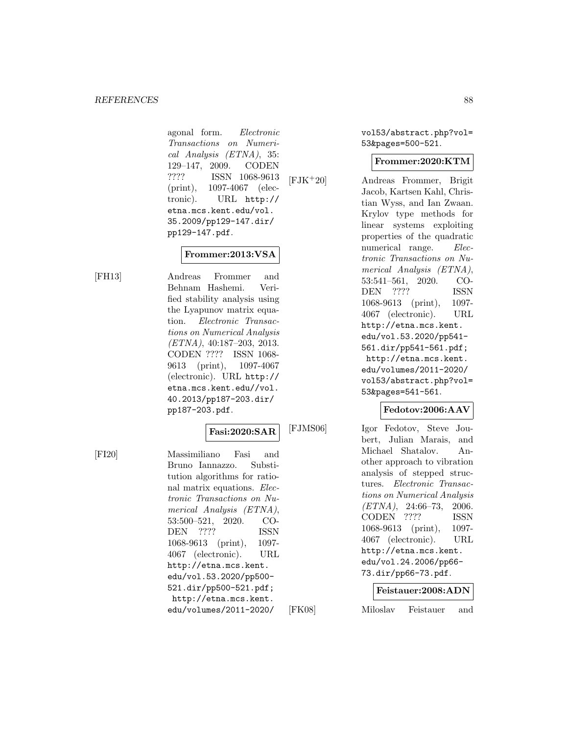agonal form. Electronic Transactions on Numerical Analysis (ETNA), 35: 129–147, 2009. CODEN ???? ISSN 1068-9613 (print), 1097-4067 (electronic). URL http:// etna.mcs.kent.edu/vol. 35.2009/pp129-147.dir/ pp129-147.pdf.

## **Frommer:2013:VSA**

[FH13] Andreas Frommer and Behnam Hashemi. Verified stability analysis using the Lyapunov matrix equation. Electronic Transactions on Numerical Analysis (ETNA), 40:187–203, 2013. CODEN ???? ISSN 1068- 9613 (print), 1097-4067 (electronic). URL http:// etna.mcs.kent.edu//vol. 40.2013/pp187-203.dir/ pp187-203.pdf.

#### **Fasi:2020:SAR**

[FI20] Massimiliano Fasi and Bruno Iannazzo. Substitution algorithms for rational matrix equations. Electronic Transactions on Numerical Analysis (ETNA), 53:500–521, 2020. CO-DEN ???? ISSN 1068-9613 (print), 1097- 4067 (electronic). URL http://etna.mcs.kent. edu/vol.53.2020/pp500- 521.dir/pp500-521.pdf; http://etna.mcs.kent. edu/volumes/2011-2020/

vol53/abstract.php?vol= 53&pages=500-521.

## **Frommer:2020:KTM**

[FJK<sup>+</sup>20] Andreas Frommer, Brigit Jacob, Kartsen Kahl, Christian Wyss, and Ian Zwaan. Krylov type methods for linear systems exploiting properties of the quadratic numerical range. Electronic Transactions on Numerical Analysis (ETNA), 53:541–561, 2020. CO-DEN ???? ISSN 1068-9613 (print), 1097- 4067 (electronic). URL http://etna.mcs.kent. edu/vol.53.2020/pp541- 561.dir/pp541-561.pdf; http://etna.mcs.kent. edu/volumes/2011-2020/ vol53/abstract.php?vol= 53&pages=541-561.

## **Fedotov:2006:AAV**

[FJMS06] Igor Fedotov, Steve Joubert, Julian Marais, and Michael Shatalov. Another approach to vibration analysis of stepped structures. Electronic Transactions on Numerical Analysis  $(ETNA)$ , 24:66-73, 2006. CODEN ???? ISSN 1068-9613 (print), 1097- 4067 (electronic). URL http://etna.mcs.kent. edu/vol.24.2006/pp66- 73.dir/pp66-73.pdf.

#### **Feistauer:2008:ADN**

[FK08] Miloslav Feistauer and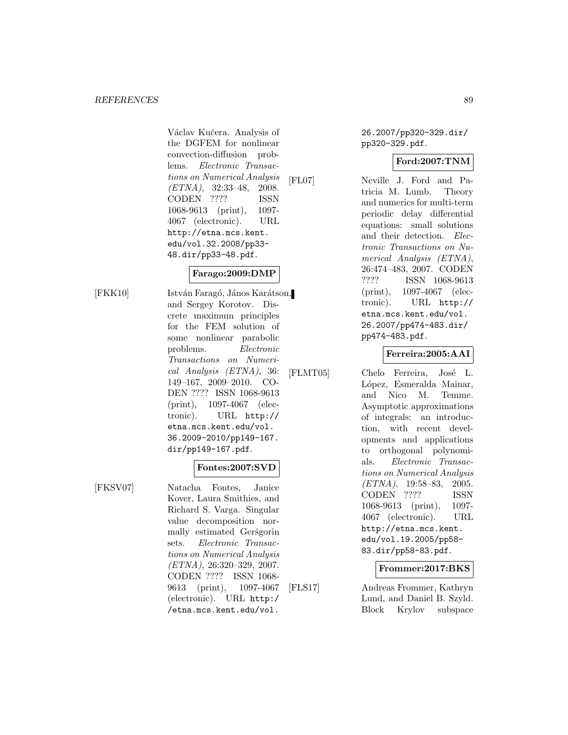Václav Kučera. Analysis of the DGFEM for nonlinear convection-diffusion problems. Electronic Transactions on Numerical Analysis (ETNA), 32:33–48, 2008. CODEN ???? ISSN 1068-9613 (print), 1097- 4067 (electronic). URL http://etna.mcs.kent. edu/vol.32.2008/pp33- 48.dir/pp33-48.pdf.

## **Farago:2009:DMP**

[FKK10] István Faragó, János Karátson, and Sergey Korotov. Discrete maximum principles for the FEM solution of some nonlinear parabolic problems. Electronic Transactions on Numerical Analysis (ETNA), 36: 149–167, 2009–2010. CO-DEN ???? ISSN 1068-9613 (print), 1097-4067 (electronic). URL http:// etna.mcs.kent.edu/vol. 36.2009-2010/pp149-167. dir/pp149-167.pdf.

## **Fontes:2007:SVD**

[FKSV07] Natacha Fontes, Janice Kover, Laura Smithies, and Richard S. Varga. Singular value decomposition normally estimated Geršgorin sets. Electronic Transactions on Numerical Analysis (ETNA), 26:320–329, 2007. CODEN ???? ISSN 1068- 9613 (print), 1097-4067 (electronic). URL http:/ /etna.mcs.kent.edu/vol.

26.2007/pp320-329.dir/ pp320-329.pdf.

## **Ford:2007:TNM**

[FL07] Neville J. Ford and Patricia M. Lumb. Theory and numerics for multi-term periodic delay differential equations: small solutions and their detection. Electronic Transactions on Numerical Analysis (ETNA), 26:474–483, 2007. CODEN ???? ISSN 1068-9613 (print), 1097-4067 (electronic). URL http:// etna.mcs.kent.edu/vol. 26.2007/pp474-483.dir/ pp474-483.pdf.

## **Ferreira:2005:AAI**

[FLMT05] Chelo Ferreira, José L. López, Esmeralda Mainar, and Nico M. Temme. Asymptotic approximations of integrals: an introduction, with recent developments and applications to orthogonal polynomials. Electronic Transactions on Numerical Analysis  $(ETNA)$ , 19:58–83, 2005. CODEN ???? ISSN 1068-9613 (print), 1097- 4067 (electronic). URL http://etna.mcs.kent. edu/vol.19.2005/pp58- 83.dir/pp58-83.pdf.

#### **Frommer:2017:BKS**

[FLS17] Andreas Frommer, Kathryn Lund, and Daniel B. Szyld. Block Krylov subspace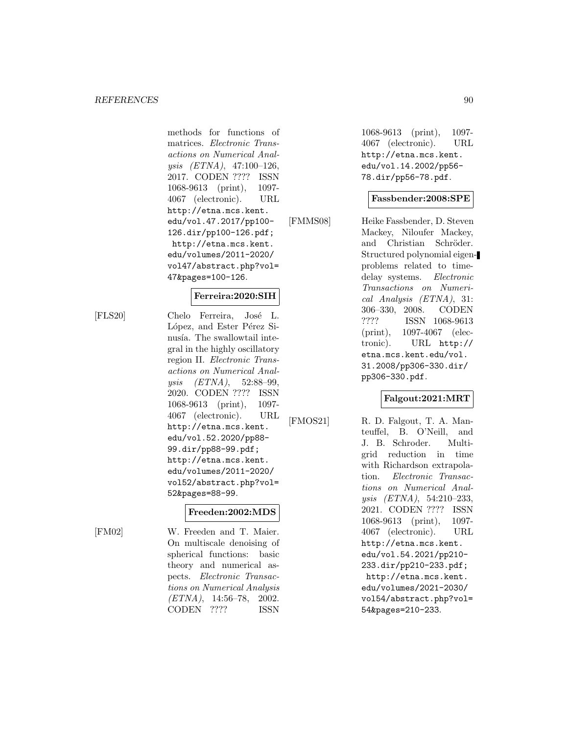methods for functions of matrices. Electronic Transactions on Numerical Analysis (ETNA), 47:100–126, 2017. CODEN ???? ISSN 1068-9613 (print), 1097- 4067 (electronic). URL http://etna.mcs.kent. edu/vol.47.2017/pp100- 126.dir/pp100-126.pdf; http://etna.mcs.kent. edu/volumes/2011-2020/ vol47/abstract.php?vol= 47&pages=100-126.

## **Ferreira:2020:SIH**

[FLS20] Chelo Ferreira, José L. López, and Ester Pérez Sinusía. The swallowtail integral in the highly oscillatory region II. Electronic Transactions on Numerical Analysis (ETNA), 52:88–99, 2020. CODEN ???? ISSN 1068-9613 (print), 1097- 4067 (electronic). URL http://etna.mcs.kent. edu/vol.52.2020/pp88- 99.dir/pp88-99.pdf; http://etna.mcs.kent. edu/volumes/2011-2020/ vol52/abstract.php?vol= 52&pages=88-99.

#### **Freeden:2002:MDS**

[FM02] W. Freeden and T. Maier. On multiscale denoising of spherical functions: basic theory and numerical aspects. Electronic Transactions on Numerical Analysis (ETNA), 14:56–78, 2002. CODEN ???? ISSN

1068-9613 (print), 1097- 4067 (electronic). URL http://etna.mcs.kent. edu/vol.14.2002/pp56- 78.dir/pp56-78.pdf.

#### **Fassbender:2008:SPE**

[FMMS08] Heike Fassbender, D. Steven Mackey, Niloufer Mackey, and Christian Schröder. Structured polynomial eigenproblems related to timedelay systems. Electronic Transactions on Numerical Analysis (ETNA), 31: 306–330, 2008. CODEN ???? ISSN 1068-9613 (print), 1097-4067 (electronic). URL http:// etna.mcs.kent.edu/vol. 31.2008/pp306-330.dir/ pp306-330.pdf.

#### **Falgout:2021:MRT**

[FMOS21] R. D. Falgout, T. A. Manteuffel, B. O'Neill, and J. B. Schroder. Multigrid reduction in time with Richardson extrapolation. Electronic Transactions on Numerical Analysis (ETNA), 54:210–233, 2021. CODEN ???? ISSN 1068-9613 (print), 1097- 4067 (electronic). URL http://etna.mcs.kent. edu/vol.54.2021/pp210- 233.dir/pp210-233.pdf; http://etna.mcs.kent. edu/volumes/2021-2030/ vol54/abstract.php?vol= 54&pages=210-233.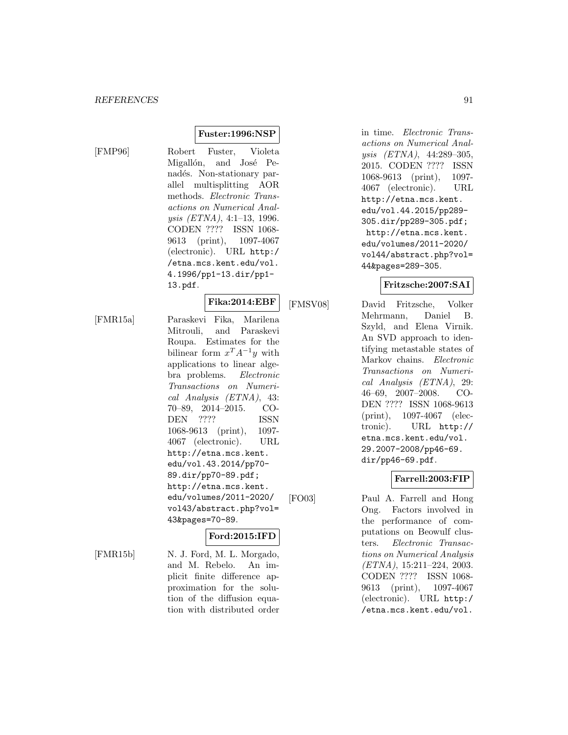[FMP96] Robert Fuster, Violeta Migallón, and José Penadés. Non-stationary parallel multisplitting AOR methods. Electronic Transactions on Numerical Analysis (ETNA), 4:1–13, 1996. CODEN ???? ISSN 1068- 9613 (print), 1097-4067 (electronic). URL http:/ /etna.mcs.kent.edu/vol. 4.1996/pp1-13.dir/pp1- 13.pdf.

**Fuster:1996:NSP**

# **Fika:2014:EBF**

[FMR15a] Paraskevi Fika, Marilena Mitrouli, and Paraskevi Roupa. Estimates for the bilinear form  $x^T A^{-1} y$  with applications to linear algebra problems. Electronic Transactions on Numerical Analysis (ETNA), 43: 70–89, 2014–2015. CO-DEN ???? ISSN 1068-9613 (print), 1097- 4067 (electronic). URL http://etna.mcs.kent. edu/vol.43.2014/pp70- 89.dir/pp70-89.pdf; http://etna.mcs.kent. edu/volumes/2011-2020/ vol43/abstract.php?vol= 43&pages=70-89.

# **Ford:2015:IFD**

[FMR15b] N. J. Ford, M. L. Morgado, and M. Rebelo. An implicit finite difference approximation for the solution of the diffusion equation with distributed order

in time. Electronic Transactions on Numerical Analysis (ETNA), 44:289–305, 2015. CODEN ???? ISSN 1068-9613 (print), 1097- 4067 (electronic). URL http://etna.mcs.kent. edu/vol.44.2015/pp289- 305.dir/pp289-305.pdf; http://etna.mcs.kent. edu/volumes/2011-2020/ vol44/abstract.php?vol= 44&pages=289-305.

## **Fritzsche:2007:SAI**

[FMSV08] David Fritzsche, Volker Mehrmann, Daniel B. Szyld, and Elena Virnik. An SVD approach to identifying metastable states of Markov chains. Electronic Transactions on Numerical Analysis (ETNA), 29: 46–69, 2007–2008. CO-DEN ???? ISSN 1068-9613 (print), 1097-4067 (electronic). URL http:// etna.mcs.kent.edu/vol. 29.2007-2008/pp46-69. dir/pp46-69.pdf.

#### **Farrell:2003:FIP**

[FO03] Paul A. Farrell and Hong Ong. Factors involved in the performance of computations on Beowulf clusters. Electronic Transactions on Numerical Analysis (ETNA), 15:211–224, 2003. CODEN ???? ISSN 1068- 9613 (print), 1097-4067 (electronic). URL http:/ /etna.mcs.kent.edu/vol.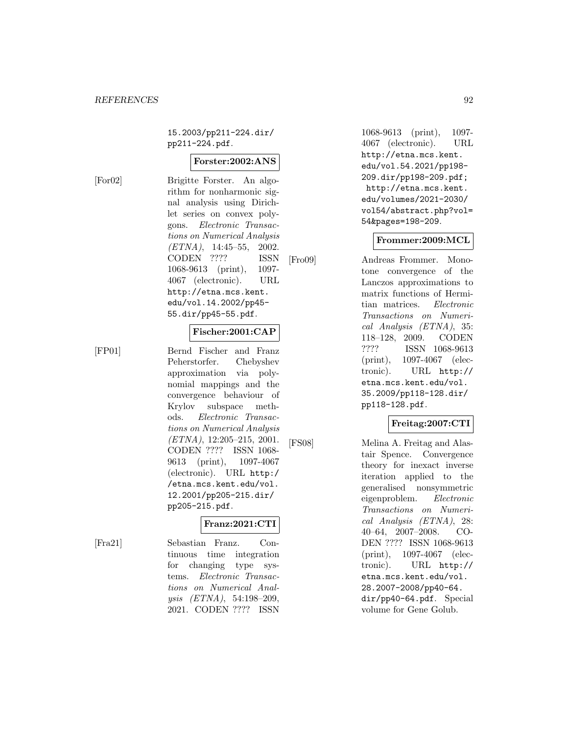15.2003/pp211-224.dir/ pp211-224.pdf.

#### **Forster:2002:ANS**

[For02] Brigitte Forster. An algorithm for nonharmonic signal analysis using Dirichlet series on convex polygons. Electronic Transactions on Numerical Analysis (ETNA), 14:45–55, 2002. CODEN ???? ISSN 1068-9613 (print), 1097- 4067 (electronic). URL http://etna.mcs.kent. edu/vol.14.2002/pp45- 55.dir/pp45-55.pdf.

#### **Fischer:2001:CAP**

[FP01] Bernd Fischer and Franz Peherstorfer. Chebyshev approximation via polynomial mappings and the convergence behaviour of Krylov subspace methods. Electronic Transactions on Numerical Analysis (ETNA), 12:205–215, 2001. CODEN ???? ISSN 1068- 9613 (print), 1097-4067 (electronic). URL http:/ /etna.mcs.kent.edu/vol. 12.2001/pp205-215.dir/ pp205-215.pdf.

#### **Franz:2021:CTI**

[Fra21] Sebastian Franz. Continuous time integration for changing type systems. Electronic Transactions on Numerical Analysis (ETNA), 54:198–209, 2021. CODEN ???? ISSN

1068-9613 (print), 1097- 4067 (electronic). URL http://etna.mcs.kent. edu/vol.54.2021/pp198- 209.dir/pp198-209.pdf; http://etna.mcs.kent. edu/volumes/2021-2030/ vol54/abstract.php?vol= 54&pages=198-209.

#### **Frommer:2009:MCL**

[Fro09] Andreas Frommer. Monotone convergence of the Lanczos approximations to matrix functions of Hermitian matrices. Electronic Transactions on Numerical Analysis (ETNA), 35: 118–128, 2009. CODEN ???? ISSN 1068-9613 (print), 1097-4067 (electronic). URL http:// etna.mcs.kent.edu/vol. 35.2009/pp118-128.dir/ pp118-128.pdf.

#### **Freitag:2007:CTI**

[FS08] Melina A. Freitag and Alastair Spence. Convergence theory for inexact inverse iteration applied to the generalised nonsymmetric eigenproblem. Electronic Transactions on Numerical Analysis (ETNA), 28: 40–64, 2007–2008. CO-DEN ???? ISSN 1068-9613 (print), 1097-4067 (electronic). URL http:// etna.mcs.kent.edu/vol. 28.2007-2008/pp40-64. dir/pp40-64.pdf. Special volume for Gene Golub.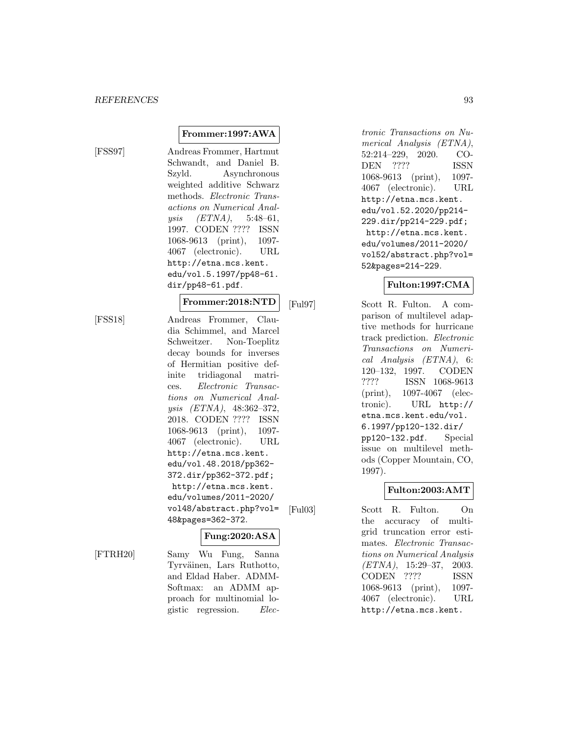[FSS97] Andreas Frommer, Hartmut Schwandt, and Daniel B. Szyld. Asynchronous weighted additive Schwarz methods. Electronic Transactions on Numerical Anal $ysis$  (ETNA), 5:48-61, 1997. CODEN ???? ISSN 1068-9613 (print), 1097- 4067 (electronic). URL http://etna.mcs.kent. edu/vol.5.1997/pp48-61. dir/pp48-61.pdf.

**Frommer:1997:AWA**

# **Frommer:2018:NTD**

[FSS18] Andreas Frommer, Claudia Schimmel, and Marcel Schweitzer. Non-Toeplitz decay bounds for inverses of Hermitian positive definite tridiagonal matrices. Electronic Transactions on Numerical Analysis (ETNA), 48:362–372, 2018. CODEN ???? ISSN 1068-9613 (print), 1097- 4067 (electronic). URL http://etna.mcs.kent. edu/vol.48.2018/pp362- 372.dir/pp362-372.pdf; http://etna.mcs.kent. edu/volumes/2011-2020/ vol48/abstract.php?vol= 48&pages=362-372.

# **Fung:2020:ASA**

[FTRH20] Samy Wu Fung, Sanna Tyrväinen, Lars Ruthotto, and Eldad Haber. ADMM-Softmax: an ADMM approach for multinomial logistic regression. Electronic Transactions on Numerical Analysis (ETNA), 52:214–229, 2020. CO-DEN ???? ISSN 1068-9613 (print), 1097- 4067 (electronic). URL http://etna.mcs.kent. edu/vol.52.2020/pp214- 229.dir/pp214-229.pdf; http://etna.mcs.kent. edu/volumes/2011-2020/ vol52/abstract.php?vol= 52&pages=214-229.

# **Fulton:1997:CMA**

[Ful97] Scott R. Fulton. A comparison of multilevel adaptive methods for hurricane track prediction. Electronic Transactions on Numerical Analysis (ETNA), 6: 120–132, 1997. CODEN ???? ISSN 1068-9613 (print), 1097-4067 (electronic). URL http:// etna.mcs.kent.edu/vol. 6.1997/pp120-132.dir/ pp120-132.pdf. Special issue on multilevel methods (Copper Mountain, CO, 1997).

# **Fulton:2003:AMT**

[Ful03] Scott R. Fulton. On the accuracy of multigrid truncation error estimates. Electronic Transactions on Numerical Analysis (ETNA), 15:29–37, 2003. CODEN ???? ISSN 1068-9613 (print), 1097- 4067 (electronic). URL http://etna.mcs.kent.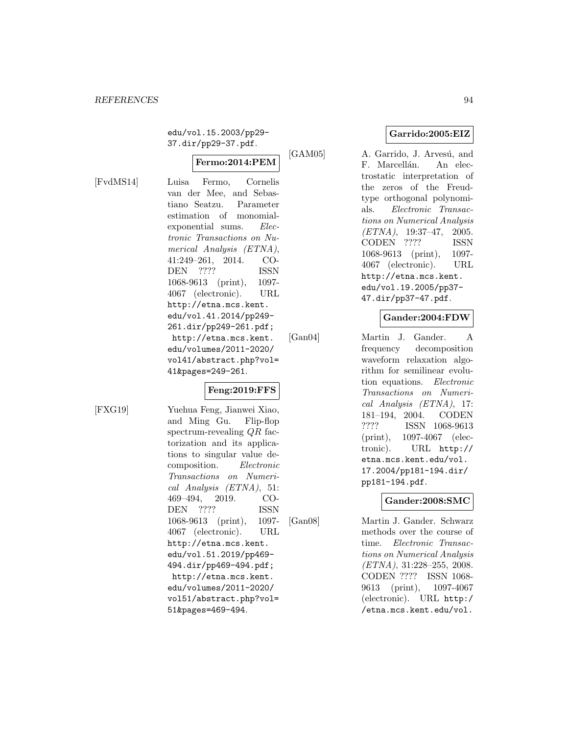edu/vol.15.2003/pp29- 37.dir/pp29-37.pdf.

# **Fermo:2014:PEM**

[FvdMS14] Luisa Fermo, Cornelis van der Mee, and Sebastiano Seatzu. Parameter estimation of monomialexponential sums. Electronic Transactions on Numerical Analysis (ETNA), 41:249–261, 2014. CO-DEN ???? ISSN 1068-9613 (print), 1097- 4067 (electronic). URL http://etna.mcs.kent. edu/vol.41.2014/pp249- 261.dir/pp249-261.pdf; http://etna.mcs.kent. edu/volumes/2011-2020/ vol41/abstract.php?vol= 41&pages=249-261.

## **Feng:2019:FFS**

[FXG19] Yuehua Feng, Jianwei Xiao, and Ming Gu. Flip-flop spectrum-revealing QR factorization and its applications to singular value decomposition. Electronic Transactions on Numerical Analysis (ETNA), 51: 469–494, 2019. CO-DEN ???? ISSN 1068-9613 (print), 1097- 4067 (electronic). URL http://etna.mcs.kent. edu/vol.51.2019/pp469- 494.dir/pp469-494.pdf; http://etna.mcs.kent. edu/volumes/2011-2020/ vol51/abstract.php?vol= 51&pages=469-494.

**Garrido:2005:EIZ**

[GAM05] A. Garrido, J. Arvesú, and F. Marcellán. An electrostatic interpretation of the zeros of the Freudtype orthogonal polynomials. Electronic Transactions on Numerical Analysis (ETNA), 19:37–47, 2005. CODEN ???? ISSN 1068-9613 (print), 1097- 4067 (electronic). URL http://etna.mcs.kent. edu/vol.19.2005/pp37- 47.dir/pp37-47.pdf.

## **Gander:2004:FDW**

[Gan04] Martin J. Gander. A frequency decomposition waveform relaxation algorithm for semilinear evolution equations. Electronic Transactions on Numerical Analysis (ETNA), 17: 181–194, 2004. CODEN ???? ISSN 1068-9613 (print), 1097-4067 (electronic). URL http:// etna.mcs.kent.edu/vol. 17.2004/pp181-194.dir/ pp181-194.pdf.

## **Gander:2008:SMC**

[Gan08] Martin J. Gander. Schwarz methods over the course of time. Electronic Transactions on Numerical Analysis (ETNA), 31:228–255, 2008. CODEN ???? ISSN 1068- 9613 (print), 1097-4067 (electronic). URL http:/ /etna.mcs.kent.edu/vol.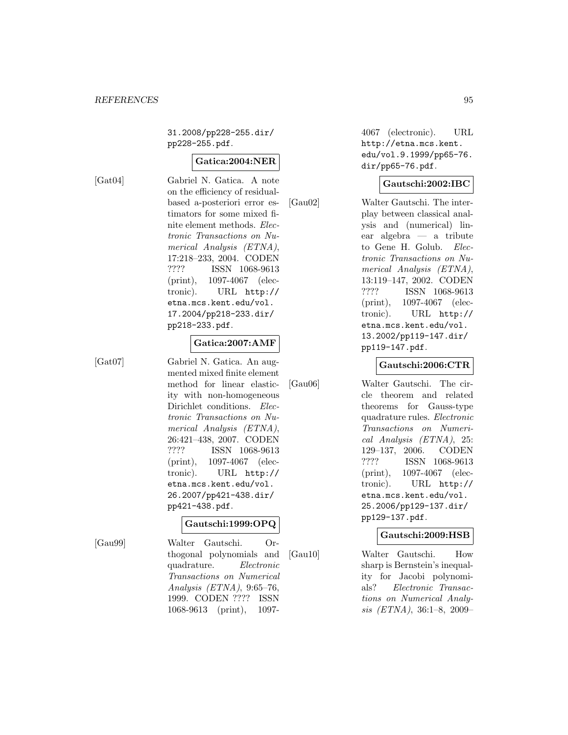31.2008/pp228-255.dir/ pp228-255.pdf.

## **Gatica:2004:NER**

[Gat04] Gabriel N. Gatica. A note on the efficiency of residualbased a-posteriori error estimators for some mixed finite element methods. Electronic Transactions on Numerical Analysis (ETNA), 17:218–233, 2004. CODEN ???? ISSN 1068-9613 (print), 1097-4067 (electronic). URL http:// etna.mcs.kent.edu/vol. 17.2004/pp218-233.dir/ pp218-233.pdf.

#### **Gatica:2007:AMF**

[Gat07] Gabriel N. Gatica. An augmented mixed finite element method for linear elasticity with non-homogeneous Dirichlet conditions. *Elec*tronic Transactions on Numerical Analysis (ETNA), 26:421–438, 2007. CODEN ???? ISSN 1068-9613 (print), 1097-4067 (electronic). URL http:// etna.mcs.kent.edu/vol. 26.2007/pp421-438.dir/ pp421-438.pdf.

#### **Gautschi:1999:OPQ**

[Gau99] Walter Gautschi. Orthogonal polynomials and quadrature. Electronic Transactions on Numerical Analysis (ETNA), 9:65–76, 1999. CODEN ???? ISSN 1068-9613 (print), 10974067 (electronic). URL http://etna.mcs.kent. edu/vol.9.1999/pp65-76. dir/pp65-76.pdf.

#### **Gautschi:2002:IBC**

[Gau02] Walter Gautschi. The interplay between classical analysis and (numerical) linear algebra — a tribute to Gene H. Golub. Electronic Transactions on Numerical Analysis (ETNA), 13:119–147, 2002. CODEN ???? ISSN 1068-9613 (print), 1097-4067 (electronic). URL http:// etna.mcs.kent.edu/vol. 13.2002/pp119-147.dir/ pp119-147.pdf.

#### **Gautschi:2006:CTR**

[Gau06] Walter Gautschi. The circle theorem and related theorems for Gauss-type quadrature rules. Electronic Transactions on Numerical Analysis (ETNA), 25: 129–137, 2006. CODEN ???? ISSN 1068-9613 (print), 1097-4067 (electronic). URL http:// etna.mcs.kent.edu/vol. 25.2006/pp129-137.dir/ pp129-137.pdf.

#### **Gautschi:2009:HSB**

[Gau10] Walter Gautschi. How sharp is Bernstein's inequality for Jacobi polynomials? Electronic Transactions on Numerical Analysis (ETNA), 36:1–8, 2009–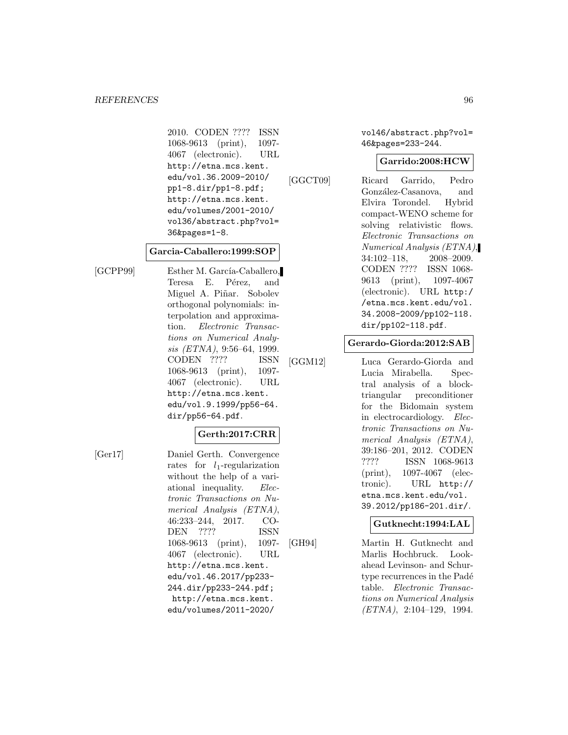2010. CODEN ???? ISSN 1068-9613 (print), 1097- 4067 (electronic). URL http://etna.mcs.kent. edu/vol.36.2009-2010/ pp1-8.dir/pp1-8.pdf; http://etna.mcs.kent. edu/volumes/2001-2010/ vol36/abstract.php?vol= 36&pages=1-8.

#### **Garcia-Caballero:1999:SOP**

[GCPP99] Esther M. García-Caballero, Teresa E. Pérez, and Miguel A. Piñar. Sobolev orthogonal polynomials: interpolation and approximation. Electronic Transactions on Numerical Analysis (ETNA), 9:56–64, 1999. CODEN ???? ISSN 1068-9613 (print), 1097- 4067 (electronic). URL http://etna.mcs.kent. edu/vol.9.1999/pp56-64. dir/pp56-64.pdf.

#### **Gerth:2017:CRR**

[Ger17] Daniel Gerth. Convergence rates for  $l_1$ -regularization without the help of a variational inequality. Electronic Transactions on Numerical Analysis (ETNA), 46:233–244, 2017. CO-DEN ???? ISSN 1068-9613 (print), 1097- 4067 (electronic). URL http://etna.mcs.kent. edu/vol.46.2017/pp233- 244.dir/pp233-244.pdf; http://etna.mcs.kent. edu/volumes/2011-2020/

vol46/abstract.php?vol= 46&pages=233-244.

#### **Garrido:2008:HCW**

[GGCT09] Ricard Garrido, Pedro González-Casanova, and Elvira Torondel. Hybrid compact-WENO scheme for solving relativistic flows. Electronic Transactions on Numerical Analysis (ETNA), 34:102–118, 2008–2009. CODEN ???? ISSN 1068- 9613 (print), 1097-4067 (electronic). URL http:/ /etna.mcs.kent.edu/vol. 34.2008-2009/pp102-118. dir/pp102-118.pdf.

#### **Gerardo-Giorda:2012:SAB**

[GGM12] Luca Gerardo-Giorda and Lucia Mirabella. Spectral analysis of a blocktriangular preconditioner for the Bidomain system in electrocardiology. Electronic Transactions on Numerical Analysis (ETNA), 39:186–201, 2012. CODEN ???? ISSN 1068-9613 (print), 1097-4067 (electronic). URL http:// etna.mcs.kent.edu/vol. 39.2012/pp186-201.dir/.

#### **Gutknecht:1994:LAL**

[GH94] Martin H. Gutknecht and Marlis Hochbruck. Lookahead Levinson- and Schurtype recurrences in the Padé table. Electronic Transactions on Numerical Analysis (ETNA), 2:104–129, 1994.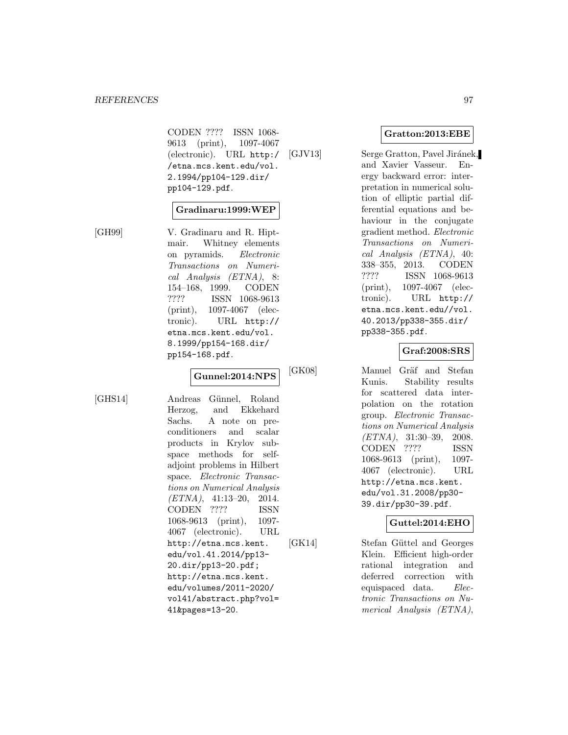CODEN ???? ISSN 1068- 9613 (print), 1097-4067 (electronic). URL http:/ /etna.mcs.kent.edu/vol. 2.1994/pp104-129.dir/ pp104-129.pdf.

#### **Gradinaru:1999:WEP**

[GH99] V. Gradinaru and R. Hiptmair. Whitney elements on pyramids. Electronic Transactions on Numerical Analysis (ETNA), 8: 154–168, 1999. CODEN ???? ISSN 1068-9613 (print), 1097-4067 (electronic). URL http:// etna.mcs.kent.edu/vol. 8.1999/pp154-168.dir/ pp154-168.pdf.

## **Gunnel:2014:NPS**

[GHS14] Andreas Günnel, Roland Herzog, and Ekkehard Sachs. A note on preconditioners and scalar products in Krylov subspace methods for selfadjoint problems in Hilbert space. Electronic Transactions on Numerical Analysis  $(ETNA)$ , 41:13-20, 2014. CODEN ???? ISSN 1068-9613 (print), 1097- 4067 (electronic). URL http://etna.mcs.kent. edu/vol.41.2014/pp13- 20.dir/pp13-20.pdf; http://etna.mcs.kent. edu/volumes/2011-2020/ vol41/abstract.php?vol= 41&pages=13-20.

## **Gratton:2013:EBE**

[GJV13] Serge Gratton, Pavel Jiránek, and Xavier Vasseur. Energy backward error: interpretation in numerical solution of elliptic partial differential equations and behaviour in the conjugate gradient method. Electronic Transactions on Numerical Analysis (ETNA), 40: 338–355, 2013. CODEN ???? ISSN 1068-9613 (print), 1097-4067 (electronic). URL http:// etna.mcs.kent.edu//vol. 40.2013/pp338-355.dir/ pp338-355.pdf.

## **Graf:2008:SRS**

[GK08] Manuel Gräf and Stefan Kunis. Stability results for scattered data interpolation on the rotation group. Electronic Transactions on Numerical Analysis  $(ETNA)$ , 31:30-39, 2008. CODEN ???? ISSN 1068-9613 (print), 1097- 4067 (electronic). URL http://etna.mcs.kent. edu/vol.31.2008/pp30- 39.dir/pp30-39.pdf.

#### **Guttel:2014:EHO**

[GK14] Stefan Güttel and Georges Klein. Efficient high-order rational integration and deferred correction with equispaced data. Electronic Transactions on Numerical Analysis (ETNA),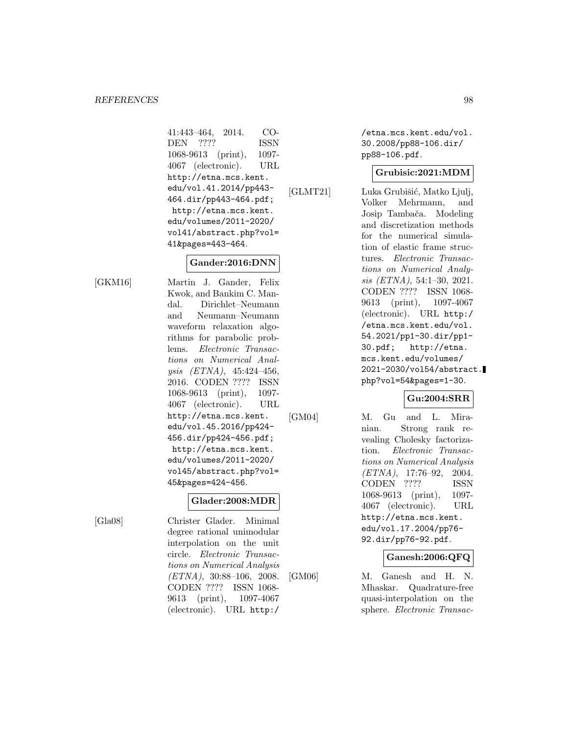41:443–464, 2014. CO-DEN ???? ISSN 1068-9613 (print), 1097- 4067 (electronic). URL http://etna.mcs.kent. edu/vol.41.2014/pp443- 464.dir/pp443-464.pdf; http://etna.mcs.kent. edu/volumes/2011-2020/ vol41/abstract.php?vol= 41&pages=443-464.

## **Gander:2016:DNN**

[GKM16] Martin J. Gander, Felix Kwok, and Bankim C. Mandal. Dirichlet–Neumann and Neumann–Neumann waveform relaxation algorithms for parabolic problems. Electronic Transactions on Numerical Analysis (ETNA), 45:424–456, 2016. CODEN ???? ISSN 1068-9613 (print), 1097- 4067 (electronic). URL http://etna.mcs.kent. edu/vol.45.2016/pp424- 456.dir/pp424-456.pdf; http://etna.mcs.kent. edu/volumes/2011-2020/ vol45/abstract.php?vol= 45&pages=424-456.

#### **Glader:2008:MDR**

[Gla08] Christer Glader. Minimal degree rational unimodular interpolation on the unit circle. Electronic Transactions on Numerical Analysis (ETNA), 30:88–106, 2008. CODEN ???? ISSN 1068- 9613 (print), 1097-4067 (electronic). URL http:/

/etna.mcs.kent.edu/vol. 30.2008/pp88-106.dir/ pp88-106.pdf.

#### **Grubisic:2021:MDM**

[GLMT21] Luka Grubišić, Matko Ljulj, Volker Mehrmann, and Josip Tambača. Modeling and discretization methods for the numerical simulation of elastic frame structures. Electronic Transactions on Numerical Analysis (ETNA), 54:1–30, 2021. CODEN ???? ISSN 1068- 9613 (print), 1097-4067 (electronic). URL http:/ /etna.mcs.kent.edu/vol. 54.2021/pp1-30.dir/pp1- 30.pdf; http://etna. mcs.kent.edu/volumes/ 2021-2030/vol54/abstract. php?vol=54&pages=1-30.

## **Gu:2004:SRR**

[GM04] M. Gu and L. Miranian. Strong rank revealing Cholesky factorization. Electronic Transactions on Numerical Analysis  $(ETNA)$ , 17:76-92, 2004. CODEN ???? ISSN 1068-9613 (print), 1097- 4067 (electronic). URL http://etna.mcs.kent. edu/vol.17.2004/pp76- 92.dir/pp76-92.pdf.

## **Ganesh:2006:QFQ**

[GM06] M. Ganesh and H. N. Mhaskar. Quadrature-free quasi-interpolation on the sphere. Electronic Transac-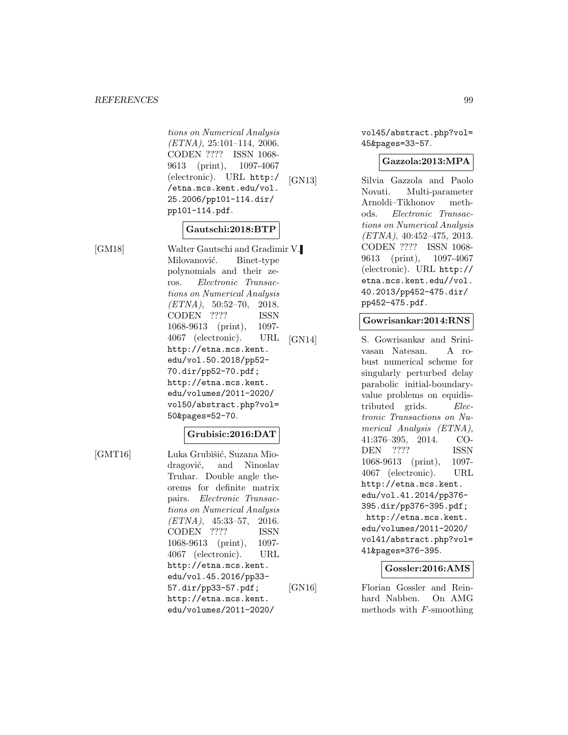tions on Numerical Analysis (ETNA), 25:101–114, 2006. CODEN ???? ISSN 1068- 9613 (print), 1097-4067 (electronic). URL http:/ /etna.mcs.kent.edu/vol. 25.2006/pp101-114.dir/ pp101-114.pdf.

## **Gautschi:2018:BTP**

[GM18] Walter Gautschi and Gradimir V. Milovanović. Binet-type polynomials and their zeros. Electronic Transactions on Numerical Analysis  $(ETNA)$ , 50:52-70, 2018. CODEN ???? ISSN 1068-9613 (print), 1097- 4067 (electronic). URL http://etna.mcs.kent. edu/vol.50.2018/pp52- 70.dir/pp52-70.pdf; http://etna.mcs.kent. edu/volumes/2011-2020/ vol50/abstract.php?vol= 50&pages=52-70.

#### **Grubisic:2016:DAT**

[GMT16] Luka Grubišić, Suzana Miodragović, and Ninoslav Truhar. Double angle theorems for definite matrix pairs. Electronic Transactions on Numerical Analysis  $(ETNA), 45:33-57, 2016.$ CODEN ???? ISSN 1068-9613 (print), 1097- 4067 (electronic). URL http://etna.mcs.kent. edu/vol.45.2016/pp33- 57.dir/pp33-57.pdf; http://etna.mcs.kent. edu/volumes/2011-2020/

vol45/abstract.php?vol= 45&pages=33-57.

#### **Gazzola:2013:MPA**

[GN13] Silvia Gazzola and Paolo Novati. Multi-parameter Arnoldi–Tikhonov methods. Electronic Transactions on Numerical Analysis  $(ETNA), 40:452-475, 2013.$ CODEN ???? ISSN 1068- 9613 (print), 1097-4067 (electronic). URL http:// etna.mcs.kent.edu//vol. 40.2013/pp452-475.dir/ pp452-475.pdf.

#### **Gowrisankar:2014:RNS**

[GN14] S. Gowrisankar and Srinivasan Natesan. A robust numerical scheme for singularly perturbed delay parabolic initial-boundaryvalue problems on equidistributed grids. Electronic Transactions on Numerical Analysis (ETNA), 41:376–395, 2014. CO-DEN ???? ISSN 1068-9613 (print), 1097- 4067 (electronic). URL http://etna.mcs.kent. edu/vol.41.2014/pp376- 395.dir/pp376-395.pdf; http://etna.mcs.kent. edu/volumes/2011-2020/ vol41/abstract.php?vol= 41&pages=376-395.

## **Gossler:2016:AMS**

[GN16] Florian Gossler and Reinhard Nabben. On AMG methods with F-smoothing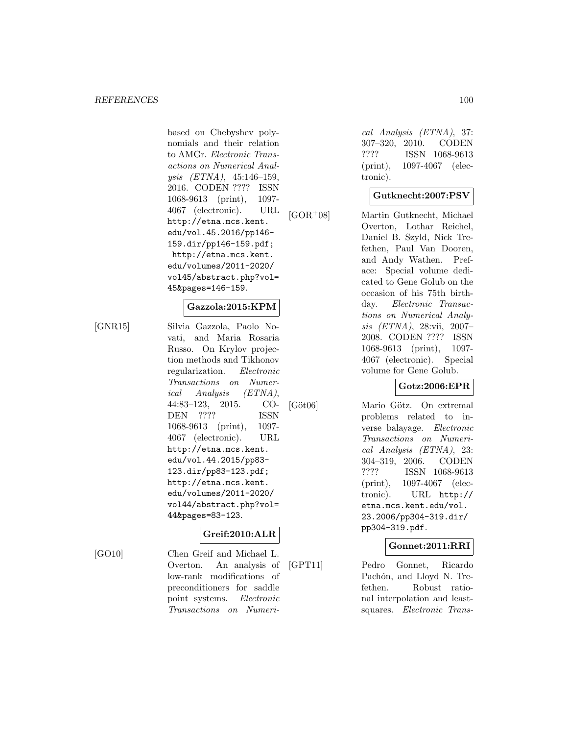based on Chebyshev polynomials and their relation to AMGr. Electronic Transactions on Numerical Analysis (ETNA), 45:146–159, 2016. CODEN ???? ISSN 1068-9613 (print), 1097- 4067 (electronic). URL http://etna.mcs.kent. edu/vol.45.2016/pp146- 159.dir/pp146-159.pdf; http://etna.mcs.kent. edu/volumes/2011-2020/ vol45/abstract.php?vol= 45&pages=146-159.

## **Gazzola:2015:KPM**

[GNR15] Silvia Gazzola, Paolo Novati, and Maria Rosaria Russo. On Krylov projection methods and Tikhonov regularization. Electronic Transactions on Numerical Analysis (ETNA), 44:83–123, 2015. CO-DEN ???? ISSN 1068-9613 (print), 1097- 4067 (electronic). URL http://etna.mcs.kent. edu/vol.44.2015/pp83- 123.dir/pp83-123.pdf; http://etna.mcs.kent. edu/volumes/2011-2020/ vol44/abstract.php?vol= 44&pages=83-123.

## **Greif:2010:ALR**

[GO10] Chen Greif and Michael L. Overton. An analysis of low-rank modifications of preconditioners for saddle point systems. Electronic Transactions on Numeri-

cal Analysis (ETNA), 37: 307–320, 2010. CODEN ???? ISSN 1068-9613 (print), 1097-4067 (electronic).

#### **Gutknecht:2007:PSV**

[GOR<sup>+</sup>08] Martin Gutknecht, Michael Overton, Lothar Reichel, Daniel B. Szyld, Nick Trefethen, Paul Van Dooren, and Andy Wathen. Preface: Special volume dedicated to Gene Golub on the occasion of his 75th birthday. Electronic Transactions on Numerical Analysis (ETNA), 28:vii, 2007– 2008. CODEN ???? ISSN 1068-9613 (print), 1097- 4067 (electronic). Special volume for Gene Golub.

# **Gotz:2006:EPR**

[Göt06] Mario Götz. On extremal problems related to inverse balayage. Electronic Transactions on Numerical Analysis (ETNA), 23: 304–319, 2006. CODEN ???? ISSN 1068-9613 (print), 1097-4067 (electronic). URL http:// etna.mcs.kent.edu/vol. 23.2006/pp304-319.dir/ pp304-319.pdf.

## **Gonnet:2011:RRI**

[GPT11] Pedro Gonnet, Ricardo Pachón, and Lloyd N. Trefethen. Robust rational interpolation and leastsquares. Electronic Trans-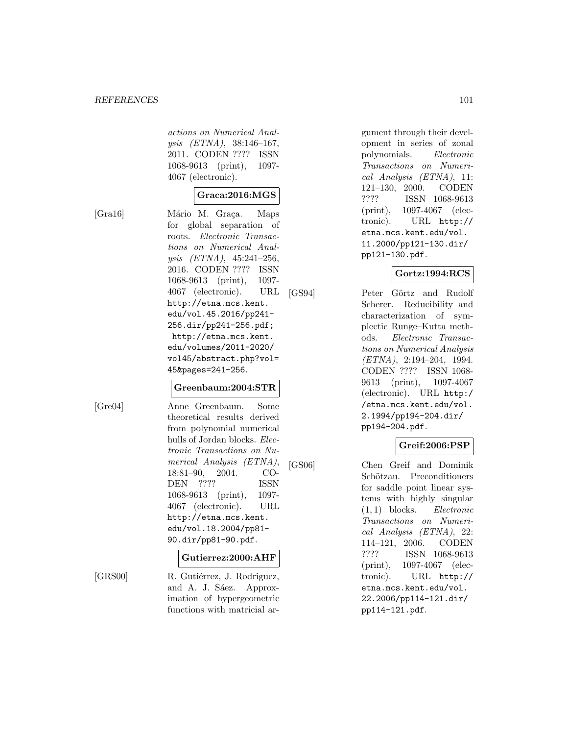actions on Numerical Analysis (ETNA), 38:146–167, 2011. CODEN ???? ISSN 1068-9613 (print), 1097- 4067 (electronic).

# **Graca:2016:MGS**

[Gra16] Mário M. Graça. Maps for global separation of roots. Electronic Transactions on Numerical Analysis (ETNA), 45:241–256, 2016. CODEN ???? ISSN 1068-9613 (print), 1097- 4067 (electronic). URL http://etna.mcs.kent. edu/vol.45.2016/pp241- 256.dir/pp241-256.pdf; http://etna.mcs.kent. edu/volumes/2011-2020/ vol45/abstract.php?vol= 45&pages=241-256.

#### **Greenbaum:2004:STR**

[Gre04] Anne Greenbaum. Some theoretical results derived from polynomial numerical hulls of Jordan blocks. Electronic Transactions on Numerical Analysis (ETNA), 18:81–90, 2004. CO-DEN ???? ISSN 1068-9613 (print), 1097- 4067 (electronic). URL http://etna.mcs.kent. edu/vol.18.2004/pp81- 90.dir/pp81-90.pdf.

#### **Gutierrez:2000:AHF**

[GRS00] R. Gutiérrez, J. Rodriguez, and A. J. Sáez. Approximation of hypergeometric functions with matricial argument through their development in series of zonal polynomials. Electronic Transactions on Numerical Analysis (ETNA), 11: 121–130, 2000. CODEN ???? ISSN 1068-9613 (print), 1097-4067 (electronic). URL http:// etna.mcs.kent.edu/vol. 11.2000/pp121-130.dir/ pp121-130.pdf.

## **Gortz:1994:RCS**

[GS94] Peter Görtz and Rudolf Scherer. Reducibility and characterization of symplectic Runge–Kutta methods. Electronic Transactions on Numerical Analysis (ETNA), 2:194–204, 1994. CODEN ???? ISSN 1068- 9613 (print), 1097-4067 (electronic). URL http:/ /etna.mcs.kent.edu/vol. 2.1994/pp194-204.dir/ pp194-204.pdf.

# **Greif:2006:PSP**

[GS06] Chen Greif and Dominik Schötzau. Preconditioners for saddle point linear systems with highly singular (1, 1) blocks. Electronic Transactions on Numerical Analysis (ETNA), 22: 114–121, 2006. CODEN ???? ISSN 1068-9613 (print), 1097-4067 (electronic). URL http:// etna.mcs.kent.edu/vol. 22.2006/pp114-121.dir/ pp114-121.pdf.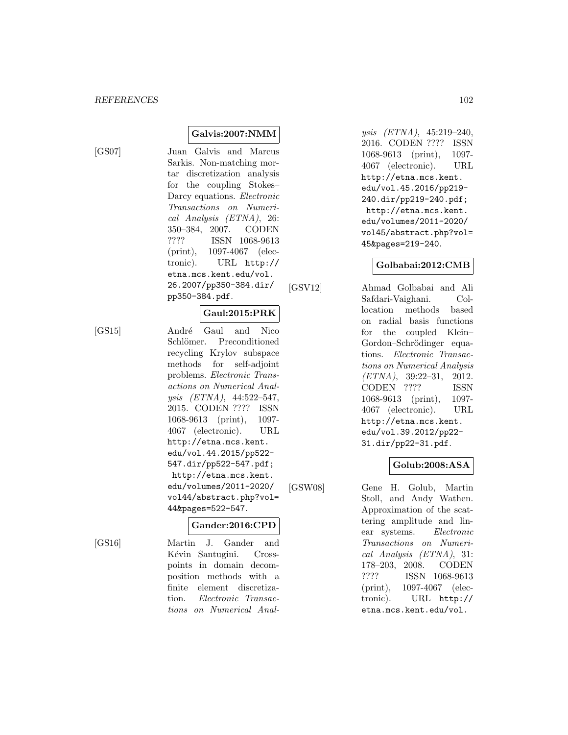[GS07] Juan Galvis and Marcus Sarkis. Non-matching mortar discretization analysis for the coupling Stokes– Darcy equations. Electronic Transactions on Numerical Analysis (ETNA), 26: 350–384, 2007. CODEN ???? ISSN 1068-9613 (print), 1097-4067 (electronic). URL http:// etna.mcs.kent.edu/vol. 26.2007/pp350-384.dir/ pp350-384.pdf.

**Galvis:2007:NMM**

#### **Gaul:2015:PRK**

[GS15] André Gaul and Nico Schlömer. Preconditioned recycling Krylov subspace methods for self-adjoint problems. Electronic Transactions on Numerical Analysis (ETNA), 44:522–547, 2015. CODEN ???? ISSN 1068-9613 (print), 1097- 4067 (electronic). URL http://etna.mcs.kent. edu/vol.44.2015/pp522- 547.dir/pp522-547.pdf; http://etna.mcs.kent.

> edu/volumes/2011-2020/ vol44/abstract.php?vol= 44&pages=522-547.

#### **Gander:2016:CPD**

[GS16] Martin J. Gander and Kévin Santugini. Crosspoints in domain decomposition methods with a finite element discretization. Electronic Transactions on Numerical Analysis (ETNA), 45:219–240, 2016. CODEN ???? ISSN 1068-9613 (print), 1097- 4067 (electronic). URL http://etna.mcs.kent. edu/vol.45.2016/pp219- 240.dir/pp219-240.pdf; http://etna.mcs.kent. edu/volumes/2011-2020/ vol45/abstract.php?vol= 45&pages=219-240.

## **Golbabai:2012:CMB**

[GSV12] Ahmad Golbabai and Ali Safdari-Vaighani. Collocation methods based on radial basis functions for the coupled Klein– Gordon–Schrödinger equations. Electronic Transactions on Numerical Analysis (ETNA), 39:22–31, 2012. CODEN ???? ISSN 1068-9613 (print), 1097- 4067 (electronic). URL http://etna.mcs.kent. edu/vol.39.2012/pp22- 31.dir/pp22-31.pdf.

#### **Golub:2008:ASA**

[GSW08] Gene H. Golub, Martin Stoll, and Andy Wathen. Approximation of the scattering amplitude and linear systems. Electronic Transactions on Numerical Analysis (ETNA), 31: 178–203, 2008. CODEN ???? ISSN 1068-9613 (print), 1097-4067 (electronic). URL http:// etna.mcs.kent.edu/vol.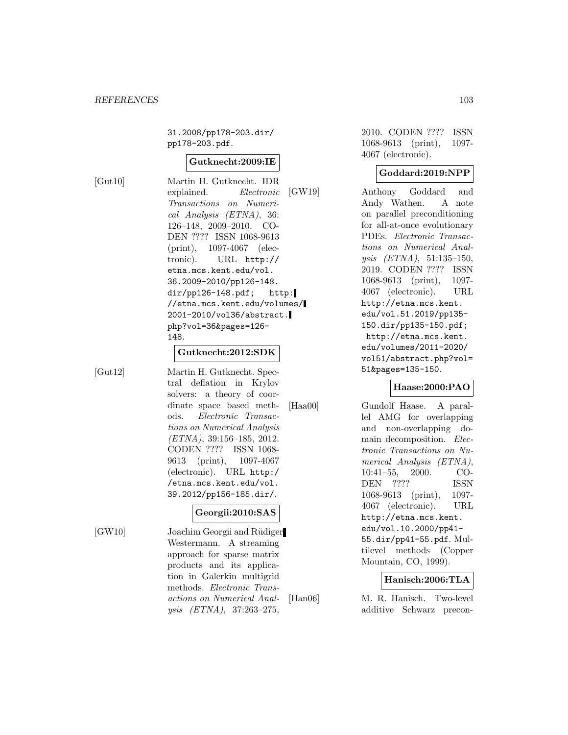31.2008/pp178-203.dir/ pp178-203.pdf.

#### **Gutknecht:2009:IE**

[Gut10] Martin H. Gutknecht. IDR explained. Electronic Transactions on Numerical Analysis (ETNA), 36: 126–148, 2009–2010. CO-DEN ???? ISSN 1068-9613 (print), 1097-4067 (electronic). URL http:// etna.mcs.kent.edu/vol. 36.2009-2010/pp126-148.  $dir/pp126-148.pdf;$  http: //etna.mcs.kent.edu/volumes/ 2001-2010/vol36/abstract. php?vol=36&pages=126- 148.

#### **Gutknecht:2012:SDK**

[Gut12] Martin H. Gutknecht. Spectral deflation in Krylov solvers: a theory of coordinate space based methods. Electronic Transactions on Numerical Analysis (ETNA), 39:156–185, 2012. CODEN ???? ISSN 1068- 9613 (print), 1097-4067 (electronic). URL http:/ /etna.mcs.kent.edu/vol. 39.2012/pp156-185.dir/.

## **Georgii:2010:SAS**

[GW10] Joachim Georgii and Rüdiger Westermann. A streaming approach for sparse matrix products and its application in Galerkin multigrid methods. Electronic Transactions on Numerical Analysis (ETNA), 37:263–275,

2010. CODEN ???? ISSN 1068-9613 (print), 1097- 4067 (electronic).

#### **Goddard:2019:NPP**

[GW19] Anthony Goddard and Andy Wathen. A note on parallel preconditioning for all-at-once evolutionary PDEs. Electronic Transactions on Numerical Analysis (ETNA), 51:135–150, 2019. CODEN ???? ISSN 1068-9613 (print), 1097- 4067 (electronic). URL http://etna.mcs.kent. edu/vol.51.2019/pp135- 150.dir/pp135-150.pdf; http://etna.mcs.kent. edu/volumes/2011-2020/ vol51/abstract.php?vol= 51&pages=135-150.

## **Haase:2000:PAO**

[Haa00] Gundolf Haase. A parallel AMG for overlapping and non-overlapping domain decomposition. Electronic Transactions on Numerical Analysis (ETNA), 10:41–55, 2000. CO-DEN ???? ISSN 1068-9613 (print), 1097- 4067 (electronic). URL http://etna.mcs.kent. edu/vol.10.2000/pp41- 55.dir/pp41-55.pdf. Multilevel methods (Copper Mountain, CO, 1999).

#### **Hanisch:2006:TLA**

[Han06] M. R. Hanisch. Two-level additive Schwarz precon-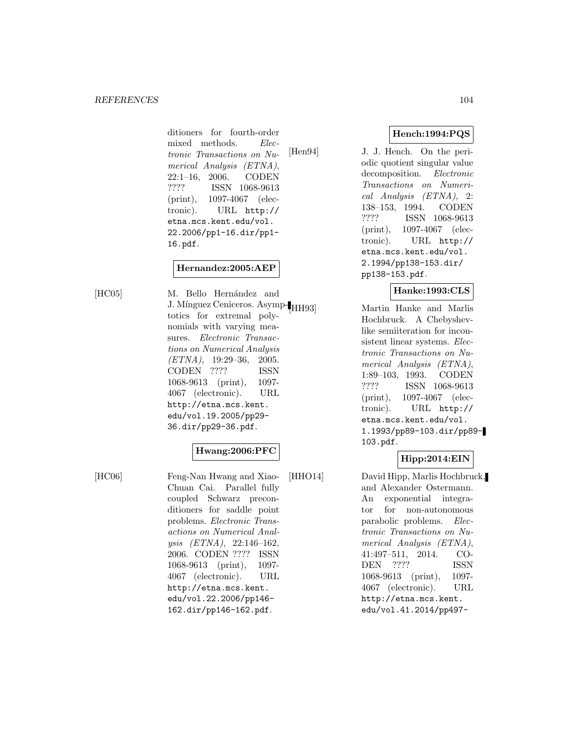ditioners for fourth-order mixed methods. Electronic Transactions on Numerical Analysis (ETNA), 22:1–16, 2006. CODEN ???? ISSN 1068-9613 (print), 1097-4067 (electronic). URL http:// etna.mcs.kent.edu/vol. 22.2006/pp1-16.dir/pp1- 16.pdf.

## **Hernandez:2005:AEP**

[HC05] M. Bello Hernández and J. Mínguez Ceniceros. Asymp- $H<sub>H193</sub>$ totics for extremal polynomials with varying measures. Electronic Transactions on Numerical Analysis  $(ETNA)$ , 19:29-36, 2005. CODEN ???? ISSN 1068-9613 (print), 1097- 4067 (electronic). URL http://etna.mcs.kent. edu/vol.19.2005/pp29- 36.dir/pp29-36.pdf.

#### **Hwang:2006:PFC**

[HC06] Feng-Nan Hwang and Xiao-Chuan Cai. Parallel fully coupled Schwarz preconditioners for saddle point problems. Electronic Transactions on Numerical Analysis (ETNA), 22:146–162, 2006. CODEN ???? ISSN 1068-9613 (print), 1097- 4067 (electronic). URL http://etna.mcs.kent. edu/vol.22.2006/pp146- 162.dir/pp146-162.pdf.

## **Hench:1994:PQS**

[Hen94] J. J. Hench. On the periodic quotient singular value decomposition. Electronic Transactions on Numerical Analysis (ETNA), 2: 138–153, 1994. CODEN ???? ISSN 1068-9613 (print), 1097-4067 (electronic). URL http:// etna.mcs.kent.edu/vol. 2.1994/pp138-153.dir/ pp138-153.pdf.

# **Hanke:1993:CLS**

Martin Hanke and Marlis Hochbruck. A Chebyshevlike semiiteration for inconsistent linear systems. Electronic Transactions on Numerical Analysis (ETNA), 1:89–103, 1993. CODEN ???? ISSN 1068-9613 (print), 1097-4067 (electronic). URL http:// etna.mcs.kent.edu/vol. 1.1993/pp89-103.dir/pp89- 103.pdf.

## **Hipp:2014:EIN**

[HHO14] David Hipp, Marlis Hochbruck, and Alexander Ostermann. An exponential integrator for non-autonomous parabolic problems. Electronic Transactions on Numerical Analysis (ETNA), 41:497–511, 2014. CO-DEN ???? ISSN 1068-9613 (print), 1097- 4067 (electronic). URL http://etna.mcs.kent. edu/vol.41.2014/pp497-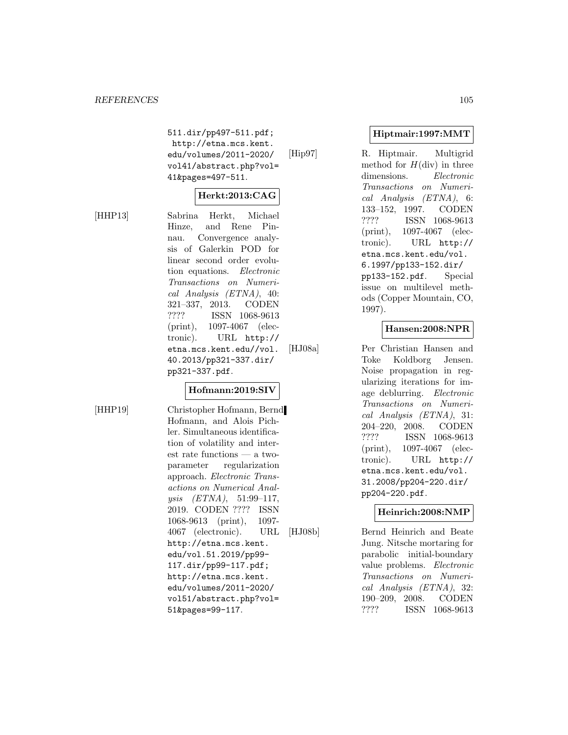511.dir/pp497-511.pdf; http://etna.mcs.kent. edu/volumes/2011-2020/ vol41/abstract.php?vol= 41&pages=497-511.

# **Herkt:2013:CAG**

[HHP13] Sabrina Herkt, Michael Hinze, and Rene Pinnau. Convergence analysis of Galerkin POD for linear second order evolution equations. Electronic Transactions on Numerical Analysis (ETNA), 40: 321–337, 2013. CODEN ???? ISSN 1068-9613 (print), 1097-4067 (electronic). URL http:// etna.mcs.kent.edu//vol. 40.2013/pp321-337.dir/ pp321-337.pdf.

## **Hofmann:2019:SIV**

[HHP19] Christopher Hofmann, Bernd Hofmann, and Alois Pichler. Simultaneous identification of volatility and interest rate functions — a twoparameter regularization approach. Electronic Transactions on Numerical Analysis (ETNA), 51:99–117, 2019. CODEN ???? ISSN 1068-9613 (print), 1097- 4067 (electronic). URL http://etna.mcs.kent. edu/vol.51.2019/pp99- 117.dir/pp99-117.pdf; http://etna.mcs.kent. edu/volumes/2011-2020/ vol51/abstract.php?vol= 51&pages=99-117.

## **Hiptmair:1997:MMT**

[Hip97] R. Hiptmair. Multigrid method for  $H(\text{div})$  in three dimensions. Electronic Transactions on Numerical Analysis (ETNA), 6: 133–152, 1997. CODEN ???? ISSN 1068-9613 (print), 1097-4067 (electronic). URL http:// etna.mcs.kent.edu/vol. 6.1997/pp133-152.dir/ pp133-152.pdf. Special issue on multilevel methods (Copper Mountain, CO, 1997).

# **Hansen:2008:NPR**

[HJ08a] Per Christian Hansen and Toke Koldborg Jensen. Noise propagation in regularizing iterations for image deblurring. Electronic Transactions on Numerical Analysis (ETNA), 31: 204–220, 2008. CODEN ???? ISSN 1068-9613 (print), 1097-4067 (electronic). URL http:// etna.mcs.kent.edu/vol. 31.2008/pp204-220.dir/ pp204-220.pdf.

## **Heinrich:2008:NMP**

[HJ08b] Bernd Heinrich and Beate Jung. Nitsche mortaring for parabolic initial-boundary value problems. Electronic Transactions on Numerical Analysis (ETNA), 32: 190–209, 2008. CODEN ???? ISSN 1068-9613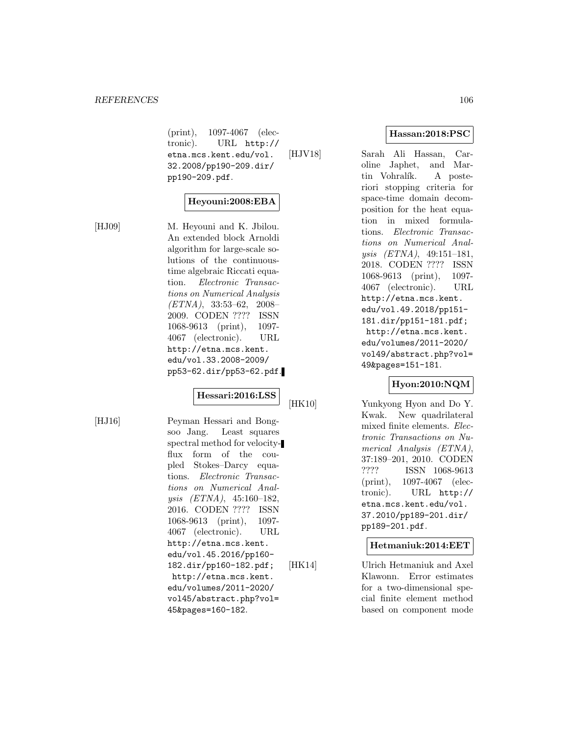(print), 1097-4067 (electronic). URL http:// etna.mcs.kent.edu/vol. 32.2008/pp190-209.dir/ pp190-209.pdf. [HJV18] Sarah Ali Hassan, Car-

## **Heyouni:2008:EBA**

[HJ09] M. Heyouni and K. Jbilou. An extended block Arnoldi algorithm for large-scale solutions of the continuoustime algebraic Riccati equation. Electronic Transactions on Numerical Analysis (ETNA), 33:53–62, 2008– 2009. CODEN ???? ISSN 1068-9613 (print), 1097- 4067 (electronic). URL http://etna.mcs.kent. edu/vol.33.2008-2009/ pp53-62.dir/pp53-62.pdf.

## **Hessari:2016:LSS**

[HJ16] Peyman Hessari and Bongsoo Jang. Least squares spectral method for velocityflux form of the coupled Stokes–Darcy equations. Electronic Transactions on Numerical Analysis (ETNA), 45:160–182, 2016. CODEN ???? ISSN 1068-9613 (print), 1097- 4067 (electronic). URL http://etna.mcs.kent. edu/vol.45.2016/pp160- 182.dir/pp160-182.pdf; http://etna.mcs.kent. edu/volumes/2011-2020/ vol45/abstract.php?vol= 45&pages=160-182.

http://etna.mcs.kent. edu/vol.49.2018/pp151- 181.dir/pp151-181.pdf; http://etna.mcs.kent. edu/volumes/2011-2020/ vol49/abstract.php?vol=

# **Hyon:2010:NQM**

49&pages=151-181.

[HK10] Yunkyong Hyon and Do Y. Kwak. New quadrilateral mixed finite elements. Electronic Transactions on Numerical Analysis (ETNA), 37:189–201, 2010. CODEN ???? ISSN 1068-9613 (print), 1097-4067 (electronic). URL http:// etna.mcs.kent.edu/vol. 37.2010/pp189-201.dir/ pp189-201.pdf.

#### **Hetmaniuk:2014:EET**

[HK14] Ulrich Hetmaniuk and Axel Klawonn. Error estimates for a two-dimensional special finite element method based on component mode

**Hassan:2018:PSC**

oline Japhet, and Martin Vohralík. A posteriori stopping criteria for space-time domain decomposition for the heat equation in mixed formulations. Electronic Transactions on Numerical Analysis (ETNA), 49:151–181, 2018. CODEN ???? ISSN 1068-9613 (print), 1097- 4067 (electronic). URL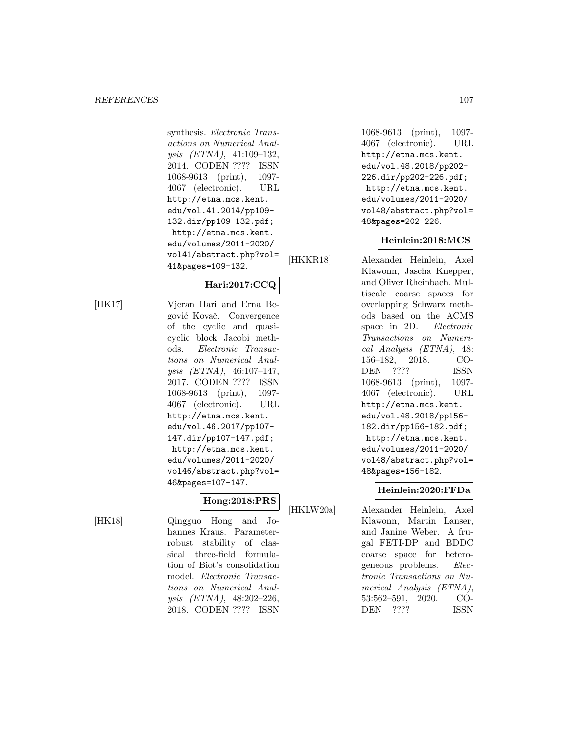synthesis. Electronic Transactions on Numerical Analysis (ETNA), 41:109–132, 2014. CODEN ???? ISSN 1068-9613 (print), 1097- 4067 (electronic). URL http://etna.mcs.kent. edu/vol.41.2014/pp109- 132.dir/pp109-132.pdf; http://etna.mcs.kent. edu/volumes/2011-2020/ vol41/abstract.php?vol= 41&pages=109-132.

# **Hari:2017:CCQ**

[HK17] Vjeran Hari and Erna Begović Kovač. Convergence of the cyclic and quasicyclic block Jacobi methods. Electronic Transactions on Numerical Analysis (ETNA), 46:107–147, 2017. CODEN ???? ISSN 1068-9613 (print), 1097- 4067 (electronic). URL http://etna.mcs.kent. edu/vol.46.2017/pp107- 147.dir/pp107-147.pdf; http://etna.mcs.kent. edu/volumes/2011-2020/ vol46/abstract.php?vol= 46&pages=107-147.

# **Hong:2018:PRS**

[HK18] Qingguo Hong and Johannes Kraus. Parameterrobust stability of classical three-field formulation of Biot's consolidation model. Electronic Transactions on Numerical Analysis (ETNA), 48:202–226, 2018. CODEN ???? ISSN

1068-9613 (print), 1097- 4067 (electronic). URL http://etna.mcs.kent. edu/vol.48.2018/pp202- 226.dir/pp202-226.pdf; http://etna.mcs.kent. edu/volumes/2011-2020/ vol48/abstract.php?vol= 48&pages=202-226.

## **Heinlein:2018:MCS**

[HKKR18] Alexander Heinlein, Axel Klawonn, Jascha Knepper, and Oliver Rheinbach. Multiscale coarse spaces for overlapping Schwarz methods based on the ACMS space in 2D. Electronic Transactions on Numerical Analysis (ETNA), 48: 156–182, 2018. CO-DEN ???? ISSN 1068-9613 (print), 1097- 4067 (electronic). URL http://etna.mcs.kent. edu/vol.48.2018/pp156- 182.dir/pp156-182.pdf; http://etna.mcs.kent. edu/volumes/2011-2020/ vol48/abstract.php?vol= 48&pages=156-182.

## **Heinlein:2020:FFDa**

[HKLW20a] Alexander Heinlein, Axel Klawonn, Martin Lanser, and Janine Weber. A frugal FETI-DP and BDDC coarse space for heterogeneous problems. Electronic Transactions on Numerical Analysis (ETNA), 53:562–591, 2020. CO-DEN ???? ISSN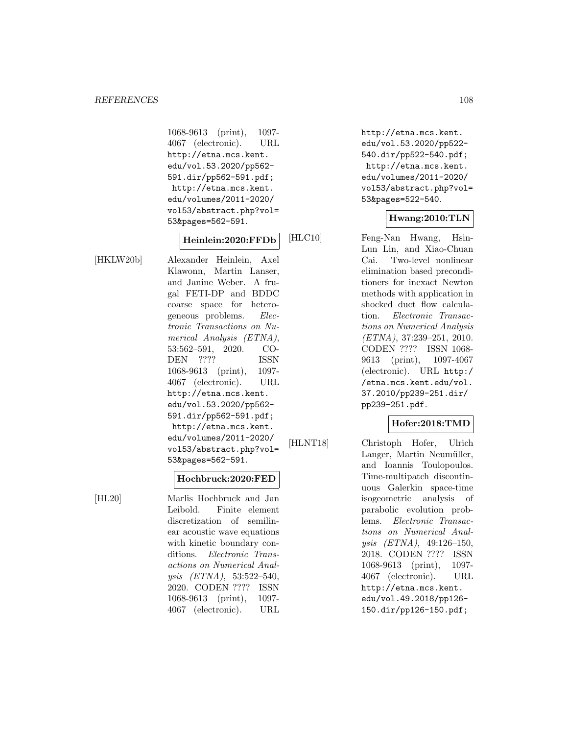1068-9613 (print), 1097- 4067 (electronic). URL http://etna.mcs.kent. edu/vol.53.2020/pp562- 591.dir/pp562-591.pdf; http://etna.mcs.kent. edu/volumes/2011-2020/ vol53/abstract.php?vol= 53&pages=562-591.

## **Heinlein:2020:FFDb**

[HKLW20b] Alexander Heinlein, Axel Klawonn, Martin Lanser, and Janine Weber. A frugal FETI-DP and BDDC coarse space for heterogeneous problems. Electronic Transactions on Numerical Analysis (ETNA), 53:562–591, 2020. CO-DEN ???? ISSN 1068-9613 (print), 1097- 4067 (electronic). URL http://etna.mcs.kent. edu/vol.53.2020/pp562- 591.dir/pp562-591.pdf; http://etna.mcs.kent. edu/volumes/2011-2020/ vol53/abstract.php?vol= 53&pages=562-591.

#### **Hochbruck:2020:FED**

[HL20] Marlis Hochbruck and Jan Leibold. Finite element discretization of semilinear acoustic wave equations with kinetic boundary conditions. Electronic Transactions on Numerical Analysis (ETNA), 53:522–540, 2020. CODEN ???? ISSN 1068-9613 (print), 1097- 4067 (electronic). URL

http://etna.mcs.kent. edu/vol.53.2020/pp522- 540.dir/pp522-540.pdf; http://etna.mcs.kent. edu/volumes/2011-2020/ vol53/abstract.php?vol= 53&pages=522-540.

## **Hwang:2010:TLN**

[HLC10] Feng-Nan Hwang, Hsin-Lun Lin, and Xiao-Chuan Cai. Two-level nonlinear elimination based preconditioners for inexact Newton methods with application in shocked duct flow calculation. Electronic Transactions on Numerical Analysis (ETNA), 37:239–251, 2010. CODEN ???? ISSN 1068- 9613 (print), 1097-4067 (electronic). URL http:/ /etna.mcs.kent.edu/vol. 37.2010/pp239-251.dir/ pp239-251.pdf.

## **Hofer:2018:TMD**

[HLNT18] Christoph Hofer, Ulrich Langer, Martin Neumüller, and Ioannis Toulopoulos. Time-multipatch discontinuous Galerkin space-time isogeometric analysis of parabolic evolution problems. Electronic Transactions on Numerical Analysis (ETNA), 49:126–150, 2018. CODEN ???? ISSN 1068-9613 (print), 1097- 4067 (electronic). URL http://etna.mcs.kent. edu/vol.49.2018/pp126- 150.dir/pp126-150.pdf;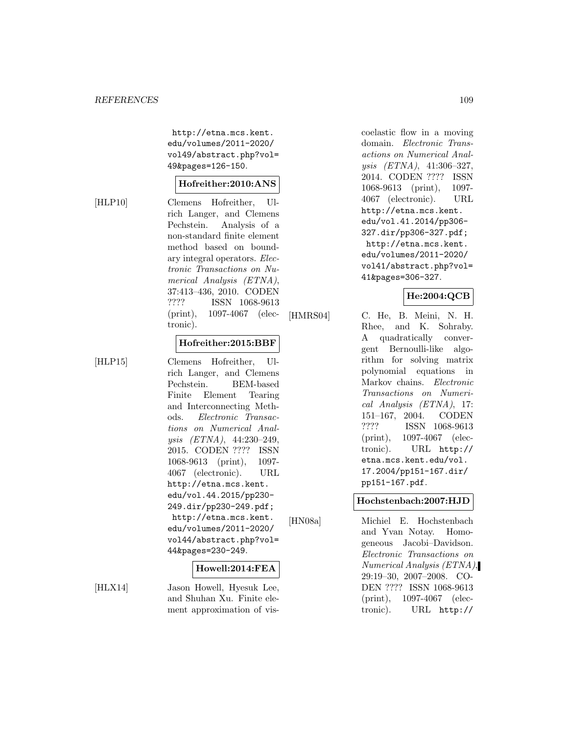http://etna.mcs.kent. edu/volumes/2011-2020/ vol49/abstract.php?vol= 49&pages=126-150.

#### **Hofreither:2010:ANS**

[HLP10] Clemens Hofreither, Ulrich Langer, and Clemens Pechstein. Analysis of a non-standard finite element method based on boundary integral operators. Electronic Transactions on Numerical Analysis (ETNA), 37:413–436, 2010. CODEN ???? ISSN 1068-9613 (print), 1097-4067 (electronic).

#### **Hofreither:2015:BBF**

[HLP15] Clemens Hofreither, Ulrich Langer, and Clemens Pechstein. BEM-based Finite Element Tearing and Interconnecting Methods. Electronic Transactions on Numerical Analysis (ETNA), 44:230–249, 2015. CODEN ???? ISSN 1068-9613 (print), 1097- 4067 (electronic). URL http://etna.mcs.kent. edu/vol.44.2015/pp230- 249.dir/pp230-249.pdf; http://etna.mcs.kent. edu/volumes/2011-2020/ vol44/abstract.php?vol= 44&pages=230-249.

### **Howell:2014:FEA**

[HLX14] Jason Howell, Hyesuk Lee, and Shuhan Xu. Finite element approximation of viscoelastic flow in a moving domain. Electronic Transactions on Numerical Analysis (ETNA), 41:306–327, 2014. CODEN ???? ISSN 1068-9613 (print), 1097- 4067 (electronic). URL http://etna.mcs.kent. edu/vol.41.2014/pp306- 327.dir/pp306-327.pdf; http://etna.mcs.kent. edu/volumes/2011-2020/ vol41/abstract.php?vol= 41&pages=306-327.

# **He:2004:QCB**

[HMRS04] C. He, B. Meini, N. H. Rhee, and K. Sohraby. A quadratically convergent Bernoulli-like algorithm for solving matrix polynomial equations in Markov chains. Electronic Transactions on Numerical Analysis (ETNA), 17: 151–167, 2004. CODEN ???? ISSN 1068-9613 (print), 1097-4067 (electronic). URL http:// etna.mcs.kent.edu/vol. 17.2004/pp151-167.dir/ pp151-167.pdf.

#### **Hochstenbach:2007:HJD**

[HN08a] Michiel E. Hochstenbach and Yvan Notay. Homogeneous Jacobi–Davidson. Electronic Transactions on Numerical Analysis (ETNA), 29:19–30, 2007–2008. CO-DEN ???? ISSN 1068-9613 (print), 1097-4067 (electronic). URL http://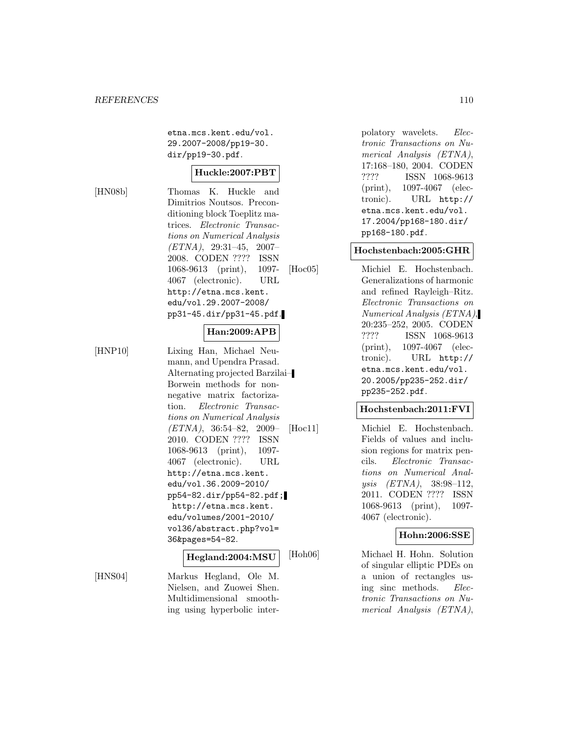etna.mcs.kent.edu/vol. 29.2007-2008/pp19-30. dir/pp19-30.pdf.

#### **Huckle:2007:PBT**

[HN08b] Thomas K. Huckle and Dimitrios Noutsos. Preconditioning block Toeplitz matrices. Electronic Transactions on Numerical Analysis (ETNA), 29:31–45, 2007– 2008. CODEN ???? ISSN 1068-9613 (print), 1097- 4067 (electronic). URL http://etna.mcs.kent. edu/vol.29.2007-2008/ pp31-45.dir/pp31-45.pdf.

# **Han:2009:APB**

[HNP10] Lixing Han, Michael Neumann, and Upendra Prasad. Alternating projected Barzilai– Borwein methods for nonnegative matrix factorization. Electronic Transactions on Numerical Analysis (ETNA), 36:54–82, 2009– 2010. CODEN ???? ISSN 1068-9613 (print), 1097- 4067 (electronic). URL http://etna.mcs.kent. edu/vol.36.2009-2010/ pp54-82.dir/pp54-82.pdf; http://etna.mcs.kent. edu/volumes/2001-2010/ vol36/abstract.php?vol= 36&pages=54-82.

#### **Hegland:2004:MSU**

[HNS04] Markus Hegland, Ole M. Nielsen, and Zuowei Shen. Multidimensional smoothing using hyperbolic interpolatory wavelets. Electronic Transactions on Numerical Analysis (ETNA), 17:168–180, 2004. CODEN ???? ISSN 1068-9613 (print), 1097-4067 (electronic). URL http:// etna.mcs.kent.edu/vol. 17.2004/pp168-180.dir/ pp168-180.pdf.

#### **Hochstenbach:2005:GHR**

[Hoc05] Michiel E. Hochstenbach. Generalizations of harmonic and refined Rayleigh–Ritz. Electronic Transactions on Numerical Analysis (ETNA), 20:235–252, 2005. CODEN ???? ISSN 1068-9613 (print), 1097-4067 (electronic). URL http:// etna.mcs.kent.edu/vol. 20.2005/pp235-252.dir/ pp235-252.pdf.

#### **Hochstenbach:2011:FVI**

[Hoc11] Michiel E. Hochstenbach. Fields of values and inclusion regions for matrix pencils. Electronic Transactions on Numerical Analysis (ETNA), 38:98–112, 2011. CODEN ???? ISSN 1068-9613 (print), 1097- 4067 (electronic).

### **Hohn:2006:SSE**

[Hoh06] Michael H. Hohn. Solution of singular elliptic PDEs on a union of rectangles using sinc methods. Electronic Transactions on Numerical Analysis (ETNA),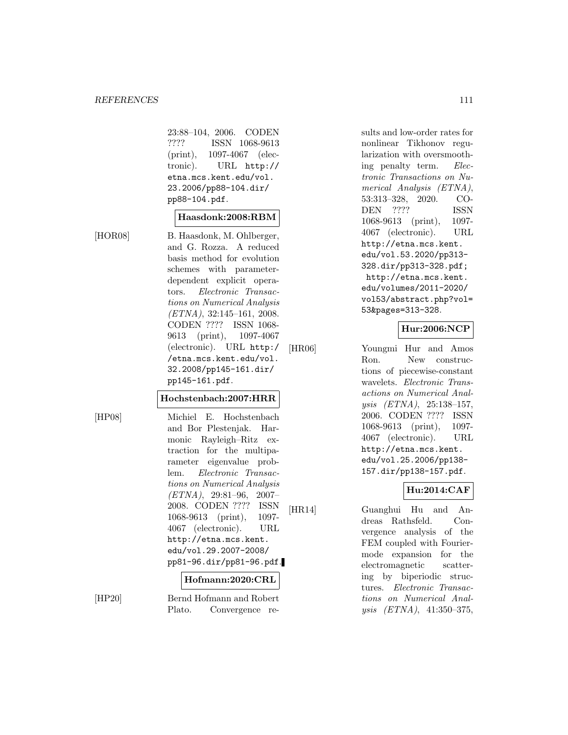23:88–104, 2006. CODEN ???? ISSN 1068-9613 (print), 1097-4067 (electronic). URL http:// etna.mcs.kent.edu/vol. 23.2006/pp88-104.dir/ pp88-104.pdf.

#### **Haasdonk:2008:RBM**

[HOR08] B. Haasdonk, M. Ohlberger, and G. Rozza. A reduced basis method for evolution schemes with parameterdependent explicit operators. Electronic Transactions on Numerical Analysis (ETNA), 32:145–161, 2008. CODEN ???? ISSN 1068- 9613 (print), 1097-4067 (electronic). URL http:/ /etna.mcs.kent.edu/vol. 32.2008/pp145-161.dir/ pp145-161.pdf.

**Hochstenbach:2007:HRR**

[HP08] Michiel E. Hochstenbach and Bor Plestenjak. Harmonic Rayleigh–Ritz extraction for the multiparameter eigenvalue problem. Electronic Transactions on Numerical Analysis  $(ETNA)$ , 29:81-96, 2007-2008. CODEN ???? ISSN 1068-9613 (print), 1097- 4067 (electronic). URL http://etna.mcs.kent. edu/vol.29.2007-2008/ pp81-96.dir/pp81-96.pdf.

### **Hofmann:2020:CRL**

[HP20] Bernd Hofmann and Robert Plato. Convergence results and low-order rates for nonlinear Tikhonov regularization with oversmoothing penalty term. Electronic Transactions on Numerical Analysis (ETNA), 53:313–328, 2020. CO-DEN ???? ISSN 1068-9613 (print), 1097- 4067 (electronic). URL http://etna.mcs.kent. edu/vol.53.2020/pp313- 328.dir/pp313-328.pdf; http://etna.mcs.kent. edu/volumes/2011-2020/ vol53/abstract.php?vol= 53&pages=313-328.

# **Hur:2006:NCP**

[HR06] Youngmi Hur and Amos Ron. New constructions of piecewise-constant wavelets. Electronic Transactions on Numerical Analysis (ETNA), 25:138–157, 2006. CODEN ???? ISSN 1068-9613 (print), 1097- 4067 (electronic). URL http://etna.mcs.kent. edu/vol.25.2006/pp138- 157.dir/pp138-157.pdf.

# **Hu:2014:CAF**

[HR14] Guanghui Hu and Andreas Rathsfeld. Convergence analysis of the FEM coupled with Fouriermode expansion for the electromagnetic scattering by biperiodic structures. Electronic Transactions on Numerical Analysis (ETNA), 41:350–375,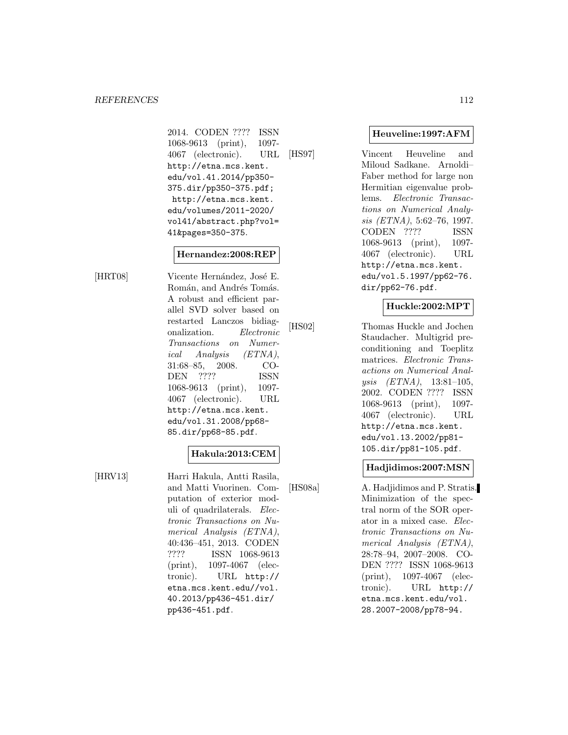2014. CODEN ???? ISSN 1068-9613 (print), 1097- 4067 (electronic). URL http://etna.mcs.kent. edu/vol.41.2014/pp350- 375.dir/pp350-375.pdf; http://etna.mcs.kent. edu/volumes/2011-2020/ vol41/abstract.php?vol= 41&pages=350-375.

#### **Hernandez:2008:REP**

[HRT08] Vicente Hernández, José E. Román, and Andrés Tomás. A robust and efficient parallel SVD solver based on restarted Lanczos bidiagonalization. Electronic Transactions on Numerical Analysis (ETNA), 31:68–85, 2008. CO-DEN ???? ISSN 1068-9613 (print), 1097- 4067 (electronic). URL http://etna.mcs.kent. edu/vol.31.2008/pp68- 85.dir/pp68-85.pdf.

### **Hakula:2013:CEM**

[HRV13] Harri Hakula, Antti Rasila, and Matti Vuorinen. Computation of exterior moduli of quadrilaterals. Electronic Transactions on Numerical Analysis (ETNA), 40:436–451, 2013. CODEN ???? ISSN 1068-9613 (print), 1097-4067 (electronic). URL http:// etna.mcs.kent.edu//vol. 40.2013/pp436-451.dir/ pp436-451.pdf.

#### **Heuveline:1997:AFM**

[HS97] Vincent Heuveline and Miloud Sadkane. Arnoldi– Faber method for large non Hermitian eigenvalue problems. Electronic Transactions on Numerical Analysis (ETNA), 5:62–76, 1997. CODEN ???? ISSN 1068-9613 (print), 1097- 4067 (electronic). URL http://etna.mcs.kent. edu/vol.5.1997/pp62-76. dir/pp62-76.pdf.

# **Huckle:2002:MPT**

[HS02] Thomas Huckle and Jochen Staudacher. Multigrid preconditioning and Toeplitz matrices. Electronic Transactions on Numerical Analysis (ETNA), 13:81–105, 2002. CODEN ???? ISSN 1068-9613 (print), 1097- 4067 (electronic). URL http://etna.mcs.kent. edu/vol.13.2002/pp81- 105.dir/pp81-105.pdf.

### **Hadjidimos:2007:MSN**

[HS08a] A. Hadjidimos and P. Stratis. Minimization of the spectral norm of the SOR operator in a mixed case. Electronic Transactions on Numerical Analysis (ETNA), 28:78–94, 2007–2008. CO-DEN ???? ISSN 1068-9613 (print), 1097-4067 (electronic). URL http:// etna.mcs.kent.edu/vol. 28.2007-2008/pp78-94.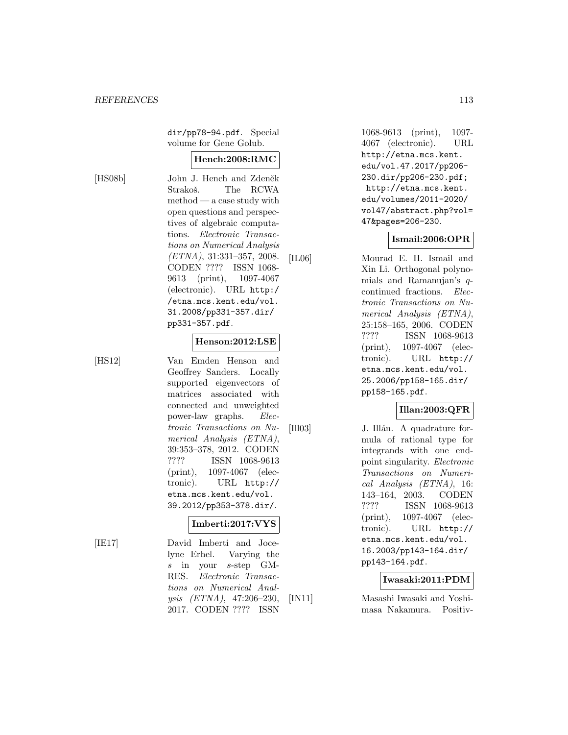dir/pp78-94.pdf. Special volume for Gene Golub.

#### **Hench:2008:RMC**

[HS08b] John J. Hench and Zdeněk Strakoš. The RCWA method — a case study with open questions and perspectives of algebraic computations. Electronic Transactions on Numerical Analysis (ETNA), 31:331–357, 2008. CODEN ???? ISSN 1068- 9613 (print), 1097-4067 (electronic). URL http:/ /etna.mcs.kent.edu/vol. 31.2008/pp331-357.dir/ pp331-357.pdf.

#### **Henson:2012:LSE**

[HS12] Van Emden Henson and Geoffrey Sanders. Locally supported eigenvectors of matrices associated with connected and unweighted power-law graphs. Electronic Transactions on Numerical Analysis (ETNA), 39:353–378, 2012. CODEN ???? ISSN 1068-9613 (print), 1097-4067 (electronic). URL http:// etna.mcs.kent.edu/vol. 39.2012/pp353-378.dir/.

#### **Imberti:2017:VYS**

[IE17] David Imberti and Jocelyne Erhel. Varying the s in your s-step GM-RES. Electronic Transactions on Numerical Analysis (ETNA), 47:206–230, 2017. CODEN ???? ISSN

1068-9613 (print), 1097- 4067 (electronic). URL http://etna.mcs.kent. edu/vol.47.2017/pp206- 230.dir/pp206-230.pdf; http://etna.mcs.kent. edu/volumes/2011-2020/ vol47/abstract.php?vol= 47&pages=206-230.

#### **Ismail:2006:OPR**

[IL06] Mourad E. H. Ismail and Xin Li. Orthogonal polynomials and Ramanujan's qcontinued fractions. Electronic Transactions on Numerical Analysis (ETNA), 25:158–165, 2006. CODEN ???? ISSN 1068-9613 (print), 1097-4067 (electronic). URL http:// etna.mcs.kent.edu/vol. 25.2006/pp158-165.dir/ pp158-165.pdf.

### **Illan:2003:QFR**

[Ill03] J. Illán. A quadrature formula of rational type for integrands with one endpoint singularity. Electronic Transactions on Numerical Analysis (ETNA), 16: 143–164, 2003. CODEN ???? ISSN 1068-9613 (print), 1097-4067 (electronic). URL http:// etna.mcs.kent.edu/vol. 16.2003/pp143-164.dir/ pp143-164.pdf.

#### **Iwasaki:2011:PDM**

[IN11] Masashi Iwasaki and Yoshimasa Nakamura. Positiv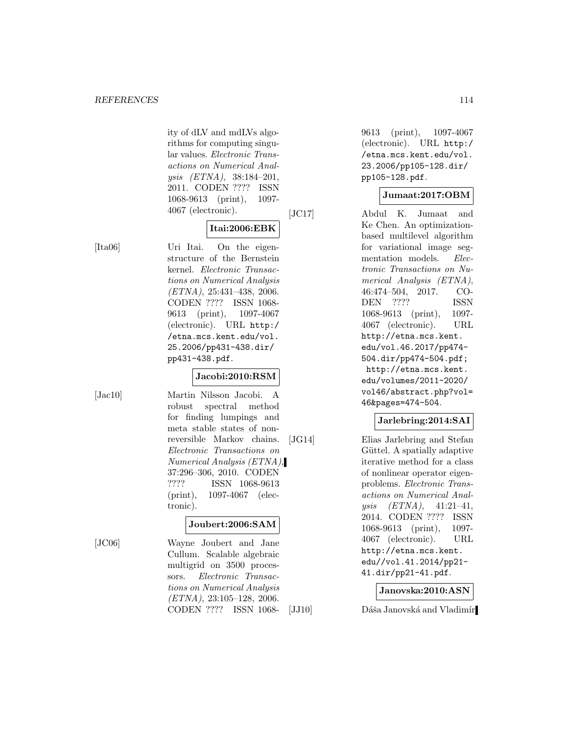ity of dLV and mdLVs algorithms for computing singular values. Electronic Transactions on Numerical Analysis (ETNA), 38:184–201, 2011. CODEN ???? ISSN 1068-9613 (print), 1097- 4067 (electronic).

#### **Itai:2006:EBK**

[Ita06] Uri Itai. On the eigenstructure of the Bernstein kernel. Electronic Transactions on Numerical Analysis (ETNA), 25:431–438, 2006. CODEN ???? ISSN 1068- 9613 (print), 1097-4067 (electronic). URL http:/ /etna.mcs.kent.edu/vol. 25.2006/pp431-438.dir/ pp431-438.pdf.

### **Jacobi:2010:RSM**

[Jac10] Martin Nilsson Jacobi. A robust spectral method for finding lumpings and meta stable states of nonreversible Markov chains. Electronic Transactions on Numerical Analysis (ETNA), 37:296–306, 2010. CODEN ???? ISSN 1068-9613 (print), 1097-4067 (electronic).

### **Joubert:2006:SAM**

[JC06] Wayne Joubert and Jane Cullum. Scalable algebraic multigrid on 3500 processors. Electronic Transactions on Numerical Analysis (ETNA), 23:105–128, 2006. CODEN ???? ISSN 10689613 (print), 1097-4067 (electronic). URL http:/ /etna.mcs.kent.edu/vol. 23.2006/pp105-128.dir/ pp105-128.pdf.

# **Jumaat:2017:OBM**

[JC17] Abdul K. Jumaat and Ke Chen. An optimizationbased multilevel algorithm for variational image segmentation models. Electronic Transactions on Numerical Analysis (ETNA), 46:474–504, 2017. CO-DEN ???? ISSN 1068-9613 (print), 1097- 4067 (electronic). URL http://etna.mcs.kent. edu/vol.46.2017/pp474- 504.dir/pp474-504.pdf; http://etna.mcs.kent. edu/volumes/2011-2020/ vol46/abstract.php?vol= 46&pages=474-504.

### **Jarlebring:2014:SAI**

[JG14] Elias Jarlebring and Stefan Güttel. A spatially adaptive iterative method for a class of nonlinear operator eigenproblems. Electronic Transactions on Numerical Analysis (ETNA), 41:21–41, 2014. CODEN ???? ISSN 1068-9613 (print), 1097- 4067 (electronic). URL http://etna.mcs.kent. edu//vol.41.2014/pp21- 41.dir/pp21-41.pdf.

### **Janovska:2010:ASN**

[JJ10] Dáša Janovská and Vladimír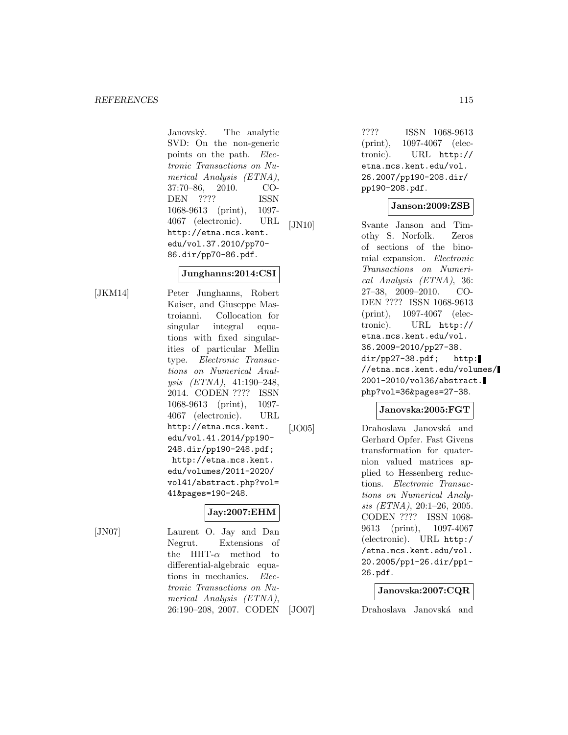Janovský. The analytic SVD: On the non-generic points on the path. Electronic Transactions on Numerical Analysis (ETNA), 37:70–86, 2010. CO-DEN ???? ISSN 1068-9613 (print), 1097- 4067 (electronic). URL http://etna.mcs.kent. edu/vol.37.2010/pp70- 86.dir/pp70-86.pdf.

#### **Junghanns:2014:CSI**

[JKM14] Peter Junghanns, Robert Kaiser, and Giuseppe Mastroianni. Collocation for singular integral equations with fixed singularities of particular Mellin type. Electronic Transactions on Numerical Analysis (ETNA), 41:190–248, 2014. CODEN ???? ISSN 1068-9613 (print), 1097- 4067 (electronic). URL http://etna.mcs.kent. edu/vol.41.2014/pp190- 248.dir/pp190-248.pdf; http://etna.mcs.kent. edu/volumes/2011-2020/ vol41/abstract.php?vol= 41&pages=190-248.

### **Jay:2007:EHM**

[JN07] Laurent O. Jay and Dan Negrut. Extensions of the HHT- $\alpha$  method to differential-algebraic equations in mechanics. Electronic Transactions on Numerical Analysis (ETNA), 26:190–208, 2007. CODEN ???? ISSN 1068-9613 (print), 1097-4067 (electronic). URL http:// etna.mcs.kent.edu/vol. 26.2007/pp190-208.dir/ pp190-208.pdf.

#### **Janson:2009:ZSB**

[JN10] Svante Janson and Timothy S. Norfolk. Zeros of sections of the binomial expansion. Electronic Transactions on Numerical Analysis (ETNA), 36: 27–38, 2009–2010. CO-DEN ???? ISSN 1068-9613 (print), 1097-4067 (electronic). URL http:// etna.mcs.kent.edu/vol. 36.2009-2010/pp27-38. dir/pp27-38.pdf; http: //etna.mcs.kent.edu/volumes/ 2001-2010/vol36/abstract. php?vol=36&pages=27-38.

#### **Janovska:2005:FGT**

[JO05] Drahoslava Janovská and Gerhard Opfer. Fast Givens transformation for quaternion valued matrices applied to Hessenberg reductions. Electronic Transactions on Numerical Analysis (ETNA), 20:1–26, 2005. CODEN ???? ISSN 1068- 9613 (print), 1097-4067 (electronic). URL http:/ /etna.mcs.kent.edu/vol. 20.2005/pp1-26.dir/pp1- 26.pdf.

#### **Janovska:2007:CQR**

[JO07] Drahoslava Janovská and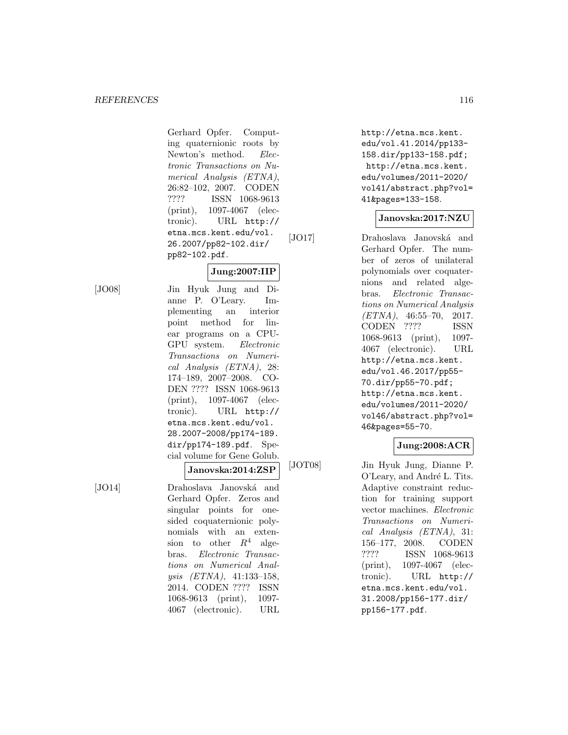Gerhard Opfer. Computing quaternionic roots by Newton's method. Electronic Transactions on Numerical Analysis (ETNA), 26:82–102, 2007. CODEN ???? ISSN 1068-9613 (print), 1097-4067 (electronic). URL http:// etna.mcs.kent.edu/vol. 26.2007/pp82-102.dir/ pp82-102.pdf.

# **Jung:2007:IIP**

[JO08] Jin Hyuk Jung and Dianne P. O'Leary. Implementing an interior point method for linear programs on a CPU-GPU system. Electronic Transactions on Numerical Analysis (ETNA), 28: 174–189, 2007–2008. CO-DEN ???? ISSN 1068-9613 (print), 1097-4067 (electronic). URL http:// etna.mcs.kent.edu/vol. 28.2007-2008/pp174-189. dir/pp174-189.pdf. Special volume for Gene Golub.

#### **Janovska:2014:ZSP**

[JO14] Drahoslava Janovská and Gerhard Opfer. Zeros and singular points for onesided coquaternionic polynomials with an extension to other  $R^4$  algebras. Electronic Transactions on Numerical Analysis (ETNA), 41:133–158, 2014. CODEN ???? ISSN 1068-9613 (print), 1097- 4067 (electronic). URL http://etna.mcs.kent. edu/vol.41.2014/pp133- 158.dir/pp133-158.pdf; http://etna.mcs.kent. edu/volumes/2011-2020/ vol41/abstract.php?vol= 41&pages=133-158.

#### **Janovska:2017:NZU**

[JO17] Drahoslava Janovská and Gerhard Opfer. The number of zeros of unilateral polynomials over coquaternions and related algebras. Electronic Transactions on Numerical Analysis  $(ETNA)$ , 46:55-70, 2017. CODEN ???? ISSN 1068-9613 (print), 1097- 4067 (electronic). URL http://etna.mcs.kent. edu/vol.46.2017/pp55- 70.dir/pp55-70.pdf; http://etna.mcs.kent. edu/volumes/2011-2020/ vol46/abstract.php?vol= 46&pages=55-70.

## **Jung:2008:ACR**

[JOT08] Jin Hyuk Jung, Dianne P. O'Leary, and André L. Tits. Adaptive constraint reduction for training support vector machines. Electronic Transactions on Numerical Analysis (ETNA), 31: 156–177, 2008. CODEN ???? ISSN 1068-9613 (print), 1097-4067 (electronic). URL http:// etna.mcs.kent.edu/vol. 31.2008/pp156-177.dir/ pp156-177.pdf.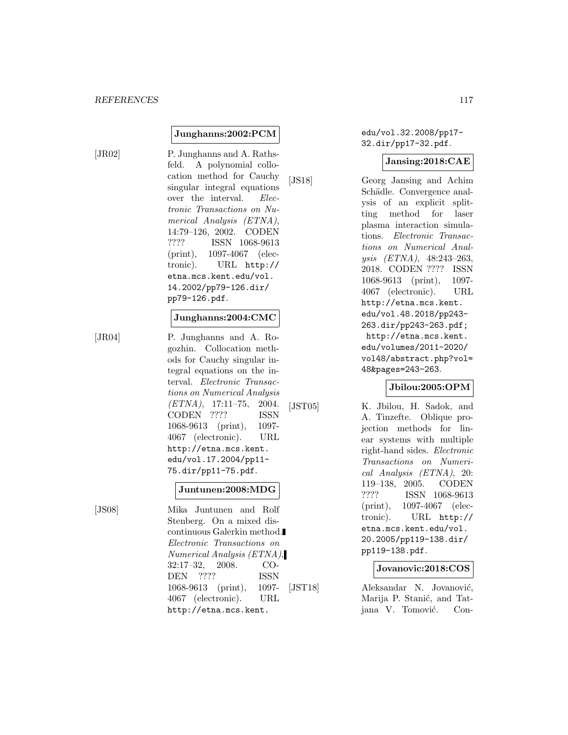#### **Junghanns:2002:PCM**

[JR02] P. Junghanns and A. Rathsfeld. A polynomial collocation method for Cauchy singular integral equations over the interval. Electronic Transactions on Numerical Analysis (ETNA), 14:79–126, 2002. CODEN ???? ISSN 1068-9613 (print), 1097-4067 (electronic). URL http:// etna.mcs.kent.edu/vol. 14.2002/pp79-126.dir/ pp79-126.pdf.

#### **Junghanns:2004:CMC**

[JR04] P. Junghanns and A. Rogozhin. Collocation methods for Cauchy singular integral equations on the interval. Electronic Transactions on Numerical Analysis (ETNA), 17:11–75, 2004. CODEN ???? ISSN 1068-9613 (print), 1097- 4067 (electronic). URL http://etna.mcs.kent. edu/vol.17.2004/pp11- 75.dir/pp11-75.pdf.

#### **Juntunen:2008:MDG**

[JS08] Mika Juntunen and Rolf Stenberg. On a mixed discontinuous Galerkin method. Electronic Transactions on Numerical Analysis (ETNA), 32:17–32, 2008. CO-DEN ???? ISSN 1068-9613 (print), 1097- 4067 (electronic). URL http://etna.mcs.kent.

edu/vol.32.2008/pp17- 32.dir/pp17-32.pdf.

#### **Jansing:2018:CAE**

[JS18] Georg Jansing and Achim Schädle. Convergence analysis of an explicit splitting method for laser plasma interaction simulations. Electronic Transactions on Numerical Analysis (ETNA), 48:243–263, 2018. CODEN ???? ISSN 1068-9613 (print), 1097- 4067 (electronic). URL http://etna.mcs.kent. edu/vol.48.2018/pp243- 263.dir/pp243-263.pdf; http://etna.mcs.kent. edu/volumes/2011-2020/ vol48/abstract.php?vol= 48&pages=243-263.

#### **Jbilou:2005:OPM**

[JST05] K. Jbilou, H. Sadok, and A. Tinzefte. Oblique projection methods for linear systems with multiple right-hand sides. Electronic Transactions on Numerical Analysis (ETNA), 20: 119–138, 2005. CODEN ???? ISSN 1068-9613 (print), 1097-4067 (electronic). URL http:// etna.mcs.kent.edu/vol. 20.2005/pp119-138.dir/ pp119-138.pdf.

#### **Jovanovic:2018:COS**

[JST18] Aleksandar N. Jovanović, Marija P. Stanić, and Tatjana V. Tomović. Con-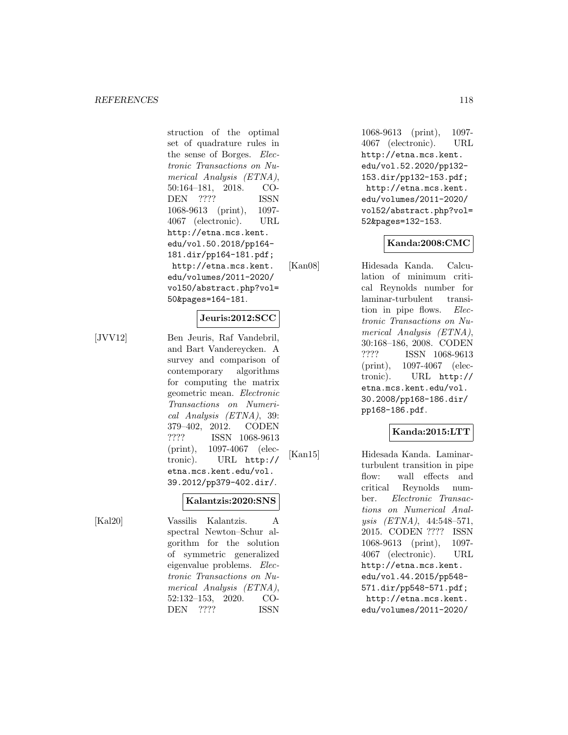struction of the optimal set of quadrature rules in the sense of Borges. Electronic Transactions on Numerical Analysis (ETNA), 50:164–181, 2018. CO-DEN ???? ISSN 1068-9613 (print), 1097- 4067 (electronic). URL http://etna.mcs.kent. edu/vol.50.2018/pp164- 181.dir/pp164-181.pdf; http://etna.mcs.kent. edu/volumes/2011-2020/ vol50/abstract.php?vol= 50&pages=164-181.

#### **Jeuris:2012:SCC**

[JVV12] Ben Jeuris, Raf Vandebril, and Bart Vandereycken. A survey and comparison of contemporary algorithms for computing the matrix geometric mean. Electronic Transactions on Numerical Analysis (ETNA), 39: 379–402, 2012. CODEN ???? ISSN 1068-9613 (print), 1097-4067 (electronic). URL http:// etna.mcs.kent.edu/vol. 39.2012/pp379-402.dir/.

[Kal20] Vassilis Kalantzis. A spectral Newton–Schur algorithm for the solution of symmetric generalized eigenvalue problems. Electronic Transactions on Numerical Analysis (ETNA), 52:132–153, 2020. CO-DEN ???? ISSN

**Kalantzis:2020:SNS**

1068-9613 (print), 1097- 4067 (electronic). URL http://etna.mcs.kent. edu/vol.52.2020/pp132- 153.dir/pp132-153.pdf; http://etna.mcs.kent. edu/volumes/2011-2020/ vol52/abstract.php?vol= 52&pages=132-153.

### **Kanda:2008:CMC**

[Kan08] Hidesada Kanda. Calculation of minimum critical Reynolds number for laminar-turbulent transition in pipe flows. Electronic Transactions on Numerical Analysis (ETNA), 30:168–186, 2008. CODEN ???? ISSN 1068-9613 (print), 1097-4067 (electronic). URL http:// etna.mcs.kent.edu/vol. 30.2008/pp168-186.dir/ pp168-186.pdf.

### **Kanda:2015:LTT**

[Kan15] Hidesada Kanda. Laminarturbulent transition in pipe flow: wall effects and critical Reynolds number. Electronic Transactions on Numerical Analysis (ETNA), 44:548–571, 2015. CODEN ???? ISSN 1068-9613 (print), 1097- 4067 (electronic). URL http://etna.mcs.kent. edu/vol.44.2015/pp548- 571.dir/pp548-571.pdf; http://etna.mcs.kent. edu/volumes/2011-2020/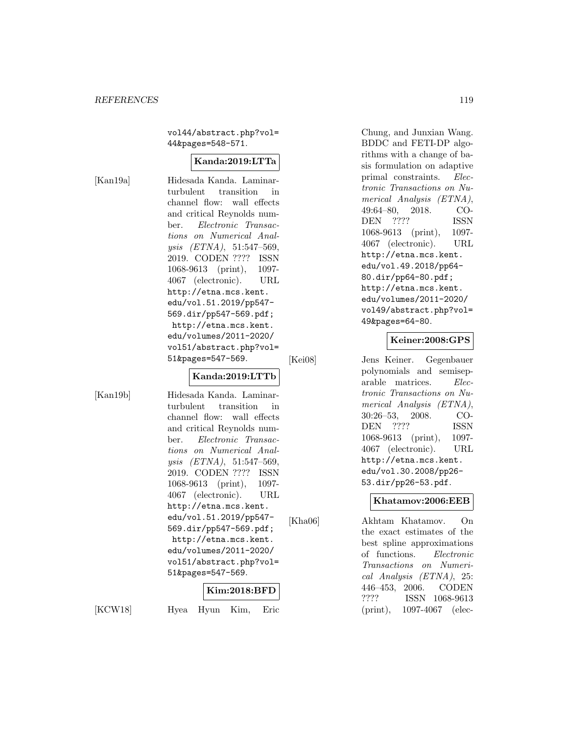vol44/abstract.php?vol= 44&pages=548-571.

#### **Kanda:2019:LTTa**

[Kan19a] Hidesada Kanda. Laminarturbulent transition in channel flow: wall effects and critical Reynolds number. Electronic Transactions on Numerical Anal $ysis$   $(ETNA)$ , 51:547-569, 2019. CODEN ???? ISSN 1068-9613 (print), 1097- 4067 (electronic). URL http://etna.mcs.kent. edu/vol.51.2019/pp547- 569.dir/pp547-569.pdf; http://etna.mcs.kent. edu/volumes/2011-2020/ vol51/abstract.php?vol= 51&pages=547-569.

#### **Kanda:2019:LTTb**

[Kan19b] Hidesada Kanda. Laminarturbulent transition in channel flow: wall effects and critical Reynolds number. Electronic Transactions on Numerical Analysis (ETNA), 51:547–569, 2019. CODEN ???? ISSN 1068-9613 (print), 1097- 4067 (electronic). URL http://etna.mcs.kent. edu/vol.51.2019/pp547- 569.dir/pp547-569.pdf; http://etna.mcs.kent. edu/volumes/2011-2020/ vol51/abstract.php?vol= 51&pages=547-569.

#### **Kim:2018:BFD**

[KCW18] Hyea Hyun Kim, Eric

Chung, and Junxian Wang. BDDC and FETI-DP algorithms with a change of basis formulation on adaptive primal constraints. Electronic Transactions on Numerical Analysis (ETNA), 49:64–80, 2018. CO-DEN ???? ISSN 1068-9613 (print), 1097- 4067 (electronic). URL http://etna.mcs.kent. edu/vol.49.2018/pp64- 80.dir/pp64-80.pdf; http://etna.mcs.kent. edu/volumes/2011-2020/ vol49/abstract.php?vol= 49&pages=64-80.

#### **Keiner:2008:GPS**

[Kei08] Jens Keiner. Gegenbauer polynomials and semiseparable matrices. Electronic Transactions on Numerical Analysis (ETNA), 30:26–53, 2008. CO-DEN ???? ISSN 1068-9613 (print), 1097- 4067 (electronic). URL http://etna.mcs.kent. edu/vol.30.2008/pp26- 53.dir/pp26-53.pdf.

#### **Khatamov:2006:EEB**

[Kha06] Akhtam Khatamov. On the exact estimates of the best spline approximations of functions. Electronic Transactions on Numerical Analysis (ETNA), 25: 446–453, 2006. CODEN ???? ISSN 1068-9613 (print), 1097-4067 (elec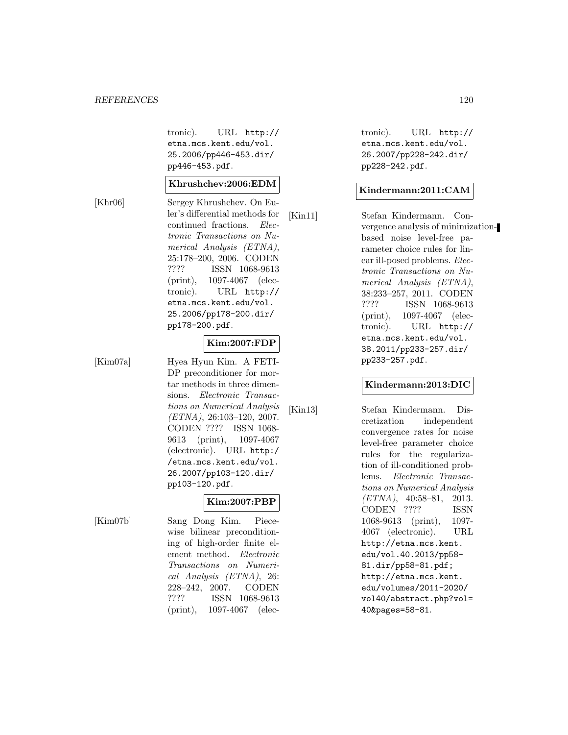tronic). URL http:// etna.mcs.kent.edu/vol. 25.2006/pp446-453.dir/ pp446-453.pdf.

#### **Khrushchev:2006:EDM**

[Khr06] Sergey Khrushchev. On Euler's differential methods for continued fractions. Electronic Transactions on Numerical Analysis (ETNA), 25:178–200, 2006. CODEN ???? ISSN 1068-9613 (print), 1097-4067 (electronic). URL http:// etna.mcs.kent.edu/vol. 25.2006/pp178-200.dir/ pp178-200.pdf.

#### **Kim:2007:FDP**

[Kim07a] Hyea Hyun Kim. A FETI-DP preconditioner for mortar methods in three dimensions. Electronic Transactions on Numerical Analysis  $(ETNA), 26:103-120, 2007.$ CODEN ???? ISSN 1068- 9613 (print), 1097-4067 (electronic). URL http:/ /etna.mcs.kent.edu/vol. 26.2007/pp103-120.dir/ pp103-120.pdf.

[Kim07b] Sang Dong Kim. Piecewise bilinear preconditioning of high-order finite element method. Electronic Transactions on Numerical Analysis (ETNA), 26: 228–242, 2007. CODEN ???? ISSN 1068-9613 (print), 1097-4067 (elec-

**Kim:2007:PBP**

tronic). URL http:// etna.mcs.kent.edu/vol. 26.2007/pp228-242.dir/ pp228-242.pdf.

#### **Kindermann:2011:CAM**

[Kin11] Stefan Kindermann. Convergence analysis of minimizationbased noise level-free parameter choice rules for linear ill-posed problems. Electronic Transactions on Numerical Analysis (ETNA), 38:233–257, 2011. CODEN ???? ISSN 1068-9613 (print), 1097-4067 (electronic). URL http:// etna.mcs.kent.edu/vol. 38.2011/pp233-257.dir/ pp233-257.pdf.

#### **Kindermann:2013:DIC**

[Kin13] Stefan Kindermann. Discretization independent convergence rates for noise level-free parameter choice rules for the regularization of ill-conditioned problems. Electronic Transactions on Numerical Analysis  $(ETNA)$ , 40:58-81, 2013. CODEN ???? ISSN 1068-9613 (print), 1097- 4067 (electronic). URL http://etna.mcs.kent. edu/vol.40.2013/pp58- 81.dir/pp58-81.pdf; http://etna.mcs.kent. edu/volumes/2011-2020/ vol40/abstract.php?vol= 40&pages=58-81.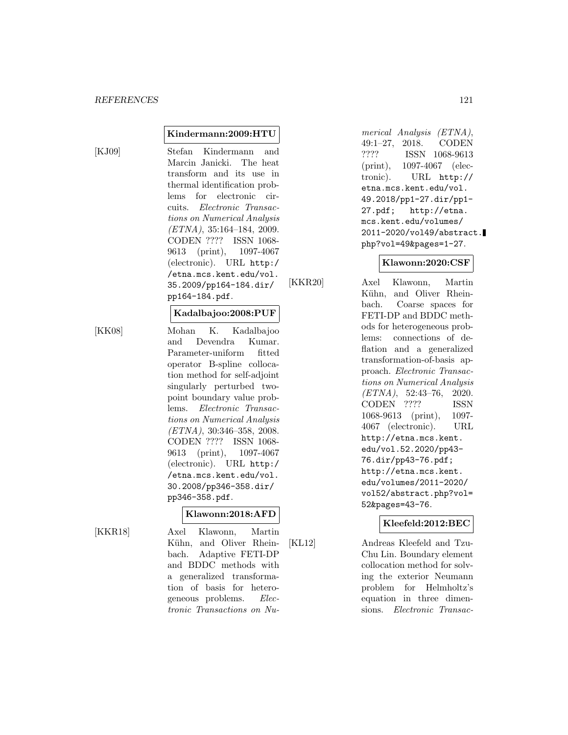**Kindermann:2009:HTU**

[KJ09] Stefan Kindermann and Marcin Janicki. The heat transform and its use in thermal identification problems for electronic circuits. Electronic Transactions on Numerical Analysis  $(ETNA), 35:164-184, 2009.$ CODEN ???? ISSN 1068- 9613 (print), 1097-4067 (electronic). URL http:/ /etna.mcs.kent.edu/vol. 35.2009/pp164-184.dir/ pp164-184.pdf.

#### **Kadalbajoo:2008:PUF**

[KK08] Mohan K. Kadalbajoo and Devendra Kumar. Parameter-uniform fitted operator B-spline collocation method for self-adjoint singularly perturbed twopoint boundary value problems. Electronic Transactions on Numerical Analysis (ETNA), 30:346–358, 2008. CODEN ???? ISSN 1068- 9613 (print), 1097-4067 (electronic). URL http:/ /etna.mcs.kent.edu/vol. 30.2008/pp346-358.dir/ pp346-358.pdf.

### **Klawonn:2018:AFD**

[KKR18] Axel Klawonn, Martin Kühn, and Oliver Rheinbach. Adaptive FETI-DP and BDDC methods with a generalized transformation of basis for heterogeneous problems. Electronic Transactions on Numerical Analysis (ETNA), 49:1–27, 2018. CODEN ???? ISSN 1068-9613 (print), 1097-4067 (electronic). URL http:// etna.mcs.kent.edu/vol. 49.2018/pp1-27.dir/pp1- 27.pdf; http://etna. mcs.kent.edu/volumes/ 2011-2020/vol49/abstract. php?vol=49&pages=1-27.

### **Klawonn:2020:CSF**

[KKR20] Axel Klawonn, Martin Kühn, and Oliver Rheinbach. Coarse spaces for FETI-DP and BDDC methods for heterogeneous problems: connections of deflation and a generalized transformation-of-basis approach. Electronic Transactions on Numerical Analysis (ETNA), 52:43–76, 2020. CODEN ???? ISSN 1068-9613 (print), 1097- 4067 (electronic). URL http://etna.mcs.kent. edu/vol.52.2020/pp43- 76.dir/pp43-76.pdf; http://etna.mcs.kent. edu/volumes/2011-2020/ vol52/abstract.php?vol= 52&pages=43-76.

# **Kleefeld:2012:BEC**

[KL12] Andreas Kleefeld and Tzu-Chu Lin. Boundary element collocation method for solving the exterior Neumann problem for Helmholtz's equation in three dimensions. Electronic Transac-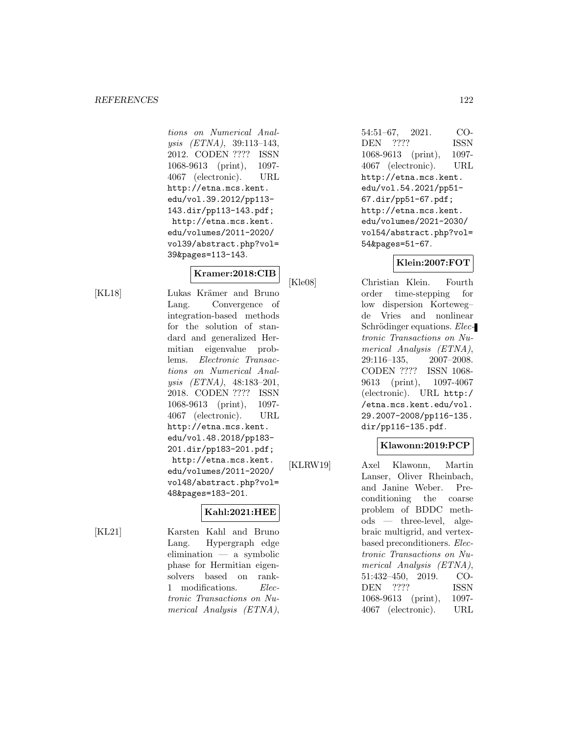tions on Numerical Analysis (ETNA), 39:113–143, 2012. CODEN ???? ISSN 1068-9613 (print), 1097- 4067 (electronic). URL http://etna.mcs.kent. edu/vol.39.2012/pp113- 143.dir/pp113-143.pdf; http://etna.mcs.kent. edu/volumes/2011-2020/ vol39/abstract.php?vol= 39&pages=113-143.

### **Kramer:2018:CIB**

[KL18] Lukas Krämer and Bruno Lang. Convergence of integration-based methods for the solution of standard and generalized Hermitian eigenvalue problems. Electronic Transactions on Numerical Analysis (ETNA), 48:183–201, 2018. CODEN ???? ISSN 1068-9613 (print), 1097- 4067 (electronic). URL http://etna.mcs.kent. edu/vol.48.2018/pp183- 201.dir/pp183-201.pdf; http://etna.mcs.kent. edu/volumes/2011-2020/ vol48/abstract.php?vol= 48&pages=183-201.

# **Kahl:2021:HEE**

[KL21] Karsten Kahl and Bruno Lang. Hypergraph edge elimination — a symbolic phase for Hermitian eigensolvers based on rank-1 modifications. Electronic Transactions on Numerical Analysis (ETNA),

54:51–67, 2021. CO-DEN ???? ISSN 1068-9613 (print), 1097- 4067 (electronic). URL http://etna.mcs.kent. edu/vol.54.2021/pp51- 67.dir/pp51-67.pdf; http://etna.mcs.kent. edu/volumes/2021-2030/ vol54/abstract.php?vol= 54&pages=51-67.

# **Klein:2007:FOT**

[Kle08] Christian Klein. Fourth order time-stepping for low dispersion Korteweg– de Vries and nonlinear Schrödinger equations. Electronic Transactions on Numerical Analysis (ETNA), 29:116–135, 2007–2008. CODEN ???? ISSN 1068- 9613 (print), 1097-4067 (electronic). URL http:/ /etna.mcs.kent.edu/vol. 29.2007-2008/pp116-135. dir/pp116-135.pdf.

## **Klawonn:2019:PCP**

[KLRW19] Axel Klawonn, Martin Lanser, Oliver Rheinbach, and Janine Weber. Preconditioning the coarse problem of BDDC methods — three-level, algebraic multigrid, and vertexbased preconditioners. Electronic Transactions on Numerical Analysis (ETNA), 51:432–450, 2019. CO-DEN ???? ISSN 1068-9613 (print), 1097- 4067 (electronic). URL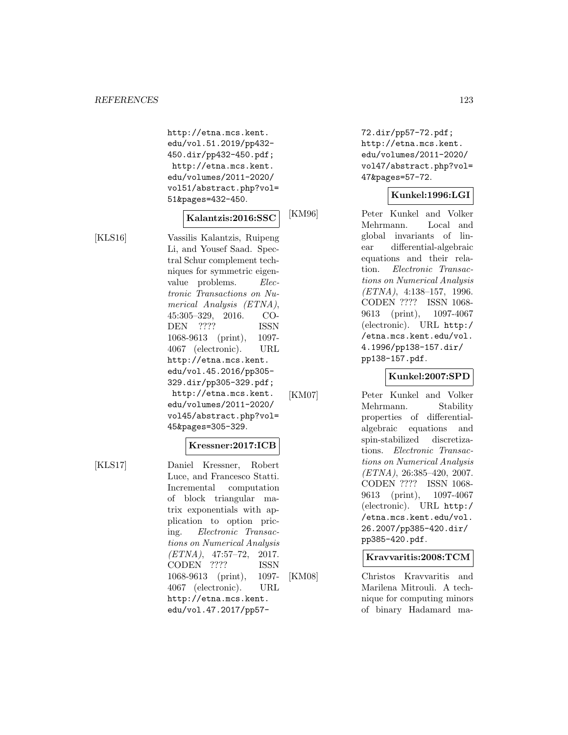http://etna.mcs.kent. edu/vol.51.2019/pp432- 450.dir/pp432-450.pdf; http://etna.mcs.kent. edu/volumes/2011-2020/ vol51/abstract.php?vol= 51&pages=432-450.

# **Kalantzis:2016:SSC**

[KLS16] Vassilis Kalantzis, Ruipeng Li, and Yousef Saad. Spectral Schur complement techniques for symmetric eigenvalue problems. Electronic Transactions on Numerical Analysis (ETNA), 45:305–329, 2016. CO-DEN ???? ISSN 1068-9613 (print), 1097- 4067 (electronic). URL http://etna.mcs.kent. edu/vol.45.2016/pp305- 329.dir/pp305-329.pdf; http://etna.mcs.kent. edu/volumes/2011-2020/ vol45/abstract.php?vol= 45&pages=305-329.

## **Kressner:2017:ICB**

[KLS17] Daniel Kressner, Robert Luce, and Francesco Statti. Incremental computation of block triangular matrix exponentials with application to option pricing. Electronic Transactions on Numerical Analysis (ETNA), 47:57–72, 2017. CODEN ???? ISSN 1068-9613 (print), 1097- 4067 (electronic). URL http://etna.mcs.kent. edu/vol.47.2017/pp5772.dir/pp57-72.pdf; http://etna.mcs.kent. edu/volumes/2011-2020/ vol47/abstract.php?vol= 47&pages=57-72.

#### **Kunkel:1996:LGI**

[KM96] Peter Kunkel and Volker Mehrmann. Local and global invariants of linear differential-algebraic equations and their relation. Electronic Transactions on Numerical Analysis (ETNA), 4:138–157, 1996. CODEN ???? ISSN 1068- 9613 (print), 1097-4067 (electronic). URL http:/ /etna.mcs.kent.edu/vol. 4.1996/pp138-157.dir/ pp138-157.pdf.

**Kunkel:2007:SPD**

[KM07] Peter Kunkel and Volker Mehrmann. Stability properties of differentialalgebraic equations and spin-stabilized discretizations. Electronic Transactions on Numerical Analysis  $(ETNA), 26:385-420, 2007.$ CODEN ???? ISSN 1068- 9613 (print), 1097-4067 (electronic). URL http:/ /etna.mcs.kent.edu/vol. 26.2007/pp385-420.dir/ pp385-420.pdf.

**Kravvaritis:2008:TCM**

[KM08] Christos Kravvaritis and Marilena Mitrouli. A technique for computing minors of binary Hadamard ma-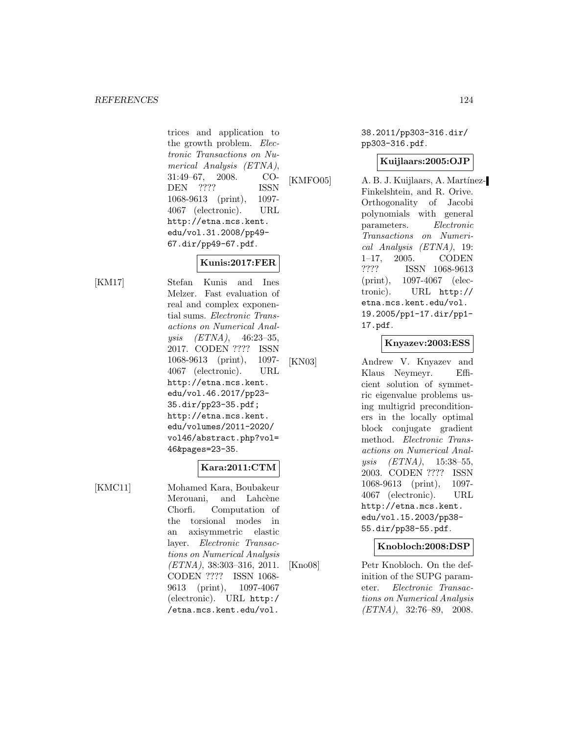trices and application to the growth problem. Electronic Transactions on Numerical Analysis (ETNA), 31:49–67, 2008. CO-DEN ???? ISSN 1068-9613 (print), 1097- 4067 (electronic). URL http://etna.mcs.kent. edu/vol.31.2008/pp49- 67.dir/pp49-67.pdf.

# **Kunis:2017:FER**

[KM17] Stefan Kunis and Ines Melzer. Fast evaluation of real and complex exponential sums. Electronic Transactions on Numerical Analysis (ETNA), 46:23–35, 2017. CODEN ???? ISSN 1068-9613 (print), 1097- 4067 (electronic). URL http://etna.mcs.kent. edu/vol.46.2017/pp23- 35.dir/pp23-35.pdf; http://etna.mcs.kent. edu/volumes/2011-2020/ vol46/abstract.php?vol= 46&pages=23-35.

# **Kara:2011:CTM**

[KMC11] Mohamed Kara, Boubakeur Merouani, and Lahcène Chorfi. Computation of the torsional modes in an axisymmetric elastic layer. Electronic Transactions on Numerical Analysis (ETNA), 38:303–316, 2011. CODEN ???? ISSN 1068- 9613 (print), 1097-4067 (electronic). URL http:/ /etna.mcs.kent.edu/vol.

38.2011/pp303-316.dir/ pp303-316.pdf.

## **Kuijlaars:2005:OJP**

[KMFO05] A. B. J. Kuijlaars, A. Martínez-Finkelshtein, and R. Orive. Orthogonality of Jacobi polynomials with general parameters. Electronic Transactions on Numerical Analysis (ETNA), 19: 1–17, 2005. CODEN ???? ISSN 1068-9613 (print), 1097-4067 (electronic). URL http:// etna.mcs.kent.edu/vol. 19.2005/pp1-17.dir/pp1- 17.pdf.

# **Knyazev:2003:ESS**

[KN03] Andrew V. Knyazev and Klaus Neymeyr. Efficient solution of symmetric eigenvalue problems using multigrid preconditioners in the locally optimal block conjugate gradient method. Electronic Transactions on Numerical Analysis (ETNA), 15:38–55, 2003. CODEN ???? ISSN 1068-9613 (print), 1097- 4067 (electronic). URL http://etna.mcs.kent. edu/vol.15.2003/pp38- 55.dir/pp38-55.pdf.

### **Knobloch:2008:DSP**

[Kno08] Petr Knobloch. On the definition of the SUPG parameter. Electronic Transactions on Numerical Analysis  $(ETNA)$ , 32:76–89, 2008.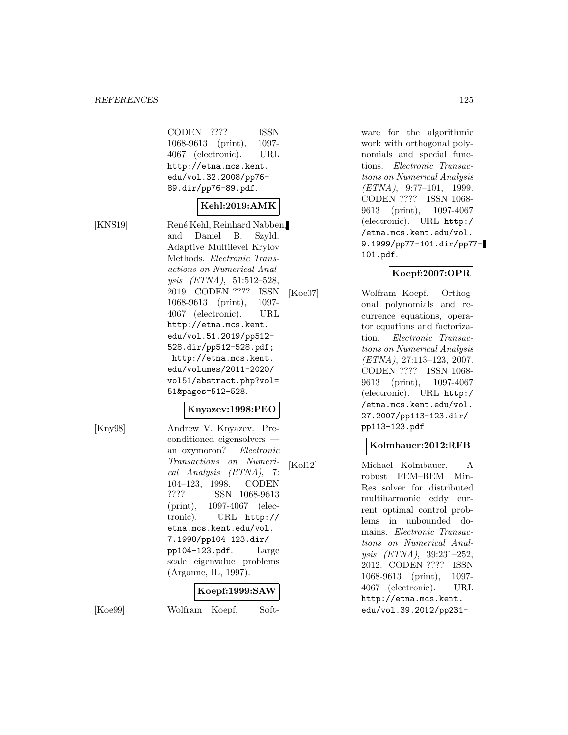#### *REFERENCES* 125

CODEN ???? ISSN 1068-9613 (print), 1097- 4067 (electronic). URL http://etna.mcs.kent. edu/vol.32.2008/pp76- 89.dir/pp76-89.pdf.

# **Kehl:2019:AMK**

[KNS19] René Kehl, Reinhard Nabben, and Daniel B. Szyld. Adaptive Multilevel Krylov Methods. Electronic Transactions on Numerical Analysis (ETNA), 51:512–528, 2019. CODEN ???? ISSN 1068-9613 (print), 1097- 4067 (electronic). URL http://etna.mcs.kent. edu/vol.51.2019/pp512- 528.dir/pp512-528.pdf; http://etna.mcs.kent. edu/volumes/2011-2020/ vol51/abstract.php?vol= 51&pages=512-528.

#### **Knyazev:1998:PEO**

[Kny98] Andrew V. Knyazev. Preconditioned eigensolvers an oxymoron? Electronic Transactions on Numerical Analysis (ETNA), 7: 104–123, 1998. CODEN ???? ISSN 1068-9613 (print), 1097-4067 (electronic). URL http:// etna.mcs.kent.edu/vol. 7.1998/pp104-123.dir/ pp104-123.pdf. Large scale eigenvalue problems (Argonne, IL, 1997).

#### **Koepf:1999:SAW**

[Koe99] Wolfram Koepf. Soft-

ware for the algorithmic work with orthogonal polynomials and special functions. Electronic Transactions on Numerical Analysis (ETNA), 9:77–101, 1999. CODEN ???? ISSN 1068- 9613 (print), 1097-4067 (electronic). URL http:/ /etna.mcs.kent.edu/vol. 9.1999/pp77-101.dir/pp77- 101.pdf.

# **Koepf:2007:OPR**

[Koe07] Wolfram Koepf. Orthogonal polynomials and recurrence equations, operator equations and factorization. Electronic Transactions on Numerical Analysis (ETNA), 27:113–123, 2007. CODEN ???? ISSN 1068- 9613 (print), 1097-4067 (electronic). URL http:/ /etna.mcs.kent.edu/vol. 27.2007/pp113-123.dir/ pp113-123.pdf.

## **Kolmbauer:2012:RFB**

[Kol12] Michael Kolmbauer. A robust FEM–BEM Min-Res solver for distributed multiharmonic eddy current optimal control problems in unbounded domains. Electronic Transactions on Numerical Analysis (ETNA), 39:231–252, 2012. CODEN ???? ISSN 1068-9613 (print), 1097- 4067 (electronic). URL http://etna.mcs.kent. edu/vol.39.2012/pp231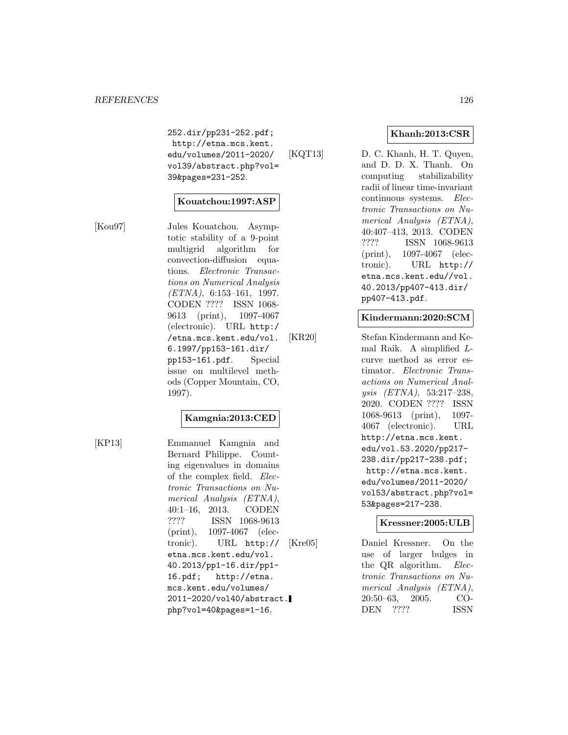252.dir/pp231-252.pdf; http://etna.mcs.kent. edu/volumes/2011-2020/ vol39/abstract.php?vol= 39&pages=231-252.

#### **Kouatchou:1997:ASP**

[Kou97] Jules Kouatchou. Asymptotic stability of a 9-point multigrid algorithm for convection-diffusion equations. Electronic Transactions on Numerical Analysis  $(ETNA)$ , 6:153-161, 1997. CODEN ???? ISSN 1068- 9613 (print), 1097-4067 (electronic). URL http:/ /etna.mcs.kent.edu/vol. 6.1997/pp153-161.dir/ pp153-161.pdf. Special issue on multilevel methods (Copper Mountain, CO, 1997).

### **Kamgnia:2013:CED**

[KP13] Emmanuel Kamgnia and Bernard Philippe. Counting eigenvalues in domains of the complex field. Electronic Transactions on Numerical Analysis (ETNA), 40:1–16, 2013. CODEN ???? ISSN 1068-9613 (print), 1097-4067 (electronic). URL http:// etna.mcs.kent.edu/vol. 40.2013/pp1-16.dir/pp1- 16.pdf; http://etna. mcs.kent.edu/volumes/ 2011-2020/vol40/abstract. php?vol=40&pages=1-16.

### **Khanh:2013:CSR**

[KQT13] D. C. Khanh, H. T. Quyen, and D. D. X. Thanh. On computing stabilizability radii of linear time-invariant continuous systems. Electronic Transactions on Numerical Analysis (ETNA), 40:407–413, 2013. CODEN ???? ISSN 1068-9613 (print), 1097-4067 (electronic). URL http:// etna.mcs.kent.edu//vol. 40.2013/pp407-413.dir/ pp407-413.pdf.

#### **Kindermann:2020:SCM**

[KR20] Stefan Kindermann and Kemal Raik. A simplified Lcurve method as error estimator. Electronic Transactions on Numerical Analysis (ETNA), 53:217–238, 2020. CODEN ???? ISSN 1068-9613 (print), 1097- 4067 (electronic). URL http://etna.mcs.kent. edu/vol.53.2020/pp217- 238.dir/pp217-238.pdf; http://etna.mcs.kent. edu/volumes/2011-2020/ vol53/abstract.php?vol= 53&pages=217-238.

#### **Kressner:2005:ULB**

[Kre05] Daniel Kressner. On the use of larger bulges in the QR algorithm. Electronic Transactions on Numerical Analysis (ETNA), 20:50–63, 2005. CO-DEN ???? ISSN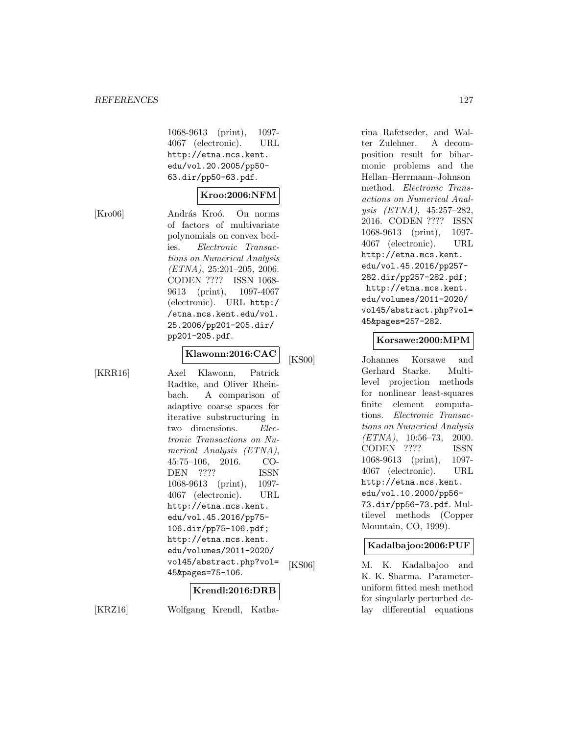1068-9613 (print), 1097- 4067 (electronic). URL http://etna.mcs.kent. edu/vol.20.2005/pp50- 63.dir/pp50-63.pdf.

# **Kroo:2006:NFM**

[Kro06] András Kroó. On norms of factors of multivariate polynomials on convex bodies. Electronic Transactions on Numerical Analysis  $(ETNA), 25:201-205, 2006.$ CODEN ???? ISSN 1068- 9613 (print), 1097-4067 (electronic). URL http:/ /etna.mcs.kent.edu/vol. 25.2006/pp201-205.dir/ pp201-205.pdf.

# **Klawonn:2016:CAC**

 $[KRR16]$ 

| Axel Klawonn, Patrick          |
|--------------------------------|
| Radtke, and Oliver Rhein-      |
| bach. A comparison of          |
| adaptive coarse spaces for     |
| iterative substructuring in    |
| two dimensions. Elec-          |
| tronic Transactions on Nu-     |
| merical Analysis (ETNA),       |
| $45:75-106$ , 2016.<br>CO-     |
| DEN ????<br>ISSN               |
| 1068-9613 (print),<br>-- 1097- |
| 4067 (electronic).<br>URL      |
| http://etna.mcs.kent.          |
| edu/vol.45.2016/pp75-          |
| 106.dir/pp75-106.pdf;          |
| http://etna.mcs.kent.          |
| edu/volumes/2011-2020/         |
| vol45/abstract.php?vol=        |
| 45&pages=75-106.               |

#### **Krendl:2016:DRB**

[KRZ16] Wolfgang Krendl, Katha-

rina Rafetseder, and Walter Zulehner. A decomposition result for biharmonic problems and the Hellan–Herrmann–Johnson method. Electronic Transactions on Numerical Analysis (ETNA), 45:257–282, 2016. CODEN ???? ISSN 1068-9613 (print), 1097- 4067 (electronic). URL http://etna.mcs.kent. edu/vol.45.2016/pp257- 282.dir/pp257-282.pdf; http://etna.mcs.kent. edu/volumes/2011-2020/ vol45/abstract.php?vol= 45&pages=257-282.

#### **Korsawe:2000:MPM**

[KS00] Johannes Korsawe and Gerhard Starke. Multilevel projection methods for nonlinear least-squares finite element computations. Electronic Transactions on Numerical Analysis  $(ETNA)$ , 10:56-73, 2000. CODEN ???? ISSN 1068-9613 (print), 1097- 4067 (electronic). URL http://etna.mcs.kent. edu/vol.10.2000/pp56- 73.dir/pp56-73.pdf. Multilevel methods (Copper Mountain, CO, 1999).

## **Kadalbajoo:2006:PUF**

[KS06] M. K. Kadalbajoo and K. K. Sharma. Parameteruniform fitted mesh method for singularly perturbed delay differential equations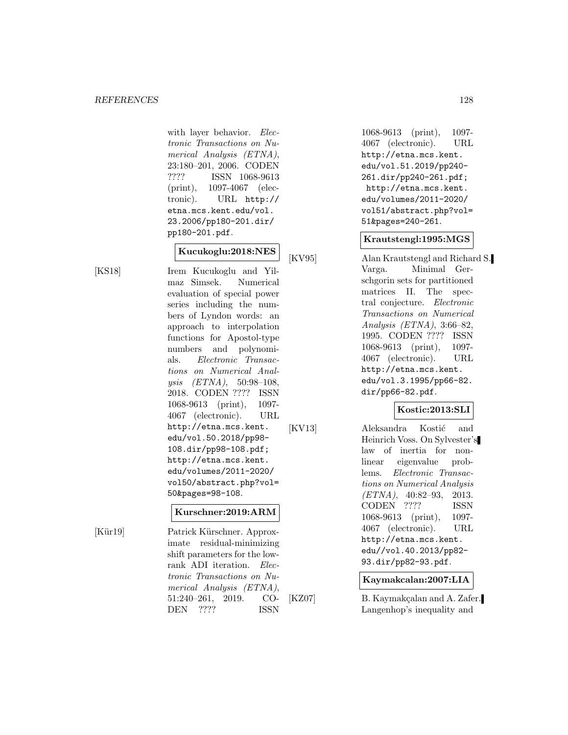with layer behavior. Electronic Transactions on Numerical Analysis (ETNA), 23:180–201, 2006. CODEN ???? ISSN 1068-9613 (print), 1097-4067 (electronic). URL http:// etna.mcs.kent.edu/vol. 23.2006/pp180-201.dir/ pp180-201.pdf.

#### **Kucukoglu:2018:NES**

[KS18] Irem Kucukoglu and Yilmaz Simsek. Numerical evaluation of special power series including the numbers of Lyndon words: an approach to interpolation functions for Apostol-type numbers and polynomials. Electronic Transactions on Numerical Analysis (ETNA), 50:98–108, 2018. CODEN ???? ISSN 1068-9613 (print), 1097- 4067 (electronic). URL http://etna.mcs.kent. edu/vol.50.2018/pp98- 108.dir/pp98-108.pdf; http://etna.mcs.kent. edu/volumes/2011-2020/ vol50/abstract.php?vol= 50&pages=98-108.

#### **Kurschner:2019:ARM**

[Kür19] Patrick Kürschner. Approximate residual-minimizing shift parameters for the lowrank ADI iteration. Electronic Transactions on Numerical Analysis (ETNA), 51:240–261, 2019. CO-DEN ???? ISSN

1068-9613 (print), 1097- 4067 (electronic). URL http://etna.mcs.kent. edu/vol.51.2019/pp240- 261.dir/pp240-261.pdf; http://etna.mcs.kent. edu/volumes/2011-2020/ vol51/abstract.php?vol= 51&pages=240-261.

#### **Krautstengl:1995:MGS**

[KV95] Alan Krautstengl and Richard S. Varga. Minimal Gerschgorin sets for partitioned matrices II. The spectral conjecture. Electronic Transactions on Numerical Analysis (ETNA), 3:66–82, 1995. CODEN ???? ISSN 1068-9613 (print), 1097- 4067 (electronic). URL http://etna.mcs.kent. edu/vol.3.1995/pp66-82. dir/pp66-82.pdf.

### **Kostic:2013:SLI**

[KV13] Aleksandra Kostić and Heinrich Voss. On Sylvester's law of inertia for nonlinear eigenvalue problems. Electronic Transactions on Numerical Analysis  $(ETNA)$ , 40:82-93, 2013. CODEN ???? ISSN 1068-9613 (print), 1097- 4067 (electronic). URL http://etna.mcs.kent. edu//vol.40.2013/pp82- 93.dir/pp82-93.pdf.

#### **Kaymakcalan:2007:LIA**

[KZ07] B. Kaymakçalan and A. Zafer. Langenhop's inequality and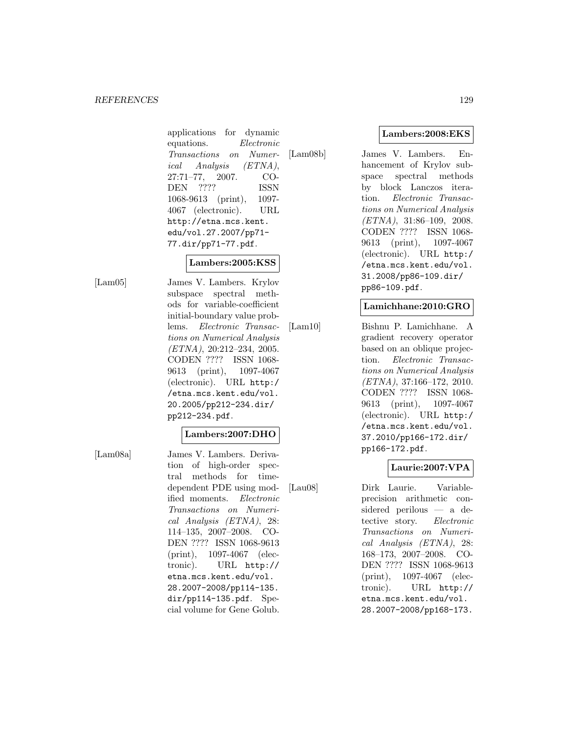applications for dynamic equations. Electronic Transactions on Numerical Analysis (ETNA), 27:71–77, 2007. CO-DEN ???? ISSN 1068-9613 (print), 1097- 4067 (electronic). URL http://etna.mcs.kent. edu/vol.27.2007/pp71- 77.dir/pp71-77.pdf.

#### **Lambers:2005:KSS**

[Lam05] James V. Lambers. Krylov subspace spectral methods for variable-coefficient initial-boundary value problems. Electronic Transactions on Numerical Analysis  $(ETNA), 20:212-234, 2005.$ CODEN ???? ISSN 1068- 9613 (print), 1097-4067 (electronic). URL http:/ /etna.mcs.kent.edu/vol. 20.2005/pp212-234.dir/ pp212-234.pdf.

# **Lambers:2007:DHO**

[Lam08a] James V. Lambers. Derivation of high-order spectral methods for timedependent PDE using modified moments. Electronic Transactions on Numerical Analysis (ETNA), 28: 114–135, 2007–2008. CO-DEN ???? ISSN 1068-9613 (print), 1097-4067 (electronic). URL http:// etna.mcs.kent.edu/vol. 28.2007-2008/pp114-135. dir/pp114-135.pdf. Special volume for Gene Golub.

[Lam08b] James V. Lambers. Enhancement of Krylov subspace spectral methods by block Lanczos iteration. Electronic Transactions on Numerical Analysis (ETNA), 31:86–109, 2008. CODEN ???? ISSN 1068- 9613 (print), 1097-4067 (electronic). URL http:/ /etna.mcs.kent.edu/vol. 31.2008/pp86-109.dir/ pp86-109.pdf.

## **Lamichhane:2010:GRO**

[Lam10] Bishnu P. Lamichhane. A gradient recovery operator based on an oblique projection. Electronic Transactions on Numerical Analysis (ETNA), 37:166–172, 2010. CODEN ???? ISSN 1068- 9613 (print), 1097-4067 (electronic). URL http:/ /etna.mcs.kent.edu/vol. 37.2010/pp166-172.dir/ pp166-172.pdf.

### **Laurie:2007:VPA**

[Lau08] Dirk Laurie. Variableprecision arithmetic considered perilous — a detective story. Electronic Transactions on Numerical Analysis (ETNA), 28: 168–173, 2007–2008. CO-DEN ???? ISSN 1068-9613 (print), 1097-4067 (electronic). URL http:// etna.mcs.kent.edu/vol. 28.2007-2008/pp168-173.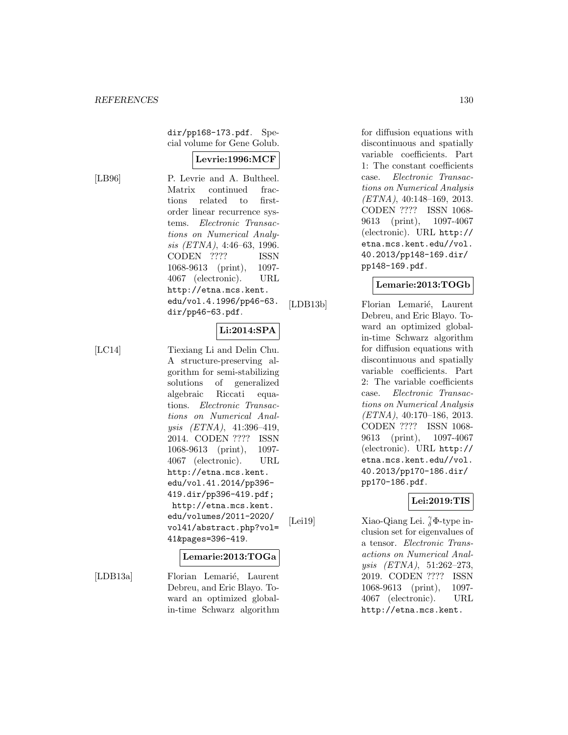dir/pp168-173.pdf. Special volume for Gene Golub.

#### **Levrie:1996:MCF**

[LB96] P. Levrie and A. Bultheel. Matrix continued fractions related to firstorder linear recurrence systems. Electronic Transactions on Numerical Analysis (ETNA), 4:46–63, 1996. CODEN ???? ISSN 1068-9613 (print), 1097- 4067 (electronic). URL http://etna.mcs.kent. edu/vol.4.1996/pp46-63. dir/pp46-63.pdf.

# **Li:2014:SPA**

[LC14] Tiexiang Li and Delin Chu. A structure-preserving algorithm for semi-stabilizing solutions of generalized algebraic Riccati equations. Electronic Transactions on Numerical Analysis (ETNA), 41:396–419, 2014. CODEN ???? ISSN 1068-9613 (print), 1097- 4067 (electronic). URL http://etna.mcs.kent. edu/vol.41.2014/pp396- 419.dir/pp396-419.pdf; http://etna.mcs.kent. edu/volumes/2011-2020/ vol41/abstract.php?vol= 41&pages=396-419.

#### **Lemarie:2013:TOGa**

[LDB13a] Florian Lemarié, Laurent Debreu, and Eric Blayo. Toward an optimized globalin-time Schwarz algorithm for diffusion equations with discontinuous and spatially variable coefficients. Part 1: The constant coefficients case. Electronic Transactions on Numerical Analysis (ETNA), 40:148–169, 2013. CODEN ???? ISSN 1068- 9613 (print), 1097-4067 (electronic). URL http:// etna.mcs.kent.edu//vol. 40.2013/pp148-169.dir/ pp148-169.pdf.

#### **Lemarie:2013:TOGb**

[LDB13b] Florian Lemarié, Laurent Debreu, and Eric Blayo. Toward an optimized globalin-time Schwarz algorithm for diffusion equations with discontinuous and spatially variable coefficients. Part 2: The variable coefficients case. Electronic Transactions on Numerical Analysis (ETNA), 40:170–186, 2013. CODEN ???? ISSN 1068- 9613 (print), 1097-4067 (electronic). URL http:// etna.mcs.kent.edu//vol. 40.2013/pp170-186.dir/ pp170-186.pdf.

#### **Lei:2019:TIS**

[Lei19] Xiao-Qiang Lei.  $\int_{\delta}^{\gamma} \Phi$ -type inclusion set for eigenvalues of a tensor. Electronic Transactions on Numerical Analysis (ETNA), 51:262–273, 2019. CODEN ???? ISSN 1068-9613 (print), 1097- 4067 (electronic). URL http://etna.mcs.kent.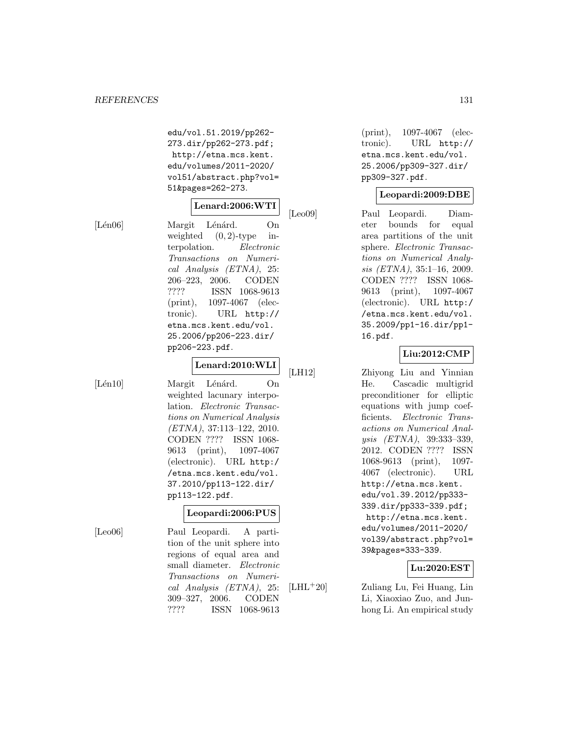edu/vol.51.2019/pp262- 273.dir/pp262-273.pdf; http://etna.mcs.kent. edu/volumes/2011-2020/ vol51/abstract.php?vol= 51&pages=262-273.

## **Lenard:2006:WTI**

[Lén06] Margit Lénárd. On weighted  $(0, 2)$ -type interpolation. Electronic Transactions on Numerical Analysis (ETNA), 25: 206–223, 2006. CODEN ???? ISSN 1068-9613 (print), 1097-4067 (electronic). URL http:// etna.mcs.kent.edu/vol. 25.2006/pp206-223.dir/ pp206-223.pdf.

# **Lenard:2010:WLI**

[Lén10] Margit Lénárd. On weighted lacunary interpolation. Electronic Transactions on Numerical Analysis (ETNA), 37:113–122, 2010. CODEN ???? ISSN 1068- 9613 (print), 1097-4067 (electronic). URL http:/ /etna.mcs.kent.edu/vol. 37.2010/pp113-122.dir/ pp113-122.pdf.

# **Leopardi:2006:PUS**

[Leo06] Paul Leopardi. A partition of the unit sphere into regions of equal area and small diameter. Electronic Transactions on Numerical Analysis (ETNA), 25: 309–327, 2006. CODEN ???? ISSN 1068-9613

(print), 1097-4067 (electronic). URL http:// etna.mcs.kent.edu/vol. 25.2006/pp309-327.dir/ pp309-327.pdf.

#### **Leopardi:2009:DBE**

[Leo09] Paul Leopardi. Diameter bounds for equal area partitions of the unit sphere. Electronic Transactions on Numerical Analysis (ETNA), 35:1–16, 2009. CODEN ???? ISSN 1068- 9613 (print), 1097-4067 (electronic). URL http:/ /etna.mcs.kent.edu/vol. 35.2009/pp1-16.dir/pp1- 16.pdf.

### **Liu:2012:CMP**

[LH12] Zhiyong Liu and Yinnian He. Cascadic multigrid preconditioner for elliptic equations with jump coefficients. Electronic Transactions on Numerical Analysis (ETNA), 39:333–339, 2012. CODEN ???? ISSN 1068-9613 (print), 1097- 4067 (electronic). URL http://etna.mcs.kent. edu/vol.39.2012/pp333- 339.dir/pp333-339.pdf; http://etna.mcs.kent. edu/volumes/2011-2020/ vol39/abstract.php?vol= 39&pages=333-339.

### **Lu:2020:EST**

[LHL<sup>+</sup>20] Zuliang Lu, Fei Huang, Lin Li, Xiaoxiao Zuo, and Junhong Li. An empirical study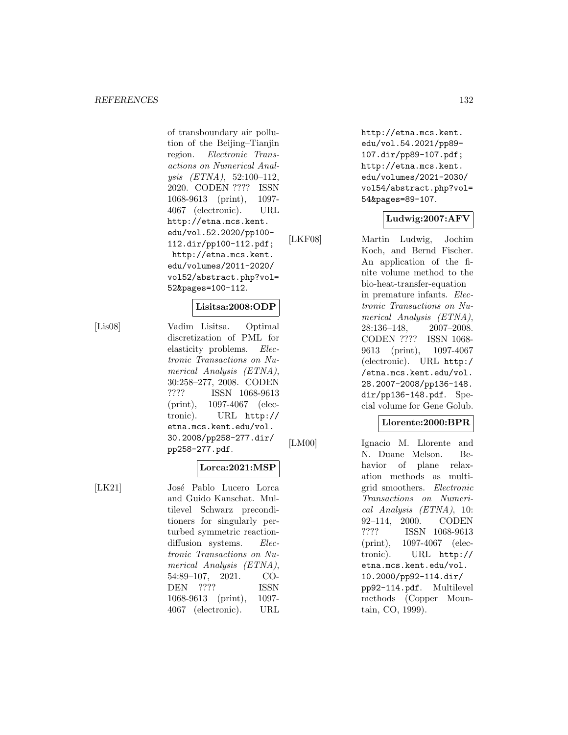of transboundary air pollution of the Beijing–Tianjin region. Electronic Transactions on Numerical Analysis (ETNA), 52:100–112, 2020. CODEN ???? ISSN 1068-9613 (print), 1097- 4067 (electronic). URL http://etna.mcs.kent. edu/vol.52.2020/pp100- 112.dir/pp100-112.pdf; http://etna.mcs.kent. edu/volumes/2011-2020/ vol52/abstract.php?vol= 52&pages=100-112.

#### **Lisitsa:2008:ODP**

[Lis08] Vadim Lisitsa. Optimal discretization of PML for elasticity problems. Electronic Transactions on Numerical Analysis (ETNA), 30:258–277, 2008. CODEN ???? ISSN 1068-9613 (print), 1097-4067 (electronic). URL http:// etna.mcs.kent.edu/vol. 30.2008/pp258-277.dir/ pp258-277.pdf.

#### **Lorca:2021:MSP**

[LK21] José Pablo Lucero Lorca and Guido Kanschat. Multilevel Schwarz preconditioners for singularly perturbed symmetric reactiondiffusion systems. Electronic Transactions on Numerical Analysis (ETNA), 54:89–107, 2021. CO-DEN ???? ISSN 1068-9613 (print), 1097- 4067 (electronic). URL

http://etna.mcs.kent. edu/vol.54.2021/pp89- 107.dir/pp89-107.pdf; http://etna.mcs.kent. edu/volumes/2021-2030/ vol54/abstract.php?vol= 54&pages=89-107.

## **Ludwig:2007:AFV**

[LKF08] Martin Ludwig, Jochim Koch, and Bernd Fischer. An application of the finite volume method to the bio-heat-transfer-equation in premature infants. Electronic Transactions on Numerical Analysis (ETNA), 28:136–148, 2007–2008. CODEN ???? ISSN 1068- 9613 (print), 1097-4067 (electronic). URL http:/ /etna.mcs.kent.edu/vol. 28.2007-2008/pp136-148. dir/pp136-148.pdf. Special volume for Gene Golub.

## **Llorente:2000:BPR**

[LM00] Ignacio M. Llorente and N. Duane Melson. Behavior of plane relaxation methods as multigrid smoothers. Electronic Transactions on Numerical Analysis (ETNA), 10: 92–114, 2000. CODEN ???? ISSN 1068-9613 (print), 1097-4067 (electronic). URL http:// etna.mcs.kent.edu/vol. 10.2000/pp92-114.dir/ pp92-114.pdf. Multilevel methods (Copper Mountain, CO, 1999).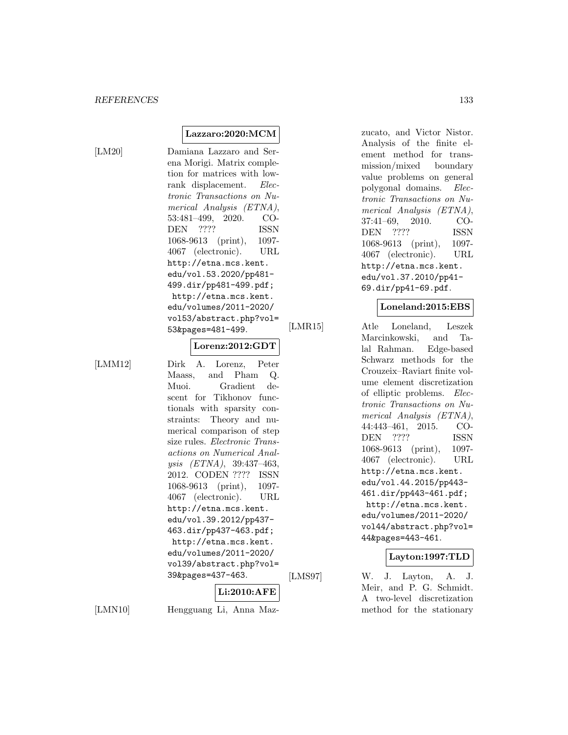$[LM20]$ 

| Damiana Lazzaro and Ser-        |
|---------------------------------|
| ena Morigi. Matrix comple-      |
| tion for matrices with low-     |
| rank displacement. <i>Elec-</i> |
| tronic Transactions on Nu-      |
| merical Analysis (ETNA),        |
| 53:481-499, 2020. CO-           |
| DEN ????<br>ISSN                |
| 1068-9613 (print),<br>1097-     |
| 4067 (electronic).<br>URL       |
| http://etna.mcs.kent.           |
| edu/vol.53.2020/pp481-          |
| 499.dir/pp481-499.pdf;          |
| http://etna.mcs.kent.           |
| edu/volumes/2011-2020/          |
| vol53/abstract.php?vol=         |
| 53&pages=481-499.               |
|                                 |

**Lorenz:2012:GDT**

**Lazzaro:2020:MCM**

[LMM12] Dirk A. Lorenz, Peter Maass, and Pham Q. Muoi. Gradient descent for Tikhonov functionals with sparsity constraints: Theory and numerical comparison of step size rules. Electronic Transactions on Numerical Analysis (ETNA), 39:437–463, 2012. CODEN ???? ISSN 1068-9613 (print), 1097- 4067 (electronic). URL http://etna.mcs.kent. edu/vol.39.2012/pp437- 463.dir/pp437-463.pdf; http://etna.mcs.kent. edu/volumes/2011-2020/ vol39/abstract.php?vol= 39&pages=437-463.

# **Li:2010:AFE**

[LMN10] Hengguang Li, Anna Maz-

zucato, and Victor Nistor. Analysis of the finite element method for transmission/mixed boundary value problems on general polygonal domains. Electronic Transactions on Numerical Analysis (ETNA), 37:41–69, 2010. CO-DEN ???? ISSN 1068-9613 (print), 1097- 4067 (electronic). URL http://etna.mcs.kent. edu/vol.37.2010/pp41- 69.dir/pp41-69.pdf.

#### **Loneland:2015:EBS**

[LMR15] Atle Loneland, Leszek Marcinkowski, and Talal Rahman. Edge-based Schwarz methods for the Crouzeix–Raviart finite volume element discretization of elliptic problems. Electronic Transactions on Numerical Analysis (ETNA), 44:443–461, 2015. CO-DEN ???? ISSN 1068-9613 (print), 1097- 4067 (electronic). URL http://etna.mcs.kent. edu/vol.44.2015/pp443- 461.dir/pp443-461.pdf; http://etna.mcs.kent. edu/volumes/2011-2020/ vol44/abstract.php?vol= 44&pages=443-461.

#### **Layton:1997:TLD**

[LMS97] W. J. Layton, A. J. Meir, and P. G. Schmidt. A two-level discretization method for the stationary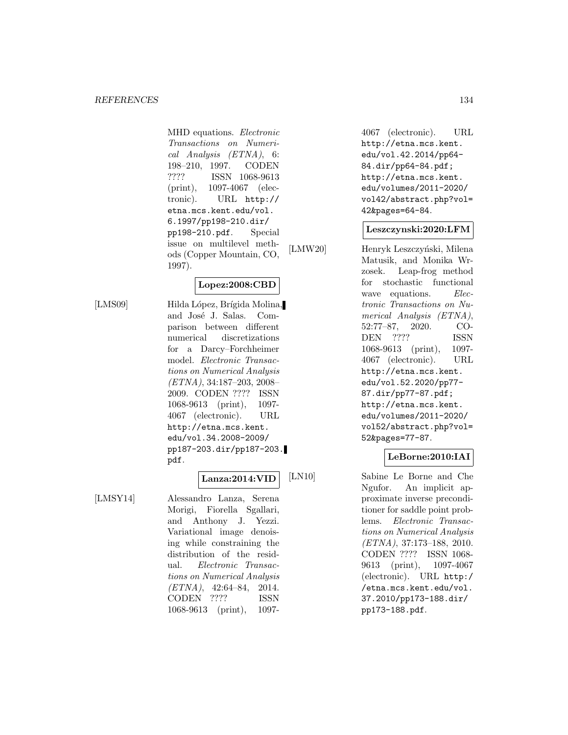#### *REFERENCES* 134

MHD equations. Electronic Transactions on Numerical Analysis (ETNA), 6: 198–210, 1997. CODEN ???? ISSN 1068-9613 (print), 1097-4067 (electronic). URL http:// etna.mcs.kent.edu/vol. 6.1997/pp198-210.dir/ pp198-210.pdf. Special issue on multilevel methods (Copper Mountain, CO, 1997).

**Lopez:2008:CBD**

[LMS09] Hilda López, Brígida Molina, and José J. Salas. Comparison between different numerical discretizations for a Darcy–Forchheimer model. Electronic Transactions on Numerical Analysis (ETNA), 34:187–203, 2008– 2009. CODEN ???? ISSN 1068-9613 (print), 1097- 4067 (electronic). URL http://etna.mcs.kent. edu/vol.34.2008-2009/ pp187-203.dir/pp187-203. pdf.

#### **Lanza:2014:VID**

[LMSY14] Alessandro Lanza, Serena Morigi, Fiorella Sgallari, and Anthony J. Yezzi. Variational image denoising while constraining the distribution of the residual. Electronic Transactions on Numerical Analysis  $(ETNA), 42:64-84, 2014.$ CODEN ???? ISSN 1068-9613 (print), 10974067 (electronic). URL http://etna.mcs.kent. edu/vol.42.2014/pp64- 84.dir/pp64-84.pdf; http://etna.mcs.kent. edu/volumes/2011-2020/ vol42/abstract.php?vol= 42&pages=64-84.

#### **Leszczynski:2020:LFM**

[LMW20] Henryk Leszczyński, Milena Matusik, and Monika Wrzosek. Leap-frog method for stochastic functional wave equations. *Elec*tronic Transactions on Numerical Analysis (ETNA), 52:77–87, 2020. CO-DEN ???? ISSN 1068-9613 (print), 1097- 4067 (electronic). URL http://etna.mcs.kent. edu/vol.52.2020/pp77- 87.dir/pp77-87.pdf; http://etna.mcs.kent. edu/volumes/2011-2020/ vol52/abstract.php?vol= 52&pages=77-87.

### **LeBorne:2010:IAI**

[LN10] Sabine Le Borne and Che Ngufor. An implicit approximate inverse preconditioner for saddle point problems. Electronic Transactions on Numerical Analysis (ETNA), 37:173–188, 2010. CODEN ???? ISSN 1068- 9613 (print), 1097-4067 (electronic). URL http:/ /etna.mcs.kent.edu/vol. 37.2010/pp173-188.dir/ pp173-188.pdf.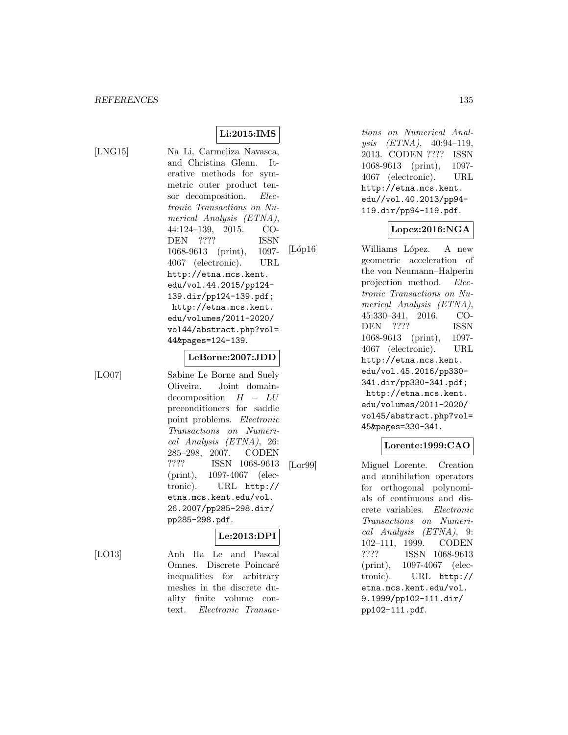**Li:2015:IMS**

[LNG15] Na Li, Carmeliza Navasca, and Christina Glenn. Iterative methods for symmetric outer product tensor decomposition. Electronic Transactions on Numerical Analysis (ETNA), 44:124–139, 2015. CO-DEN ???? ISSN 1068-9613 (print), 1097- 4067 (electronic). URL http://etna.mcs.kent. edu/vol.44.2015/pp124- 139.dir/pp124-139.pdf; http://etna.mcs.kent. edu/volumes/2011-2020/ vol44/abstract.php?vol= 44&pages=124-139.

#### **LeBorne:2007:JDD**

[LO07] Sabine Le Borne and Suely Oliveira. Joint domain $decomposition$  H −  $LU$ preconditioners for saddle point problems. Electronic Transactions on Numerical Analysis (ETNA), 26: 285–298, 2007. CODEN ???? ISSN 1068-9613 (print), 1097-4067 (electronic). URL http:// etna.mcs.kent.edu/vol. 26.2007/pp285-298.dir/ pp285-298.pdf.

### **Le:2013:DPI**

[LO13] Anh Ha Le and Pascal Omnes. Discrete Poincaré inequalities for arbitrary meshes in the discrete duality finite volume context. Electronic Transac-

tions on Numerical Analysis (ETNA), 40:94–119, 2013. CODEN ???? ISSN 1068-9613 (print), 1097- 4067 (electronic). URL http://etna.mcs.kent. edu//vol.40.2013/pp94- 119.dir/pp94-119.pdf.

#### **Lopez:2016:NGA**

[Lóp16] Williams López. A new geometric acceleration of the von Neumann–Halperin projection method. Electronic Transactions on Numerical Analysis (ETNA), 45:330–341, 2016. CO-DEN ???? ISSN 1068-9613 (print), 1097- 4067 (electronic). URL http://etna.mcs.kent. edu/vol.45.2016/pp330- 341.dir/pp330-341.pdf; http://etna.mcs.kent. edu/volumes/2011-2020/ vol45/abstract.php?vol= 45&pages=330-341.

## **Lorente:1999:CAO**

[Lor99] Miguel Lorente. Creation and annihilation operators for orthogonal polynomials of continuous and discrete variables. Electronic Transactions on Numerical Analysis (ETNA), 9: 102–111, 1999. CODEN ???? ISSN 1068-9613 (print), 1097-4067 (electronic). URL http:// etna.mcs.kent.edu/vol. 9.1999/pp102-111.dir/ pp102-111.pdf.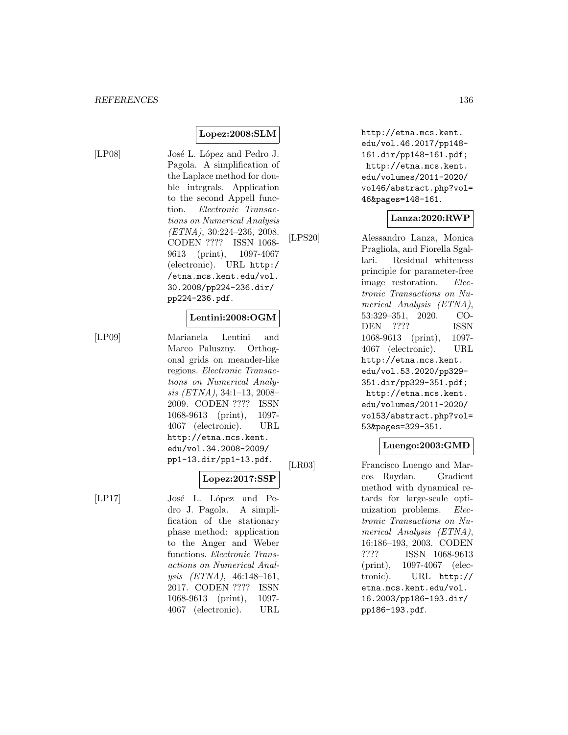# **Lopez:2008:SLM**

[LP08] José L. López and Pedro J. Pagola. A simplification of the Laplace method for double integrals. Application to the second Appell function. Electronic Transactions on Numerical Analysis (ETNA), 30:224–236, 2008. CODEN ???? ISSN 1068- 9613 (print), 1097-4067 (electronic). URL http:/ /etna.mcs.kent.edu/vol. 30.2008/pp224-236.dir/ pp224-236.pdf.

#### **Lentini:2008:OGM**

[LP09] Marianela Lentini and Marco Paluszny. Orthogonal grids on meander-like regions. Electronic Transactions on Numerical Analysis (ETNA), 34:1–13, 2008– 2009. CODEN ???? ISSN 1068-9613 (print), 1097- 4067 (electronic). URL http://etna.mcs.kent. edu/vol.34.2008-2009/ pp1-13.dir/pp1-13.pdf.

### **Lopez:2017:SSP**

[LP17] José L. López and Pedro J. Pagola. A simplification of the stationary phase method: application to the Anger and Weber functions. Electronic Transactions on Numerical Analysis (ETNA), 46:148–161, 2017. CODEN ???? ISSN 1068-9613 (print), 1097- 4067 (electronic). URL

http://etna.mcs.kent. edu/vol.46.2017/pp148- 161.dir/pp148-161.pdf; http://etna.mcs.kent. edu/volumes/2011-2020/ vol46/abstract.php?vol= 46&pages=148-161.

# **Lanza:2020:RWP**

[LPS20] Alessandro Lanza, Monica Pragliola, and Fiorella Sgallari. Residual whiteness principle for parameter-free image restoration. Electronic Transactions on Numerical Analysis (ETNA), 53:329–351, 2020. CO-DEN ???? ISSN 1068-9613 (print), 1097- 4067 (electronic). URL http://etna.mcs.kent. edu/vol.53.2020/pp329- 351.dir/pp329-351.pdf; http://etna.mcs.kent. edu/volumes/2011-2020/ vol53/abstract.php?vol= 53&pages=329-351.

# **Luengo:2003:GMD**

[LR03] Francisco Luengo and Marcos Raydan. Gradient method with dynamical retards for large-scale optimization problems. Electronic Transactions on Numerical Analysis (ETNA), 16:186–193, 2003. CODEN ???? ISSN 1068-9613 (print), 1097-4067 (electronic). URL http:// etna.mcs.kent.edu/vol. 16.2003/pp186-193.dir/ pp186-193.pdf.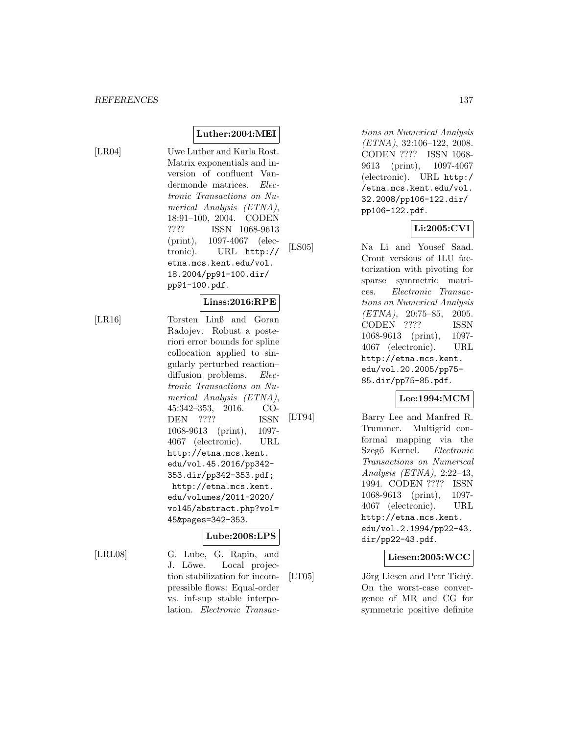[LR04] Uwe Luther and Karla Rost. Matrix exponentials and inversion of confluent Vandermonde matrices. Electronic Transactions on Numerical Analysis (ETNA), 18:91–100, 2004. CODEN ???? ISSN 1068-9613 (print), 1097-4067 (electronic). URL http:// etna.mcs.kent.edu/vol. 18.2004/pp91-100.dir/ pp91-100.pdf.

**Luther:2004:MEI**

#### **Linss:2016:RPE**

[LR16] Torsten Linß and Goran Radojev. Robust a posteriori error bounds for spline collocation applied to singularly perturbed reaction– diffusion problems. Electronic Transactions on Numerical Analysis (ETNA), 45:342–353, 2016. CO-DEN ???? ISSN 1068-9613 (print), 1097- 4067 (electronic). URL http://etna.mcs.kent. edu/vol.45.2016/pp342- 353.dir/pp342-353.pdf; http://etna.mcs.kent. edu/volumes/2011-2020/ vol45/abstract.php?vol= 45&pages=342-353.

### **Lube:2008:LPS**

[LRL08] G. Lube, G. Rapin, and J. Löwe. Local projection stabilization for incompressible flows: Equal-order vs. inf-sup stable interpolation. Electronic Transac-

tions on Numerical Analysis (ETNA), 32:106–122, 2008. CODEN ???? ISSN 1068- 9613 (print), 1097-4067 (electronic). URL http:/ /etna.mcs.kent.edu/vol. 32.2008/pp106-122.dir/ pp106-122.pdf.

# **Li:2005:CVI**

[LS05] Na Li and Yousef Saad. Crout versions of ILU factorization with pivoting for sparse symmetric matrices. Electronic Transactions on Numerical Analysis (ETNA), 20:75–85, 2005. CODEN ???? ISSN 1068-9613 (print), 1097- 4067 (electronic). URL http://etna.mcs.kent. edu/vol.20.2005/pp75- 85.dir/pp75-85.pdf.

### **Lee:1994:MCM**

[LT94] Barry Lee and Manfred R. Trummer. Multigrid conformal mapping via the Szegő Kernel. Electronic Transactions on Numerical Analysis (ETNA), 2:22–43, 1994. CODEN ???? ISSN 1068-9613 (print), 1097- 4067 (electronic). URL http://etna.mcs.kent. edu/vol.2.1994/pp22-43. dir/pp22-43.pdf.

# **Liesen:2005:WCC**

[LT05] Jörg Liesen and Petr Tichý. On the worst-case convergence of MR and CG for symmetric positive definite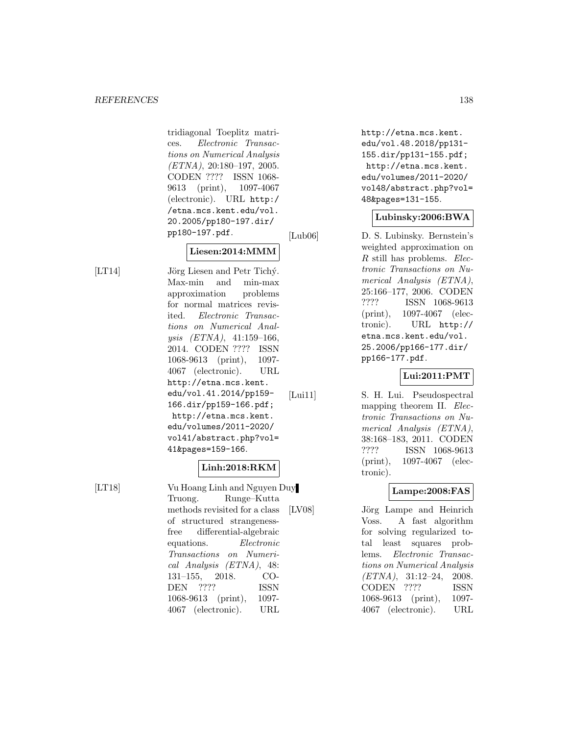tridiagonal Toeplitz matrices. Electronic Transactions on Numerical Analysis (ETNA), 20:180–197, 2005. CODEN ???? ISSN 1068- 9613 (print), 1097-4067 (electronic). URL http:/ /etna.mcs.kent.edu/vol. 20.2005/pp180-197.dir/ pp180-197.pdf.

### **Liesen:2014:MMM**

[LT14] Jörg Liesen and Petr Tichý. Max-min and min-max approximation problems for normal matrices revisited. Electronic Transactions on Numerical Analysis (ETNA), 41:159–166, 2014. CODEN ???? ISSN 1068-9613 (print), 1097- 4067 (electronic). URL http://etna.mcs.kent. edu/vol.41.2014/pp159- 166.dir/pp159-166.pdf; http://etna.mcs.kent. edu/volumes/2011-2020/ vol41/abstract.php?vol= 41&pages=159-166.

### **Linh:2018:RKM**

[LT18] Vu Hoang Linh and Nguyen Duy Truong. Runge–Kutta methods revisited for a class of structured strangenessfree differential-algebraic equations. Electronic Transactions on Numerical Analysis (ETNA), 48: 131–155, 2018. CO-DEN ???? ISSN 1068-9613 (print), 1097- 4067 (electronic). URL

http://etna.mcs.kent. edu/vol.48.2018/pp131- 155.dir/pp131-155.pdf; http://etna.mcs.kent. edu/volumes/2011-2020/ vol48/abstract.php?vol= 48&pages=131-155.

## **Lubinsky:2006:BWA**

[Lub06] D. S. Lubinsky. Bernstein's weighted approximation on R still has problems. Electronic Transactions on Numerical Analysis (ETNA), 25:166–177, 2006. CODEN ???? ISSN 1068-9613 (print), 1097-4067 (electronic). URL http:// etna.mcs.kent.edu/vol. 25.2006/pp166-177.dir/ pp166-177.pdf.

### **Lui:2011:PMT**

[Lui11] S. H. Lui. Pseudospectral mapping theorem II. Electronic Transactions on Numerical Analysis (ETNA), 38:168–183, 2011. CODEN ???? ISSN 1068-9613 (print), 1097-4067 (electronic).

### **Lampe:2008:FAS**

[LV08] Jörg Lampe and Heinrich Voss. A fast algorithm for solving regularized total least squares problems. Electronic Transactions on Numerical Analysis (ETNA), 31:12–24, 2008. CODEN ???? ISSN 1068-9613 (print), 1097- 4067 (electronic). URL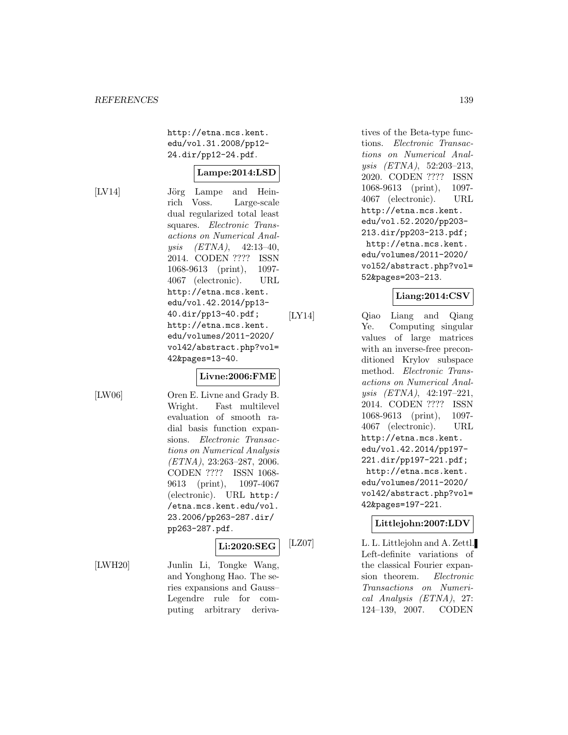http://etna.mcs.kent. edu/vol.31.2008/pp12- 24.dir/pp12-24.pdf.

#### **Lampe:2014:LSD**

[LV14] Jörg Lampe and Heinrich Voss. Large-scale dual regularized total least squares. Electronic Transactions on Numerical Analysis (ETNA), 42:13–40, 2014. CODEN ???? ISSN 1068-9613 (print), 1097- 4067 (electronic). URL http://etna.mcs.kent. edu/vol.42.2014/pp13- 40.dir/pp13-40.pdf; http://etna.mcs.kent. edu/volumes/2011-2020/ vol42/abstract.php?vol= 42&pages=13-40.

### **Livne:2006:FME**

[LW06] Oren E. Livne and Grady B. Wright. Fast multilevel evaluation of smooth radial basis function expansions. Electronic Transactions on Numerical Analysis (ETNA), 23:263–287, 2006. CODEN ???? ISSN 1068- 9613 (print), 1097-4067 (electronic). URL http:/ /etna.mcs.kent.edu/vol. 23.2006/pp263-287.dir/ pp263-287.pdf.

puting arbitrary deriva-

# **Li:2020:SEG**

[LWH20] Junlin Li, Tongke Wang, and Yonghong Hao. The series expansions and Gauss– Legendre rule for comtives of the Beta-type functions. Electronic Transactions on Numerical Analysis (ETNA), 52:203–213, 2020. CODEN ???? ISSN 1068-9613 (print), 1097- 4067 (electronic). URL http://etna.mcs.kent. edu/vol.52.2020/pp203- 213.dir/pp203-213.pdf; http://etna.mcs.kent. edu/volumes/2011-2020/ vol52/abstract.php?vol= 52&pages=203-213.

# **Liang:2014:CSV**

[LY14] Qiao Liang and Qiang Ye. Computing singular values of large matrices with an inverse-free preconditioned Krylov subspace method. Electronic Transactions on Numerical Analysis (ETNA), 42:197–221, 2014. CODEN ???? ISSN 1068-9613 (print), 1097- 4067 (electronic). URL http://etna.mcs.kent. edu/vol.42.2014/pp197- 221.dir/pp197-221.pdf; http://etna.mcs.kent. edu/volumes/2011-2020/ vol42/abstract.php?vol= 42&pages=197-221.

### **Littlejohn:2007:LDV**

[LZ07] L. L. Littlejohn and A. Zettl. Left-definite variations of the classical Fourier expansion theorem. Electronic Transactions on Numerical Analysis (ETNA), 27: 124–139, 2007. CODEN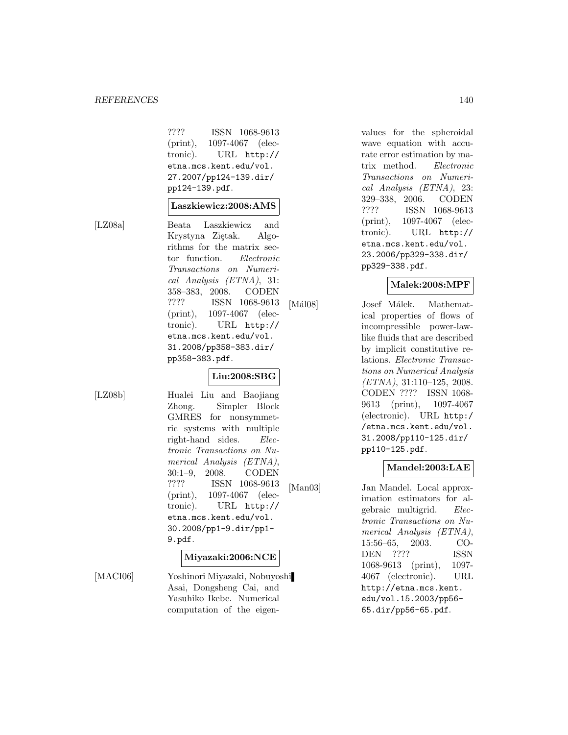#### *REFERENCES* 140

???? ISSN 1068-9613 (print), 1097-4067 (electronic). URL http:// etna.mcs.kent.edu/vol. 27.2007/pp124-139.dir/ pp124-139.pdf.

#### **Laszkiewicz:2008:AMS**

[LZ08a] Beata Laszkiewicz and Krystyna Ziętak. Algorithms for the matrix sector function. Electronic Transactions on Numerical Analysis (ETNA), 31: 358–383, 2008. CODEN ???? ISSN 1068-9613 (print), 1097-4067 (electronic). URL http:// etna.mcs.kent.edu/vol. 31.2008/pp358-383.dir/ pp358-383.pdf.

#### **Liu:2008:SBG**

[LZ08b] Hualei Liu and Baojiang Zhong. Simpler Block GMRES for nonsymmetric systems with multiple right-hand sides. Electronic Transactions on Numerical Analysis (ETNA), 30:1–9, 2008. CODEN ???? ISSN 1068-9613 (print), 1097-4067 (electronic). URL http:// etna.mcs.kent.edu/vol. 30.2008/pp1-9.dir/pp1- 9.pdf.

#### **Miyazaki:2006:NCE**

[MACI06] Yoshinori Miyazaki, Nobuyoshi Asai, Dongsheng Cai, and Yasuhiko Ikebe. Numerical computation of the eigenvalues for the spheroidal wave equation with accurate error estimation by matrix method. Electronic Transactions on Numerical Analysis (ETNA), 23: 329–338, 2006. CODEN ???? ISSN 1068-9613 (print), 1097-4067 (electronic). URL http:// etna.mcs.kent.edu/vol. 23.2006/pp329-338.dir/ pp329-338.pdf.

#### **Malek:2008:MPF**

[Mál08] Josef Málek. Mathematical properties of flows of incompressible power-lawlike fluids that are described by implicit constitutive relations. Electronic Transactions on Numerical Analysis (ETNA), 31:110–125, 2008. CODEN ???? ISSN 1068- 9613 (print), 1097-4067 (electronic). URL http:/ /etna.mcs.kent.edu/vol. 31.2008/pp110-125.dir/ pp110-125.pdf.

#### **Mandel:2003:LAE**

[Man03] Jan Mandel. Local approximation estimators for algebraic multigrid. Electronic Transactions on Numerical Analysis (ETNA), 15:56–65, 2003. CO-DEN ???? ISSN 1068-9613 (print), 1097- 4067 (electronic). URL http://etna.mcs.kent. edu/vol.15.2003/pp56- 65.dir/pp56-65.pdf.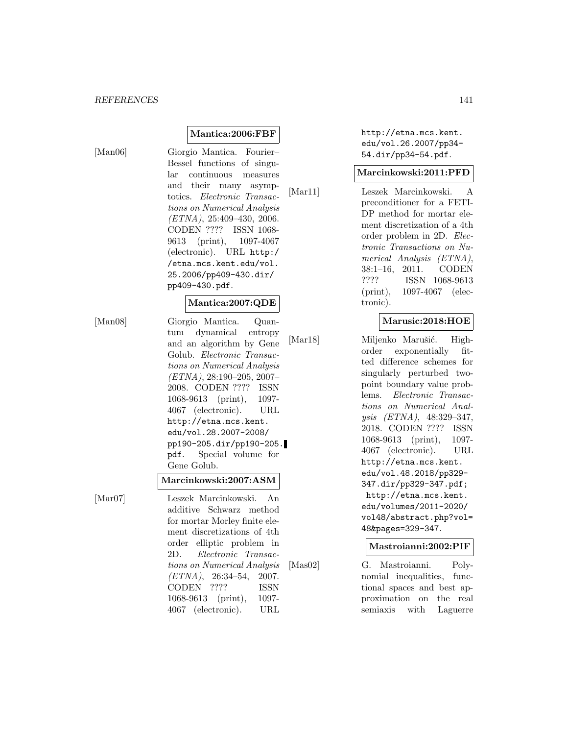#### **Mantica:2006:FBF**

[Man06] Giorgio Mantica. Fourier– Bessel functions of singular continuous measures and their many asymptotics. Electronic Transactions on Numerical Analysis  $(ETNA), 25:409-430, 2006.$ CODEN ???? ISSN 1068- 9613 (print), 1097-4067 (electronic). URL http:/ /etna.mcs.kent.edu/vol. 25.2006/pp409-430.dir/ pp409-430.pdf.

#### **Mantica:2007:QDE**

[Man08] Giorgio Mantica. Quantum dynamical entropy and an algorithm by Gene Golub. Electronic Transactions on Numerical Analysis  $(ETNA), 28:190-205, 2007-$ 2008. CODEN ???? ISSN 1068-9613 (print), 1097- 4067 (electronic). URL http://etna.mcs.kent. edu/vol.28.2007-2008/ pp190-205.dir/pp190-205. pdf. Special volume for Gene Golub.

#### **Marcinkowski:2007:ASM**

[Mar07] Leszek Marcinkowski. An additive Schwarz method for mortar Morley finite element discretizations of 4th order elliptic problem in 2D. Electronic Transactions on Numerical Analysis (ETNA), 26:34–54, 2007. CODEN ???? ISSN 1068-9613 (print), 1097- 4067 (electronic). URL

http://etna.mcs.kent. edu/vol.26.2007/pp34- 54.dir/pp34-54.pdf.

#### **Marcinkowski:2011:PFD**

[Mar11] Leszek Marcinkowski. A preconditioner for a FETI-DP method for mortar element discretization of a 4th order problem in 2D. Electronic Transactions on Numerical Analysis (ETNA), 38:1–16, 2011. CODEN ???? ISSN 1068-9613 (print), 1097-4067 (electronic).

#### **Marusic:2018:HOE**

[Mar18] Miljenko Marušić. Highorder exponentially fitted difference schemes for singularly perturbed twopoint boundary value problems. Electronic Transactions on Numerical Analysis (ETNA), 48:329–347, 2018. CODEN ???? ISSN 1068-9613 (print), 1097- 4067 (electronic). URL http://etna.mcs.kent. edu/vol.48.2018/pp329- 347.dir/pp329-347.pdf; http://etna.mcs.kent. edu/volumes/2011-2020/ vol48/abstract.php?vol= 48&pages=329-347.

#### **Mastroianni:2002:PIF**

[Mas02] G. Mastroianni. Polynomial inequalities, functional spaces and best approximation on the real semiaxis with Laguerre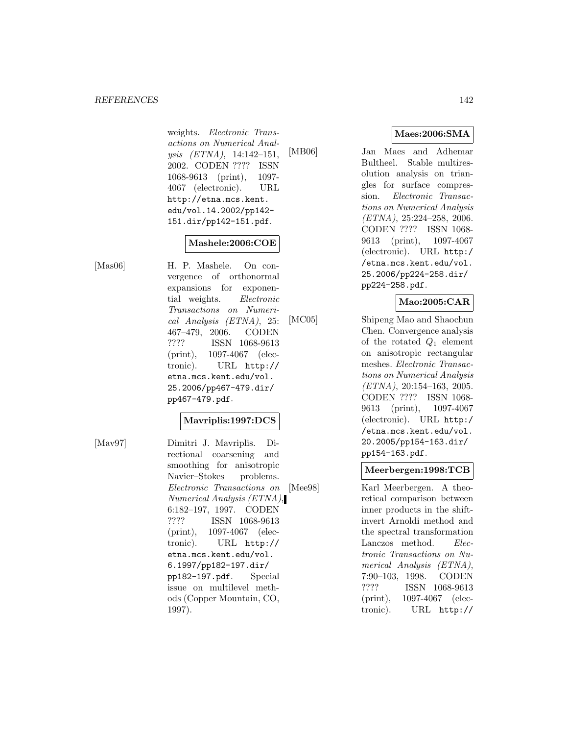#### *REFERENCES* 142

weights. Electronic Transactions on Numerical Analysis (ETNA), 14:142–151, 2002. CODEN ???? ISSN 1068-9613 (print), 1097- 4067 (electronic). URL http://etna.mcs.kent. edu/vol.14.2002/pp142- 151.dir/pp142-151.pdf.

#### **Mashele:2006:COE**

[Mas06] H. P. Mashele. On convergence of orthonormal expansions for exponential weights. Electronic Transactions on Numerical Analysis (ETNA), 25: 467–479, 2006. CODEN ???? ISSN 1068-9613 (print), 1097-4067 (electronic). URL http:// etna.mcs.kent.edu/vol. 25.2006/pp467-479.dir/ pp467-479.pdf.

#### **Mavriplis:1997:DCS**

[Mav97] Dimitri J. Mavriplis. Directional coarsening and smoothing for anisotropic Navier–Stokes problems. Electronic Transactions on Numerical Analysis (ETNA), 6:182–197, 1997. CODEN ???? ISSN 1068-9613 (print), 1097-4067 (electronic). URL http:// etna.mcs.kent.edu/vol. 6.1997/pp182-197.dir/ pp182-197.pdf. Special issue on multilevel methods (Copper Mountain, CO, 1997).

# **Maes:2006:SMA**

[MB06] Jan Maes and Adhemar Bultheel. Stable multiresolution analysis on triangles for surface compression. Electronic Transactions on Numerical Analysis (ETNA), 25:224–258, 2006. CODEN ???? ISSN 1068- 9613 (print), 1097-4067 (electronic). URL http:/ /etna.mcs.kent.edu/vol. 25.2006/pp224-258.dir/ pp224-258.pdf.

### **Mao:2005:CAR**

[MC05] Shipeng Mao and Shaochun Chen. Convergence analysis of the rotated  $Q_1$  element on anisotropic rectangular meshes. Electronic Transactions on Numerical Analysis (ETNA), 20:154–163, 2005. CODEN ???? ISSN 1068- 9613 (print), 1097-4067 (electronic). URL http:/ /etna.mcs.kent.edu/vol. 20.2005/pp154-163.dir/ pp154-163.pdf.

#### **Meerbergen:1998:TCB**

[Mee98] Karl Meerbergen. A theoretical comparison between inner products in the shiftinvert Arnoldi method and the spectral transformation Lanczos method. Electronic Transactions on Numerical Analysis (ETNA), 7:90–103, 1998. CODEN ???? ISSN 1068-9613 (print), 1097-4067 (electronic). URL http://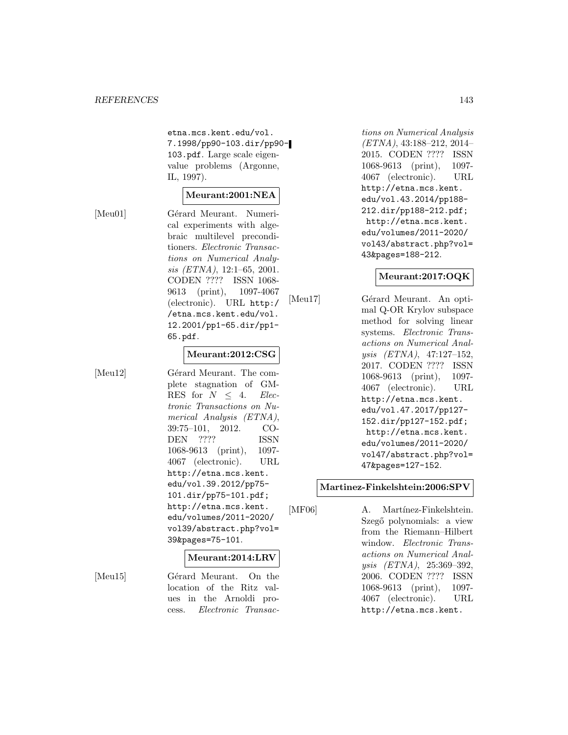etna.mcs.kent.edu/vol. 7.1998/pp90-103.dir/pp90- 103.pdf. Large scale eigenvalue problems (Argonne, IL, 1997).

#### **Meurant:2001:NEA**

[Meu01] Gérard Meurant. Numerical experiments with algebraic multilevel preconditioners. Electronic Transactions on Numerical Analysis (ETNA), 12:1–65, 2001. CODEN ???? ISSN 1068- 9613 (print), 1097-4067 (electronic). URL http:/ /etna.mcs.kent.edu/vol. 12.2001/pp1-65.dir/pp1- 65.pdf.

#### **Meurant:2012:CSG**

[Meu12] Gérard Meurant. The complete stagnation of GM-RES for  $N \leq 4$ . Electronic Transactions on Numerical Analysis (ETNA), 39:75–101, 2012. CO-DEN ???? ISSN 1068-9613 (print), 1097- 4067 (electronic). URL http://etna.mcs.kent. edu/vol.39.2012/pp75- 101.dir/pp75-101.pdf; http://etna.mcs.kent. edu/volumes/2011-2020/ vol39/abstract.php?vol= 39&pages=75-101.

#### **Meurant:2014:LRV**

cess. Electronic Transac-

[Meu15] Gérard Meurant. On the location of the Ritz values in the Arnoldi pro-

tions on Numerical Analysis (ETNA), 43:188–212, 2014– 2015. CODEN ???? ISSN 1068-9613 (print), 1097- 4067 (electronic). URL http://etna.mcs.kent. edu/vol.43.2014/pp188- 212.dir/pp188-212.pdf; http://etna.mcs.kent. edu/volumes/2011-2020/ vol43/abstract.php?vol= 43&pages=188-212.

#### **Meurant:2017:OQK**

[Meu17] Gérard Meurant. An optimal Q-OR Krylov subspace method for solving linear systems. Electronic Transactions on Numerical Analysis (ETNA), 47:127–152, 2017. CODEN ???? ISSN 1068-9613 (print), 1097- 4067 (electronic). URL http://etna.mcs.kent. edu/vol.47.2017/pp127- 152.dir/pp127-152.pdf; http://etna.mcs.kent. edu/volumes/2011-2020/ vol47/abstract.php?vol= 47&pages=127-152.

#### **Martinez-Finkelshtein:2006:SPV**

[MF06] A. Martínez-Finkelshtein. Szegő polynomials: a view from the Riemann–Hilbert window. Electronic Transactions on Numerical Analysis (ETNA), 25:369–392, 2006. CODEN ???? ISSN 1068-9613 (print), 1097- 4067 (electronic). URL http://etna.mcs.kent.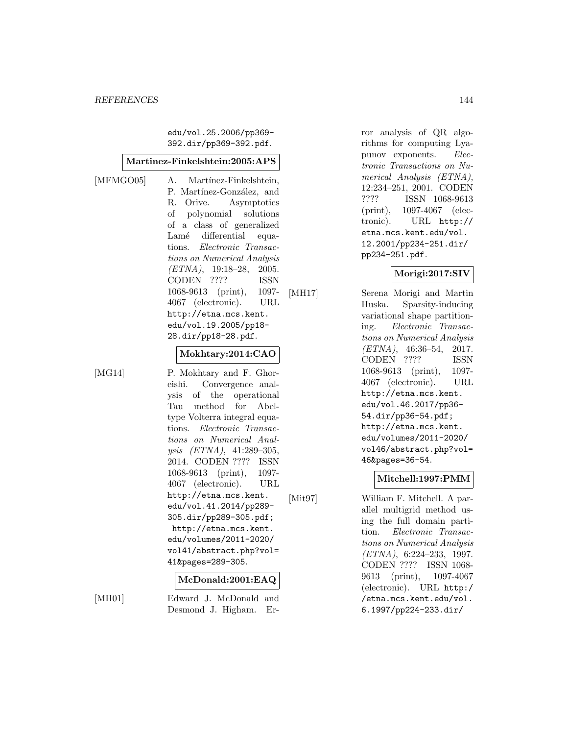edu/vol.25.2006/pp369- 392.dir/pp369-392.pdf.

#### **Martinez-Finkelshtein:2005:APS**

[MFMGO05] A. Martínez-Finkelshtein, P. Martínez-González, and R. Orive. Asymptotics of polynomial solutions of a class of generalized Lamé differential equations. Electronic Transactions on Numerical Analysis  $(ETNA)$ , 19:18-28, 2005. CODEN ???? ISSN 1068-9613 (print), 1097- 4067 (electronic). URL http://etna.mcs.kent. edu/vol.19.2005/pp18- 28.dir/pp18-28.pdf.

#### **Mokhtary:2014:CAO**

[MG14] P. Mokhtary and F. Ghoreishi. Convergence analysis of the operational Tau method for Abeltype Volterra integral equations. Electronic Transactions on Numerical Analysis (ETNA), 41:289–305, 2014. CODEN ???? ISSN 1068-9613 (print), 1097- 4067 (electronic). URL http://etna.mcs.kent. edu/vol.41.2014/pp289- 305.dir/pp289-305.pdf; http://etna.mcs.kent. edu/volumes/2011-2020/ vol41/abstract.php?vol= 41&pages=289-305.

#### **McDonald:2001:EAQ**

[MH01] Edward J. McDonald and Desmond J. Higham. Error analysis of QR algorithms for computing Lyapunov exponents. Electronic Transactions on Numerical Analysis (ETNA), 12:234–251, 2001. CODEN ???? ISSN 1068-9613 (print), 1097-4067 (electronic). URL http:// etna.mcs.kent.edu/vol. 12.2001/pp234-251.dir/ pp234-251.pdf.

#### **Morigi:2017:SIV**

[MH17] Serena Morigi and Martin Huska. Sparsity-inducing variational shape partitioning. Electronic Transactions on Numerical Analysis  $(ETNA)$ , 46:36-54, 2017. CODEN ???? ISSN 1068-9613 (print), 1097- 4067 (electronic). URL http://etna.mcs.kent. edu/vol.46.2017/pp36- 54.dir/pp36-54.pdf; http://etna.mcs.kent. edu/volumes/2011-2020/ vol46/abstract.php?vol= 46&pages=36-54.

#### **Mitchell:1997:PMM**

[Mit97] William F. Mitchell. A parallel multigrid method using the full domain partition. Electronic Transactions on Numerical Analysis (ETNA), 6:224–233, 1997. CODEN ???? ISSN 1068- 9613 (print), 1097-4067 (electronic). URL http:/ /etna.mcs.kent.edu/vol. 6.1997/pp224-233.dir/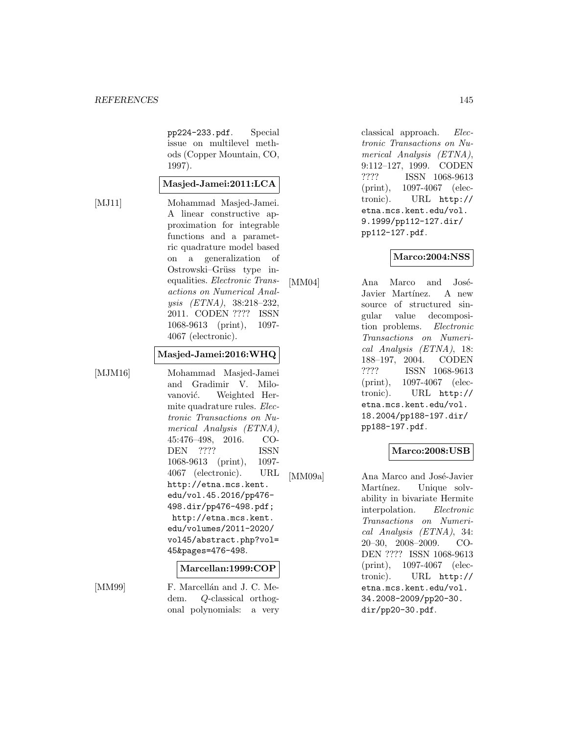pp224-233.pdf. Special issue on multilevel methods (Copper Mountain, CO, 1997).

# **Masjed-Jamei:2011:LCA**

[MJ11] Mohammad Masjed-Jamei. A linear constructive approximation for integrable functions and a parametric quadrature model based on a generalization of Ostrowski–Grüss type inequalities. Electronic Transactions on Numerical Analysis (ETNA), 38:218–232, 2011. CODEN ???? ISSN 1068-9613 (print), 1097- 4067 (electronic).

#### **Masjed-Jamei:2016:WHQ**

[MJM16] Mohammad Masjed-Jamei and Gradimir V. Milovanović. Weighted Hermite quadrature rules. Electronic Transactions on Numerical Analysis (ETNA), 45:476–498, 2016. CO-DEN ???? ISSN 1068-9613 (print), 1097- 4067 (electronic). URL http://etna.mcs.kent. edu/vol.45.2016/pp476- 498.dir/pp476-498.pdf; http://etna.mcs.kent. edu/volumes/2011-2020/ vol45/abstract.php?vol= 45&pages=476-498.

#### **Marcellan:1999:COP**

[MM99] F. Marcellán and J. C. Medem. Q-classical orthogonal polynomials: a very classical approach. Electronic Transactions on Numerical Analysis (ETNA), 9:112–127, 1999. CODEN ???? ISSN 1068-9613 (print), 1097-4067 (electronic). URL http:// etna.mcs.kent.edu/vol. 9.1999/pp112-127.dir/ pp112-127.pdf.

# **Marco:2004:NSS**

[MM04] Ana Marco and José-Javier Martínez. A new source of structured singular value decomposition problems. Electronic Transactions on Numerical Analysis (ETNA), 18: 188–197, 2004. CODEN ???? ISSN 1068-9613 (print), 1097-4067 (electronic). URL http:// etna.mcs.kent.edu/vol. 18.2004/pp188-197.dir/ pp188-197.pdf.

# **Marco:2008:USB**

[MM09a] Ana Marco and José-Javier Martínez. Unique solvability in bivariate Hermite interpolation. Electronic Transactions on Numerical Analysis (ETNA), 34: 20–30, 2008–2009. CO-DEN ???? ISSN 1068-9613 (print), 1097-4067 (electronic). URL http:// etna.mcs.kent.edu/vol. 34.2008-2009/pp20-30. dir/pp20-30.pdf.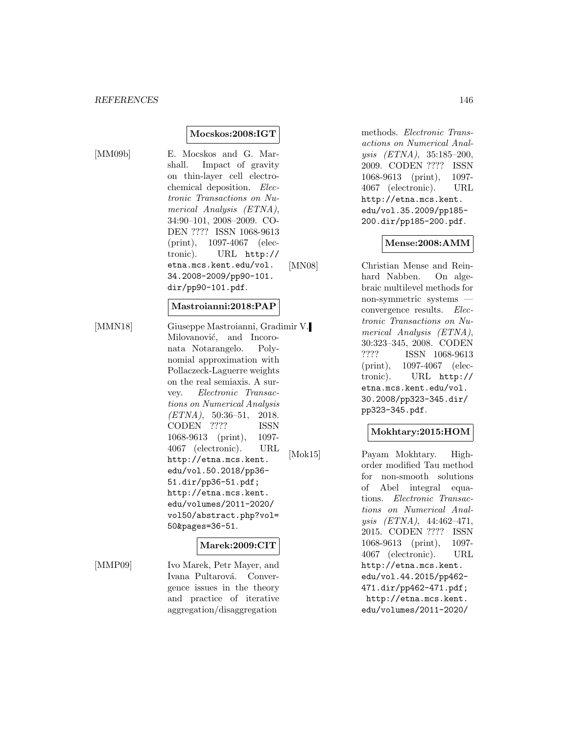#### **Mocskos:2008:IGT**

[MM09b] E. Mocskos and G. Marshall. Impact of gravity on thin-layer cell electrochemical deposition. Electronic Transactions on Numerical Analysis (ETNA), 34:90–101, 2008–2009. CO-DEN ???? ISSN 1068-9613 (print), 1097-4067 (electronic). URL http:// etna.mcs.kent.edu/vol. 34.2008-2009/pp90-101. dir/pp90-101.pdf.

# **Mastroianni:2018:PAP**

[MMN18] Giuseppe Mastroianni, Gradimir V. Milovanović, and Incoronata Notarangelo. Polynomial approximation with Pollaczeck-Laguerre weights on the real semiaxis. A survey. Electronic Transactions on Numerical Analysis  $(ETNA)$ , 50:36-51, 2018. CODEN ???? ISSN 1068-9613 (print), 1097- 4067 (electronic). URL http://etna.mcs.kent. edu/vol.50.2018/pp36- 51.dir/pp36-51.pdf; http://etna.mcs.kent. edu/volumes/2011-2020/ vol50/abstract.php?vol= 50&pages=36-51.

#### **Marek:2009:CIT**

[MMP09] Ivo Marek, Petr Mayer, and Ivana Pultarová. Convergence issues in the theory and practice of iterative aggregation/disaggregation

methods. Electronic Transactions on Numerical Analysis (ETNA), 35:185–200, 2009. CODEN ???? ISSN 1068-9613 (print), 1097- 4067 (electronic). URL http://etna.mcs.kent. edu/vol.35.2009/pp185- 200.dir/pp185-200.pdf.

#### **Mense:2008:AMM**

[MN08] Christian Mense and Reinhard Nabben. On algebraic multilevel methods for non-symmetric systems convergence results. Electronic Transactions on Numerical Analysis (ETNA), 30:323–345, 2008. CODEN ???? ISSN 1068-9613 (print), 1097-4067 (electronic). URL http:// etna.mcs.kent.edu/vol. 30.2008/pp323-345.dir/ pp323-345.pdf.

# **Mokhtary:2015:HOM**

[Mok15] Payam Mokhtary. Highorder modified Tau method for non-smooth solutions of Abel integral equations. Electronic Transactions on Numerical Analysis (ETNA), 44:462–471, 2015. CODEN ???? ISSN 1068-9613 (print), 1097- 4067 (electronic). URL http://etna.mcs.kent. edu/vol.44.2015/pp462- 471.dir/pp462-471.pdf; http://etna.mcs.kent. edu/volumes/2011-2020/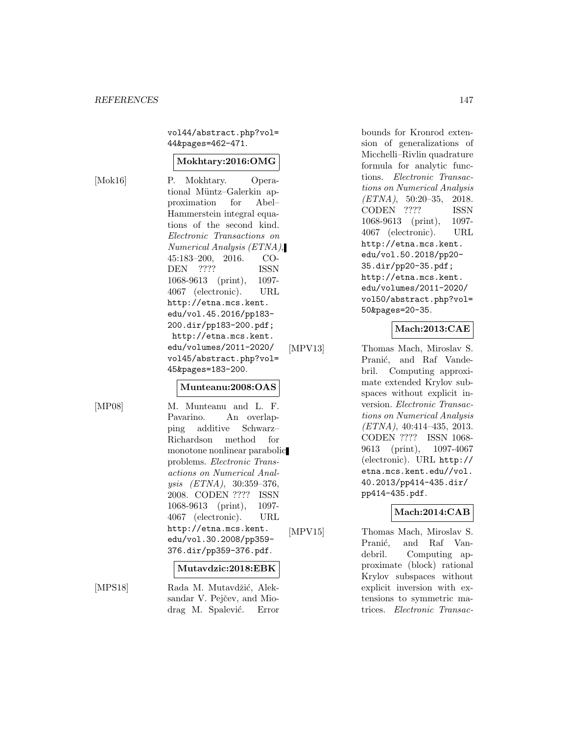vol44/abstract.php?vol= 44&pages=462-471.

# **Mokhtary:2016:OMG**

[Mok16] P. Mokhtary. Operational Müntz–Galerkin approximation for Abel– Hammerstein integral equations of the second kind. Electronic Transactions on Numerical Analysis (ETNA), 45:183–200, 2016. CO-DEN ???? ISSN 1068-9613 (print), 1097- 4067 (electronic). URL http://etna.mcs.kent. edu/vol.45.2016/pp183- 200.dir/pp183-200.pdf; http://etna.mcs.kent. edu/volumes/2011-2020/ vol45/abstract.php?vol= 45&pages=183-200.

#### **Munteanu:2008:OAS**

[MP08] M. Munteanu and L. F. Pavarino. An overlapping additive Schwarz– Richardson method for monotone nonlinear parabolic problems. Electronic Transactions on Numerical Analysis (ETNA), 30:359–376, 2008. CODEN ???? ISSN 1068-9613 (print), 1097- 4067 (electronic). URL http://etna.mcs.kent. edu/vol.30.2008/pp359- 376.dir/pp359-376.pdf.

#### **Mutavdzic:2018:EBK**

[MPS18] Rada M. Mutavdžić, Aleksandar V. Pejčev, and Miodrag M. Spalević. Error

bounds for Kronrod extension of generalizations of Micchelli–Rivlin quadrature formula for analytic functions. Electronic Transactions on Numerical Analysis (ETNA), 50:20–35, 2018. CODEN ???? ISSN 1068-9613 (print), 1097- 4067 (electronic). URL http://etna.mcs.kent. edu/vol.50.2018/pp20- 35.dir/pp20-35.pdf; http://etna.mcs.kent. edu/volumes/2011-2020/ vol50/abstract.php?vol= 50&pages=20-35.

# **Mach:2013:CAE**

[MPV13] Thomas Mach, Miroslav S. Pranić, and Raf Vandebril. Computing approximate extended Krylov subspaces without explicit inversion. Electronic Transactions on Numerical Analysis (ETNA), 40:414–435, 2013. CODEN ???? ISSN 1068- 9613 (print), 1097-4067 (electronic). URL http:// etna.mcs.kent.edu//vol. 40.2013/pp414-435.dir/ pp414-435.pdf.

# **Mach:2014:CAB**

[MPV15] Thomas Mach, Miroslav S. Pranić, and Raf Vandebril. Computing approximate (block) rational Krylov subspaces without explicit inversion with extensions to symmetric matrices. Electronic Transac-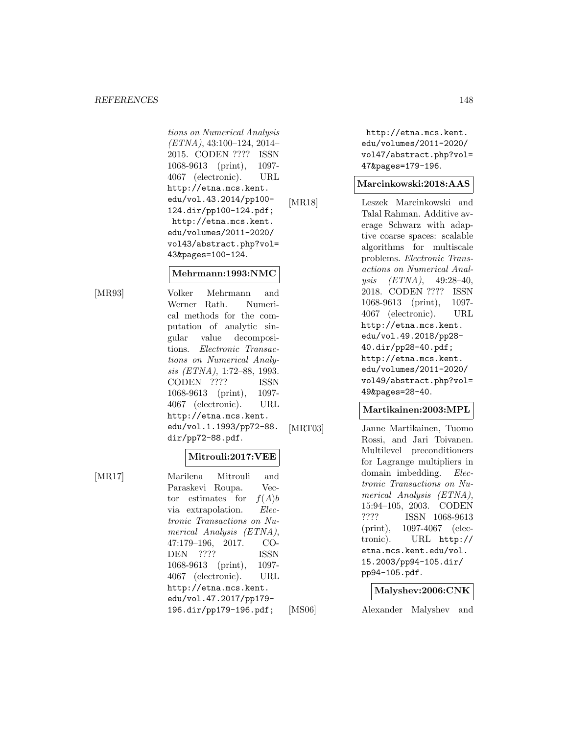#### *REFERENCES* 148

tions on Numerical Analysis (ETNA), 43:100–124, 2014– 2015. CODEN ???? ISSN 1068-9613 (print), 1097- 4067 (electronic). URL http://etna.mcs.kent. edu/vol.43.2014/pp100- 124.dir/pp100-124.pdf; http://etna.mcs.kent. edu/volumes/2011-2020/ vol43/abstract.php?vol= 43&pages=100-124.

#### **Mehrmann:1993:NMC**

[MR93] Volker Mehrmann and Werner Rath. Numerical methods for the computation of analytic singular value decompositions. Electronic Transactions on Numerical Analysis (ETNA), 1:72–88, 1993. CODEN ???? ISSN 1068-9613 (print), 1097- 4067 (electronic). URL http://etna.mcs.kent. edu/vol.1.1993/pp72-88. dir/pp72-88.pdf.

# **Mitrouli:2017:VEE**

[MR17] Marilena Mitrouli and Paraskevi Roupa. Vector estimates for  $f(A)b$ via extrapolation. Electronic Transactions on Numerical Analysis (ETNA), 47:179–196, 2017. CO-DEN ???? ISSN 1068-9613 (print), 1097- 4067 (electronic). URL http://etna.mcs.kent.

> edu/vol.47.2017/pp179- 196.dir/pp179-196.pdf;

http://etna.mcs.kent. edu/volumes/2011-2020/ vol47/abstract.php?vol= 47&pages=179-196.

# **Marcinkowski:2018:AAS**

[MR18] Leszek Marcinkowski and Talal Rahman. Additive average Schwarz with adaptive coarse spaces: scalable algorithms for multiscale problems. Electronic Transactions on Numerical Analysis (ETNA), 49:28–40, 2018. CODEN ???? ISSN 1068-9613 (print), 1097- 4067 (electronic). URL http://etna.mcs.kent. edu/vol.49.2018/pp28- 40.dir/pp28-40.pdf; http://etna.mcs.kent. edu/volumes/2011-2020/ vol49/abstract.php?vol= 49&pages=28-40.

#### **Martikainen:2003:MPL**

[MRT03] Janne Martikainen, Tuomo Rossi, and Jari Toivanen. Multilevel preconditioners for Lagrange multipliers in domain imbedding. Electronic Transactions on Numerical Analysis (ETNA), 15:94–105, 2003. CODEN ???? ISSN 1068-9613 (print), 1097-4067 (electronic). URL http:// etna.mcs.kent.edu/vol. 15.2003/pp94-105.dir/ pp94-105.pdf.

#### **Malyshev:2006:CNK**

[MS06] Alexander Malyshev and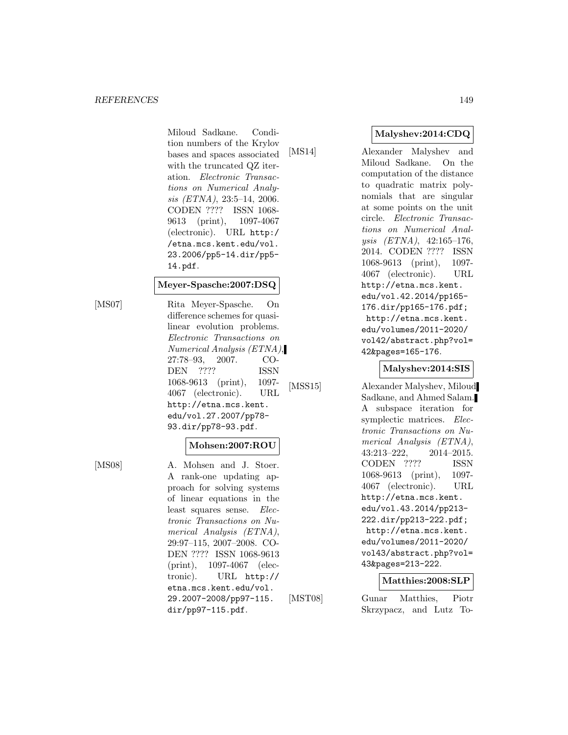Miloud Sadkane. Condition numbers of the Krylov bases and spaces associated with the truncated QZ iteration. Electronic Transactions on Numerical Analysis (ETNA), 23:5–14, 2006. CODEN ???? ISSN 1068- 9613 (print), 1097-4067 (electronic). URL http:/ /etna.mcs.kent.edu/vol. 23.2006/pp5-14.dir/pp5- 14.pdf.

#### **Meyer-Spasche:2007:DSQ**

[MS07] Rita Meyer-Spasche. On difference schemes for quasilinear evolution problems. Electronic Transactions on Numerical Analysis (ETNA), 27:78–93, 2007. CO-DEN ???? ISSN 1068-9613 (print), 1097- 4067 (electronic). URL http://etna.mcs.kent. edu/vol.27.2007/pp78- 93.dir/pp78-93.pdf.

# **Mohsen:2007:ROU**

[MS08] A. Mohsen and J. Stoer. A rank-one updating approach for solving systems of linear equations in the least squares sense. Electronic Transactions on Numerical Analysis (ETNA), 29:97–115, 2007–2008. CO-DEN ???? ISSN 1068-9613 (print), 1097-4067 (electronic). URL http:// etna.mcs.kent.edu/vol. 29.2007-2008/pp97-115. dir/pp97-115.pdf.

# **Malyshev:2014:CDQ**

[MS14] Alexander Malyshev and Miloud Sadkane. On the computation of the distance to quadratic matrix polynomials that are singular at some points on the unit circle. Electronic Transactions on Numerical Analysis (ETNA), 42:165–176, 2014. CODEN ???? ISSN 1068-9613 (print), 1097- 4067 (electronic). URL http://etna.mcs.kent. edu/vol.42.2014/pp165- 176.dir/pp165-176.pdf; http://etna.mcs.kent. edu/volumes/2011-2020/ vol42/abstract.php?vol= 42&pages=165-176.

# **Malyshev:2014:SIS**

[MSS15] Alexander Malyshev, Miloud Sadkane, and Ahmed Salam. A subspace iteration for symplectic matrices. Electronic Transactions on Numerical Analysis (ETNA), 43:213–222, 2014–2015. CODEN ???? ISSN 1068-9613 (print), 1097- 4067 (electronic). URL http://etna.mcs.kent. edu/vol.43.2014/pp213- 222.dir/pp213-222.pdf; http://etna.mcs.kent. edu/volumes/2011-2020/ vol43/abstract.php?vol= 43&pages=213-222.

# **Matthies:2008:SLP**

[MST08] Gunar Matthies, Piotr Skrzypacz, and Lutz To-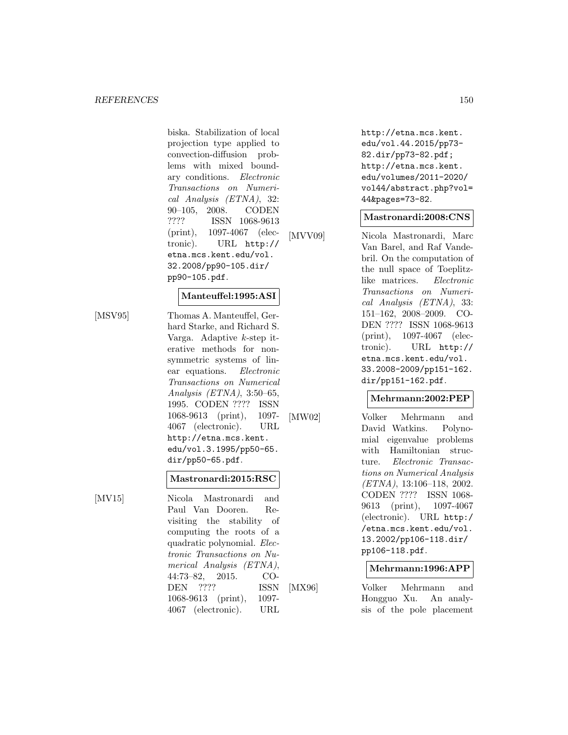biska. Stabilization of local projection type applied to convection-diffusion problems with mixed boundary conditions. Electronic Transactions on Numerical Analysis (ETNA), 32: 90–105, 2008. CODEN ???? ISSN 1068-9613 (print), 1097-4067 (electronic). URL http:// etna.mcs.kent.edu/vol. 32.2008/pp90-105.dir/ pp90-105.pdf.

# **Manteuffel:1995:ASI**

[MSV95] Thomas A. Manteuffel, Ger-

hard Starke, and Richard S. Varga. Adaptive k-step iterative methods for nonsymmetric systems of linear equations. Electronic Transactions on Numerical Analysis (ETNA), 3:50–65, 1995. CODEN ???? ISSN 1068-9613 (print), 1097- 4067 (electronic). URL http://etna.mcs.kent. edu/vol.3.1995/pp50-65. dir/pp50-65.pdf.

#### **Mastronardi:2015:RSC**

[MV15] Nicola Mastronardi and Paul Van Dooren. Revisiting the stability of computing the roots of a quadratic polynomial. Electronic Transactions on Numerical Analysis (ETNA), 44:73–82, 2015. CO-DEN ???? ISSN 1068-9613 (print), 1097- 4067 (electronic). URL

http://etna.mcs.kent. edu/vol.44.2015/pp73- 82.dir/pp73-82.pdf; http://etna.mcs.kent. edu/volumes/2011-2020/ vol44/abstract.php?vol= 44&pages=73-82.

# **Mastronardi:2008:CNS**

[MVV09] Nicola Mastronardi, Marc Van Barel, and Raf Vandebril. On the computation of the null space of Toeplitzlike matrices. Electronic Transactions on Numerical Analysis (ETNA), 33: 151–162, 2008–2009. CO-DEN ???? ISSN 1068-9613 (print), 1097-4067 (electronic). URL http:// etna.mcs.kent.edu/vol. 33.2008-2009/pp151-162. dir/pp151-162.pdf.

#### **Mehrmann:2002:PEP**

[MW02] Volker Mehrmann and David Watkins. Polynomial eigenvalue problems with Hamiltonian structure. Electronic Transactions on Numerical Analysis (ETNA), 13:106–118, 2002. CODEN ???? ISSN 1068- 9613 (print), 1097-4067 (electronic). URL http:/ /etna.mcs.kent.edu/vol. 13.2002/pp106-118.dir/ pp106-118.pdf.

#### **Mehrmann:1996:APP**

[MX96] Volker Mehrmann and Hongguo Xu. An analysis of the pole placement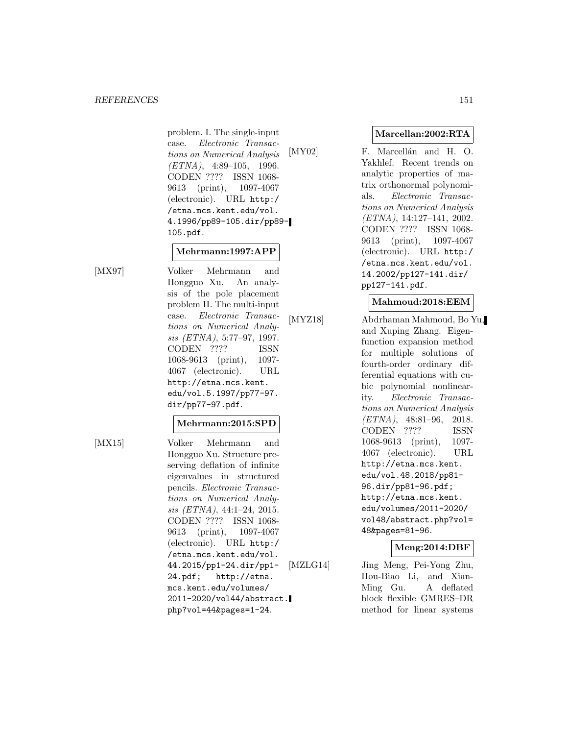problem. I. The single-input case. Electronic Transactions on Numerical Analysis  $(ETNA)$ , 4:89-105, 1996. CODEN ???? ISSN 1068- 9613 (print), 1097-4067 (electronic). URL http:/ /etna.mcs.kent.edu/vol. 4.1996/pp89-105.dir/pp89- 105.pdf.

# **Mehrmann:1997:APP**

[MX97] Volker Mehrmann and Hongguo Xu. An analysis of the pole placement problem II. The multi-input case. Electronic Transactions on Numerical Analysis (ETNA), 5:77–97, 1997. CODEN ???? ISSN 1068-9613 (print), 1097- 4067 (electronic). URL http://etna.mcs.kent. edu/vol.5.1997/pp77-97. dir/pp77-97.pdf.

#### **Mehrmann:2015:SPD**

[MX15] Volker Mehrmann and Hongguo Xu. Structure preserving deflation of infinite eigenvalues in structured pencils. Electronic Transactions on Numerical Analysis (ETNA), 44:1–24, 2015. CODEN ???? ISSN 1068- 9613 (print), 1097-4067 (electronic). URL http:/ /etna.mcs.kent.edu/vol. 44.2015/pp1-24.dir/pp1- 24.pdf; http://etna. mcs.kent.edu/volumes/ 2011-2020/vol44/abstract. php?vol=44&pages=1-24.

# **Marcellan:2002:RTA**

[MY02] F. Marcellán and H. O. Yakhlef. Recent trends on analytic properties of matrix orthonormal polynomials. Electronic Transactions on Numerical Analysis (ETNA), 14:127–141, 2002. CODEN ???? ISSN 1068- 9613 (print), 1097-4067 (electronic). URL http:/ /etna.mcs.kent.edu/vol. 14.2002/pp127-141.dir/ pp127-141.pdf.

# **Mahmoud:2018:EEM**

[MYZ18] Abdrhaman Mahmoud, Bo Yu, and Xuping Zhang. Eigenfunction expansion method for multiple solutions of fourth-order ordinary differential equations with cubic polynomial nonlinearity. Electronic Transactions on Numerical Analysis (ETNA), 48:81–96, 2018. CODEN ???? ISSN 1068-9613 (print), 1097- 4067 (electronic). URL http://etna.mcs.kent. edu/vol.48.2018/pp81- 96.dir/pp81-96.pdf; http://etna.mcs.kent. edu/volumes/2011-2020/ vol48/abstract.php?vol= 48&pages=81-96.

# **Meng:2014:DBF**

[MZLG14] Jing Meng, Pei-Yong Zhu, Hou-Biao Li, and Xian-Ming Gu. A deflated block flexible GMRES–DR method for linear systems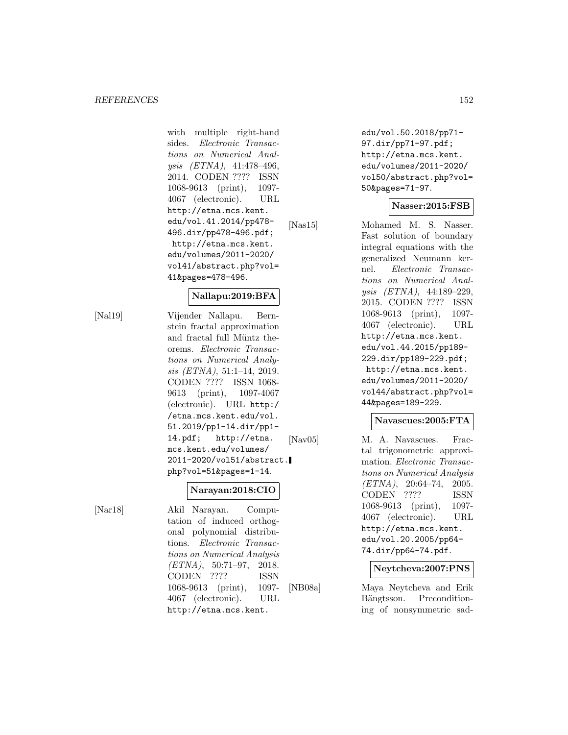with multiple right-hand sides. Electronic Transactions on Numerical Analysis (ETNA), 41:478–496, 2014. CODEN ???? ISSN 1068-9613 (print), 1097- 4067 (electronic). URL http://etna.mcs.kent. edu/vol.41.2014/pp478- 496.dir/pp478-496.pdf; http://etna.mcs.kent. edu/volumes/2011-2020/ vol41/abstract.php?vol= 41&pages=478-496.

#### **Nallapu:2019:BFA**

[Nal19] Vijender Nallapu. Bernstein fractal approximation and fractal full Müntz theorems. Electronic Transactions on Numerical Analysis (ETNA), 51:1–14, 2019. CODEN ???? ISSN 1068- 9613 (print), 1097-4067 (electronic). URL http:/ /etna.mcs.kent.edu/vol. 51.2019/pp1-14.dir/pp1- 14.pdf; http://etna. mcs.kent.edu/volumes/ 2011-2020/vol51/abstract. php?vol=51&pages=1-14.

#### **Narayan:2018:CIO**

[Nar18] Akil Narayan. Computation of induced orthogonal polynomial distributions. Electronic Transactions on Numerical Analysis  $(ETNA)$ , 50:71-97, 2018. CODEN ???? ISSN 1068-9613 (print), 1097- 4067 (electronic). URL http://etna.mcs.kent.

edu/vol.50.2018/pp71- 97.dir/pp71-97.pdf; http://etna.mcs.kent. edu/volumes/2011-2020/ vol50/abstract.php?vol= 50&pages=71-97.

# **Nasser:2015:FSB**

[Nas15] Mohamed M. S. Nasser. Fast solution of boundary integral equations with the generalized Neumann kernel. Electronic Transactions on Numerical Analysis (ETNA), 44:189–229, 2015. CODEN ???? ISSN 1068-9613 (print), 1097- 4067 (electronic). URL http://etna.mcs.kent. edu/vol.44.2015/pp189- 229.dir/pp189-229.pdf; http://etna.mcs.kent. edu/volumes/2011-2020/ vol44/abstract.php?vol= 44&pages=189-229.

#### **Navascues:2005:FTA**

[Nav05] M. A. Navascues. Fractal trigonometric approximation. Electronic Transactions on Numerical Analysis  $(ETNA)$ , 20:64-74, 2005. CODEN ???? ISSN 1068-9613 (print), 1097- 4067 (electronic). URL http://etna.mcs.kent. edu/vol.20.2005/pp64- 74.dir/pp64-74.pdf.

# **Neytcheva:2007:PNS**

[NB08a] Maya Neytcheva and Erik Bängtsson. Preconditioning of nonsymmetric sad-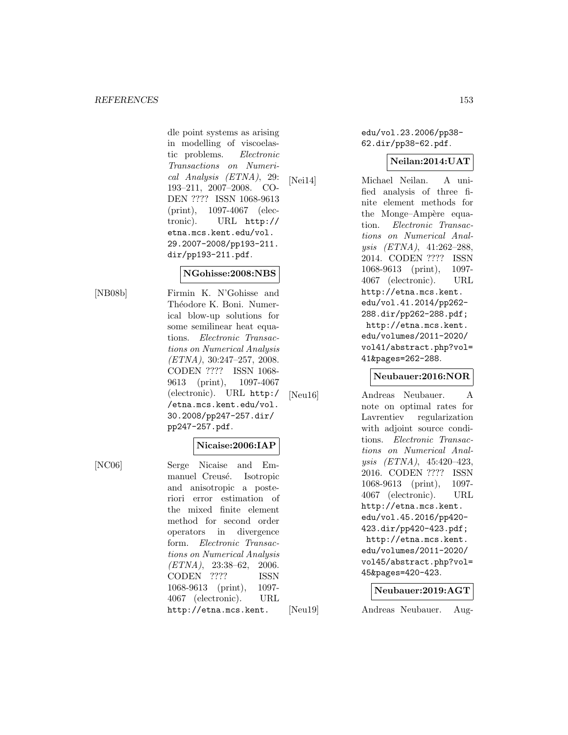dle point systems as arising in modelling of viscoelastic problems. Electronic Transactions on Numerical Analysis (ETNA), 29: 193–211, 2007–2008. CO-DEN ???? ISSN 1068-9613 (print), 1097-4067 (electronic). URL http:// etna.mcs.kent.edu/vol. 29.2007-2008/pp193-211. dir/pp193-211.pdf.

#### **NGohisse:2008:NBS**

[NB08b] Firmin K. N'Gohisse and Théodore K. Boni. Numerical blow-up solutions for some semilinear heat equations. Electronic Transactions on Numerical Analysis (ETNA), 30:247–257, 2008. CODEN ???? ISSN 1068- 9613 (print), 1097-4067 (electronic). URL http:/ /etna.mcs.kent.edu/vol. 30.2008/pp247-257.dir/ pp247-257.pdf.

# **Nicaise:2006:IAP**

[NC06] Serge Nicaise and Emmanuel Creusé. Isotropic and anisotropic a posteriori error estimation of the mixed finite element method for second order operators in divergence form. Electronic Transactions on Numerical Analysis (ETNA), 23:38–62, 2006. CODEN ???? ISSN 1068-9613 (print), 1097- 4067 (electronic). URL http://etna.mcs.kent.

edu/vol.23.2006/pp38- 62.dir/pp38-62.pdf.

# **Neilan:2014:UAT**

[Nei14] Michael Neilan. A unified analysis of three finite element methods for the Monge–Ampère equation. Electronic Transactions on Numerical Analysis (ETNA), 41:262–288, 2014. CODEN ???? ISSN 1068-9613 (print), 1097- 4067 (electronic). URL http://etna.mcs.kent. edu/vol.41.2014/pp262- 288.dir/pp262-288.pdf; http://etna.mcs.kent. edu/volumes/2011-2020/ vol41/abstract.php?vol= 41&pages=262-288.

#### **Neubauer:2016:NOR**

[Neu16] Andreas Neubauer. A note on optimal rates for Lavrentiev regularization with adjoint source conditions. Electronic Transactions on Numerical Analysis (ETNA), 45:420–423, 2016. CODEN ???? ISSN 1068-9613 (print), 1097- 4067 (electronic). URL http://etna.mcs.kent. edu/vol.45.2016/pp420- 423.dir/pp420-423.pdf; http://etna.mcs.kent. edu/volumes/2011-2020/ vol45/abstract.php?vol= 45&pages=420-423.

#### **Neubauer:2019:AGT**

[Neu19] Andreas Neubauer. Aug-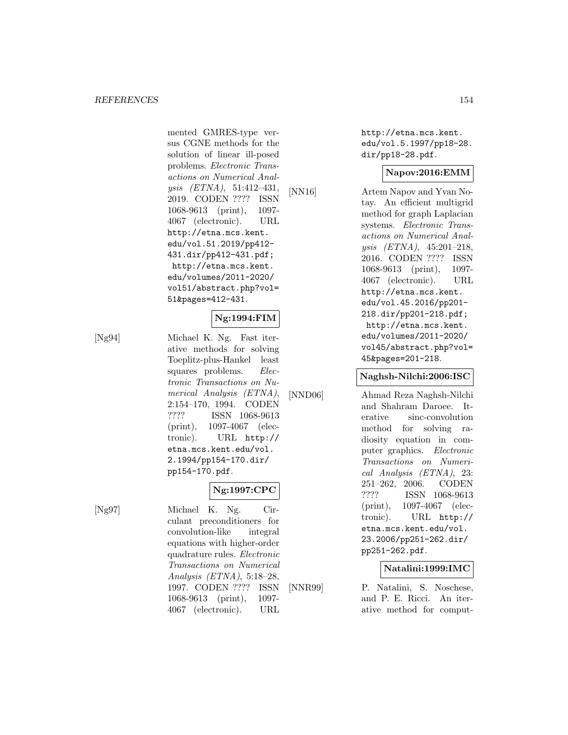mented GMRES-type versus CGNE methods for the solution of linear ill-posed problems. Electronic Transactions on Numerical Analysis (ETNA), 51:412–431, 2019. CODEN ???? ISSN 1068-9613 (print), 1097- 4067 (electronic). URL http://etna.mcs.kent. edu/vol.51.2019/pp412- 431.dir/pp412-431.pdf; http://etna.mcs.kent. edu/volumes/2011-2020/ vol51/abstract.php?vol= 51&pages=412-431.

# **Ng:1994:FIM**

[Ng94] Michael K. Ng. Fast iterative methods for solving Toeplitz-plus-Hankel least squares problems. Electronic Transactions on Numerical Analysis (ETNA), 2:154–170, 1994. CODEN ???? ISSN 1068-9613 (print), 1097-4067 (electronic). URL http:// etna.mcs.kent.edu/vol. 2.1994/pp154-170.dir/ pp154-170.pdf.

# **Ng:1997:CPC**

[Ng97] Michael K. Ng. Circulant preconditioners for convolution-like integral equations with higher-order quadrature rules. Electronic Transactions on Numerical Analysis (ETNA), 5:18–28, 1997. CODEN ???? ISSN 1068-9613 (print), 1097- 4067 (electronic). URL

http://etna.mcs.kent. edu/vol.5.1997/pp18-28. dir/pp18-28.pdf.

#### **Napov:2016:EMM**

[NN16] Artem Napov and Yvan Notay. An efficient multigrid method for graph Laplacian systems. Electronic Transactions on Numerical Analysis (ETNA), 45:201–218, 2016. CODEN ???? ISSN 1068-9613 (print), 1097- 4067 (electronic). URL http://etna.mcs.kent. edu/vol.45.2016/pp201- 218.dir/pp201-218.pdf; http://etna.mcs.kent. edu/volumes/2011-2020/ vol45/abstract.php?vol= 45&pages=201-218.

#### **Naghsh-Nilchi:2006:ISC**

[NND06] Ahmad Reza Naghsh-Nilchi and Shahram Daroee. Iterative sinc-convolution method for solving radiosity equation in computer graphics. Electronic Transactions on Numerical Analysis (ETNA), 23: 251–262, 2006. CODEN ???? ISSN 1068-9613 (print), 1097-4067 (electronic). URL http:// etna.mcs.kent.edu/vol. 23.2006/pp251-262.dir/ pp251-262.pdf.

# **Natalini:1999:IMC**

[NNR99] P. Natalini, S. Noschese, and P. E. Ricci. An iterative method for comput-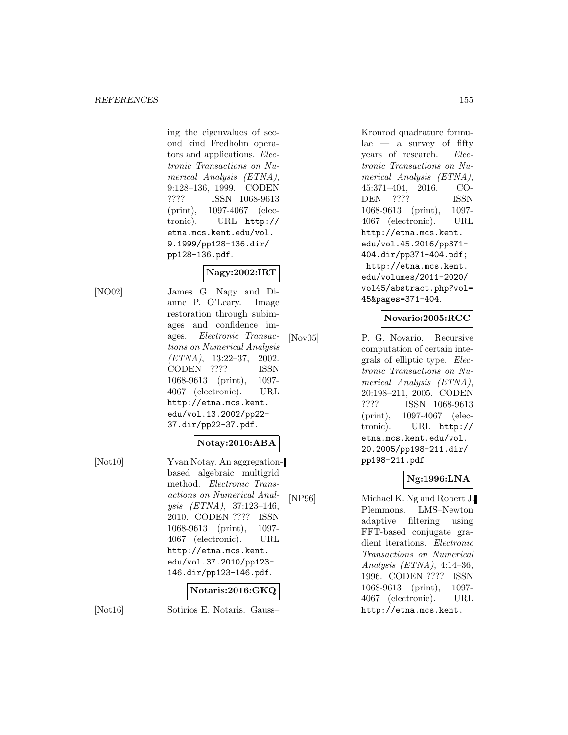ing the eigenvalues of second kind Fredholm operators and applications. Electronic Transactions on Numerical Analysis (ETNA), 9:128–136, 1999. CODEN ???? ISSN 1068-9613 (print), 1097-4067 (electronic). URL http:// etna.mcs.kent.edu/vol. 9.1999/pp128-136.dir/ pp128-136.pdf.

# **Nagy:2002:IRT**

[NO02] James G. Nagy and Dianne P. O'Leary. Image restoration through subimages and confidence images. Electronic Transactions on Numerical Analysis (ETNA), 13:22–37, 2002. CODEN ???? ISSN 1068-9613 (print), 1097- 4067 (electronic). URL http://etna.mcs.kent. edu/vol.13.2002/pp22- 37.dir/pp22-37.pdf.

# **Notay:2010:ABA**

[Not10] Yvan Notay. An aggregationbased algebraic multigrid method. Electronic Transactions on Numerical Analysis (ETNA), 37:123–146, 2010. CODEN ???? ISSN 1068-9613 (print), 1097- 4067 (electronic). URL http://etna.mcs.kent. edu/vol.37.2010/pp123- 146.dir/pp123-146.pdf.

# **Notaris:2016:GKQ**

[Not16] Sotirios E. Notaris. Gauss–

Kronrod quadrature formu $lae - a$  survey of fifty years of research. Electronic Transactions on Numerical Analysis (ETNA), 45:371–404, 2016. CO-DEN ???? ISSN 1068-9613 (print), 1097- 4067 (electronic). URL http://etna.mcs.kent. edu/vol.45.2016/pp371- 404.dir/pp371-404.pdf; http://etna.mcs.kent. edu/volumes/2011-2020/ vol45/abstract.php?vol= 45&pages=371-404.

# **Novario:2005:RCC**

[Nov05] P. G. Novario. Recursive computation of certain integrals of elliptic type. Electronic Transactions on Numerical Analysis (ETNA), 20:198–211, 2005. CODEN ???? ISSN 1068-9613 (print), 1097-4067 (electronic). URL http:// etna.mcs.kent.edu/vol. 20.2005/pp198-211.dir/ pp198-211.pdf.

# **Ng:1996:LNA**

[NP96] Michael K. Ng and Robert J. Plemmons. LMS–Newton adaptive filtering using FFT-based conjugate gradient iterations. Electronic Transactions on Numerical Analysis (ETNA), 4:14–36, 1996. CODEN ???? ISSN 1068-9613 (print), 1097- 4067 (electronic). URL http://etna.mcs.kent.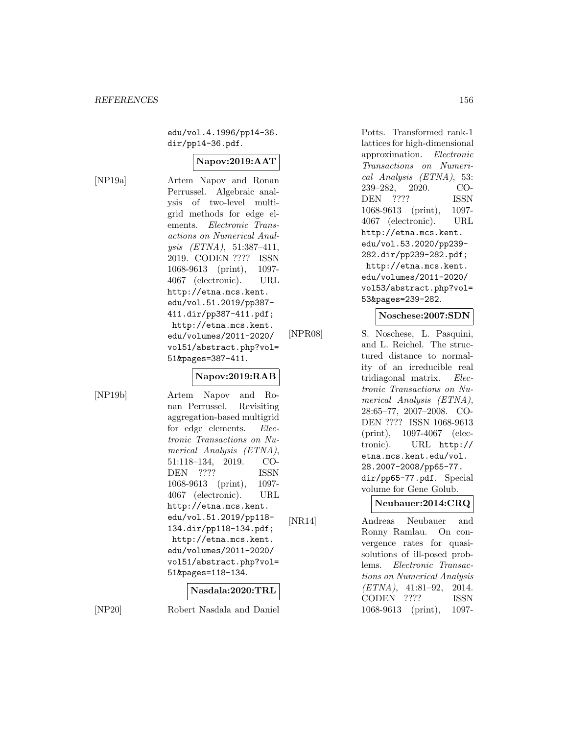edu/vol.4.1996/pp14-36. dir/pp14-36.pdf.

# **Napov:2019:AAT**

[NP19a] Artem Napov and Ronan Perrussel. Algebraic analysis of two-level multigrid methods for edge elements. Electronic Transactions on Numerical Analysis (ETNA), 51:387–411, 2019. CODEN ???? ISSN 1068-9613 (print), 1097- 4067 (electronic). URL http://etna.mcs.kent. edu/vol.51.2019/pp387- 411.dir/pp387-411.pdf; http://etna.mcs.kent. edu/volumes/2011-2020/ vol51/abstract.php?vol= 51&pages=387-411.

# **Napov:2019:RAB**

[NP19b] Artem Napov and Ronan Perrussel. Revisiting aggregation-based multigrid for edge elements. Electronic Transactions on Numerical Analysis (ETNA), 51:118–134, 2019. CO-DEN ???? ISSN 1068-9613 (print), 1097- 4067 (electronic). URL http://etna.mcs.kent. edu/vol.51.2019/pp118- 134.dir/pp118-134.pdf; http://etna.mcs.kent. edu/volumes/2011-2020/ vol51/abstract.php?vol= 51&pages=118-134.

#### **Nasdala:2020:TRL**

[NP20] Robert Nasdala and Daniel

Potts. Transformed rank-1 lattices for high-dimensional approximation. Electronic Transactions on Numerical Analysis (ETNA), 53: 239–282, 2020. CO-DEN ???? ISSN 1068-9613 (print), 1097- 4067 (electronic). URL http://etna.mcs.kent. edu/vol.53.2020/pp239- 282.dir/pp239-282.pdf; http://etna.mcs.kent. edu/volumes/2011-2020/ vol53/abstract.php?vol= 53&pages=239-282.

#### **Noschese:2007:SDN**

[NPR08] S. Noschese, L. Pasquini, and L. Reichel. The structured distance to normality of an irreducible real tridiagonal matrix. Electronic Transactions on Numerical Analysis (ETNA), 28:65–77, 2007–2008. CO-DEN ???? ISSN 1068-9613 (print), 1097-4067 (electronic). URL http:// etna.mcs.kent.edu/vol. 28.2007-2008/pp65-77. dir/pp65-77.pdf. Special volume for Gene Golub.

**Neubauer:2014:CRQ**

[NR14] Andreas Neubauer and Ronny Ramlau. On convergence rates for quasisolutions of ill-posed problems. Electronic Transactions on Numerical Analysis (ETNA), 41:81–92, 2014. CODEN ???? ISSN 1068-9613 (print), 1097-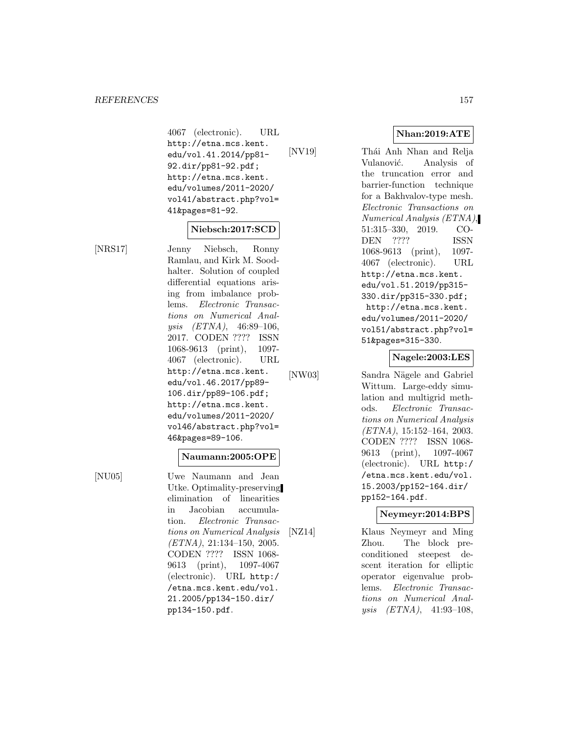4067 (electronic). URL http://etna.mcs.kent. edu/vol.41.2014/pp81- 92.dir/pp81-92.pdf; http://etna.mcs.kent. edu/volumes/2011-2020/ vol41/abstract.php?vol= 41&pages=81-92.

#### **Niebsch:2017:SCD**

[NRS17] Jenny Niebsch, Ronny Ramlau, and Kirk M. Soodhalter. Solution of coupled differential equations arising from imbalance problems. Electronic Transactions on Numerical Analysis (ETNA), 46:89–106, 2017. CODEN ???? ISSN 1068-9613 (print), 1097- 4067 (electronic). URL http://etna.mcs.kent. edu/vol.46.2017/pp89- 106.dir/pp89-106.pdf; http://etna.mcs.kent. edu/volumes/2011-2020/ vol46/abstract.php?vol= 46&pages=89-106.

#### **Naumann:2005:OPE**

[NU05] Uwe Naumann and Jean Utke. Optimality-preserving elimination of linearities in Jacobian accumulation. Electronic Transactions on Numerical Analysis  $(ETNA), 21:134-150, 2005.$ CODEN ???? ISSN 1068- 9613 (print), 1097-4067 (electronic). URL http:/ /etna.mcs.kent.edu/vol. 21.2005/pp134-150.dir/ pp134-150.pdf.

**Nhan:2019:ATE**

[NV19] Thái Anh Nhan and Relja Vulanović. Analysis of the truncation error and barrier-function technique for a Bakhvalov-type mesh. Electronic Transactions on Numerical Analysis (ETNA), 51:315–330, 2019. CO-DEN ???? ISSN 1068-9613 (print), 1097- 4067 (electronic). URL http://etna.mcs.kent. edu/vol.51.2019/pp315- 330.dir/pp315-330.pdf; http://etna.mcs.kent. edu/volumes/2011-2020/ vol51/abstract.php?vol= 51&pages=315-330.

#### **Nagele:2003:LES**

[NW03] Sandra Nägele and Gabriel Wittum. Large-eddy simulation and multigrid methods. Electronic Transactions on Numerical Analysis (ETNA), 15:152–164, 2003. CODEN ???? ISSN 1068- 9613 (print), 1097-4067 (electronic). URL http:/ /etna.mcs.kent.edu/vol. 15.2003/pp152-164.dir/ pp152-164.pdf.

#### **Neymeyr:2014:BPS**

[NZ14] Klaus Neymeyr and Ming Zhou. The block preconditioned steepest descent iteration for elliptic operator eigenvalue problems. Electronic Transactions on Numerical Analysis (ETNA), 41:93–108,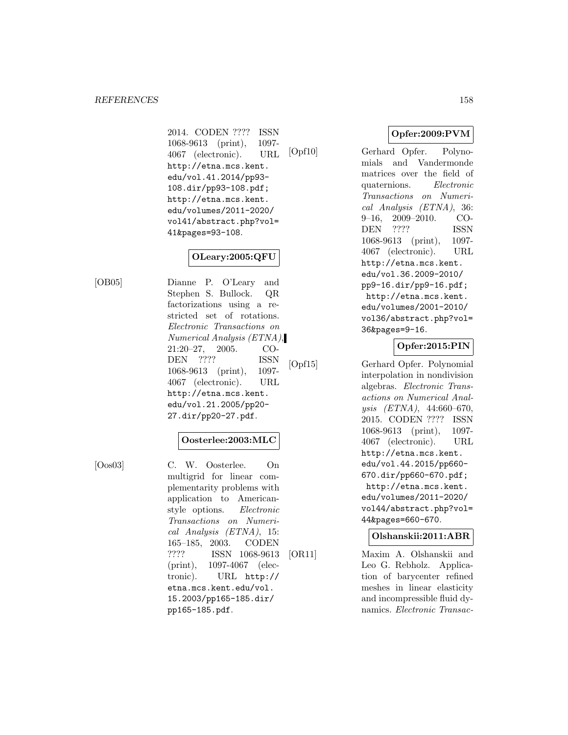2014. CODEN ???? ISSN 1068-9613 (print), 1097- 4067 (electronic). URL http://etna.mcs.kent. edu/vol.41.2014/pp93- 108.dir/pp93-108.pdf; http://etna.mcs.kent. edu/volumes/2011-2020/ vol41/abstract.php?vol= 41&pages=93-108.

# **OLeary:2005:QFU**

[OB05] Dianne P. O'Leary and Stephen S. Bullock. QR factorizations using a restricted set of rotations. Electronic Transactions on Numerical Analysis (ETNA), 21:20–27, 2005. CO-DEN ???? ISSN 1068-9613 (print), 1097- 4067 (electronic). URL http://etna.mcs.kent. edu/vol.21.2005/pp20- 27.dir/pp20-27.pdf.

# **Oosterlee:2003:MLC**

[Oos03] C. W. Oosterlee. On multigrid for linear complementarity problems with application to Americanstyle options. Electronic Transactions on Numerical Analysis (ETNA), 15: 165–185, 2003. CODEN ???? ISSN 1068-9613 (print), 1097-4067 (electronic). URL http:// etna.mcs.kent.edu/vol. 15.2003/pp165-185.dir/ pp165-185.pdf.

**Opfer:2009:PVM**

[Opf10] Gerhard Opfer. Polynomials and Vandermonde matrices over the field of quaternions. Electronic Transactions on Numerical Analysis (ETNA), 36: 9–16, 2009–2010. CO-DEN ???? ISSN 1068-9613 (print), 1097- 4067 (electronic). URL http://etna.mcs.kent. edu/vol.36.2009-2010/ pp9-16.dir/pp9-16.pdf; http://etna.mcs.kent. edu/volumes/2001-2010/ vol36/abstract.php?vol= 36&pages=9-16.

# **Opfer:2015:PIN**

[Opf15] Gerhard Opfer. Polynomial interpolation in nondivision algebras. Electronic Transactions on Numerical Analysis (ETNA), 44:660–670, 2015. CODEN ???? ISSN 1068-9613 (print), 1097- 4067 (electronic). URL http://etna.mcs.kent. edu/vol.44.2015/pp660- 670.dir/pp660-670.pdf; http://etna.mcs.kent. edu/volumes/2011-2020/ vol44/abstract.php?vol= 44&pages=660-670.

# **Olshanskii:2011:ABR**

[OR11] Maxim A. Olshanskii and Leo G. Rebholz. Application of barycenter refined meshes in linear elasticity and incompressible fluid dynamics. Electronic Transac-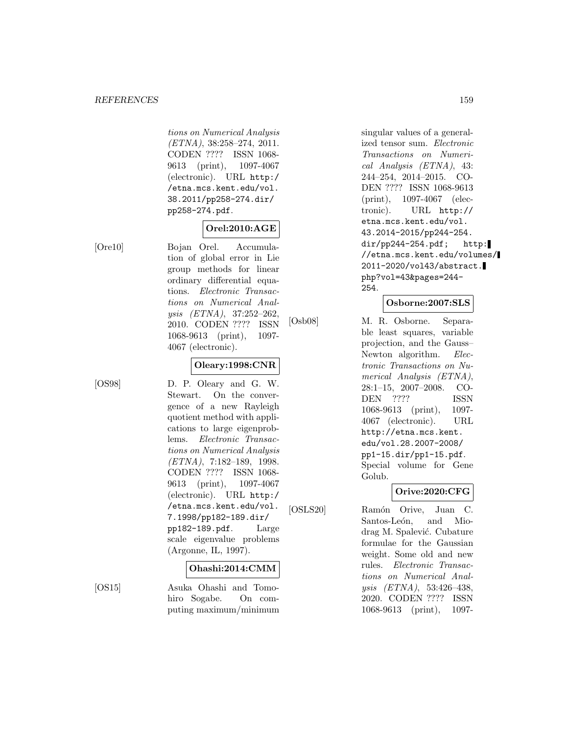tions on Numerical Analysis (ETNA), 38:258–274, 2011. CODEN ???? ISSN 1068- 9613 (print), 1097-4067 (electronic). URL http:/ /etna.mcs.kent.edu/vol. 38.2011/pp258-274.dir/ pp258-274.pdf.

# **Orel:2010:AGE**

[Ore10] Bojan Orel. Accumulation of global error in Lie group methods for linear ordinary differential equations. Electronic Transactions on Numerical Analysis (ETNA), 37:252–262, 2010. CODEN ???? ISSN 1068-9613 (print), 1097- 4067 (electronic).

# **Oleary:1998:CNR**

[OS98] D. P. Oleary and G. W. Stewart. On the convergence of a new Rayleigh quotient method with applications to large eigenproblems. Electronic Transactions on Numerical Analysis (ETNA), 7:182–189, 1998. CODEN ???? ISSN 1068- 9613 (print), 1097-4067 (electronic). URL http:/ /etna.mcs.kent.edu/vol. 7.1998/pp182-189.dir/ pp182-189.pdf. Large scale eigenvalue problems (Argonne, IL, 1997).

# **Ohashi:2014:CMM**

[OS15] Asuka Ohashi and Tomohiro Sogabe. On computing maximum/minimum singular values of a generalized tensor sum. Electronic Transactions on Numerical Analysis (ETNA), 43: 244–254, 2014–2015. CO-DEN ???? ISSN 1068-9613 (print), 1097-4067 (electronic). URL http:// etna.mcs.kent.edu/vol. 43.2014-2015/pp244-254. dir/pp244-254.pdf; http: //etna.mcs.kent.edu/volumes/ 2011-2020/vol43/abstract. php?vol=43&pages=244- 254.

# **Osborne:2007:SLS**

[Osb08] M. R. Osborne. Separable least squares, variable projection, and the Gauss– Newton algorithm. *Elec*tronic Transactions on Numerical Analysis (ETNA), 28:1–15, 2007–2008. CO-DEN ???? ISSN 1068-9613 (print), 1097- 4067 (electronic). URL http://etna.mcs.kent. edu/vol.28.2007-2008/ pp1-15.dir/pp1-15.pdf. Special volume for Gene Golub.

# **Orive:2020:CFG**

[OSLS20] Ramón Orive, Juan C. Santos-León, and Miodrag M. Spalević. Cubature formulae for the Gaussian weight. Some old and new rules. Electronic Transactions on Numerical Analysis (ETNA), 53:426–438, 2020. CODEN ???? ISSN 1068-9613 (print), 1097-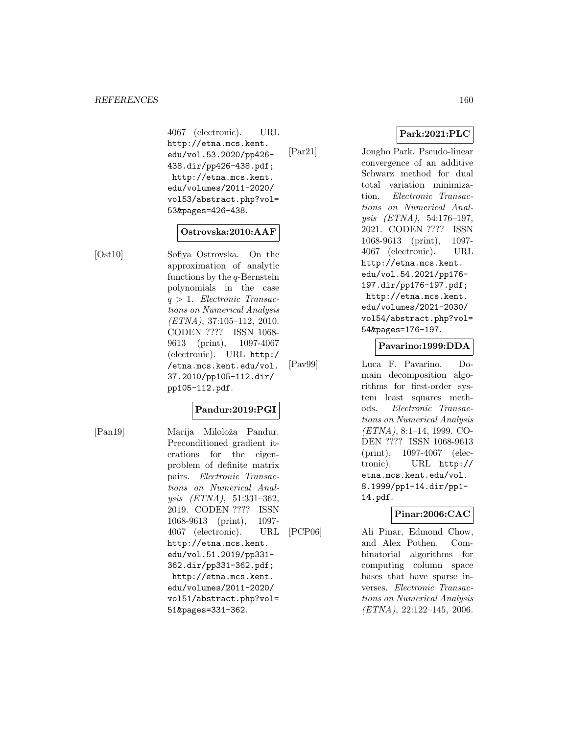4067 (electronic). URL http://etna.mcs.kent. edu/vol.53.2020/pp426- 438.dir/pp426-438.pdf; http://etna.mcs.kent. edu/volumes/2011-2020/ vol53/abstract.php?vol= 53&pages=426-438.

# **Ostrovska:2010:AAF**

[Ost10] Sofiya Ostrovska. On the approximation of analytic functions by the  $q$ -Bernstein polynomials in the case  $q > 1$ . Electronic Transactions on Numerical Analysis (ETNA), 37:105–112, 2010. CODEN ???? ISSN 1068- 9613 (print), 1097-4067 (electronic). URL http:/ /etna.mcs.kent.edu/vol. 37.2010/pp105-112.dir/ pp105-112.pdf.

# **Pandur:2019:PGI**

[Pan19] Marija Miloloža Pandur. Preconditioned gradient iterations for the eigenproblem of definite matrix pairs. Electronic Transactions on Numerical Analysis (ETNA), 51:331–362, 2019. CODEN ???? ISSN 1068-9613 (print), 1097- 4067 (electronic). URL http://etna.mcs.kent. edu/vol.51.2019/pp331- 362.dir/pp331-362.pdf; http://etna.mcs.kent. edu/volumes/2011-2020/ vol51/abstract.php?vol= 51&pages=331-362.

**Park:2021:PLC**

[Par21] Jongho Park. Pseudo-linear convergence of an additive Schwarz method for dual total variation minimization. Electronic Transactions on Numerical Analysis (ETNA), 54:176–197, 2021. CODEN ???? ISSN 1068-9613 (print), 1097- 4067 (electronic). URL http://etna.mcs.kent. edu/vol.54.2021/pp176- 197.dir/pp176-197.pdf; http://etna.mcs.kent. edu/volumes/2021-2030/ vol54/abstract.php?vol= 54&pages=176-197.

#### **Pavarino:1999:DDA**

[Pav99] Luca F. Pavarino. Domain decomposition algorithms for first-order system least squares methods. Electronic Transactions on Numerical Analysis (ETNA), 8:1–14, 1999. CO-DEN ???? ISSN 1068-9613 (print), 1097-4067 (electronic). URL http:// etna.mcs.kent.edu/vol. 8.1999/pp1-14.dir/pp1- 14.pdf.

# **Pinar:2006:CAC**

[PCP06] Ali Pinar, Edmond Chow, and Alex Pothen. Combinatorial algorithms for computing column space bases that have sparse inverses. Electronic Transactions on Numerical Analysis (ETNA), 22:122–145, 2006.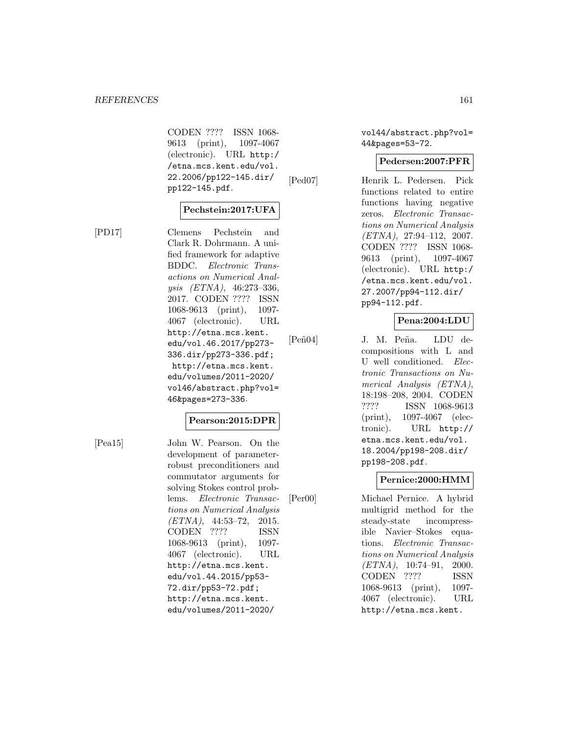CODEN ???? ISSN 1068- 9613 (print), 1097-4067 (electronic). URL http:/ /etna.mcs.kent.edu/vol. 22.2006/pp122-145.dir/ pp122-145.pdf.

# **Pechstein:2017:UFA**

[PD17] Clemens Pechstein and Clark R. Dohrmann. A unified framework for adaptive BDDC. Electronic Transactions on Numerical Analysis (ETNA), 46:273–336, 2017. CODEN ???? ISSN 1068-9613 (print), 1097- 4067 (electronic). URL http://etna.mcs.kent. edu/vol.46.2017/pp273- 336.dir/pp273-336.pdf; http://etna.mcs.kent. edu/volumes/2011-2020/ vol46/abstract.php?vol= 46&pages=273-336.

#### **Pearson:2015:DPR**

[Pea15] John W. Pearson. On the development of parameterrobust preconditioners and commutator arguments for solving Stokes control problems. Electronic Transactions on Numerical Analysis  $(ETNA)$ , 44:53-72, 2015. CODEN ???? ISSN 1068-9613 (print), 1097- 4067 (electronic). URL http://etna.mcs.kent. edu/vol.44.2015/pp53- 72.dir/pp53-72.pdf; http://etna.mcs.kent. edu/volumes/2011-2020/

vol44/abstract.php?vol= 44&pages=53-72.

#### **Pedersen:2007:PFR**

[Ped07] Henrik L. Pedersen. Pick functions related to entire functions having negative zeros. Electronic Transactions on Numerical Analysis  $(ETNA), 27:94-112, 2007.$ CODEN ???? ISSN 1068- 9613 (print), 1097-4067 (electronic). URL http:/ /etna.mcs.kent.edu/vol. 27.2007/pp94-112.dir/ pp94-112.pdf.

# **Pena:2004:LDU**

[Pe˜n04] J. M. Pe˜na. LDU decompositions with L and U well conditioned. Electronic Transactions on Numerical Analysis (ETNA), 18:198–208, 2004. CODEN ???? ISSN 1068-9613 (print), 1097-4067 (electronic). URL http:// etna.mcs.kent.edu/vol. 18.2004/pp198-208.dir/ pp198-208.pdf.

#### **Pernice:2000:HMM**

[Per00] Michael Pernice. A hybrid multigrid method for the steady-state incompressible Navier–Stokes equations. Electronic Transactions on Numerical Analysis  $(ETNA)$ , 10:74-91, 2000. CODEN ???? ISSN 1068-9613 (print), 1097- 4067 (electronic). URL http://etna.mcs.kent.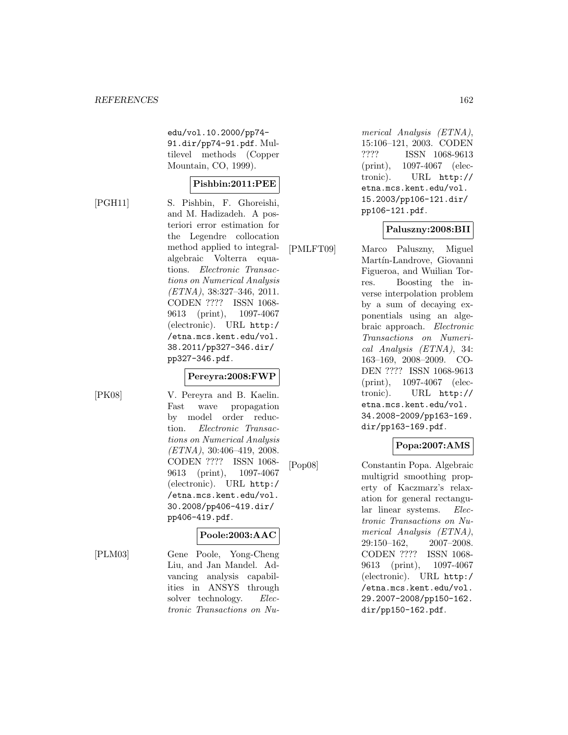edu/vol.10.2000/pp74- 91.dir/pp74-91.pdf. Multilevel methods (Copper Mountain, CO, 1999).

# **Pishbin:2011:PEE**

[PGH11] S. Pishbin, F. Ghoreishi, and M. Hadizadeh. A posteriori error estimation for the Legendre collocation method applied to integralalgebraic Volterra equations. Electronic Transactions on Numerical Analysis (ETNA), 38:327–346, 2011. CODEN ???? ISSN 1068- 9613 (print), 1097-4067 (electronic). URL http:/ /etna.mcs.kent.edu/vol. 38.2011/pp327-346.dir/ pp327-346.pdf.

[PK08] V. Pereyra and B. Kaelin. Fast wave propagation by model order reduction. Electronic Transactions on Numerical Analysis  $(ETNA)$ , 30:406-419, 2008. CODEN ???? ISSN 1068- 9613 (print), 1097-4067 (electronic). URL http:/ /etna.mcs.kent.edu/vol. 30.2008/pp406-419.dir/ pp406-419.pdf.

**Pereyra:2008:FWP**

# **Poole:2003:AAC**

[PLM03] Gene Poole, Yong-Cheng Liu, and Jan Mandel. Advancing analysis capabilities in ANSYS through solver technology. Electronic Transactions on Numerical Analysis (ETNA), 15:106–121, 2003. CODEN ???? ISSN 1068-9613 (print), 1097-4067 (electronic). URL http:// etna.mcs.kent.edu/vol. 15.2003/pp106-121.dir/ pp106-121.pdf.

# **Paluszny:2008:BII**

[PMLFT09] Marco Paluszny, Miguel Martín-Landrove, Giovanni Figueroa, and Wuilian Torres. Boosting the inverse interpolation problem by a sum of decaying exponentials using an algebraic approach. Electronic Transactions on Numerical Analysis (ETNA), 34: 163–169, 2008–2009. CO-DEN ???? ISSN 1068-9613 (print), 1097-4067 (electronic). URL http:// etna.mcs.kent.edu/vol. 34.2008-2009/pp163-169. dir/pp163-169.pdf.

# **Popa:2007:AMS**

[Pop08] Constantin Popa. Algebraic multigrid smoothing property of Kaczmarz's relaxation for general rectangular linear systems. Electronic Transactions on Numerical Analysis (ETNA), 29:150–162, 2007–2008. CODEN ???? ISSN 1068- 9613 (print), 1097-4067 (electronic). URL http:/ /etna.mcs.kent.edu/vol. 29.2007-2008/pp150-162. dir/pp150-162.pdf.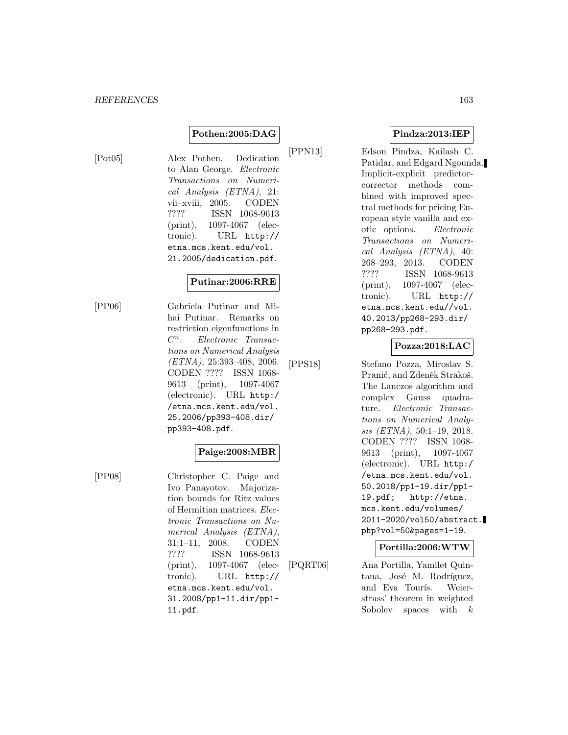# **Pothen:2005:DAG**

[Pot05] Alex Pothen. Dedication to Alan George. Electronic Transactions on Numerical Analysis (ETNA), 21: vii–xviii, 2005. CODEN ???? ISSN 1068-9613 (print), 1097-4067 (electronic). URL http:// etna.mcs.kent.edu/vol. 21.2005/dedication.pdf.

#### **Putinar:2006:RRE**

[PP06] Gabriela Putinar and Mihai Putinar. Remarks on restriction eigenfunctions in  $C^n$ . Electronic Transactions on Numerical Analysis (ETNA), 25:393–408, 2006. CODEN ???? ISSN 1068- 9613 (print), 1097-4067 (electronic). URL http:/ /etna.mcs.kent.edu/vol. 25.2006/pp393-408.dir/ pp393-408.pdf.

# **Paige:2008:MBR**

[PP08] Christopher C. Paige and Ivo Panayotov. Majorization bounds for Ritz values of Hermitian matrices. Electronic Transactions on Numerical Analysis (ETNA), 31:1–11, 2008. CODEN ???? ISSN 1068-9613 (print), 1097-4067 (electronic). URL http:// etna.mcs.kent.edu/vol. 31.2008/pp1-11.dir/pp1- 11.pdf.

**Pindza:2013:IEP**

[PPN13] Edson Pindza, Kailash C. Patidar, and Edgard Ngounda. Implicit-explicit predictorcorrector methods combined with improved spectral methods for pricing European style vanilla and exotic options. Electronic Transactions on Numerical Analysis (ETNA), 40: 268–293, 2013. CODEN ???? ISSN 1068-9613 (print), 1097-4067 (electronic). URL http:// etna.mcs.kent.edu//vol. 40.2013/pp268-293.dir/ pp268-293.pdf.

# **Pozza:2018:LAC**

[PPS18] Stefano Pozza, Miroslav S. Pranić, and Zdeněk Strakoš. The Lanczos algorithm and complex Gauss quadrature. Electronic Transactions on Numerical Analysis (ETNA), 50:1–19, 2018. CODEN ???? ISSN 1068- 9613 (print), 1097-4067 (electronic). URL http:/ /etna.mcs.kent.edu/vol. 50.2018/pp1-19.dir/pp1- 19.pdf; http://etna. mcs.kent.edu/volumes/ 2011-2020/vol50/abstract. php?vol=50&pages=1-19.

#### **Portilla:2006:WTW**

[PQRT06] Ana Portilla, Yamilet Quintana, José M. Rodríguez, and Eva Tourís. Weierstrass' theorem in weighted Sobolev spaces with  $k$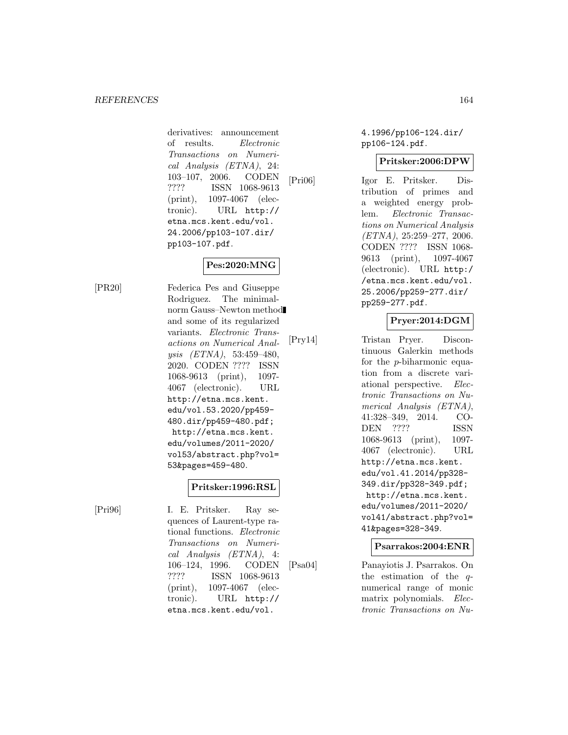derivatives: announcement of results. Electronic Transactions on Numerical Analysis (ETNA), 24: 103–107, 2006. CODEN ???? ISSN 1068-9613 (print), 1097-4067 (electronic). URL http:// etna.mcs.kent.edu/vol. 24.2006/pp103-107.dir/ pp103-107.pdf.

# **Pes:2020:MNG**

[PR20] Federica Pes and Giuseppe Rodriguez. The minimalnorm Gauss–Newton method and some of its regularized variants. Electronic Transactions on Numerical Analysis (ETNA), 53:459–480, 2020. CODEN ???? ISSN 1068-9613 (print), 1097- 4067 (electronic). URL http://etna.mcs.kent. edu/vol.53.2020/pp459- 480.dir/pp459-480.pdf; http://etna.mcs.kent. edu/volumes/2011-2020/ vol53/abstract.php?vol= 53&pages=459-480.

# **Pritsker:1996:RSL**

[Pri96] I. E. Pritsker. Ray sequences of Laurent-type rational functions. Electronic Transactions on Numerical Analysis (ETNA), 4: 106–124, 1996. CODEN ???? ISSN 1068-9613 (print), 1097-4067 (electronic). URL http:// etna.mcs.kent.edu/vol.

4.1996/pp106-124.dir/ pp106-124.pdf.

# **Pritsker:2006:DPW**

[Pri06] Igor E. Pritsker. Distribution of primes and a weighted energy problem. Electronic Transactions on Numerical Analysis  $(ETNA), 25:259-277, 2006.$ CODEN ???? ISSN 1068- 9613 (print), 1097-4067 (electronic). URL http:/ /etna.mcs.kent.edu/vol. 25.2006/pp259-277.dir/ pp259-277.pdf.

# **Pryer:2014:DGM**

[Pry14] Tristan Pryer. Discontinuous Galerkin methods for the p-biharmonic equation from a discrete variational perspective. Electronic Transactions on Numerical Analysis (ETNA), 41:328–349, 2014. CO-DEN ???? ISSN 1068-9613 (print), 1097- 4067 (electronic). URL http://etna.mcs.kent. edu/vol.41.2014/pp328- 349.dir/pp328-349.pdf; http://etna.mcs.kent. edu/volumes/2011-2020/ vol41/abstract.php?vol= 41&pages=328-349.

# **Psarrakos:2004:ENR**

[Psa04] Panayiotis J. Psarrakos. On the estimation of the qnumerical range of monic matrix polynomials. Electronic Transactions on Nu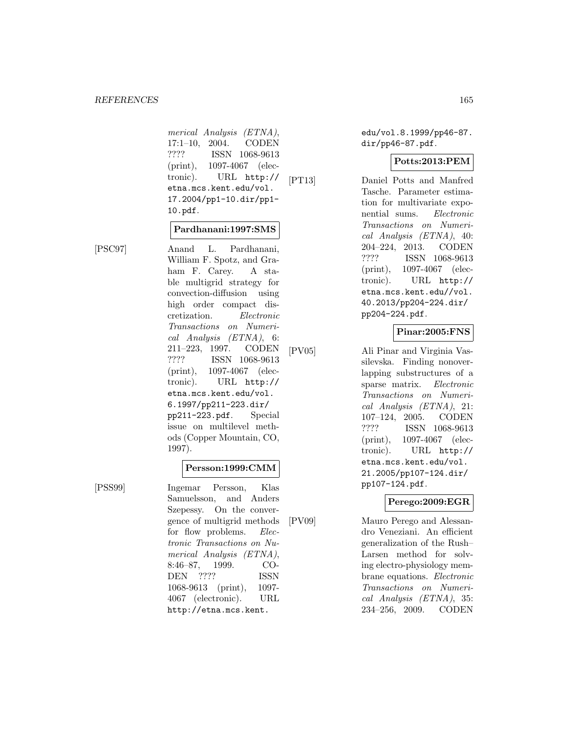merical Analysis (ETNA), 17:1–10, 2004. CODEN ???? ISSN 1068-9613 (print), 1097-4067 (electronic). URL http:// etna.mcs.kent.edu/vol. 17.2004/pp1-10.dir/pp1- 10.pdf.

#### **Pardhanani:1997:SMS**

[PSC97] Anand L. Pardhanani, William F. Spotz, and Graham F. Carey. A stable multigrid strategy for convection-diffusion using high order compact discretization. Electronic Transactions on Numerical Analysis (ETNA), 6: 211–223, 1997. CODEN ???? ISSN 1068-9613 (print), 1097-4067 (electronic). URL http:// etna.mcs.kent.edu/vol. 6.1997/pp211-223.dir/ pp211-223.pdf. Special issue on multilevel methods (Copper Mountain, CO, 1997).

#### **Persson:1999:CMM**

[PSS99] Ingemar Persson, Klas Samuelsson, and Anders Szepessy. On the convergence of multigrid methods for flow problems. *Elec*tronic Transactions on Numerical Analysis (ETNA), 8:46–87, 1999. CO-DEN ???? ISSN 1068-9613 (print), 1097- 4067 (electronic). URL http://etna.mcs.kent.

edu/vol.8.1999/pp46-87. dir/pp46-87.pdf.

#### **Potts:2013:PEM**

[PT13] Daniel Potts and Manfred Tasche. Parameter estimation for multivariate exponential sums. Electronic Transactions on Numerical Analysis (ETNA), 40: 204–224, 2013. CODEN ???? ISSN 1068-9613 (print), 1097-4067 (electronic). URL http:// etna.mcs.kent.edu//vol. 40.2013/pp204-224.dir/ pp204-224.pdf.

# **Pinar:2005:FNS**

[PV05] Ali Pinar and Virginia Vassilevska. Finding nonoverlapping substructures of a sparse matrix. Electronic Transactions on Numerical Analysis (ETNA), 21: 107–124, 2005. CODEN ???? ISSN 1068-9613 (print), 1097-4067 (electronic). URL http:// etna.mcs.kent.edu/vol. 21.2005/pp107-124.dir/ pp107-124.pdf.

# **Perego:2009:EGR**

[PV09] Mauro Perego and Alessandro Veneziani. An efficient generalization of the Rush– Larsen method for solving electro-physiology membrane equations. Electronic Transactions on Numerical Analysis (ETNA), 35: 234–256, 2009. CODEN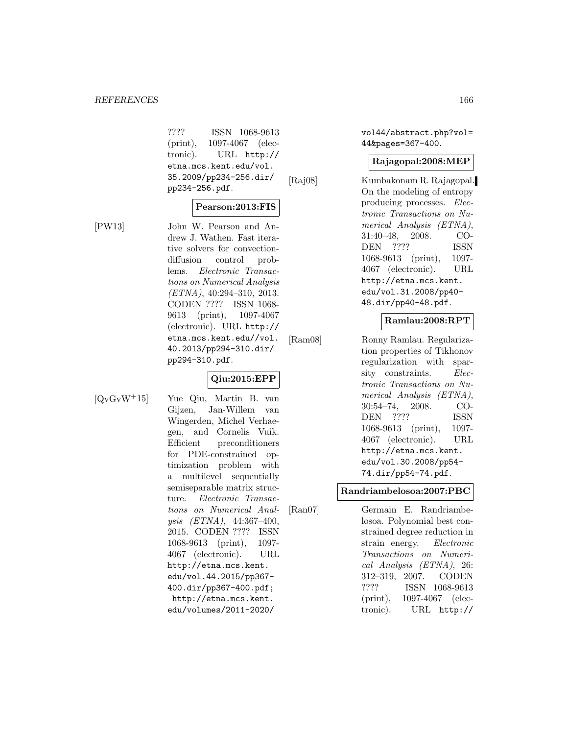???? ISSN 1068-9613 (print), 1097-4067 (electronic). URL http:// etna.mcs.kent.edu/vol. 35.2009/pp234-256.dir/ pp234-256.pdf.

# **Pearson:2013:FIS**

[PW13] John W. Pearson and Andrew J. Wathen. Fast iterative solvers for convectiondiffusion control problems. Electronic Transactions on Numerical Analysis  $(ETNA), 40:294-310, 2013.$ CODEN ???? ISSN 1068- 9613 (print), 1097-4067 (electronic). URL http:// etna.mcs.kent.edu//vol. 40.2013/pp294-310.dir/ pp294-310.pdf.

# **Qiu:2015:EPP**

[QvGvW<sup>+</sup>15] Yue Qiu, Martin B. van Gijzen, Jan-Willem van Wingerden, Michel Verhaegen, and Cornelis Vuik. Efficient preconditioners for PDE-constrained optimization problem with a multilevel sequentially semiseparable matrix structure. Electronic Transactions on Numerical Analysis (ETNA), 44:367–400, 2015. CODEN ???? ISSN 1068-9613 (print), 1097- 4067 (electronic). URL http://etna.mcs.kent. edu/vol.44.2015/pp367- 400.dir/pp367-400.pdf; http://etna.mcs.kent. edu/volumes/2011-2020/

vol44/abstract.php?vol= 44&pages=367-400.

#### **Rajagopal:2008:MEP**

[Raj08] Kumbakonam R. Rajagopal. On the modeling of entropy producing processes. Electronic Transactions on Numerical Analysis (ETNA), 31:40–48, 2008. CO-DEN ???? ISSN 1068-9613 (print), 1097- 4067 (electronic). URL http://etna.mcs.kent. edu/vol.31.2008/pp40- 48.dir/pp40-48.pdf.

# **Ramlau:2008:RPT**

[Ram08] Ronny Ramlau. Regularization properties of Tikhonov regularization with sparsity constraints. Electronic Transactions on Numerical Analysis (ETNA), 30:54–74, 2008. CO-DEN ???? ISSN 1068-9613 (print), 1097- 4067 (electronic). URL http://etna.mcs.kent. edu/vol.30.2008/pp54- 74.dir/pp54-74.pdf.

# **Randriambelosoa:2007:PBC**

[Ran07] Germain E. Randriambelosoa. Polynomial best constrained degree reduction in strain energy. Electronic Transactions on Numerical Analysis (ETNA), 26: 312–319, 2007. CODEN ???? ISSN 1068-9613 (print), 1097-4067 (electronic). URL http://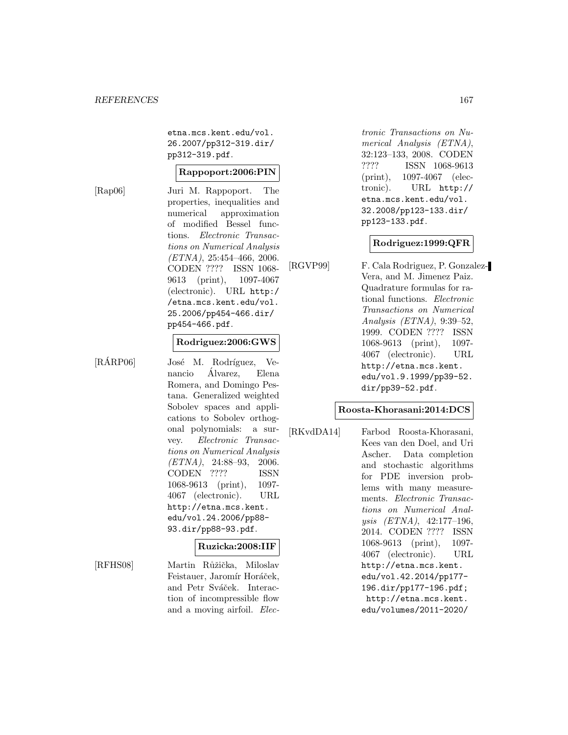etna.mcs.kent.edu/vol. 26.2007/pp312-319.dir/ pp312-319.pdf.

#### **Rappoport:2006:PIN**

[Rap06] Juri M. Rappoport. The properties, inequalities and numerical approximation of modified Bessel functions. Electronic Transactions on Numerical Analysis  $(ETNA), 25:454-466, 2006.$ CODEN ???? ISSN 1068- 9613 (print), 1097-4067 (electronic). URL http:/ /etna.mcs.kent.edu/vol. 25.2006/pp454-466.dir/ pp454-466.pdf.

#### **Rodriguez:2006:GWS**

[RÁRP06] José M. Rodríguez, Venancio Alvarez, Elena ´ Romera, and Domingo Pestana. Generalized weighted Sobolev spaces and applications to Sobolev orthogonal polynomials: a survey. Electronic Transactions on Numerical Analysis  $(ETNA)$ , 24:88-93, 2006. CODEN ???? ISSN 1068-9613 (print), 1097- 4067 (electronic). URL http://etna.mcs.kent. edu/vol.24.2006/pp88- 93.dir/pp88-93.pdf.

#### **Ruzicka:2008:IIF**

[RFHS08] Martin Růžička, Miloslav Feistauer, Jaromír Horáček, and Petr Sváček. Interaction of incompressible flow and a moving airfoil. Electronic Transactions on Numerical Analysis (ETNA), 32:123–133, 2008. CODEN ???? ISSN 1068-9613 (print), 1097-4067 (electronic). URL http:// etna.mcs.kent.edu/vol. 32.2008/pp123-133.dir/ pp123-133.pdf.

#### **Rodriguez:1999:QFR**

[RGVP99] F. Cala Rodriguez, P. Gonzalez-Vera, and M. Jimenez Paiz. Quadrature formulas for rational functions. Electronic Transactions on Numerical Analysis (ETNA), 9:39–52, 1999. CODEN ???? ISSN 1068-9613 (print), 1097- 4067 (electronic). URL http://etna.mcs.kent. edu/vol.9.1999/pp39-52. dir/pp39-52.pdf.

#### **Roosta-Khorasani:2014:DCS**

[RKvdDA14] Farbod Roosta-Khorasani, Kees van den Doel, and Uri Ascher. Data completion and stochastic algorithms for PDE inversion problems with many measurements. Electronic Transactions on Numerical Analysis (ETNA), 42:177–196, 2014. CODEN ???? ISSN 1068-9613 (print), 1097- 4067 (electronic). URL http://etna.mcs.kent. edu/vol.42.2014/pp177- 196.dir/pp177-196.pdf; http://etna.mcs.kent. edu/volumes/2011-2020/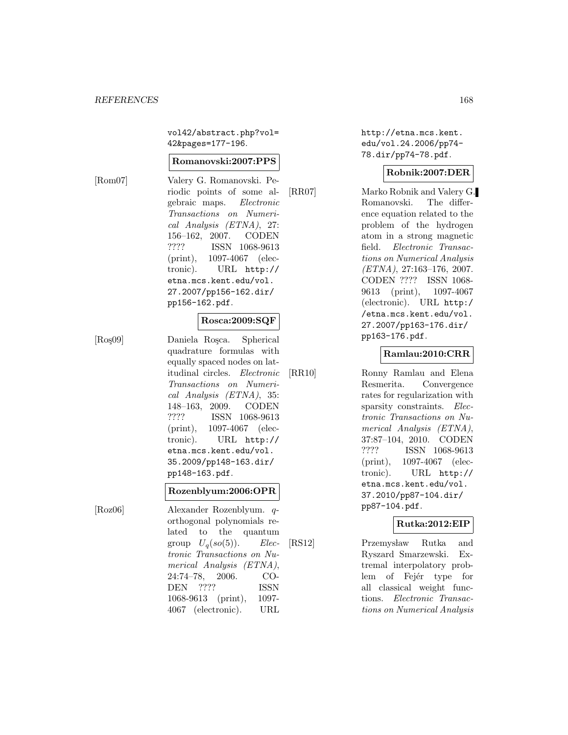vol42/abstract.php?vol= 42&pages=177-196.

#### **Romanovski:2007:PPS**

[Rom07] Valery G. Romanovski. Periodic points of some algebraic maps. Electronic Transactions on Numerical Analysis (ETNA), 27: 156–162, 2007. CODEN ???? ISSN 1068-9613 (print), 1097-4067 (electronic). URL http:// etna.mcs.kent.edu/vol. 27.2007/pp156-162.dir/ pp156-162.pdf.

# **Rosca:2009:SQF**

[Roş09] Daniela Roșca. Spherical quadrature formulas with equally spaced nodes on latitudinal circles. Electronic Transactions on Numerical Analysis (ETNA), 35: 148–163, 2009. CODEN ???? ISSN 1068-9613 (print), 1097-4067 (electronic). URL http:// etna.mcs.kent.edu/vol. 35.2009/pp148-163.dir/ pp148-163.pdf.

#### **Rozenblyum:2006:OPR**

[Roz06] Alexander Rozenblyum. qorthogonal polynomials related to the quantum group  $U_q(so(5))$ . Electronic Transactions on Numerical Analysis (ETNA), 24:74–78, 2006. CO-DEN ???? ISSN 1068-9613 (print), 1097- 4067 (electronic). URL

http://etna.mcs.kent. edu/vol.24.2006/pp74- 78.dir/pp74-78.pdf.

#### **Robnik:2007:DER**

[RR07] Marko Robnik and Valery G. Romanovski. The difference equation related to the problem of the hydrogen atom in a strong magnetic field. Electronic Transactions on Numerical Analysis (ETNA), 27:163–176, 2007. CODEN ???? ISSN 1068- 9613 (print), 1097-4067 (electronic). URL http:/ /etna.mcs.kent.edu/vol. 27.2007/pp163-176.dir/ pp163-176.pdf.

#### **Ramlau:2010:CRR**

[RR10] Ronny Ramlau and Elena Resmerita. Convergence rates for regularization with sparsity constraints. *Elec*tronic Transactions on Numerical Analysis (ETNA), 37:87–104, 2010. CODEN ???? ISSN 1068-9613 (print), 1097-4067 (electronic). URL http:// etna.mcs.kent.edu/vol. 37.2010/pp87-104.dir/ pp87-104.pdf.

#### **Rutka:2012:EIP**

[RS12] Przemysław Rutka and Ryszard Smarzewski. Extremal interpolatory problem of Fejér type for all classical weight functions. Electronic Transactions on Numerical Analysis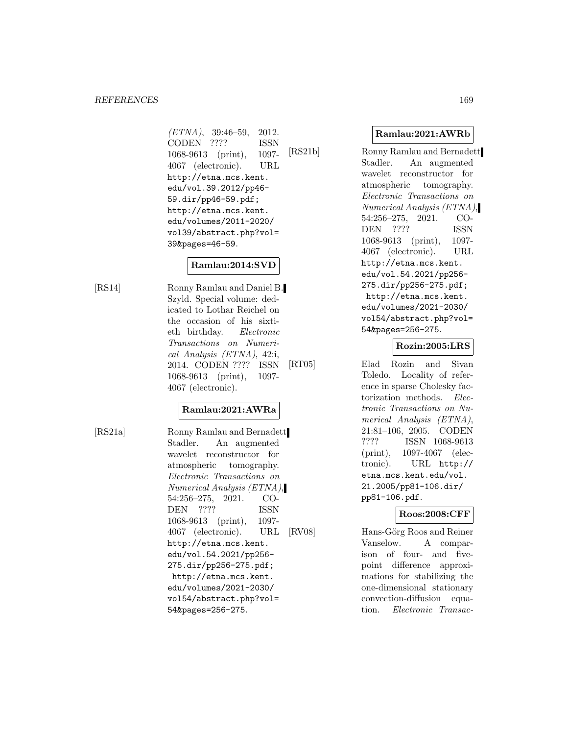$(ETNA)$ , 39:46-59, 2012. CODEN ???? ISSN 1068-9613 (print), 1097- 4067 (electronic). URL http://etna.mcs.kent. edu/vol.39.2012/pp46- 59.dir/pp46-59.pdf; http://etna.mcs.kent. edu/volumes/2011-2020/ vol39/abstract.php?vol= 39&pages=46-59.

# **Ramlau:2014:SVD**

[RS14] Ronny Ramlau and Daniel B. Szyld. Special volume: dedicated to Lothar Reichel on the occasion of his sixtieth birthday. Electronic Transactions on Numerical Analysis (ETNA), 42:i, 2014. CODEN ???? ISSN 1068-9613 (print), 1097- 4067 (electronic).

# **Ramlau:2021:AWRa**

[RS21a] Ronny Ramlau and Bernadett Stadler. An augmented wavelet reconstructor for atmospheric tomography. Electronic Transactions on Numerical Analysis (ETNA), 54:256–275, 2021. CO-DEN ???? ISSN 1068-9613 (print), 1097- 4067 (electronic). URL http://etna.mcs.kent. edu/vol.54.2021/pp256- 275.dir/pp256-275.pdf; http://etna.mcs.kent. edu/volumes/2021-2030/ vol54/abstract.php?vol= 54&pages=256-275.

# **Ramlau:2021:AWRb**

[RS21b] Ronny Ramlau and Bernadett Stadler. An augmented wavelet reconstructor for atmospheric tomography. Electronic Transactions on Numerical Analysis (ETNA), 54:256–275, 2021. CO-DEN ???? ISSN 1068-9613 (print), 1097- 4067 (electronic). URL http://etna.mcs.kent. edu/vol.54.2021/pp256- 275.dir/pp256-275.pdf; http://etna.mcs.kent. edu/volumes/2021-2030/ vol54/abstract.php?vol= 54&pages=256-275.

#### **Rozin:2005:LRS**

[RT05] Elad Rozin and Sivan Toledo. Locality of reference in sparse Cholesky factorization methods. Electronic Transactions on Numerical Analysis (ETNA), 21:81–106, 2005. CODEN ???? ISSN 1068-9613 (print), 1097-4067 (electronic). URL http:// etna.mcs.kent.edu/vol. 21.2005/pp81-106.dir/ pp81-106.pdf.

# **Roos:2008:CFF**

[RV08] Hans-Görg Roos and Reiner Vanselow. A comparison of four- and fivepoint difference approximations for stabilizing the one-dimensional stationary convection-diffusion equation. Electronic Transac-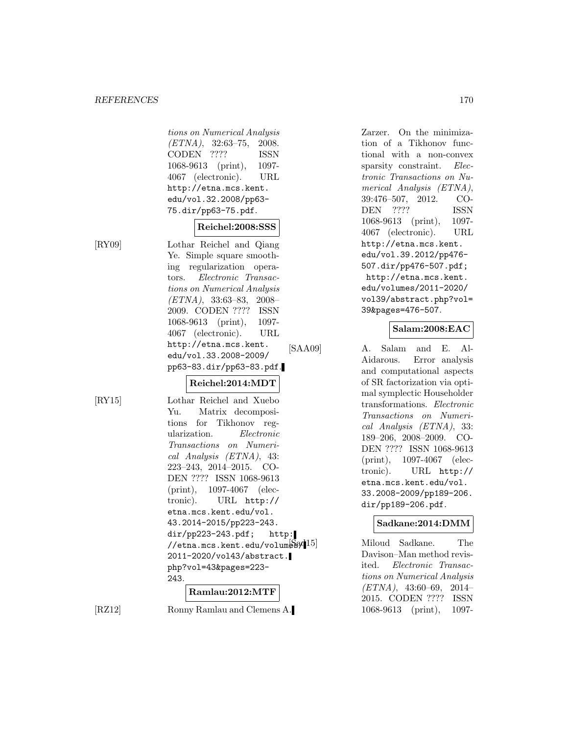tions on Numerical Analysis  $(ETNA)$ , 32:63-75, 2008. CODEN ???? ISSN 1068-9613 (print), 1097- 4067 (electronic). URL http://etna.mcs.kent. edu/vol.32.2008/pp63- 75.dir/pp63-75.pdf.

# **Reichel:2008:SSS**

[RY09] Lothar Reichel and Qiang Ye. Simple square smoothing regularization operators. Electronic Transactions on Numerical Analysis (ETNA), 33:63–83, 2008– 2009. CODEN ???? ISSN 1068-9613 (print), 1097- 4067 (electronic). URL http://etna.mcs.kent. edu/vol.33.2008-2009/ pp63-83.dir/pp63-83.pdf.

# **Reichel:2014:MDT**

[RY15] Lothar Reichel and Xuebo Yu. Matrix decompositions for Tikhonov regularization. Electronic Transactions on Numerical Analysis (ETNA), 43: 223–243, 2014–2015. CO-DEN ???? ISSN 1068-9613 (print), 1097-4067 (electronic). URL http:// etna.mcs.kent.edu/vol. 43.2014-2015/pp223-243. dir/pp223-243.pdf; http:  $//etna.mcs.kent.edu/volumes$ 2011-2020/vol43/abstract. php?vol=43&pages=223- 243.

#### **Ramlau:2012:MTF**

[RZ12] Ronny Ramlau and Clemens A.

Zarzer. On the minimization of a Tikhonov functional with a non-convex sparsity constraint. Electronic Transactions on Numerical Analysis (ETNA), 39:476–507, 2012. CO-DEN ???? ISSN 1068-9613 (print), 1097- 4067 (electronic). URL http://etna.mcs.kent. edu/vol.39.2012/pp476- 507.dir/pp476-507.pdf; http://etna.mcs.kent. edu/volumes/2011-2020/ vol39/abstract.php?vol= 39&pages=476-507.

#### **Salam:2008:EAC**

[SAA09] A. Salam and E. Al-Aidarous. Error analysis and computational aspects of SR factorization via optimal symplectic Householder transformations. Electronic Transactions on Numerical Analysis (ETNA), 33: 189–206, 2008–2009. CO-DEN ???? ISSN 1068-9613 (print), 1097-4067 (electronic). URL http:// etna.mcs.kent.edu/vol. 33.2008-2009/pp189-206. dir/pp189-206.pdf.

# **Sadkane:2014:DMM**

Miloud Sadkane. The Davison–Man method revisited. Electronic Transactions on Numerical Analysis  $(ETNA)$ , 43:60-69, 2014-2015. CODEN ???? ISSN 1068-9613 (print), 1097-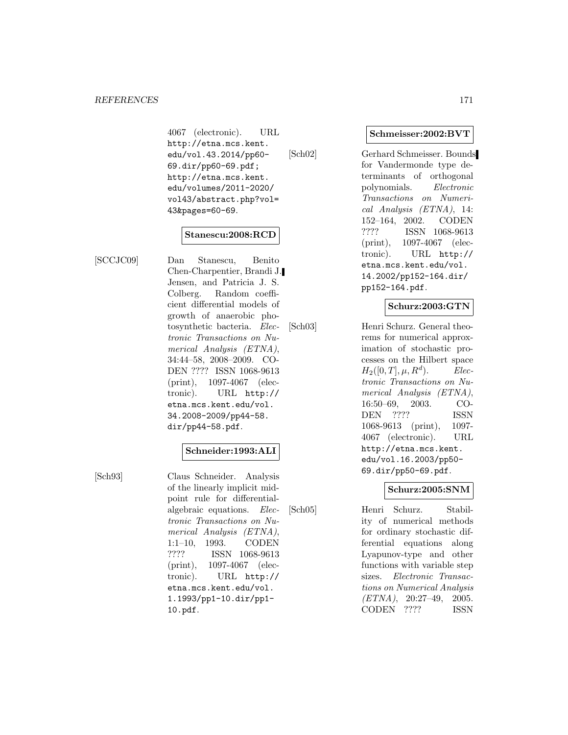4067 (electronic). URL http://etna.mcs.kent. edu/vol.43.2014/pp60- 69.dir/pp60-69.pdf; http://etna.mcs.kent. edu/volumes/2011-2020/ vol43/abstract.php?vol= 43&pages=60-69.

#### **Stanescu:2008:RCD**

[SCCJC09] Dan Stanescu, Benito Chen-Charpentier, Brandi J. Jensen, and Patricia J. S. Colberg. Random coefficient differential models of growth of anaerobic photosynthetic bacteria. Electronic Transactions on Numerical Analysis (ETNA), 34:44–58, 2008–2009. CO-DEN ???? ISSN 1068-9613 (print), 1097-4067 (electronic). URL http:// etna.mcs.kent.edu/vol. 34.2008-2009/pp44-58. dir/pp44-58.pdf.

# **Schneider:1993:ALI**

[Sch93] Claus Schneider. Analysis of the linearly implicit midpoint rule for differentialalgebraic equations. Electronic Transactions on Numerical Analysis (ETNA), 1:1–10, 1993. CODEN ???? ISSN 1068-9613 (print), 1097-4067 (electronic). URL http:// etna.mcs.kent.edu/vol. 1.1993/pp1-10.dir/pp1- 10.pdf.

#### **Schmeisser:2002:BVT**

[Sch02] Gerhard Schmeisser. Bounds for Vandermonde type determinants of orthogonal polynomials. Electronic Transactions on Numerical Analysis (ETNA), 14: 152–164, 2002. CODEN ???? ISSN 1068-9613 (print), 1097-4067 (electronic). URL http:// etna.mcs.kent.edu/vol. 14.2002/pp152-164.dir/ pp152-164.pdf.

# **Schurz:2003:GTN**

[Sch03] Henri Schurz. General theorems for numerical approximation of stochastic processes on the Hilbert space  $H_2([0, T], \mu, R^d)$ . Electronic Transactions on Numerical Analysis (ETNA), 16:50–69, 2003. CO-DEN ???? ISSN 1068-9613 (print), 1097- 4067 (electronic). URL http://etna.mcs.kent. edu/vol.16.2003/pp50- 69.dir/pp50-69.pdf.

# **Schurz:2005:SNM**

[Sch05] Henri Schurz. Stability of numerical methods for ordinary stochastic differential equations along Lyapunov-type and other functions with variable step sizes. Electronic Transactions on Numerical Analysis (ETNA), 20:27–49, 2005. CODEN ???? ISSN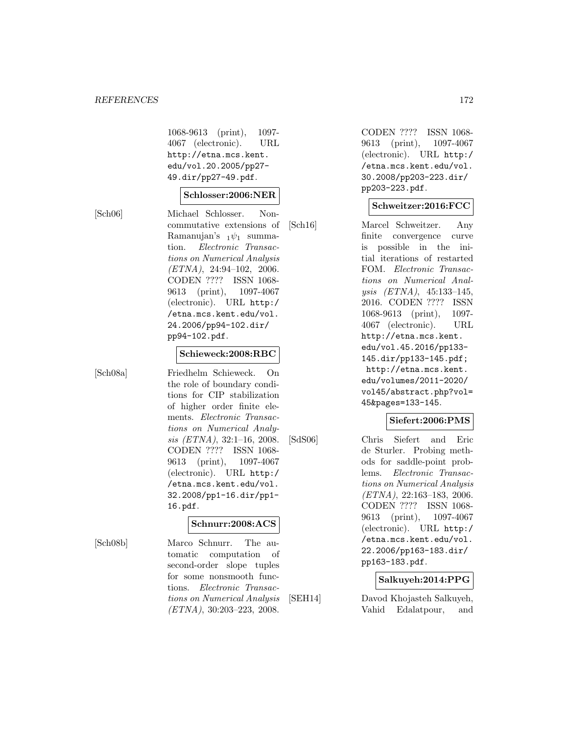1068-9613 (print), 1097- 4067 (electronic). URL http://etna.mcs.kent. edu/vol.20.2005/pp27- 49.dir/pp27-49.pdf.

#### **Schlosser:2006:NER**

[Sch06] Michael Schlosser. Noncommutative extensions of Ramanujan's  $_1\psi_1$  summation. Electronic Transactions on Numerical Analysis  $(ETNA)$ , 24:94-102, 2006. CODEN ???? ISSN 1068- 9613 (print), 1097-4067 (electronic). URL http:/ /etna.mcs.kent.edu/vol. 24.2006/pp94-102.dir/ pp94-102.pdf.

#### **Schieweck:2008:RBC**

[Sch08a] Friedhelm Schieweck. On the role of boundary conditions for CIP stabilization of higher order finite elements. Electronic Transactions on Numerical Analysis (ETNA), 32:1–16, 2008. CODEN ???? ISSN 1068- 9613 (print), 1097-4067 (electronic). URL http:/ /etna.mcs.kent.edu/vol. 32.2008/pp1-16.dir/pp1- 16.pdf.

#### **Schnurr:2008:ACS**

[Sch08b] Marco Schnurr. The automatic computation of second-order slope tuples for some nonsmooth functions. Electronic Transactions on Numerical Analysis (ETNA), 30:203–223, 2008.

CODEN ???? ISSN 1068- 9613 (print), 1097-4067 (electronic). URL http:/ /etna.mcs.kent.edu/vol. 30.2008/pp203-223.dir/ pp203-223.pdf.

#### **Schweitzer:2016:FCC**

[Sch16] Marcel Schweitzer. Any finite convergence curve is possible in the initial iterations of restarted FOM. Electronic Transactions on Numerical Analysis (ETNA), 45:133–145, 2016. CODEN ???? ISSN 1068-9613 (print), 1097- 4067 (electronic). URL http://etna.mcs.kent. edu/vol.45.2016/pp133- 145.dir/pp133-145.pdf; http://etna.mcs.kent. edu/volumes/2011-2020/ vol45/abstract.php?vol= 45&pages=133-145.

#### **Siefert:2006:PMS**

[SdS06] Chris Siefert and Eric de Sturler. Probing methods for saddle-point problems. Electronic Transactions on Numerical Analysis  $(ETNA), 22:163-183, 2006.$ CODEN ???? ISSN 1068- 9613 (print), 1097-4067 (electronic). URL http:/ /etna.mcs.kent.edu/vol. 22.2006/pp163-183.dir/ pp163-183.pdf.

#### **Salkuyeh:2014:PPG**

[SEH14] Davod Khojasteh Salkuyeh, Vahid Edalatpour, and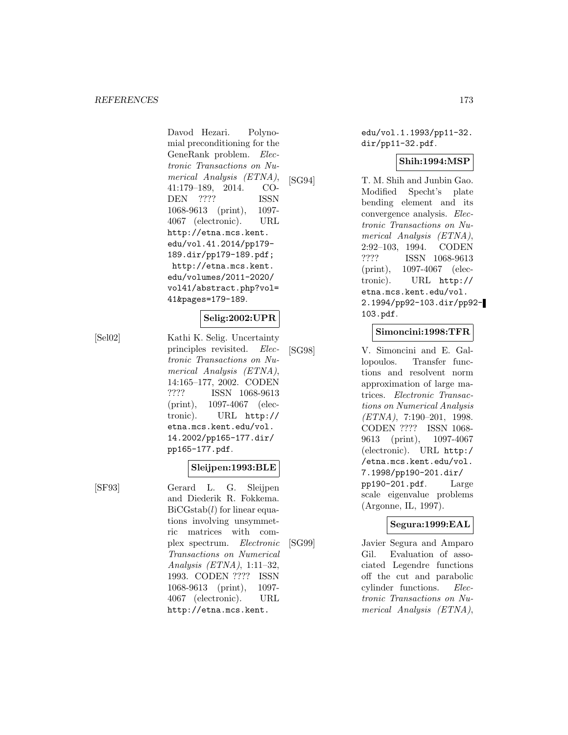Davod Hezari. Polynomial preconditioning for the GeneRank problem. Electronic Transactions on Numerical Analysis (ETNA), 41:179–189, 2014. CO-DEN ???? ISSN 1068-9613 (print), 1097- 4067 (electronic). URL http://etna.mcs.kent. edu/vol.41.2014/pp179- 189.dir/pp179-189.pdf; http://etna.mcs.kent. edu/volumes/2011-2020/ vol41/abstract.php?vol= 41&pages=179-189.

#### **Selig:2002:UPR**

[Sel02] Kathi K. Selig. Uncertainty principles revisited. Electronic Transactions on Numerical Analysis (ETNA), 14:165–177, 2002. CODEN ???? ISSN 1068-9613 (print), 1097-4067 (electronic). URL http:// etna.mcs.kent.edu/vol. 14.2002/pp165-177.dir/ pp165-177.pdf.

**Sleijpen:1993:BLE**

[SF93] Gerard L. G. Sleijpen and Diederik R. Fokkema.  $BiCGstab(l)$  for linear equations involving unsymmetric matrices with complex spectrum. Electronic Transactions on Numerical Analysis (ETNA), 1:11–32, 1993. CODEN ???? ISSN 1068-9613 (print), 1097- 4067 (electronic). URL http://etna.mcs.kent.

edu/vol.1.1993/pp11-32. dir/pp11-32.pdf.

# **Shih:1994:MSP**

[SG94] T. M. Shih and Junbin Gao. Modified Specht's plate bending element and its convergence analysis. Electronic Transactions on Numerical Analysis (ETNA), 2:92–103, 1994. CODEN ???? ISSN 1068-9613 (print), 1097-4067 (electronic). URL http:// etna.mcs.kent.edu/vol. 2.1994/pp92-103.dir/pp92- 103.pdf.

# **Simoncini:1998:TFR**

[SG98] V. Simoncini and E. Gallopoulos. Transfer functions and resolvent norm approximation of large matrices. Electronic Transactions on Numerical Analysis  $(ETNA), 7:190-201, 1998.$ CODEN ???? ISSN 1068- 9613 (print), 1097-4067 (electronic). URL http:/ /etna.mcs.kent.edu/vol. 7.1998/pp190-201.dir/ pp190-201.pdf. Large scale eigenvalue problems (Argonne, IL, 1997).

#### **Segura:1999:EAL**

[SG99] Javier Segura and Amparo Gil. Evaluation of associated Legendre functions off the cut and parabolic cylinder functions. Electronic Transactions on Numerical Analysis (ETNA),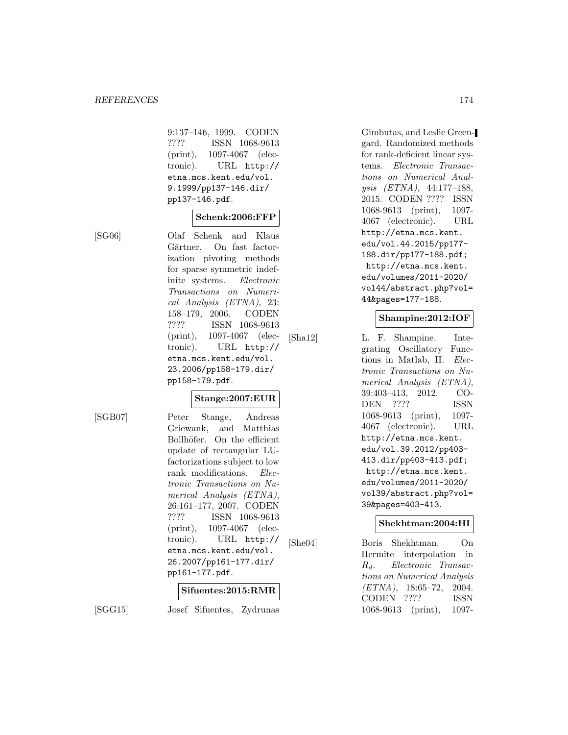9:137–146, 1999. CODEN ???? ISSN 1068-9613 (print), 1097-4067 (electronic). URL http:// etna.mcs.kent.edu/vol. 9.1999/pp137-146.dir/ pp137-146.pdf.

#### **Schenk:2006:FFP**

[SG06] Olaf Schenk and Klaus Gärtner. On fast factorization pivoting methods for sparse symmetric indefinite systems. Electronic Transactions on Numerical Analysis (ETNA), 23: 158–179, 2006. CODEN ???? ISSN 1068-9613 (print), 1097-4067 (electronic). URL http:// etna.mcs.kent.edu/vol. 23.2006/pp158-179.dir/ pp158-179.pdf.

#### **Stange:2007:EUR**

[SGB07] Peter Stange, Andreas Griewank, and Matthias Bollhöfer. On the efficient update of rectangular LUfactorizations subject to low rank modifications. Electronic Transactions on Numerical Analysis (ETNA), 26:161–177, 2007. CODEN ???? ISSN 1068-9613 (print), 1097-4067 (electronic). URL http:// etna.mcs.kent.edu/vol. 26.2007/pp161-177.dir/ pp161-177.pdf.

#### **Sifuentes:2015:RMR**

[SGG15] Josef Sifuentes, Zydrunas

Gimbutas, and Leslie Greengard. Randomized methods for rank-deficient linear systems. Electronic Transactions on Numerical Analysis (ETNA), 44:177–188, 2015. CODEN ???? ISSN 1068-9613 (print), 1097- 4067 (electronic). URL http://etna.mcs.kent. edu/vol.44.2015/pp177- 188.dir/pp177-188.pdf; http://etna.mcs.kent. edu/volumes/2011-2020/ vol44/abstract.php?vol= 44&pages=177-188.

#### **Shampine:2012:IOF**

[Sha12] L. F. Shampine. Integrating Oscillatory Functions in Matlab, II. Electronic Transactions on Numerical Analysis (ETNA), 39:403–413, 2012. CO-DEN ???? ISSN 1068-9613 (print), 1097- 4067 (electronic). URL http://etna.mcs.kent. edu/vol.39.2012/pp403- 413.dir/pp403-413.pdf; http://etna.mcs.kent. edu/volumes/2011-2020/ vol39/abstract.php?vol= 39&pages=403-413.

#### **Shekhtman:2004:HI**

[She04] Boris Shekhtman. On Hermite interpolation in  $R_d$ . Electronic Transactions on Numerical Analysis  $(ETNA)$ , 18:65-72, 2004. CODEN ???? ISSN 1068-9613 (print), 1097-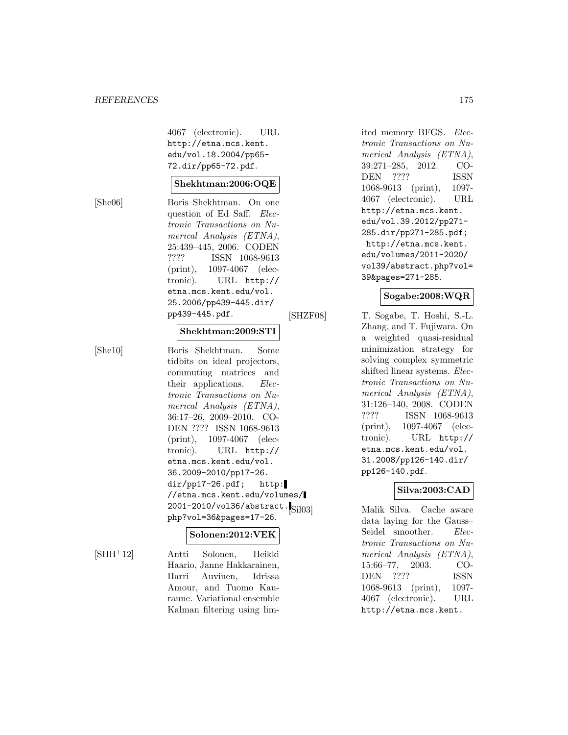#### *REFERENCES* 175

4067 (electronic). URL http://etna.mcs.kent. edu/vol.18.2004/pp65- 72.dir/pp65-72.pdf.

### **Shekhtman:2006:OQE**

[She06] Boris Shekhtman. On one question of Ed Saff. Electronic Transactions on Numerical Analysis (ETNA), 25:439–445, 2006. CODEN ???? ISSN 1068-9613 (print), 1097-4067 (electronic). URL http:// etna.mcs.kent.edu/vol. 25.2006/pp439-445.dir/ pp439-445.pdf.

#### **Shekhtman:2009:STI**

[She10] Boris Shekhtman. Some tidbits on ideal projectors, commuting matrices and their applications. *Elec*tronic Transactions on Numerical Analysis (ETNA), 36:17–26, 2009–2010. CO-DEN ???? ISSN 1068-9613 (print), 1097-4067 (electronic). URL http:// etna.mcs.kent.edu/vol. 36.2009-2010/pp17-26. dir/pp17-26.pdf; http: //etna.mcs.kent.edu/volumes/ 2001-2010/vol36/abstract.<sub>[Sil03]</sub> php?vol=36&pages=17-26.

# **Solonen:2012:VEK**

[SHH<sup>+</sup>12] Antti Solonen, Heikki Haario, Janne Hakkarainen, Harri Auvinen, Idrissa Amour, and Tuomo Kauranne. Variational ensemble Kalman filtering using limited memory BFGS. Electronic Transactions on Numerical Analysis (ETNA), 39:271–285, 2012. CO-DEN ???? ISSN 1068-9613 (print), 1097- 4067 (electronic). URL http://etna.mcs.kent. edu/vol.39.2012/pp271- 285.dir/pp271-285.pdf; http://etna.mcs.kent. edu/volumes/2011-2020/ vol39/abstract.php?vol= 39&pages=271-285.

# **Sogabe:2008:WQR**

[SHZF08] T. Sogabe, T. Hoshi, S.-L. Zhang, and T. Fujiwara. On a weighted quasi-residual minimization strategy for solving complex symmetric shifted linear systems. Electronic Transactions on Numerical Analysis (ETNA), 31:126–140, 2008. CODEN ???? ISSN 1068-9613 (print), 1097-4067 (electronic). URL http:// etna.mcs.kent.edu/vol. 31.2008/pp126-140.dir/ pp126-140.pdf.

# **Silva:2003:CAD**

Malik Silva. Cache aware data laying for the Gauss– Seidel smoother. Electronic Transactions on Numerical Analysis (ETNA), 15:66–77, 2003. CO-DEN ???? ISSN 1068-9613 (print), 1097- 4067 (electronic). URL http://etna.mcs.kent.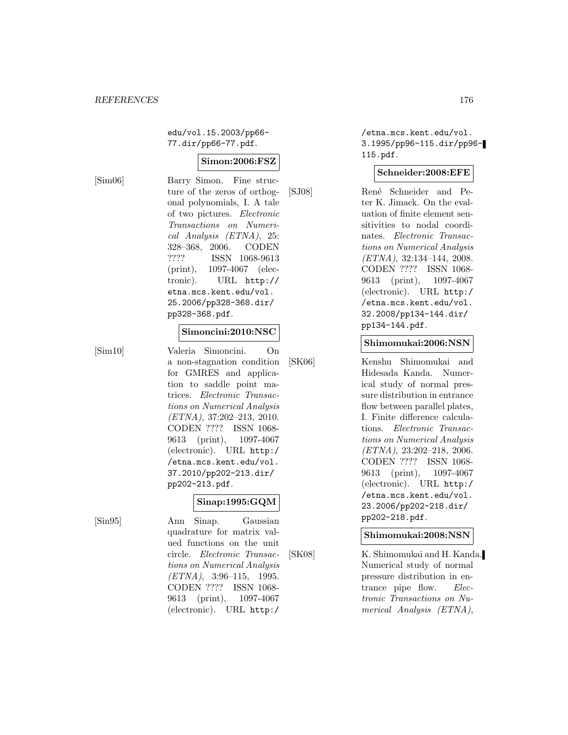edu/vol.15.2003/pp66- 77.dir/pp66-77.pdf.

# **Simon:2006:FSZ**

[Sim06] Barry Simon. Fine structure of the zeros of orthogonal polynomials, I. A tale of two pictures. Electronic Transactions on Numerical Analysis (ETNA), 25: 328–368, 2006. CODEN ???? ISSN 1068-9613 (print), 1097-4067 (electronic). URL http:// etna.mcs.kent.edu/vol. 25.2006/pp328-368.dir/ pp328-368.pdf.

#### **Simoncini:2010:NSC**

[Sim10] Valeria Simoncini. On a non-stagnation condition for GMRES and application to saddle point matrices. Electronic Transactions on Numerical Analysis (ETNA), 37:202–213, 2010. CODEN ???? ISSN 1068- 9613 (print), 1097-4067 (electronic). URL http:/ /etna.mcs.kent.edu/vol. 37.2010/pp202-213.dir/ pp202-213.pdf.

# **Sinap:1995:GQM**

[Sin95] Ann Sinap. Gaussian quadrature for matrix valued functions on the unit circle. Electronic Transactions on Numerical Analysis (ETNA), 3:96–115, 1995. CODEN ???? ISSN 1068- 9613 (print), 1097-4067 (electronic). URL http:/

/etna.mcs.kent.edu/vol. 3.1995/pp96-115.dir/pp96- 115.pdf.

#### **Schneider:2008:EFE**

[SJ08] Ren´e Schneider and Peter K. Jimack. On the evaluation of finite element sensitivities to nodal coordinates. Electronic Transactions on Numerical Analysis (ETNA), 32:134–144, 2008. CODEN ???? ISSN 1068- 9613 (print), 1097-4067 (electronic). URL http:/ /etna.mcs.kent.edu/vol. 32.2008/pp134-144.dir/ pp134-144.pdf.

#### **Shimomukai:2006:NSN**

[SK06] Kenshu Shimomukai and Hidesada Kanda. Numerical study of normal pressure distribution in entrance flow between parallel plates, I. Finite difference calculations. Electronic Transactions on Numerical Analysis (ETNA), 23:202–218, 2006. CODEN ???? ISSN 1068- 9613 (print), 1097-4067 (electronic). URL http:/ /etna.mcs.kent.edu/vol. 23.2006/pp202-218.dir/ pp202-218.pdf.

**Shimomukai:2008:NSN**

[SK08] K. Shimomukai and H. Kanda. Numerical study of normal pressure distribution in entrance pipe flow. Electronic Transactions on Numerical Analysis (ETNA),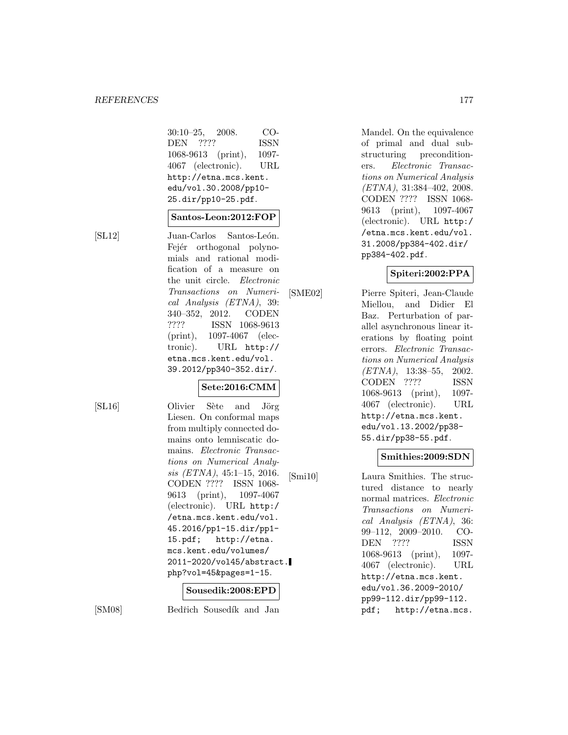| $30:10-25$ , $2008$ . | CO-         |
|-----------------------|-------------|
| DEN ????              | <b>ISSN</b> |
| 1068-9613 (print),    | 1097-       |
| 4067 (electronic).    | URL         |
| http://etna.mcs.kent. |             |
| edu/vol.30.2008/pp10- |             |
| 25.dir/pp10-25.pdf.   |             |

#### **Santos-Leon:2012:FOP**

[SL12] Juan-Carlos Santos-León. Fejér orthogonal polynomials and rational modification of a measure on the unit circle. Electronic Transactions on Numerical Analysis (ETNA), 39: 340–352, 2012. CODEN ???? ISSN 1068-9613 (print), 1097-4067 (electronic). URL http:// etna.mcs.kent.edu/vol. 39.2012/pp340-352.dir/.

# **Sete:2016:CMM**

[SL16] Olivier Sète and Jörg Liesen. On conformal maps from multiply connected domains onto lemniscatic domains. Electronic Transactions on Numerical Analysis (ETNA), 45:1–15, 2016. CODEN ???? ISSN 1068- 9613 (print), 1097-4067 (electronic). URL http:/ /etna.mcs.kent.edu/vol. 45.2016/pp1-15.dir/pp1- 15.pdf; http://etna. mcs.kent.edu/volumes/ 2011-2020/vol45/abstract. php?vol=45&pages=1-15.

#### **Sousedik:2008:EPD**

[SM08] Bedřich Sousedík and Jan

Mandel. On the equivalence of primal and dual substructuring preconditioners. Electronic Transactions on Numerical Analysis (ETNA), 31:384–402, 2008. CODEN ???? ISSN 1068- 9613 (print), 1097-4067 (electronic). URL http:/ /etna.mcs.kent.edu/vol. 31.2008/pp384-402.dir/ pp384-402.pdf.

# **Spiteri:2002:PPA**

[SME02] Pierre Spiteri, Jean-Claude Miellou, and Didier El Baz. Perturbation of parallel asynchronous linear iterations by floating point errors. Electronic Transactions on Numerical Analysis (ETNA), 13:38–55, 2002. CODEN ???? ISSN 1068-9613 (print), 1097- 4067 (electronic). URL http://etna.mcs.kent. edu/vol.13.2002/pp38- 55.dir/pp38-55.pdf.

#### **Smithies:2009:SDN**

[Smi10] Laura Smithies. The structured distance to nearly normal matrices. Electronic Transactions on Numerical Analysis (ETNA), 36: 99–112, 2009–2010. CO-DEN ???? ISSN 1068-9613 (print), 1097- 4067 (electronic). URL http://etna.mcs.kent. edu/vol.36.2009-2010/ pp99-112.dir/pp99-112. pdf; http://etna.mcs.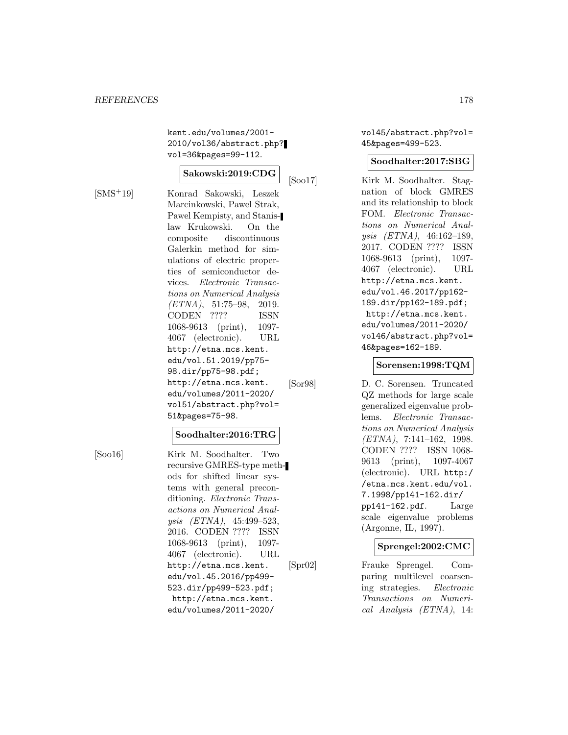kent.edu/volumes/2001- 2010/vol36/abstract.php? vol=36&pages=99-112.

#### **Sakowski:2019:CDG**

[SMS<sup>+</sup>19] Konrad Sakowski, Leszek Marcinkowski, Pawel Strak, Pawel Kempisty, and Stanislaw Krukowski. On the composite discontinuous Galerkin method for simulations of electric properties of semiconductor devices. Electronic Transactions on Numerical Analysis (ETNA), 51:75–98, 2019. CODEN ???? ISSN 1068-9613 (print), 1097- 4067 (electronic). URL http://etna.mcs.kent. edu/vol.51.2019/pp75- 98.dir/pp75-98.pdf; http://etna.mcs.kent. edu/volumes/2011-2020/ vol51/abstract.php?vol= 51&pages=75-98.

#### **Soodhalter:2016:TRG**

[Soo16] Kirk M. Soodhalter. Two recursive GMRES-type methods for shifted linear systems with general preconditioning. Electronic Transactions on Numerical Analysis (ETNA), 45:499–523, 2016. CODEN ???? ISSN 1068-9613 (print), 1097- 4067 (electronic). URL http://etna.mcs.kent. edu/vol.45.2016/pp499- 523.dir/pp499-523.pdf; http://etna.mcs.kent. edu/volumes/2011-2020/

vol45/abstract.php?vol= 45&pages=499-523.

#### **Soodhalter:2017:SBG**

[Soo17] Kirk M. Soodhalter. Stagnation of block GMRES and its relationship to block FOM. Electronic Transactions on Numerical Analysis (ETNA), 46:162–189, 2017. CODEN ???? ISSN 1068-9613 (print), 1097- 4067 (electronic). URL http://etna.mcs.kent. edu/vol.46.2017/pp162- 189.dir/pp162-189.pdf; http://etna.mcs.kent. edu/volumes/2011-2020/ vol46/abstract.php?vol= 46&pages=162-189.

#### **Sorensen:1998:TQM**

[Sor98] D. C. Sorensen. Truncated QZ methods for large scale generalized eigenvalue problems. Electronic Transactions on Numerical Analysis (ETNA), 7:141–162, 1998. CODEN ???? ISSN 1068- 9613 (print), 1097-4067 (electronic). URL http:/ /etna.mcs.kent.edu/vol. 7.1998/pp141-162.dir/ pp141-162.pdf. Large scale eigenvalue problems (Argonne, IL, 1997).

#### **Sprengel:2002:CMC**

[Spr02] Frauke Sprengel. Comparing multilevel coarsening strategies. Electronic Transactions on Numerical Analysis (ETNA), 14: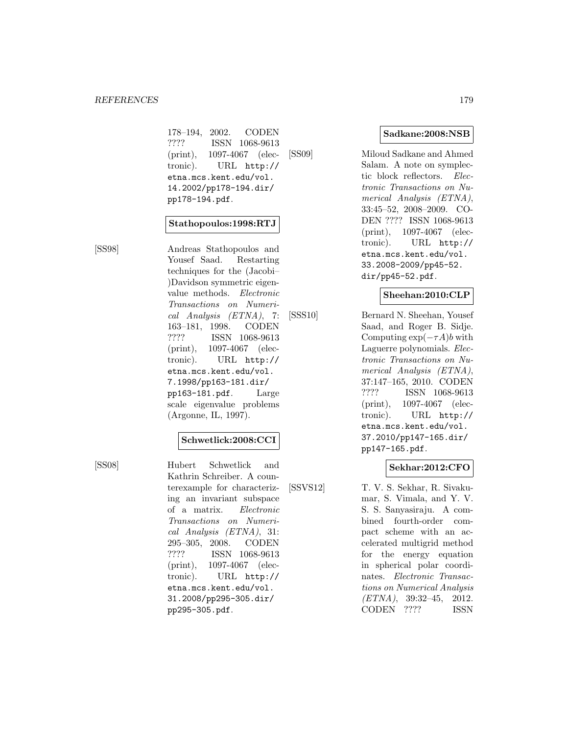178–194, 2002. CODEN ???? ISSN 1068-9613 (print), 1097-4067 (electronic). URL http:// etna.mcs.kent.edu/vol. 14.2002/pp178-194.dir/ pp178-194.pdf.

#### **Stathopoulos:1998:RTJ**

[SS98] Andreas Stathopoulos and Yousef Saad. Restarting techniques for the (Jacobi– )Davidson symmetric eigenvalue methods. Electronic Transactions on Numerical Analysis (ETNA), 7: 163–181, 1998. CODEN ???? ISSN 1068-9613 (print), 1097-4067 (electronic). URL http:// etna.mcs.kent.edu/vol. 7.1998/pp163-181.dir/ pp163-181.pdf. Large scale eigenvalue problems (Argonne, IL, 1997).

#### **Schwetlick:2008:CCI**

[SS08] Hubert Schwetlick and Kathrin Schreiber. A counterexample for characterizing an invariant subspace of a matrix. Electronic Transactions on Numerical Analysis (ETNA), 31: 295–305, 2008. CODEN ???? ISSN 1068-9613 (print), 1097-4067 (electronic). URL http:// etna.mcs.kent.edu/vol. 31.2008/pp295-305.dir/ pp295-305.pdf.

**Sadkane:2008:NSB**

[SS09] Miloud Sadkane and Ahmed Salam. A note on symplectic block reflectors. Electronic Transactions on Numerical Analysis (ETNA), 33:45–52, 2008–2009. CO-DEN ???? ISSN 1068-9613 (print), 1097-4067 (electronic). URL http:// etna.mcs.kent.edu/vol. 33.2008-2009/pp45-52. dir/pp45-52.pdf.

#### **Sheehan:2010:CLP**

[SSS10] Bernard N. Sheehan, Yousef Saad, and Roger B. Sidje. Computing  $\exp(-\tau A)b$  with Laguerre polynomials. Electronic Transactions on Numerical Analysis (ETNA), 37:147–165, 2010. CODEN ???? ISSN 1068-9613 (print), 1097-4067 (electronic). URL http:// etna.mcs.kent.edu/vol. 37.2010/pp147-165.dir/ pp147-165.pdf.

# **Sekhar:2012:CFO**

[SSVS12] T. V. S. Sekhar, R. Sivakumar, S. Vimala, and Y. V. S. S. Sanyasiraju. A combined fourth-order compact scheme with an accelerated multigrid method for the energy equation in spherical polar coordinates. Electronic Transactions on Numerical Analysis (ETNA), 39:32–45, 2012. CODEN ???? ISSN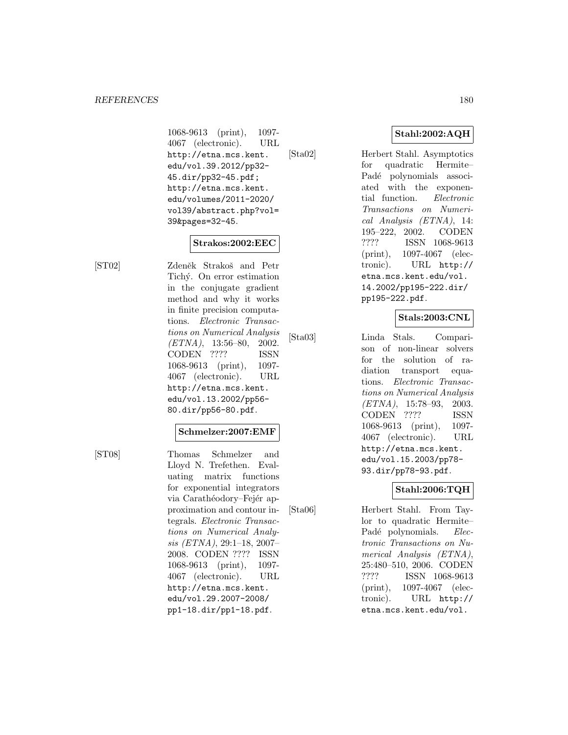1068-9613 (print), 1097- 4067 (electronic). URL http://etna.mcs.kent. edu/vol.39.2012/pp32- 45.dir/pp32-45.pdf; http://etna.mcs.kent. edu/volumes/2011-2020/ vol39/abstract.php?vol= 39&pages=32-45.

#### **Strakos:2002:EEC**

[ST02] Zdeněk Strakoš and Petr Tichý. On error estimation in the conjugate gradient method and why it works in finite precision computations. Electronic Transactions on Numerical Analysis  $(ETNA)$ , 13:56–80, 2002. CODEN ???? ISSN 1068-9613 (print), 1097- 4067 (electronic). URL http://etna.mcs.kent. edu/vol.13.2002/pp56- 80.dir/pp56-80.pdf.

#### **Schmelzer:2007:EMF**

[ST08] Thomas Schmelzer and Lloyd N. Trefethen. Evaluating matrix functions for exponential integrators via Carathéodory–Fejér approximation and contour integrals. Electronic Transactions on Numerical Analysis (ETNA), 29:1–18, 2007– 2008. CODEN ???? ISSN 1068-9613 (print), 1097- 4067 (electronic). URL http://etna.mcs.kent. edu/vol.29.2007-2008/ pp1-18.dir/pp1-18.pdf.

# **Stahl:2002:AQH**

[Sta02] Herbert Stahl. Asymptotics for quadratic Hermite– Padé polynomials associated with the exponential function. Electronic Transactions on Numerical Analysis (ETNA), 14: 195–222, 2002. CODEN ???? ISSN 1068-9613 (print), 1097-4067 (electronic). URL http:// etna.mcs.kent.edu/vol. 14.2002/pp195-222.dir/ pp195-222.pdf.

# **Stals:2003:CNL**

[Sta03] Linda Stals. Comparison of non-linear solvers for the solution of radiation transport equations. Electronic Transactions on Numerical Analysis (ETNA), 15:78–93, 2003. CODEN ???? ISSN 1068-9613 (print), 1097- 4067 (electronic). URL http://etna.mcs.kent. edu/vol.15.2003/pp78- 93.dir/pp78-93.pdf.

# **Stahl:2006:TQH**

[Sta06] Herbert Stahl. From Taylor to quadratic Hermite– Padé polynomials. Electronic Transactions on Numerical Analysis (ETNA), 25:480–510, 2006. CODEN ???? ISSN 1068-9613 (print), 1097-4067 (electronic). URL http:// etna.mcs.kent.edu/vol.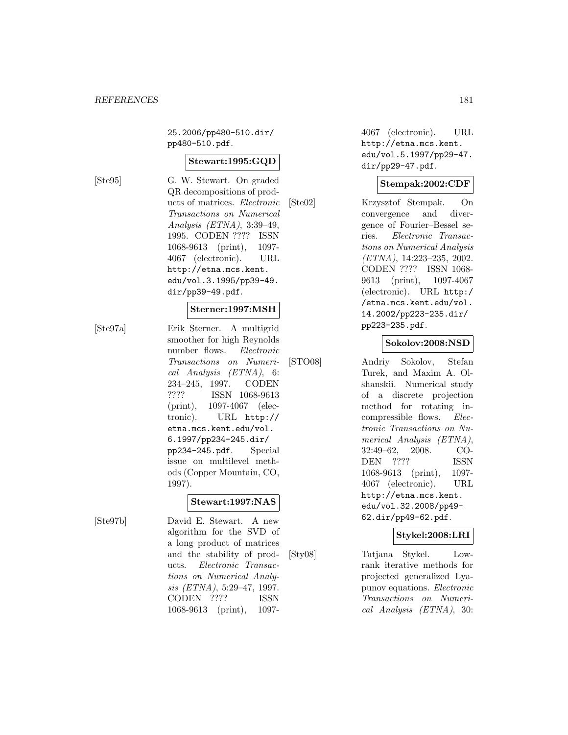25.2006/pp480-510.dir/ pp480-510.pdf.

#### **Stewart:1995:GQD**

[Ste95] G. W. Stewart. On graded QR decompositions of products of matrices. Electronic Transactions on Numerical Analysis (ETNA), 3:39–49, 1995. CODEN ???? ISSN 1068-9613 (print), 1097- 4067 (electronic). URL http://etna.mcs.kent. edu/vol.3.1995/pp39-49. dir/pp39-49.pdf.

#### **Sterner:1997:MSH**

[Ste97a] Erik Sterner. A multigrid smoother for high Reynolds number flows. Electronic Transactions on Numerical Analysis (ETNA), 6: 234–245, 1997. CODEN ???? ISSN 1068-9613 (print), 1097-4067 (electronic). URL http:// etna.mcs.kent.edu/vol. 6.1997/pp234-245.dir/ pp234-245.pdf. Special issue on multilevel methods (Copper Mountain, CO, 1997).

#### **Stewart:1997:NAS**

[Ste97b] David E. Stewart. A new algorithm for the SVD of a long product of matrices and the stability of products. Electronic Transactions on Numerical Analysis (ETNA), 5:29–47, 1997. CODEN ???? ISSN

1068-9613 (print), 1097-

4067 (electronic). URL http://etna.mcs.kent. edu/vol.5.1997/pp29-47. dir/pp29-47.pdf.

#### **Stempak:2002:CDF**

[Ste02] Krzysztof Stempak. On convergence and divergence of Fourier–Bessel series. Electronic Transactions on Numerical Analysis (ETNA), 14:223–235, 2002. CODEN ???? ISSN 1068- 9613 (print), 1097-4067 (electronic). URL http:/ /etna.mcs.kent.edu/vol. 14.2002/pp223-235.dir/ pp223-235.pdf.

#### **Sokolov:2008:NSD**

[STO08] Andriy Sokolov, Stefan Turek, and Maxim A. Olshanskii. Numerical study of a discrete projection method for rotating incompressible flows. Electronic Transactions on Numerical Analysis (ETNA), 32:49–62, 2008. CO-DEN ???? ISSN 1068-9613 (print), 1097- 4067 (electronic). URL http://etna.mcs.kent. edu/vol.32.2008/pp49- 62.dir/pp49-62.pdf.

### **Stykel:2008:LRI**

[Sty08] Tatjana Stykel. Lowrank iterative methods for projected generalized Lyapunov equations. Electronic Transactions on Numerical Analysis (ETNA), 30: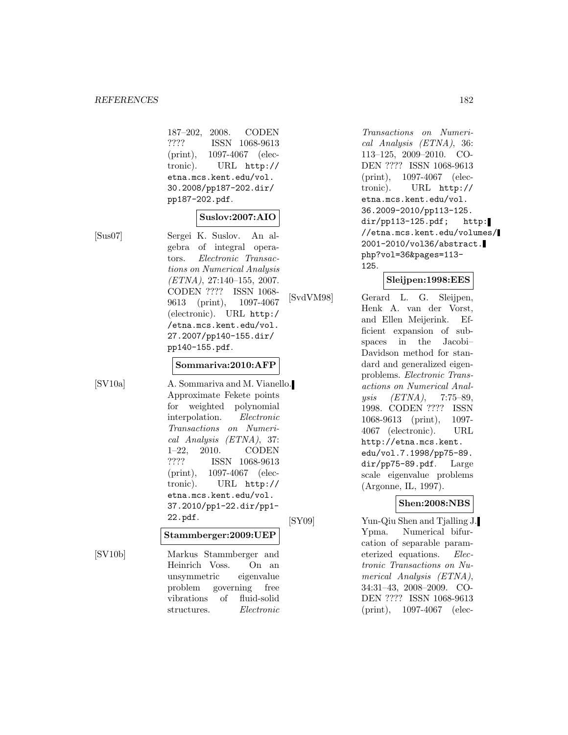187–202, 2008. CODEN ???? ISSN 1068-9613 (print), 1097-4067 (electronic). URL http:// etna.mcs.kent.edu/vol. 30.2008/pp187-202.dir/ pp187-202.pdf.

### **Suslov:2007:AIO**

[Sus07] Sergei K. Suslov. An algebra of integral operators. Electronic Transactions on Numerical Analysis (ETNA), 27:140–155, 2007. CODEN ???? ISSN 1068- 9613 (print), 1097-4067 (electronic). URL http:/ /etna.mcs.kent.edu/vol. 27.2007/pp140-155.dir/ pp140-155.pdf.

## **Sommariva:2010:AFP**

[SV10a] A. Sommariva and M. Vianello. Approximate Fekete points for weighted polynomial interpolation. Electronic Transactions on Numerical Analysis (ETNA), 37: 1–22, 2010. CODEN ???? ISSN 1068-9613 (print), 1097-4067 (electronic). URL http:// etna.mcs.kent.edu/vol. 37.2010/pp1-22.dir/pp1- 22.pdf.

#### **Stammberger:2009:UEP**

[SV10b] Markus Stammberger and Heinrich Voss. On an unsymmetric eigenvalue problem governing free vibrations of fluid-solid structures. Electronic

Transactions on Numerical Analysis (ETNA), 36: 113–125, 2009–2010. CO-DEN ???? ISSN 1068-9613 (print), 1097-4067 (electronic). URL http:// etna.mcs.kent.edu/vol. 36.2009-2010/pp113-125. dir/pp113-125.pdf; http: //etna.mcs.kent.edu/volumes/ 2001-2010/vol36/abstract. php?vol=36&pages=113- 125.

### **Sleijpen:1998:EES**

[SvdVM98] Gerard L. G. Sleijpen, Henk A. van der Vorst, and Ellen Meijerink. Efficient expansion of subspaces in the Jacobi– Davidson method for standard and generalized eigenproblems. Electronic Transactions on Numerical Analysis (ETNA), 7:75–89, 1998. CODEN ???? ISSN 1068-9613 (print), 1097- 4067 (electronic). URL http://etna.mcs.kent. edu/vol.7.1998/pp75-89. dir/pp75-89.pdf. Large scale eigenvalue problems (Argonne, IL, 1997).

# **Shen:2008:NBS**

[SY09] Yun-Qiu Shen and Tjalling J. Ypma. Numerical bifurcation of separable parameterized equations. Electronic Transactions on Numerical Analysis (ETNA), 34:31–43, 2008–2009. CO-DEN ???? ISSN 1068-9613 (print), 1097-4067 (elec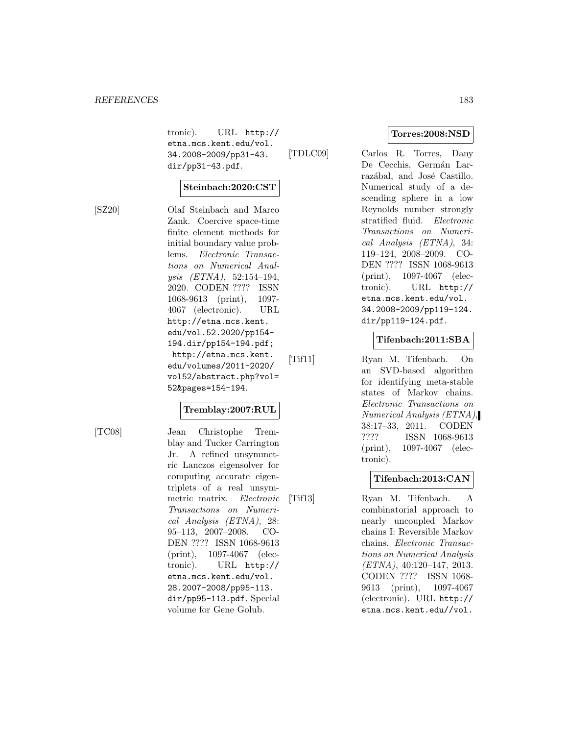tronic). URL http:// etna.mcs.kent.edu/vol. 34.2008-2009/pp31-43. dir/pp31-43.pdf.

#### **Steinbach:2020:CST**

[SZ20] Olaf Steinbach and Marco Zank. Coercive space-time finite element methods for initial boundary value problems. Electronic Transactions on Numerical Analysis (ETNA), 52:154–194, 2020. CODEN ???? ISSN 1068-9613 (print), 1097- 4067 (electronic). URL http://etna.mcs.kent. edu/vol.52.2020/pp154- 194.dir/pp154-194.pdf; http://etna.mcs.kent. edu/volumes/2011-2020/ vol52/abstract.php?vol= 52&pages=154-194.

#### **Tremblay:2007:RUL**

[TC08] Jean Christophe Tremblay and Tucker Carrington Jr. A refined unsymmetric Lanczos eigensolver for computing accurate eigentriplets of a real unsymmetric matrix. Electronic Transactions on Numerical Analysis (ETNA), 28: 95–113, 2007–2008. CO-DEN ???? ISSN 1068-9613 (print), 1097-4067 (electronic). URL http:// etna.mcs.kent.edu/vol. 28.2007-2008/pp95-113. dir/pp95-113.pdf. Special volume for Gene Golub.

### **Torres:2008:NSD**

[TDLC09] Carlos R. Torres, Dany De Cecchis, Germán Larrazábal, and José Castillo. Numerical study of a descending sphere in a low Reynolds number strongly stratified fluid. Electronic Transactions on Numerical Analysis (ETNA), 34: 119–124, 2008–2009. CO-DEN ???? ISSN 1068-9613 (print), 1097-4067 (electronic). URL http:// etna.mcs.kent.edu/vol. 34.2008-2009/pp119-124. dir/pp119-124.pdf.

## **Tifenbach:2011:SBA**

[Tif11] Ryan M. Tifenbach. On an SVD-based algorithm for identifying meta-stable states of Markov chains. Electronic Transactions on Numerical Analysis (ETNA), 38:17–33, 2011. CODEN ???? ISSN 1068-9613 (print), 1097-4067 (electronic).

### **Tifenbach:2013:CAN**

[Tif13] Ryan M. Tifenbach. A combinatorial approach to nearly uncoupled Markov chains I: Reversible Markov chains. Electronic Transactions on Numerical Analysis (ETNA), 40:120–147, 2013. CODEN ???? ISSN 1068- 9613 (print), 1097-4067 (electronic). URL http:// etna.mcs.kent.edu//vol.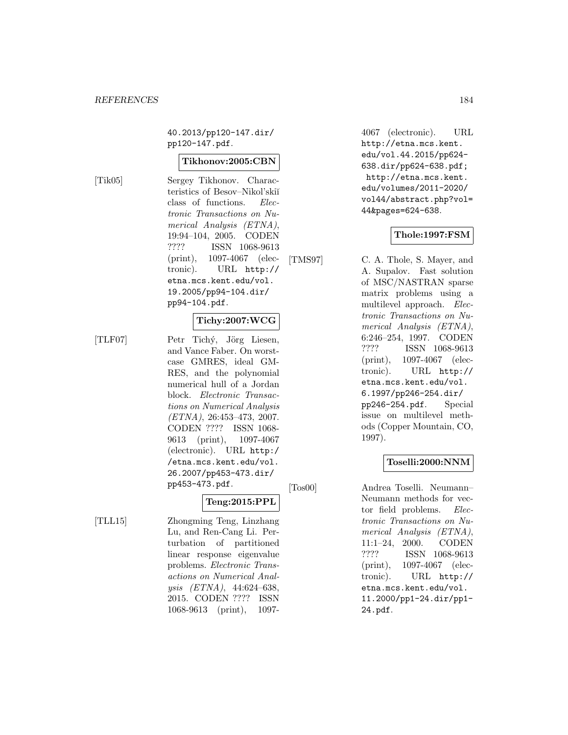40.2013/pp120-147.dir/ pp120-147.pdf.

#### **Tikhonov:2005:CBN**

[Tik05] Sergey Tikhonov. Characteristics of Besov–Nikol'skiĭ class of functions. Electronic Transactions on Numerical Analysis (ETNA), 19:94–104, 2005. CODEN ???? ISSN 1068-9613 (print), 1097-4067 (electronic). URL http:// etna.mcs.kent.edu/vol. 19.2005/pp94-104.dir/ pp94-104.pdf.

### **Tichy:2007:WCG**

[TLF07] Petr Tichý, Jörg Liesen, and Vance Faber. On worstcase GMRES, ideal GM-RES, and the polynomial numerical hull of a Jordan block. Electronic Transactions on Numerical Analysis (ETNA), 26:453–473, 2007. CODEN ???? ISSN 1068- 9613 (print), 1097-4067 (electronic). URL http:/ /etna.mcs.kent.edu/vol. 26.2007/pp453-473.dir/

pp453-473.pdf.

[TLL15] Zhongming Teng, Linzhang Lu, and Ren-Cang Li. Perturbation of partitioned linear response eigenvalue problems. Electronic Transactions on Numerical Analysis (ETNA), 44:624–638, 2015. CODEN ???? ISSN 1068-9613 (print), 1097-

**Teng:2015:PPL**

4067 (electronic). URL http://etna.mcs.kent. edu/vol.44.2015/pp624- 638.dir/pp624-638.pdf; http://etna.mcs.kent. edu/volumes/2011-2020/ vol44/abstract.php?vol= 44&pages=624-638.

### **Thole:1997:FSM**

[TMS97] C. A. Thole, S. Mayer, and A. Supalov. Fast solution of MSC/NASTRAN sparse matrix problems using a multilevel approach. Electronic Transactions on Numerical Analysis (ETNA), 6:246–254, 1997. CODEN ???? ISSN 1068-9613 (print), 1097-4067 (electronic). URL http:// etna.mcs.kent.edu/vol. 6.1997/pp246-254.dir/ pp246-254.pdf. Special issue on multilevel methods (Copper Mountain, CO, 1997).

#### **Toselli:2000:NNM**

[Tos00] Andrea Toselli. Neumann– Neumann methods for vector field problems. Electronic Transactions on Numerical Analysis (ETNA), 11:1–24, 2000. CODEN ???? ISSN 1068-9613 (print), 1097-4067 (electronic). URL http:// etna.mcs.kent.edu/vol. 11.2000/pp1-24.dir/pp1- 24.pdf.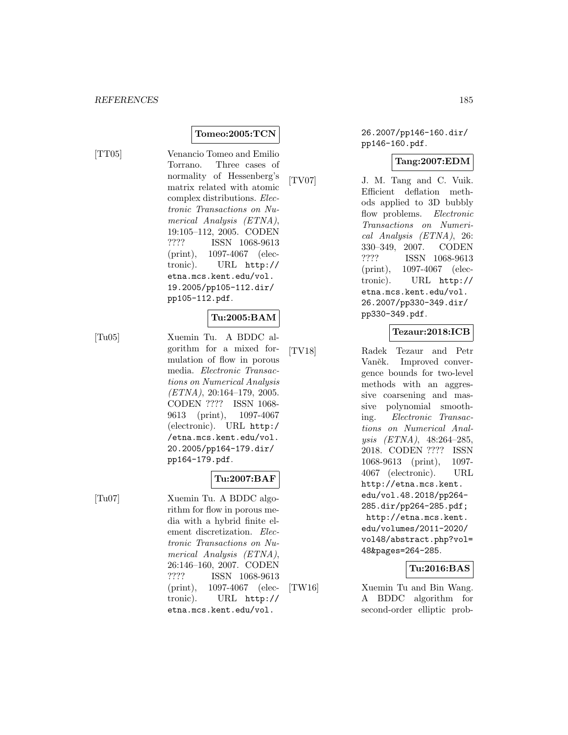## **Tomeo:2005:TCN**

[TT05] Venancio Tomeo and Emilio Torrano. Three cases of normality of Hessenberg's matrix related with atomic complex distributions. Electronic Transactions on Numerical Analysis (ETNA), 19:105–112, 2005. CODEN ???? ISSN 1068-9613 (print), 1097-4067 (electronic). URL http:// etna.mcs.kent.edu/vol. 19.2005/pp105-112.dir/ pp105-112.pdf.

## **Tu:2005:BAM**

[Tu05] Xuemin Tu. A BDDC algorithm for a mixed formulation of flow in porous media. Electronic Transactions on Numerical Analysis  $(ETNA), 20:164-179, 2005.$ CODEN ???? ISSN 1068- 9613 (print), 1097-4067 (electronic). URL http:/ /etna.mcs.kent.edu/vol. 20.2005/pp164-179.dir/ pp164-179.pdf.

## **Tu:2007:BAF**

[Tu07] Xuemin Tu. A BDDC algorithm for flow in porous media with a hybrid finite element discretization. Electronic Transactions on Numerical Analysis (ETNA), 26:146–160, 2007. CODEN ???? ISSN 1068-9613 (print), 1097-4067 (electronic). URL http:// etna.mcs.kent.edu/vol.

26.2007/pp146-160.dir/ pp146-160.pdf.

### **Tang:2007:EDM**

[TV07] J. M. Tang and C. Vuik. Efficient deflation methods applied to 3D bubbly flow problems. Electronic Transactions on Numerical Analysis (ETNA), 26: 330–349, 2007. CODEN ???? ISSN 1068-9613 (print), 1097-4067 (electronic). URL http:// etna.mcs.kent.edu/vol. 26.2007/pp330-349.dir/ pp330-349.pdf.

## **Tezaur:2018:ICB**

[TV18] Radek Tezaur and Petr Vaněk. Improved convergence bounds for two-level methods with an aggressive coarsening and massive polynomial smoothing. Electronic Transactions on Numerical Analysis (ETNA), 48:264–285, 2018. CODEN ???? ISSN 1068-9613 (print), 1097- 4067 (electronic). URL http://etna.mcs.kent. edu/vol.48.2018/pp264- 285.dir/pp264-285.pdf; http://etna.mcs.kent. edu/volumes/2011-2020/ vol48/abstract.php?vol= 48&pages=264-285.

## **Tu:2016:BAS**

[TW16] Xuemin Tu and Bin Wang. A BDDC algorithm for second-order elliptic prob-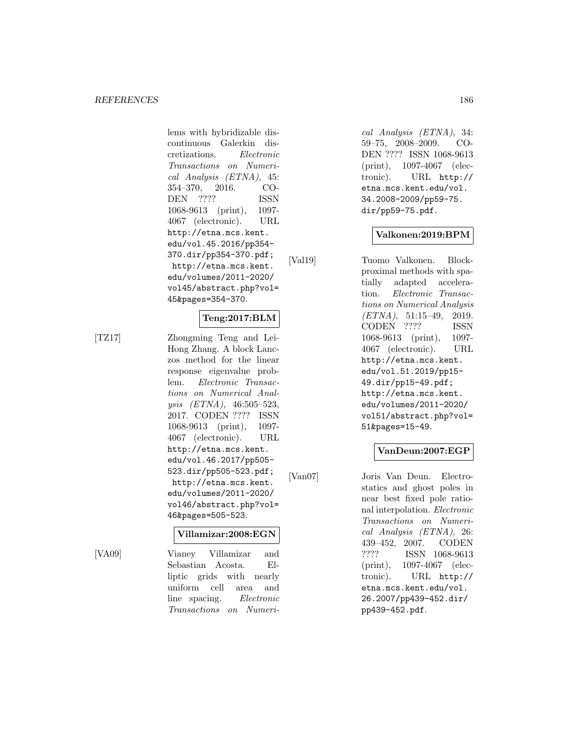lems with hybridizable discontinuous Galerkin discretizations. Electronic Transactions on Numerical Analysis (ETNA), 45: 354–370, 2016. CO-DEN ???? ISSN 1068-9613 (print), 1097- 4067 (electronic). URL http://etna.mcs.kent. edu/vol.45.2016/pp354- 370.dir/pp354-370.pdf; http://etna.mcs.kent. edu/volumes/2011-2020/ vol45/abstract.php?vol= 45&pages=354-370.

### **Teng:2017:BLM**

[TZ17] Zhongming Teng and Lei-Hong Zhang. A block Lanczos method for the linear response eigenvalue problem. Electronic Transactions on Numerical Analysis (ETNA), 46:505–523, 2017. CODEN ???? ISSN 1068-9613 (print), 1097- 4067 (electronic). URL http://etna.mcs.kent. edu/vol.46.2017/pp505- 523.dir/pp505-523.pdf; http://etna.mcs.kent. edu/volumes/2011-2020/ vol46/abstract.php?vol= 46&pages=505-523.

### **Villamizar:2008:EGN**

[VA09] Vianey Villamizar and Sebastian Acosta. Elliptic grids with nearly uniform cell area and line spacing. Electronic Transactions on Numeri-

cal Analysis (ETNA), 34: 59–75, 2008–2009. CO-DEN ???? ISSN 1068-9613 (print), 1097-4067 (electronic). URL http:// etna.mcs.kent.edu/vol. 34.2008-2009/pp59-75. dir/pp59-75.pdf.

#### **Valkonen:2019:BPM**

[Val19] Tuomo Valkonen. Blockproximal methods with spatially adapted acceleration. Electronic Transactions on Numerical Analysis  $(ETNA)$ , 51:15-49, 2019. CODEN ???? ISSN 1068-9613 (print), 1097- 4067 (electronic). URL http://etna.mcs.kent. edu/vol.51.2019/pp15- 49.dir/pp15-49.pdf; http://etna.mcs.kent. edu/volumes/2011-2020/ vol51/abstract.php?vol= 51&pages=15-49.

## **VanDeun:2007:EGP**

[Van07] Joris Van Deun. Electrostatics and ghost poles in near best fixed pole rational interpolation. Electronic Transactions on Numerical Analysis (ETNA), 26: 439–452, 2007. CODEN ???? ISSN 1068-9613 (print), 1097-4067 (electronic). URL http:// etna.mcs.kent.edu/vol. 26.2007/pp439-452.dir/ pp439-452.pdf.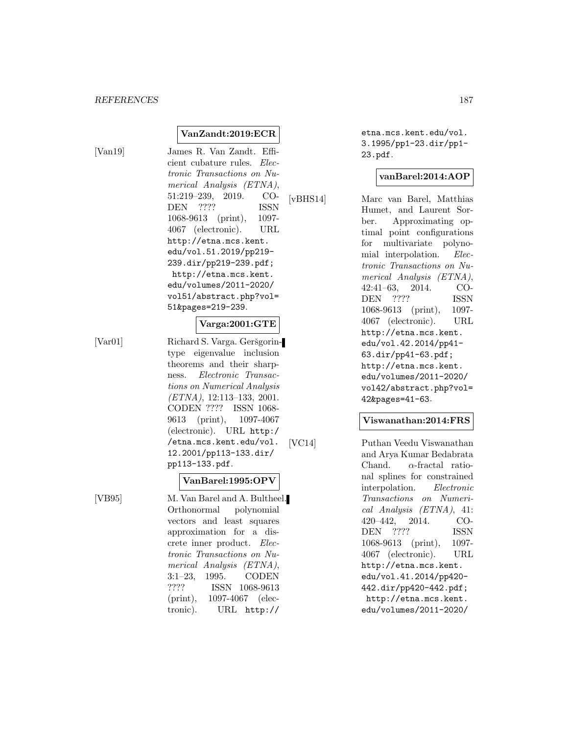### **VanZandt:2019:ECR**

[Van19] James R. Van Zandt. Efficient cubature rules. Electronic Transactions on Numerical Analysis (ETNA), 51:219–239, 2019. CO-DEN ???? ISSN 1068-9613 (print), 1097- 4067 (electronic). URL http://etna.mcs.kent. edu/vol.51.2019/pp219- 239.dir/pp219-239.pdf; http://etna.mcs.kent. edu/volumes/2011-2020/ vol51/abstract.php?vol= 51&pages=219-239.

### **Varga:2001:GTE**

[Var01] Richard S. Varga. Geršgorintype eigenvalue inclusion theorems and their sharpness. Electronic Transactions on Numerical Analysis (ETNA), 12:113–133, 2001. CODEN ???? ISSN 1068- 9613 (print), 1097-4067 (electronic). URL http:/ /etna.mcs.kent.edu/vol. 12.2001/pp113-133.dir/ pp113-133.pdf.

### **VanBarel:1995:OPV**

[VB95] M. Van Barel and A. Bultheel. Orthonormal polynomial vectors and least squares approximation for a discrete inner product. Electronic Transactions on Numerical Analysis (ETNA), 3:1–23, 1995. CODEN ???? ISSN 1068-9613 (print), 1097-4067 (electronic). URL http://

etna.mcs.kent.edu/vol. 3.1995/pp1-23.dir/pp1- 23.pdf.

#### **vanBarel:2014:AOP**

[vBHS14] Marc van Barel, Matthias Humet, and Laurent Sorber. Approximating optimal point configurations for multivariate polynomial interpolation. Electronic Transactions on Numerical Analysis (ETNA), 42:41–63, 2014. CO-DEN ???? ISSN 1068-9613 (print), 1097- 4067 (electronic). URL http://etna.mcs.kent. edu/vol.42.2014/pp41- 63.dir/pp41-63.pdf; http://etna.mcs.kent. edu/volumes/2011-2020/ vol42/abstract.php?vol= 42&pages=41-63.

#### **Viswanathan:2014:FRS**

[VC14] Puthan Veedu Viswanathan and Arya Kumar Bedabrata Chand.  $\alpha$ -fractal rational splines for constrained interpolation. Electronic Transactions on Numerical Analysis (ETNA), 41: 420–442, 2014. CO-DEN ???? ISSN 1068-9613 (print), 1097- 4067 (electronic). URL http://etna.mcs.kent. edu/vol.41.2014/pp420- 442.dir/pp420-442.pdf; http://etna.mcs.kent. edu/volumes/2011-2020/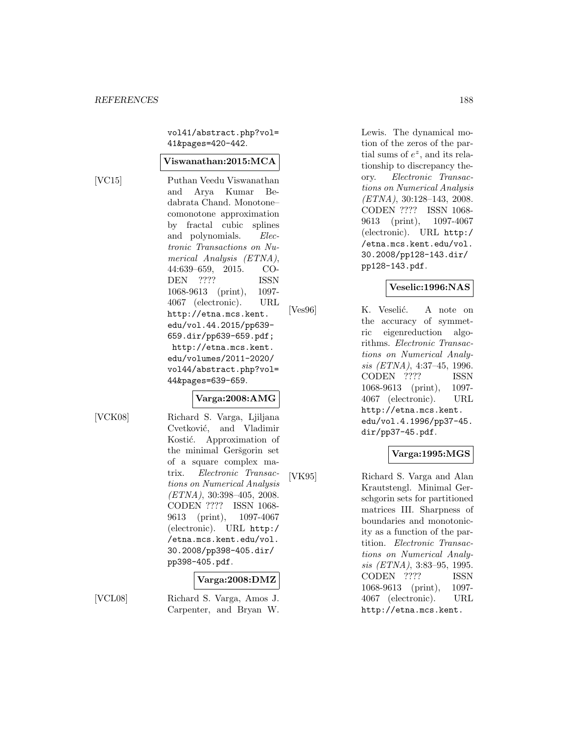vol41/abstract.php?vol= 41&pages=420-442.

#### **Viswanathan:2015:MCA**

[VC15] Puthan Veedu Viswanathan and Arya Kumar Bedabrata Chand. Monotone– comonotone approximation by fractal cubic splines and polynomials. Electronic Transactions on Numerical Analysis (ETNA), 44:639–659, 2015. CO-DEN ???? ISSN 1068-9613 (print), 1097- 4067 (electronic). URL http://etna.mcs.kent. edu/vol.44.2015/pp639- 659.dir/pp639-659.pdf; http://etna.mcs.kent. edu/volumes/2011-2020/ vol44/abstract.php?vol= 44&pages=639-659.

### **Varga:2008:AMG**

[VCK08] Richard S. Varga, Ljiljana Cvetković, and Vladimir Kostić. Approximation of the minimal Geršgorin set of a square complex matrix. Electronic Transactions on Numerical Analysis  $(ETNA), 30:398-405, 2008.$ CODEN ???? ISSN 1068- 9613 (print), 1097-4067 (electronic). URL http:/ /etna.mcs.kent.edu/vol. 30.2008/pp398-405.dir/ pp398-405.pdf.

### **Varga:2008:DMZ**

[VCL08] Richard S. Varga, Amos J. Carpenter, and Bryan W.

Lewis. The dynamical motion of the zeros of the partial sums of  $e^z$ , and its relationship to discrepancy theory. Electronic Transactions on Numerical Analysis (ETNA), 30:128–143, 2008. CODEN ???? ISSN 1068- 9613 (print), 1097-4067 (electronic). URL http:/ /etna.mcs.kent.edu/vol. 30.2008/pp128-143.dir/ pp128-143.pdf.

## **Veselic:1996:NAS**

[Ves96] K. Veselić. A note on the accuracy of symmetric eigenreduction algorithms. Electronic Transactions on Numerical Analysis (ETNA), 4:37–45, 1996. CODEN ???? ISSN 1068-9613 (print), 1097- 4067 (electronic). URL http://etna.mcs.kent. edu/vol.4.1996/pp37-45. dir/pp37-45.pdf.

## **Varga:1995:MGS**

[VK95] Richard S. Varga and Alan Krautstengl. Minimal Gerschgorin sets for partitioned matrices III. Sharpness of boundaries and monotonicity as a function of the partition. Electronic Transactions on Numerical Analysis (ETNA), 3:83–95, 1995. CODEN ???? ISSN 1068-9613 (print), 1097- 4067 (electronic). URL http://etna.mcs.kent.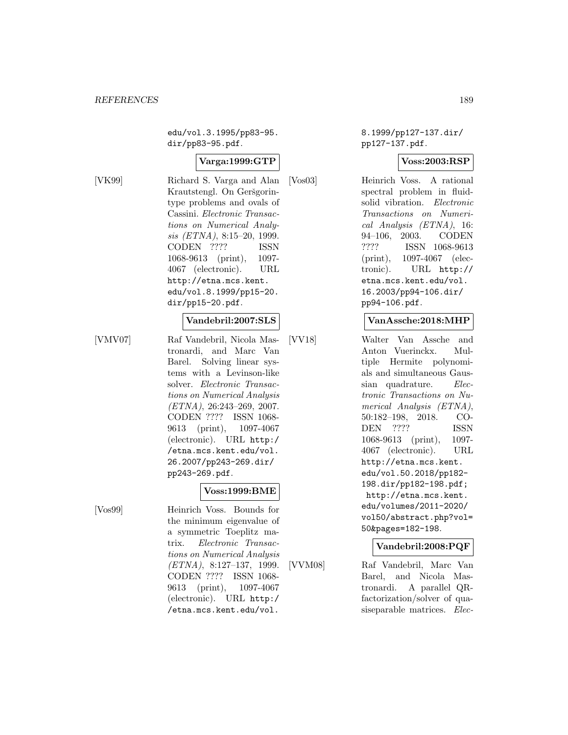edu/vol.3.1995/pp83-95. dir/pp83-95.pdf.

### **Varga:1999:GTP**

[VK99] Richard S. Varga and Alan Krautstengl. On Geršgorintype problems and ovals of Cassini. Electronic Transactions on Numerical Analysis (ETNA), 8:15–20, 1999. CODEN ???? ISSN 1068-9613 (print), 1097- 4067 (electronic). URL http://etna.mcs.kent. edu/vol.8.1999/pp15-20. dir/pp15-20.pdf.

## **Vandebril:2007:SLS**

[VMV07] Raf Vandebril, Nicola Mastronardi, and Marc Van Barel. Solving linear systems with a Levinson-like solver. Electronic Transactions on Numerical Analysis (ETNA), 26:243–269, 2007. CODEN ???? ISSN 1068- 9613 (print), 1097-4067 (electronic). URL http:/ /etna.mcs.kent.edu/vol. 26.2007/pp243-269.dir/ pp243-269.pdf.

#### **Voss:1999:BME**

[Vos99] Heinrich Voss. Bounds for the minimum eigenvalue of a symmetric Toeplitz matrix. Electronic Transactions on Numerical Analysis (ETNA), 8:127–137, 1999. CODEN ???? ISSN 1068- 9613 (print), 1097-4067 (electronic). URL http:/ /etna.mcs.kent.edu/vol.

8.1999/pp127-137.dir/ pp127-137.pdf.

#### **Voss:2003:RSP**

[Vos03] Heinrich Voss. A rational spectral problem in fluidsolid vibration. Electronic Transactions on Numerical Analysis (ETNA), 16: 94–106, 2003. CODEN ???? ISSN 1068-9613 (print), 1097-4067 (electronic). URL http:// etna.mcs.kent.edu/vol. 16.2003/pp94-106.dir/ pp94-106.pdf.

#### **VanAssche:2018:MHP**

[VV18] Walter Van Assche and Anton Vuerinckx. Multiple Hermite polynomials and simultaneous Gaussian quadrature. Electronic Transactions on Numerical Analysis (ETNA), 50:182–198, 2018. CO-DEN ???? ISSN 1068-9613 (print), 1097- 4067 (electronic). URL http://etna.mcs.kent. edu/vol.50.2018/pp182- 198.dir/pp182-198.pdf; http://etna.mcs.kent. edu/volumes/2011-2020/ vol50/abstract.php?vol= 50&pages=182-198.

#### **Vandebril:2008:PQF**

[VVM08] Raf Vandebril, Marc Van Barel, and Nicola Mastronardi. A parallel QRfactorization/solver of quasiseparable matrices. Elec-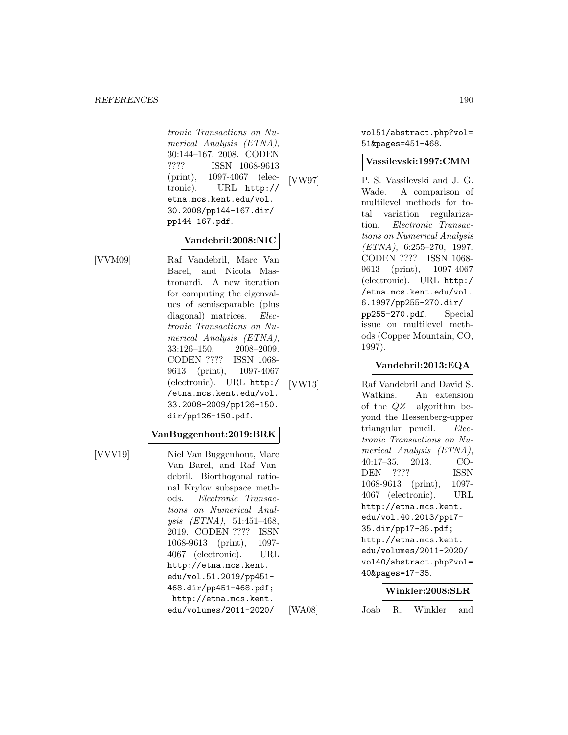tronic Transactions on Numerical Analysis (ETNA), 30:144–167, 2008. CODEN ???? ISSN 1068-9613 (print), 1097-4067 (electronic). URL http:// etna.mcs.kent.edu/vol. 30.2008/pp144-167.dir/ pp144-167.pdf.

## **Vandebril:2008:NIC**

[VVM09] Raf Vandebril, Marc Van Barel, and Nicola Mastronardi. A new iteration for computing the eigenvalues of semiseparable (plus diagonal) matrices. Electronic Transactions on Numerical Analysis (ETNA), 33:126–150, 2008–2009. CODEN ???? ISSN 1068- 9613 (print), 1097-4067 (electronic). URL http:/ /etna.mcs.kent.edu/vol. 33.2008-2009/pp126-150. dir/pp126-150.pdf.

#### **VanBuggenhout:2019:BRK**

[VVV19] Niel Van Buggenhout, Marc Van Barel, and Raf Vandebril. Biorthogonal rational Krylov subspace methods. Electronic Transactions on Numerical Analysis (ETNA), 51:451–468, 2019. CODEN ???? ISSN 1068-9613 (print), 1097- 4067 (electronic). URL http://etna.mcs.kent. edu/vol.51.2019/pp451- 468.dir/pp451-468.pdf; http://etna.mcs.kent. edu/volumes/2011-2020/

vol51/abstract.php?vol= 51&pages=451-468.

#### **Vassilevski:1997:CMM**

[VW97] P. S. Vassilevski and J. G. Wade. A comparison of multilevel methods for total variation regularization. Electronic Transactions on Numerical Analysis  $(ETNA)$ , 6:255-270, 1997. CODEN ???? ISSN 1068- 9613 (print), 1097-4067 (electronic). URL http:/ /etna.mcs.kent.edu/vol. 6.1997/pp255-270.dir/ pp255-270.pdf. Special issue on multilevel methods (Copper Mountain, CO, 1997).

## **Vandebril:2013:EQA**

[VW13] Raf Vandebril and David S. Watkins. An extension of the QZ algorithm beyond the Hessenberg-upper triangular pencil. Electronic Transactions on Numerical Analysis (ETNA), 40:17–35, 2013. CO-DEN ???? ISSN 1068-9613 (print), 1097- 4067 (electronic). URL http://etna.mcs.kent. edu/vol.40.2013/pp17- 35.dir/pp17-35.pdf; http://etna.mcs.kent. edu/volumes/2011-2020/ vol40/abstract.php?vol= 40&pages=17-35.

#### **Winkler:2008:SLR**

[WA08] Joab R. Winkler and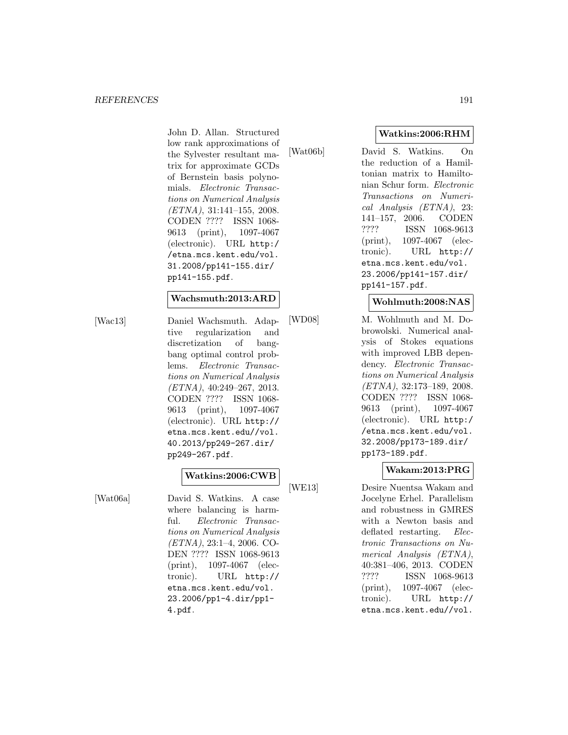John D. Allan. Structured low rank approximations of the Sylvester resultant matrix for approximate GCDs of Bernstein basis polynomials. Electronic Transactions on Numerical Analysis (ETNA), 31:141–155, 2008. CODEN ???? ISSN 1068- 9613 (print), 1097-4067 (electronic). URL http:/ /etna.mcs.kent.edu/vol. 31.2008/pp141-155.dir/ pp141-155.pdf.

#### **Wachsmuth:2013:ARD**

[Wac13] Daniel Wachsmuth. Adaptive regularization and discretization of bangbang optimal control problems. Electronic Transactions on Numerical Analysis (ETNA), 40:249–267, 2013. CODEN ???? ISSN 1068- 9613 (print), 1097-4067 (electronic). URL http:// etna.mcs.kent.edu//vol. 40.2013/pp249-267.dir/ pp249-267.pdf.

# **Watkins:2006:CWB**

[Wat06a] David S. Watkins. A case where balancing is harmful. Electronic Transactions on Numerical Analysis  $(ETNA), 23:1-4, 2006.$  CO-DEN ???? ISSN 1068-9613 (print), 1097-4067 (electronic). URL http:// etna.mcs.kent.edu/vol. 23.2006/pp1-4.dir/pp1- 4.pdf.

[Wat06b] David S. Watkins. On the reduction of a Hamiltonian matrix to Hamiltonian Schur form. Electronic Transactions on Numerical Analysis (ETNA), 23: 141–157, 2006. CODEN ???? ISSN 1068-9613 (print), 1097-4067 (electronic). URL http:// etna.mcs.kent.edu/vol. 23.2006/pp141-157.dir/ pp141-157.pdf.

#### **Wohlmuth:2008:NAS**

[WD08] M. Wohlmuth and M. Dobrowolski. Numerical analysis of Stokes equations with improved LBB dependency. Electronic Transactions on Numerical Analysis (ETNA), 32:173–189, 2008. CODEN ???? ISSN 1068- 9613 (print), 1097-4067 (electronic). URL http:/ /etna.mcs.kent.edu/vol. 32.2008/pp173-189.dir/ pp173-189.pdf.

## **Wakam:2013:PRG**

[WE13] Desire Nuentsa Wakam and Jocelyne Erhel. Parallelism and robustness in GMRES with a Newton basis and deflated restarting. *Elec*tronic Transactions on Numerical Analysis (ETNA), 40:381–406, 2013. CODEN ???? ISSN 1068-9613 (print), 1097-4067 (electronic). URL http:// etna.mcs.kent.edu//vol.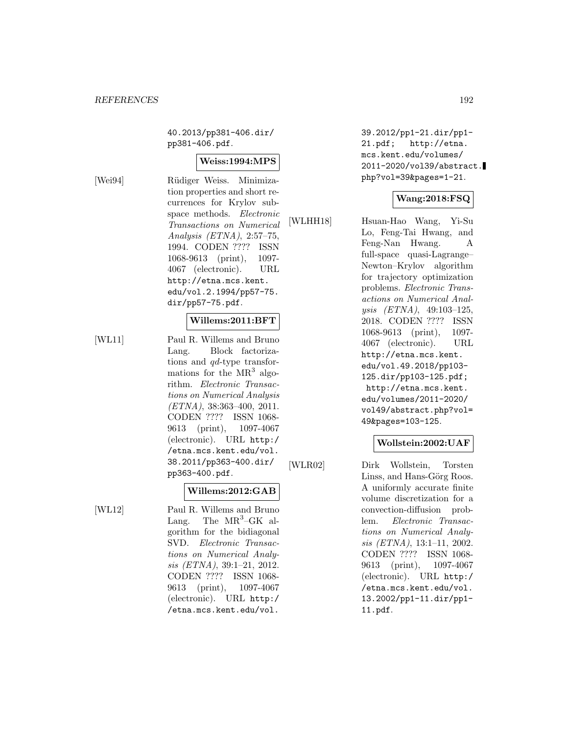40.2013/pp381-406.dir/ pp381-406.pdf.

### **Weiss:1994:MPS**

[Wei94] R¨udiger Weiss. Minimization properties and short recurrences for Krylov subspace methods. Electronic Transactions on Numerical Analysis (ETNA), 2:57–75, 1994. CODEN ???? ISSN 1068-9613 (print), 1097- 4067 (electronic). URL http://etna.mcs.kent. edu/vol.2.1994/pp57-75. dir/pp57-75.pdf.

### **Willems:2011:BFT**

[WL11] Paul R. Willems and Bruno Lang. Block factorizations and qd-type transformations for the  $MR^3$  algorithm. Electronic Transactions on Numerical Analysis  $(ETNA)$ , 38:363-400, 2011. CODEN ???? ISSN 1068- 9613 (print), 1097-4067 (electronic). URL http:/ /etna.mcs.kent.edu/vol. 38.2011/pp363-400.dir/ pp363-400.pdf.

## **Willems:2012:GAB**

[WL12] Paul R. Willems and Bruno Lang. The  $MR^3$ -GK algorithm for the bidiagonal SVD. Electronic Transactions on Numerical Analysis (ETNA), 39:1–21, 2012. CODEN ???? ISSN 1068- 9613 (print), 1097-4067 (electronic). URL http:/ /etna.mcs.kent.edu/vol.

39.2012/pp1-21.dir/pp1- 21.pdf; http://etna. mcs.kent.edu/volumes/ 2011-2020/vol39/abstract. php?vol=39&pages=1-21.

# **Wang:2018:FSQ**

[WLHH18] Hsuan-Hao Wang, Yi-Su Lo, Feng-Tai Hwang, and Feng-Nan Hwang. A full-space quasi-Lagrange– Newton–Krylov algorithm for trajectory optimization problems. Electronic Transactions on Numerical Analysis (ETNA), 49:103–125, 2018. CODEN ???? ISSN 1068-9613 (print), 1097- 4067 (electronic). URL http://etna.mcs.kent. edu/vol.49.2018/pp103- 125.dir/pp103-125.pdf; http://etna.mcs.kent. edu/volumes/2011-2020/ vol49/abstract.php?vol= 49&pages=103-125.

## **Wollstein:2002:UAF**

[WLR02] Dirk Wollstein, Torsten Linss, and Hans-Görg Roos. A uniformly accurate finite volume discretization for a convection-diffusion problem. Electronic Transactions on Numerical Analysis (ETNA), 13:1–11, 2002. CODEN ???? ISSN 1068- 9613 (print), 1097-4067 (electronic). URL http:/ /etna.mcs.kent.edu/vol. 13.2002/pp1-11.dir/pp1- 11.pdf.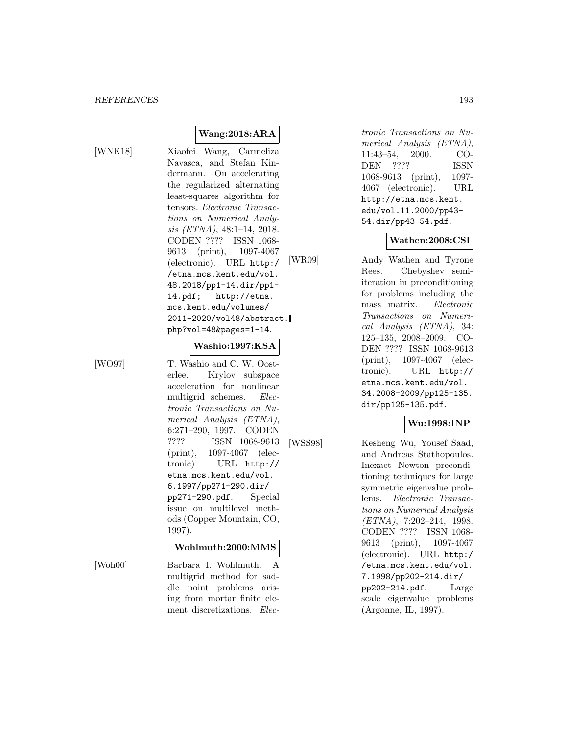**Wang:2018:ARA**

[WNK18] Xiaofei Wang, Carmeliza Navasca, and Stefan Kindermann. On accelerating the regularized alternating least-squares algorithm for tensors. Electronic Transactions on Numerical Analysis (ETNA), 48:1–14, 2018. CODEN ???? ISSN 1068- 9613 (print), 1097-4067 (electronic). URL http:/ /etna.mcs.kent.edu/vol. 48.2018/pp1-14.dir/pp1- 14.pdf; http://etna. mcs.kent.edu/volumes/ 2011-2020/vol48/abstract. php?vol=48&pages=1-14.

#### **Washio:1997:KSA**

[WO97] T. Washio and C. W. Oosterlee. Krylov subspace acceleration for nonlinear multigrid schemes. Electronic Transactions on Numerical Analysis (ETNA), 6:271–290, 1997. CODEN ???? ISSN 1068-9613 (print), 1097-4067 (electronic). URL http:// etna.mcs.kent.edu/vol. 6.1997/pp271-290.dir/ pp271-290.pdf. Special issue on multilevel methods (Copper Mountain, CO, 1997).

#### **Wohlmuth:2000:MMS**

[Woh00] Barbara I. Wohlmuth. A multigrid method for saddle point problems arising from mortar finite element discretizations. Electronic Transactions on Numerical Analysis (ETNA), 11:43–54, 2000. CO-<br>DEN ???? ISSN DEN ???? ISSN 1068-9613 (print), 1097- 4067 (electronic). URL http://etna.mcs.kent. edu/vol.11.2000/pp43- 54.dir/pp43-54.pdf.

#### **Wathen:2008:CSI**

[WR09] Andy Wathen and Tyrone Rees. Chebyshev semiiteration in preconditioning for problems including the mass matrix. Electronic Transactions on Numerical Analysis (ETNA), 34: 125–135, 2008–2009. CO-DEN ???? ISSN 1068-9613 (print), 1097-4067 (electronic). URL http:// etna.mcs.kent.edu/vol. 34.2008-2009/pp125-135. dir/pp125-135.pdf.

# **Wu:1998:INP**

[WSS98] Kesheng Wu, Yousef Saad, and Andreas Stathopoulos. Inexact Newton preconditioning techniques for large symmetric eigenvalue problems. Electronic Transactions on Numerical Analysis (ETNA), 7:202–214, 1998. CODEN ???? ISSN 1068- 9613 (print), 1097-4067 (electronic). URL http:/ /etna.mcs.kent.edu/vol. 7.1998/pp202-214.dir/ pp202-214.pdf. Large scale eigenvalue problems (Argonne, IL, 1997).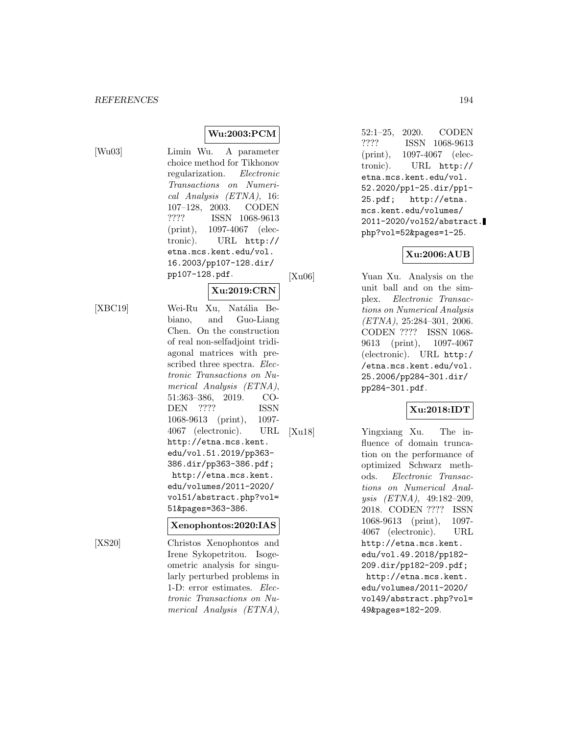**Wu:2003:PCM**

[Wu03] Limin Wu. A parameter choice method for Tikhonov regularization. Electronic Transactions on Numerical Analysis (ETNA), 16: 107–128, 2003. CODEN ???? ISSN 1068-9613 (print), 1097-4067 (electronic). URL http:// etna.mcs.kent.edu/vol. 16.2003/pp107-128.dir/ pp107-128.pdf.

## **Xu:2019:CRN**

[XBC19] Wei-Ru Xu, Natália Bebiano, and Guo-Liang Chen. On the construction of real non-selfadjoint tridiagonal matrices with prescribed three spectra. Electronic Transactions on Numerical Analysis (ETNA), 51:363–386, 2019. CO-DEN ???? ISSN 1068-9613 (print), 1097- 4067 (electronic). URL http://etna.mcs.kent. edu/vol.51.2019/pp363- 386.dir/pp363-386.pdf; http://etna.mcs.kent. edu/volumes/2011-2020/ vol51/abstract.php?vol= 51&pages=363-386.

#### **Xenophontos:2020:IAS**

[XS20] Christos Xenophontos and Irene Sykopetritou. Isogeometric analysis for singularly perturbed problems in 1-D: error estimates. Electronic Transactions on Numerical Analysis (ETNA),

52:1–25, 2020. CODEN ???? ISSN 1068-9613 (print), 1097-4067 (electronic). URL http:// etna.mcs.kent.edu/vol. 52.2020/pp1-25.dir/pp1- 25.pdf; http://etna. mcs.kent.edu/volumes/ 2011-2020/vol52/abstract. php?vol=52&pages=1-25.

## **Xu:2006:AUB**

[Xu06] Yuan Xu. Analysis on the unit ball and on the simplex. Electronic Transactions on Numerical Analysis (ETNA), 25:284–301, 2006. CODEN ???? ISSN 1068- 9613 (print), 1097-4067 (electronic). URL http:/ /etna.mcs.kent.edu/vol. 25.2006/pp284-301.dir/ pp284-301.pdf.

### **Xu:2018:IDT**

[Xu18] Yingxiang Xu. The influence of domain truncation on the performance of optimized Schwarz methods. Electronic Transactions on Numerical Analysis (ETNA), 49:182–209, 2018. CODEN ???? ISSN 1068-9613 (print), 1097- 4067 (electronic). URL http://etna.mcs.kent. edu/vol.49.2018/pp182- 209.dir/pp182-209.pdf; http://etna.mcs.kent. edu/volumes/2011-2020/ vol49/abstract.php?vol= 49&pages=182-209.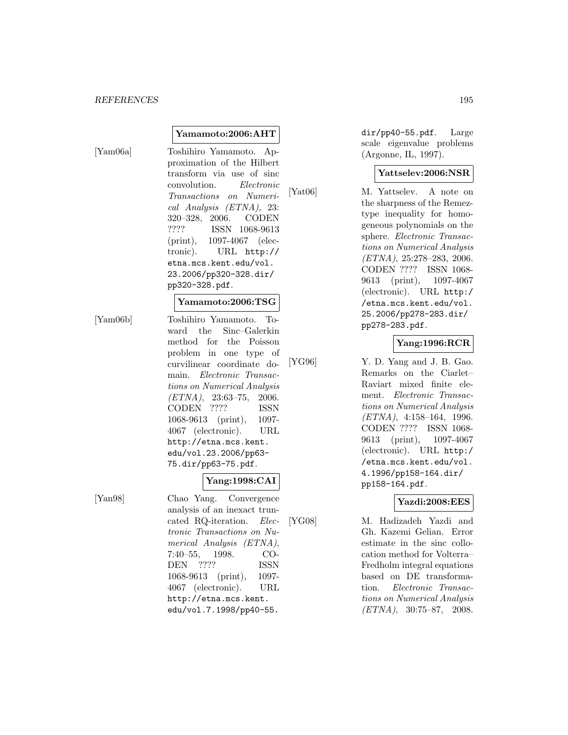#### *REFERENCES* 195

[Yam06a] Toshihiro Yamamoto. Approximation of the Hilbert transform via use of sinc convolution. Electronic Transactions on Numerical Analysis (ETNA), 23: 320–328, 2006. CODEN ???? ISSN 1068-9613 (print), 1097-4067 (electronic). URL http:// etna.mcs.kent.edu/vol. 23.2006/pp320-328.dir/ pp320-328.pdf.

**Yamamoto:2006:AHT**

### **Yamamoto:2006:TSG**

[Yam06b] Toshihiro Yamamoto. Toward the Sinc–Galerkin method for the Poisson problem in one type of curvilinear coordinate domain. Electronic Transactions on Numerical Analysis  $(ETNA)$ , 23:63-75, 2006. CODEN ???? ISSN 1068-9613 (print), 1097- 4067 (electronic). URL http://etna.mcs.kent. edu/vol.23.2006/pp63- 75.dir/pp63-75.pdf.

### **Yang:1998:CAI**

[Yan98] Chao Yang. Convergence analysis of an inexact truncated RQ-iteration. Electronic Transactions on Numerical Analysis (ETNA), 7:40–55, 1998. CO-DEN ???? ISSN 1068-9613 (print), 1097- 4067 (electronic). URL http://etna.mcs.kent. edu/vol.7.1998/pp40-55.

dir/pp40-55.pdf. Large scale eigenvalue problems (Argonne, IL, 1997).

#### **Yattselev:2006:NSR**

[Yat06] M. Yattselev. A note on the sharpness of the Remeztype inequality for homogeneous polynomials on the sphere. Electronic Transactions on Numerical Analysis (ETNA), 25:278–283, 2006. CODEN ???? ISSN 1068- 9613 (print), 1097-4067 (electronic). URL http:/ /etna.mcs.kent.edu/vol. 25.2006/pp278-283.dir/ pp278-283.pdf.

### **Yang:1996:RCR**

[YG96] Y. D. Yang and J. B. Gao. Remarks on the Ciarlet– Raviart mixed finite element. Electronic Transactions on Numerical Analysis (ETNA), 4:158–164, 1996. CODEN ???? ISSN 1068- 9613 (print), 1097-4067 (electronic). URL http:/ /etna.mcs.kent.edu/vol. 4.1996/pp158-164.dir/ pp158-164.pdf.

#### **Yazdi:2008:EES**

[YG08] M. Hadizadeh Yazdi and Gh. Kazemi Gelian. Error estimate in the sinc collocation method for Volterra– Fredholm integral equations based on DE transformation. Electronic Transactions on Numerical Analysis  $/ETNA$ , 30:75–87, 2008.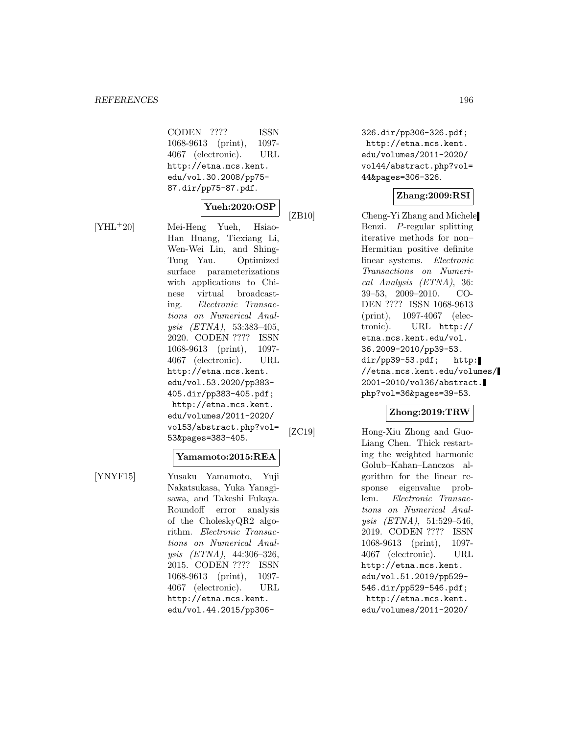#### *REFERENCES* 196

CODEN ???? ISSN 1068-9613 (print), 1097- 4067 (electronic). URL http://etna.mcs.kent. edu/vol.30.2008/pp75- 87.dir/pp75-87.pdf.

## **Yueh:2020:OSP**

[YHL<sup>+</sup>20] Mei-Heng Yueh, Hsiao-Han Huang, Tiexiang Li, Wen-Wei Lin, and Shing-Tung Yau. Optimized surface parameterizations with applications to Chinese virtual broadcasting. Electronic Transactions on Numerical Analysis (ETNA), 53:383–405, 2020. CODEN ???? ISSN 1068-9613 (print), 1097- 4067 (electronic). URL http://etna.mcs.kent. edu/vol.53.2020/pp383- 405.dir/pp383-405.pdf; http://etna.mcs.kent. edu/volumes/2011-2020/ vol53/abstract.php?vol= 53&pages=383-405.

#### **Yamamoto:2015:REA**

[YNYF15] Yusaku Yamamoto, Yuji Nakatsukasa, Yuka Yanagisawa, and Takeshi Fukaya. Roundoff error analysis of the CholeskyQR2 algorithm. Electronic Transactions on Numerical Analysis (ETNA), 44:306–326, 2015. CODEN ???? ISSN 1068-9613 (print), 1097- 4067 (electronic). URL http://etna.mcs.kent. edu/vol.44.2015/pp306326.dir/pp306-326.pdf; http://etna.mcs.kent. edu/volumes/2011-2020/ vol44/abstract.php?vol= 44&pages=306-326.

#### **Zhang:2009:RSI**

[ZB10] Cheng-Yi Zhang and Michele Benzi. P-regular splitting iterative methods for non– Hermitian positive definite linear systems. Electronic Transactions on Numerical Analysis (ETNA), 36: 39–53, 2009–2010. CO-DEN ???? ISSN 1068-9613 (print), 1097-4067 (electronic). URL http:// etna.mcs.kent.edu/vol. 36.2009-2010/pp39-53. dir/pp39-53.pdf; http: //etna.mcs.kent.edu/volumes/ 2001-2010/vol36/abstract. php?vol=36&pages=39-53.

## **Zhong:2019:TRW**

[ZC19] Hong-Xiu Zhong and Guo-Liang Chen. Thick restarting the weighted harmonic Golub–Kahan–Lanczos algorithm for the linear response eigenvalue problem. Electronic Transactions on Numerical Analysis (ETNA), 51:529–546, 2019. CODEN ???? ISSN 1068-9613 (print), 1097- 4067 (electronic). URL http://etna.mcs.kent. edu/vol.51.2019/pp529- 546.dir/pp529-546.pdf; http://etna.mcs.kent. edu/volumes/2011-2020/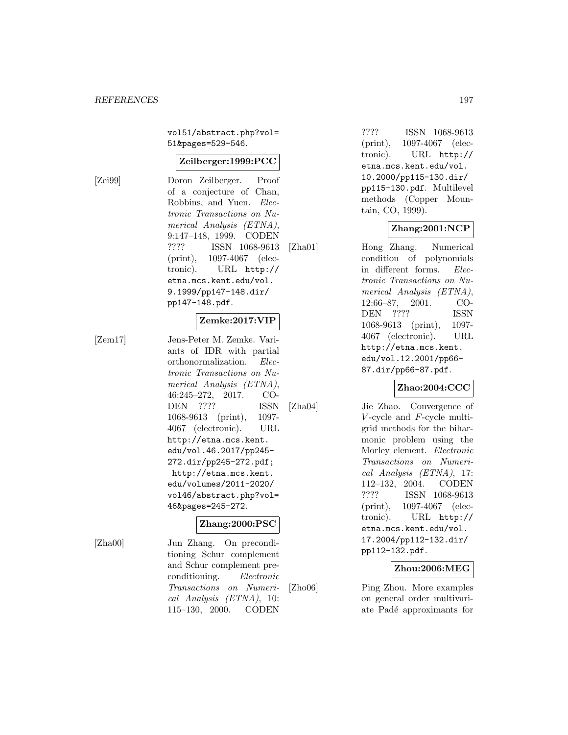vol51/abstract.php?vol= 51&pages=529-546.

#### **Zeilberger:1999:PCC**

[Zei99] Doron Zeilberger. Proof of a conjecture of Chan, Robbins, and Yuen. Electronic Transactions on Numerical Analysis (ETNA), 9:147–148, 1999. CODEN ???? ISSN 1068-9613 (print), 1097-4067 (electronic). URL http:// etna.mcs.kent.edu/vol. 9.1999/pp147-148.dir/ pp147-148.pdf.

### **Zemke:2017:VIP**

[Zem17] Jens-Peter M. Zemke. Variants of IDR with partial orthonormalization. Electronic Transactions on Numerical Analysis (ETNA), 46:245–272, 2017. CO-DEN ???? ISSN 1068-9613 (print), 1097- 4067 (electronic). URL http://etna.mcs.kent. edu/vol.46.2017/pp245- 272.dir/pp245-272.pdf; http://etna.mcs.kent. edu/volumes/2011-2020/ vol46/abstract.php?vol= 46&pages=245-272.

#### **Zhang:2000:PSC**

[Zha00] Jun Zhang. On preconditioning Schur complement and Schur complement preconditioning. Electronic Transactions on Numerical Analysis (ETNA), 10: 115–130, 2000. CODEN

???? ISSN 1068-9613 (print), 1097-4067 (electronic). URL http:// etna.mcs.kent.edu/vol. 10.2000/pp115-130.dir/ pp115-130.pdf. Multilevel methods (Copper Mountain, CO, 1999).

## **Zhang:2001:NCP**

[Zha01] Hong Zhang. Numerical condition of polynomials in different forms. Electronic Transactions on Numerical Analysis (ETNA), 12:66–87, 2001. CO-DEN ???? ISSN 1068-9613 (print), 1097- 4067 (electronic). URL http://etna.mcs.kent. edu/vol.12.2001/pp66- 87.dir/pp66-87.pdf.

## **Zhao:2004:CCC**

[Zha04] Jie Zhao. Convergence of  $V$ -cycle and  $F$ -cycle multigrid methods for the biharmonic problem using the Morley element. Electronic Transactions on Numerical Analysis (ETNA), 17: 112–132, 2004. CODEN ???? ISSN 1068-9613 (print), 1097-4067 (electronic). URL http:// etna.mcs.kent.edu/vol. 17.2004/pp112-132.dir/ pp112-132.pdf.

#### **Zhou:2006:MEG**

[Zho06] Ping Zhou. More examples on general order multivariate Padé approximants for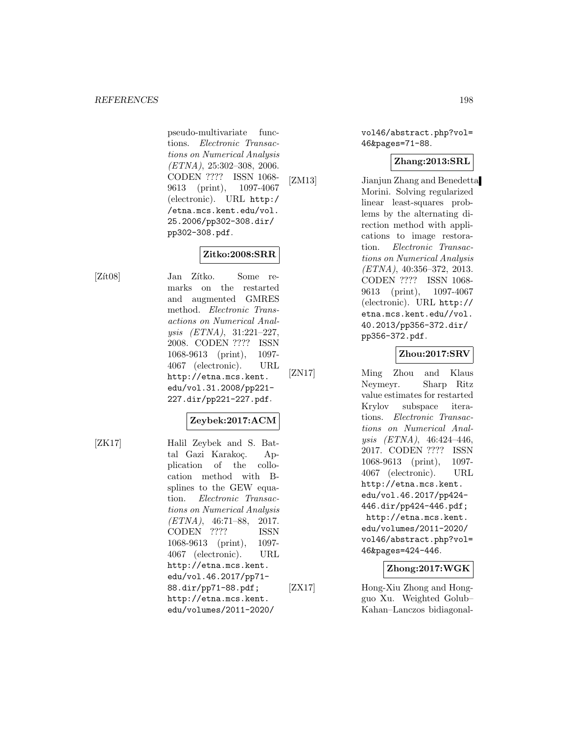pseudo-multivariate functions. Electronic Transactions on Numerical Analysis (ETNA), 25:302–308, 2006. CODEN ???? ISSN 1068- 9613 (print), 1097-4067 (electronic). URL http:/ /etna.mcs.kent.edu/vol. 25.2006/pp302-308.dir/ pp302-308.pdf.

**Zitko:2008:SRR**

[Zít08] Jan Zítko. Some remarks on the restarted and augmented GMRES method. Electronic Transactions on Numerical Analysis (ETNA), 31:221–227, 2008. CODEN ???? ISSN 1068-9613 (print), 1097- 4067 (electronic). URL http://etna.mcs.kent. edu/vol.31.2008/pp221- 227.dir/pp221-227.pdf.

## **Zeybek:2017:ACM**

[ZK17] Halil Zeybek and S. Battal Gazi Karakoç. Application of the collocation method with Bsplines to the GEW equation. Electronic Transactions on Numerical Analysis  $(ETNA)$ , 46:71-88, 2017. CODEN ???? ISSN 1068-9613 (print), 1097- 4067 (electronic). URL http://etna.mcs.kent. edu/vol.46.2017/pp71- 88.dir/pp71-88.pdf; http://etna.mcs.kent. edu/volumes/2011-2020/

vol46/abstract.php?vol= 46&pages=71-88.

# **Zhang:2013:SRL**

[ZM13] Jianjun Zhang and Benedetta Morini. Solving regularized linear least-squares problems by the alternating direction method with applications to image restoration. Electronic Transactions on Numerical Analysis (ETNA), 40:356–372, 2013. CODEN ???? ISSN 1068- 9613 (print), 1097-4067 (electronic). URL http:// etna.mcs.kent.edu//vol. 40.2013/pp356-372.dir/ pp356-372.pdf.

### **Zhou:2017:SRV**

[ZN17] Ming Zhou and Klaus Neymeyr. Sharp Ritz value estimates for restarted Krylov subspace iterations. Electronic Transactions on Numerical Analysis (ETNA), 46:424–446, 2017. CODEN ???? ISSN 1068-9613 (print), 1097- 4067 (electronic). URL http://etna.mcs.kent. edu/vol.46.2017/pp424- 446.dir/pp424-446.pdf; http://etna.mcs.kent. edu/volumes/2011-2020/ vol46/abstract.php?vol= 46&pages=424-446.

## **Zhong:2017:WGK**

[ZX17] Hong-Xiu Zhong and Hongguo Xu. Weighted Golub– Kahan–Lanczos bidiagonal-